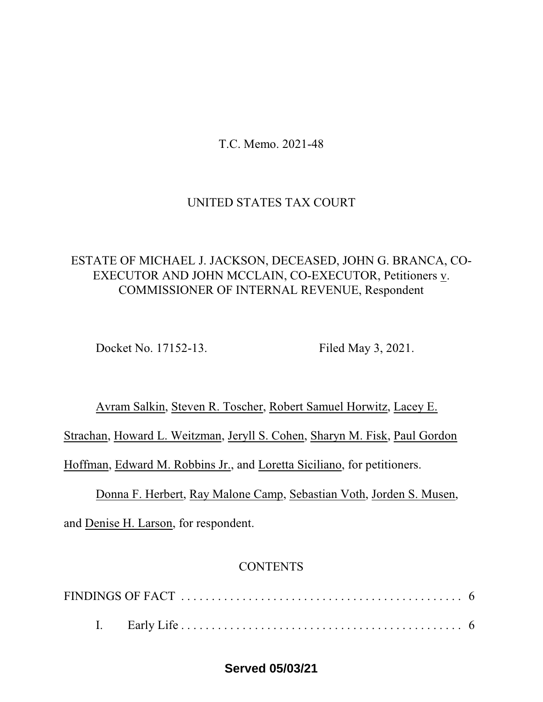T.C. Memo. 2021-48

# UNITED STATES TAX COURT

# ESTATE OF MICHAEL J. JACKSON, DECEASED, JOHN G. BRANCA, CO-EXECUTOR AND JOHN MCCLAIN, CO-EXECUTOR, Petitioners v. COMMISSIONER OF INTERNAL REVENUE, Respondent

Docket No. 17152-13. Filed May 3, 2021.

Avram Salkin, Steven R. Toscher, Robert Samuel Horwitz, Lacey E. Strachan, Howard L. Weitzman, Jeryll S. Cohen, Sharyn M. Fisk, Paul Gordon Hoffman, Edward M. Robbins Jr., and Loretta Siciliano, for petitioners.

Donna F. Herbert, Ray Malone Camp, Sebastian Voth, Jorden S. Musen, and Denise H. Larson, for respondent.

# **CONTENTS**

# **Served 05/03/21**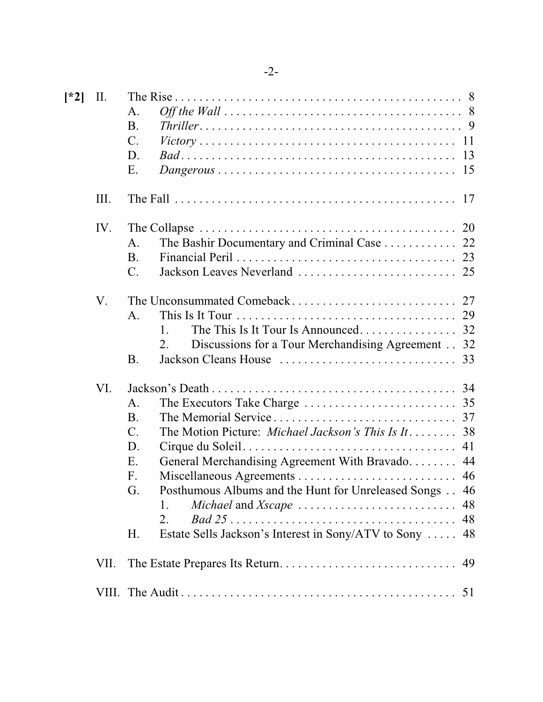| $\lceil *2 \rceil$ | II.   | A.<br><b>B.</b><br>$Thriller \dots \dots \dots \dots \dots \dots \dots \dots \dots \dots \dots \dots \dots \dots \dots \dots$<br>$\mathcal{C}$ .<br>D.<br>Ε.<br>$Dangerous \ldots \ldots \ldots \ldots \ldots \ldots \ldots \ldots \ldots \ldots \ldots \ldots \ldots 15$                                                                                                                                                                                 |
|--------------------|-------|-----------------------------------------------------------------------------------------------------------------------------------------------------------------------------------------------------------------------------------------------------------------------------------------------------------------------------------------------------------------------------------------------------------------------------------------------------------|
|                    | III.  | The Fall $\ldots \ldots \ldots \ldots \ldots \ldots \ldots \ldots \ldots \ldots \ldots \ldots \ldots$<br>17                                                                                                                                                                                                                                                                                                                                               |
|                    | IV.   | 20<br>The Collapse $\dots \dots \dots \dots \dots \dots \dots \dots \dots \dots \dots \dots \dots \dots$<br>The Bashir Documentary and Criminal Case 22<br>А.<br><b>B.</b><br>C.                                                                                                                                                                                                                                                                          |
|                    | V.    | A.<br>The This Is It Tour Is Announced<br>32<br>1.<br>Discussions for a Tour Merchandising Agreement 32<br>2.<br><b>B.</b>                                                                                                                                                                                                                                                                                                                                |
|                    | VI.   | A.<br>The Memorial Service<br><b>B.</b><br>37<br>$\mathcal{C}$ .<br>The Motion Picture: Michael Jackson's This Is It<br>38<br>D.<br>41<br>General Merchandising Agreement With Bravado 44<br>Ε.<br>F.<br>G.<br>Posthumous Albums and the Hunt for Unreleased Songs 46<br>1.<br>$Bad\ 25 \ldots \ldots \ldots \ldots \ldots \ldots \ldots \ldots \ldots \ldots \ldots \ldots$<br>2.<br>48<br>Estate Sells Jackson's Interest in Sony/ATV to Sony  48<br>Η. |
|                    | VII.  | 49                                                                                                                                                                                                                                                                                                                                                                                                                                                        |
|                    | VIII. |                                                                                                                                                                                                                                                                                                                                                                                                                                                           |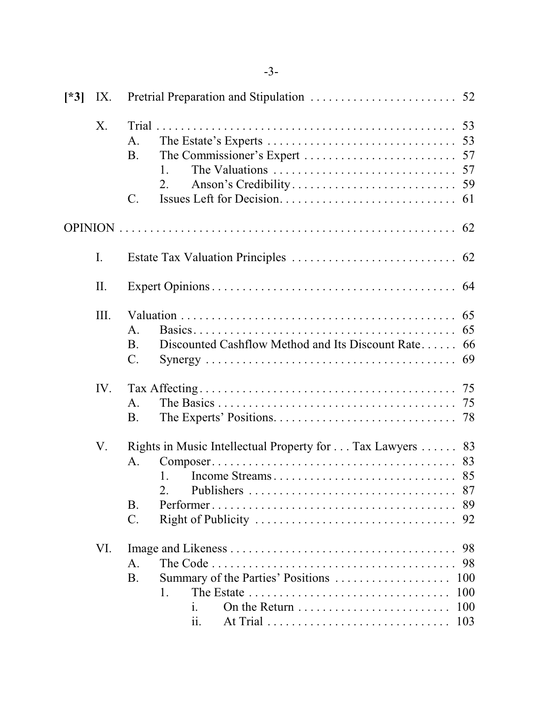| $[^*3]$ | IX.            |                                                                                           |                                |
|---------|----------------|-------------------------------------------------------------------------------------------|--------------------------------|
|         | X.             | Trial<br>А.<br><b>B.</b><br>1.<br>2.<br>C.                                                |                                |
|         |                |                                                                                           |                                |
|         | $\mathbf{I}$ . |                                                                                           |                                |
|         | II.            |                                                                                           |                                |
|         | Ш.             | A.<br>Discounted Cashflow Method and Its Discount Rate 66<br><b>B.</b><br>$\mathcal{C}$ . | 65<br>65                       |
|         | IV.            | A.<br><b>B.</b>                                                                           |                                |
|         | V.             | Rights in Music Intellectual Property for Tax Lawyers 83<br>A.<br>1.<br>2.<br>B.<br>C.    | 87<br>89<br>92                 |
|         | VI.            | А.<br>Summary of the Parties' Positions<br>B.<br>1.<br>1.<br>$\overline{\mathbf{11}}$ .   | 98<br>100<br>100<br>100<br>103 |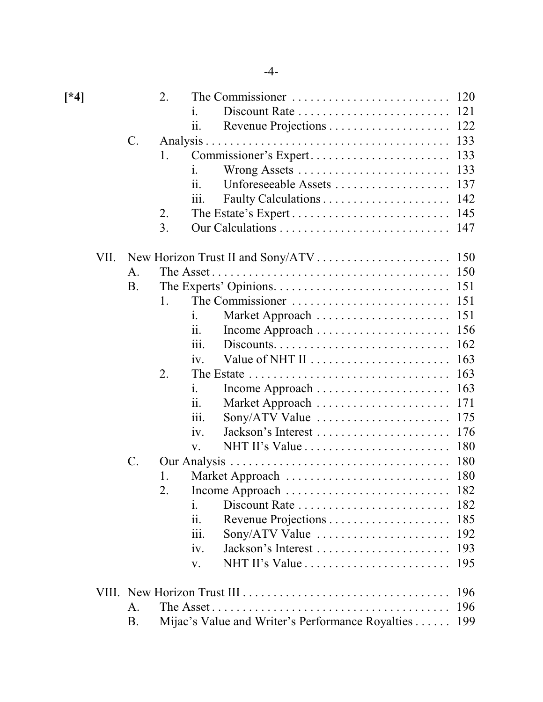| $[*4]$ |      |                 | 2. |                                                                                                   |     |  |  |
|--------|------|-----------------|----|---------------------------------------------------------------------------------------------------|-----|--|--|
|        |      |                 |    | Discount Rate<br>1.                                                                               | 121 |  |  |
|        |      |                 |    | 11.                                                                                               |     |  |  |
|        |      | $\mathcal{C}$ . |    |                                                                                                   | 133 |  |  |
|        |      |                 | 1. | Commissioner's Expert                                                                             | 133 |  |  |
|        |      |                 |    | Wrong Assets<br>1.                                                                                | 133 |  |  |
|        |      |                 |    | ii.<br>Unforeseeable Assets                                                                       | 137 |  |  |
|        |      |                 |    | 111.                                                                                              | 142 |  |  |
|        |      |                 | 2. |                                                                                                   | 145 |  |  |
|        |      |                 | 3. |                                                                                                   |     |  |  |
|        | VII. | 150             |    |                                                                                                   |     |  |  |
|        |      | A.              |    |                                                                                                   | 150 |  |  |
|        |      | <b>B.</b>       |    |                                                                                                   | 151 |  |  |
|        |      |                 | 1. | The Commissioner                                                                                  | 151 |  |  |
|        |      |                 |    | Market Approach<br>1.                                                                             | 151 |  |  |
|        |      |                 |    | ii.                                                                                               | 156 |  |  |
|        |      |                 |    | $Discounts. \ldots \ldots \ldots \ldots \ldots \ldots \ldots \ldots \ldots$<br>$\overline{111}$ . | 162 |  |  |
|        |      |                 |    | Value of NHT II<br>iv.                                                                            | 163 |  |  |
|        |      |                 | 2. |                                                                                                   | 163 |  |  |
|        |      |                 |    | $\mathbf{i}$ .                                                                                    | 163 |  |  |
|        |      |                 |    | Market Approach<br>11.                                                                            | 171 |  |  |
|        |      |                 |    | $Sony/ATV$ Value $\dots \dots \dots \dots \dots \dots$<br>111.                                    | 175 |  |  |
|        |      |                 |    | iv.                                                                                               | 176 |  |  |
|        |      |                 |    | V.                                                                                                | 180 |  |  |
|        |      | $\mathcal{C}$ . |    |                                                                                                   | 180 |  |  |
|        |      |                 | 1. |                                                                                                   |     |  |  |
|        |      |                 | 2. |                                                                                                   |     |  |  |
|        |      |                 |    | Discount Rate<br>1.                                                                               | 182 |  |  |
|        |      |                 |    | ii.                                                                                               | 185 |  |  |
|        |      |                 |    | iii.<br>$Sony/ATV$ Value $\dots \dots \dots \dots \dots \dots \dots$                              | 192 |  |  |
|        |      |                 |    | iv.                                                                                               | 193 |  |  |
|        |      |                 |    | $NHT II's Value \ldots \ldots \ldots \ldots \ldots \ldots \ldots$<br>V.                           | 195 |  |  |
|        |      |                 |    |                                                                                                   |     |  |  |
|        |      | А.              |    |                                                                                                   | 196 |  |  |
|        |      | Β.              |    | Mijac's Value and Writer's Performance Royalties                                                  | 199 |  |  |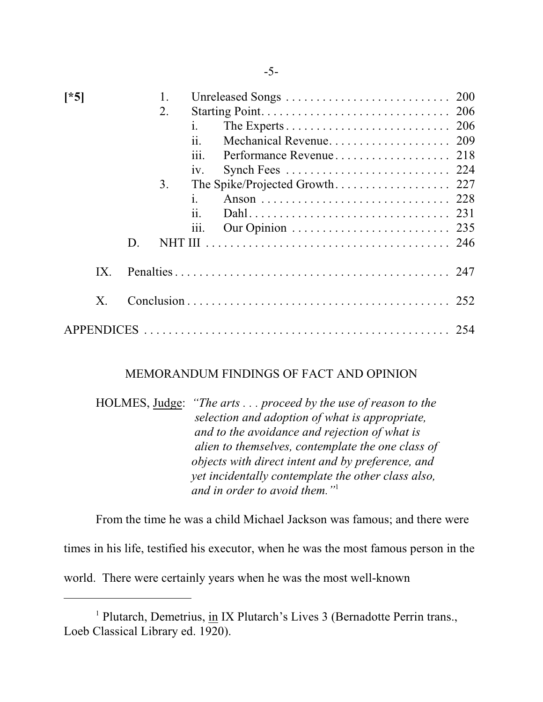| $[^*5]$ | 2.<br>3.<br>D. | i.<br>11.<br>Performance Revenue<br>218<br>111.<br>iv.<br>$\mathbf{1}$ .<br>11.<br>111.<br>246 |
|---------|----------------|------------------------------------------------------------------------------------------------|
| IX.     |                |                                                                                                |
| X.      |                |                                                                                                |
|         |                |                                                                                                |

# MEMORANDUM FINDINGS OF FACT AND OPINION

HOLMES, Judge: *"The arts . . . proceed by the use of reason to the selection and adoption of what is appropriate, and to the avoidance and rejection of what is alien to themselves, contemplate the one class of objects with direct intent and by preference, and yet incidentally contemplate the other class also, and in order to avoid them."*<sup>1</sup>

From the time he was a child Michael Jackson was famous; and there were times in his life, testified his executor, when he was the most famous person in the world. There were certainly years when he was the most well-known

<sup>&</sup>lt;sup>1</sup> Plutarch, Demetrius, in IX Plutarch's Lives 3 (Bernadotte Perrin trans., Loeb Classical Library ed. 1920).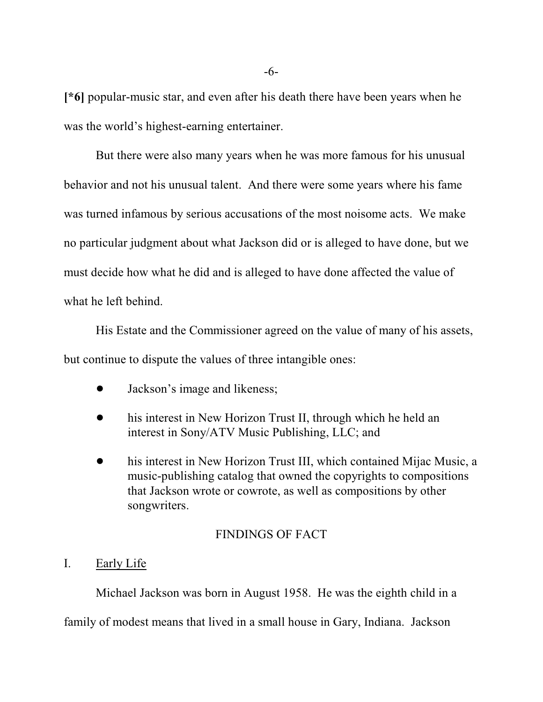**[\*6]** popular-music star, and even after his death there have been years when he was the world's highest-earning entertainer.

But there were also many years when he was more famous for his unusual behavior and not his unusual talent. And there were some years where his fame was turned infamous by serious accusations of the most noisome acts. We make no particular judgment about what Jackson did or is alleged to have done, but we must decide how what he did and is alleged to have done affected the value of what he left behind.

His Estate and the Commissioner agreed on the value of many of his assets, but continue to dispute the values of three intangible ones:

- Jackson's image and likeness;
- his interest in New Horizon Trust II, through which he held an interest in Sony/ATV Music Publishing, LLC; and
- his interest in New Horizon Trust III, which contained Mijac Music, a music-publishing catalog that owned the copyrights to compositions that Jackson wrote or cowrote, as well as compositions by other songwriters.

# FINDINGS OF FACT

# I. Early Life

Michael Jackson was born in August 1958. He was the eighth child in a family of modest means that lived in a small house in Gary, Indiana. Jackson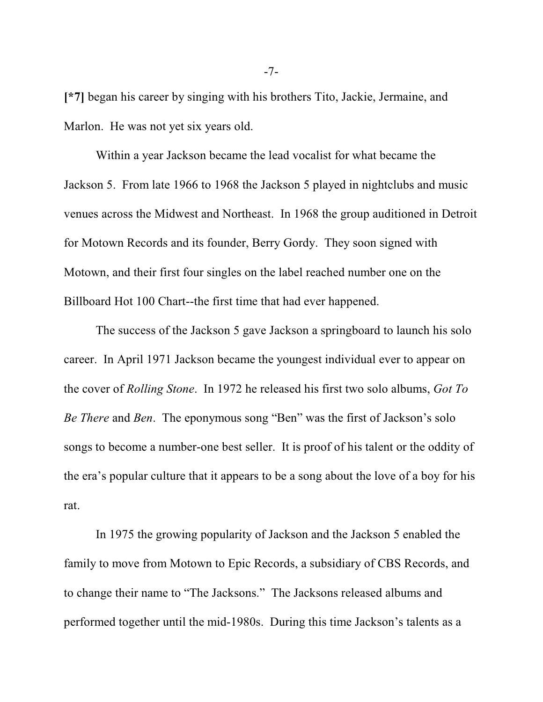**[\*7]** began his career by singing with his brothers Tito, Jackie, Jermaine, and Marlon. He was not yet six years old.

Within a year Jackson became the lead vocalist for what became the Jackson 5. From late 1966 to 1968 the Jackson 5 played in nightclubs and music venues across the Midwest and Northeast. In 1968 the group auditioned in Detroit for Motown Records and its founder, Berry Gordy. They soon signed with Motown, and their first four singles on the label reached number one on the Billboard Hot 100 Chart--the first time that had ever happened.

The success of the Jackson 5 gave Jackson a springboard to launch his solo career. In April 1971 Jackson became the youngest individual ever to appear on the cover of *Rolling Stone*. In 1972 he released his first two solo albums, *Got To Be There* and *Ben*. The eponymous song "Ben" was the first of Jackson's solo songs to become a number-one best seller. It is proof of his talent or the oddity of the era's popular culture that it appears to be a song about the love of a boy for his rat.

In 1975 the growing popularity of Jackson and the Jackson 5 enabled the family to move from Motown to Epic Records, a subsidiary of CBS Records, and to change their name to "The Jacksons." The Jacksons released albums and performed together until the mid-1980s. During this time Jackson's talents as a

-7-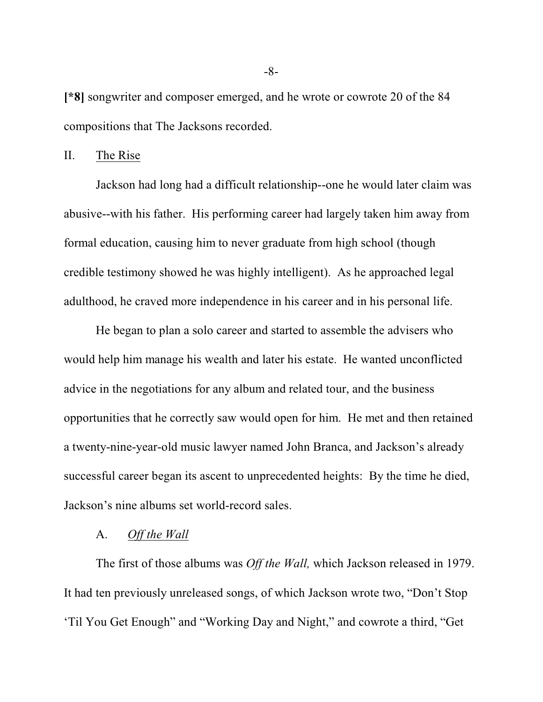**[\*8]** songwriter and composer emerged, and he wrote or cowrote 20 of the 84 compositions that The Jacksons recorded.

II. The Rise

Jackson had long had a difficult relationship--one he would later claim was abusive--with his father. His performing career had largely taken him away from formal education, causing him to never graduate from high school (though credible testimony showed he was highly intelligent). As he approached legal adulthood, he craved more independence in his career and in his personal life.

He began to plan a solo career and started to assemble the advisers who would help him manage his wealth and later his estate. He wanted unconflicted advice in the negotiations for any album and related tour, and the business opportunities that he correctly saw would open for him. He met and then retained a twenty-nine-year-old music lawyer named John Branca, and Jackson's already successful career began its ascent to unprecedented heights: By the time he died, Jackson's nine albums set world-record sales.

## A. *Off the Wall*

The first of those albums was *Off the Wall,* which Jackson released in 1979. It had ten previously unreleased songs, of which Jackson wrote two, "Don't Stop 'Til You Get Enough" and "Working Day and Night," and cowrote a third, "Get

-8-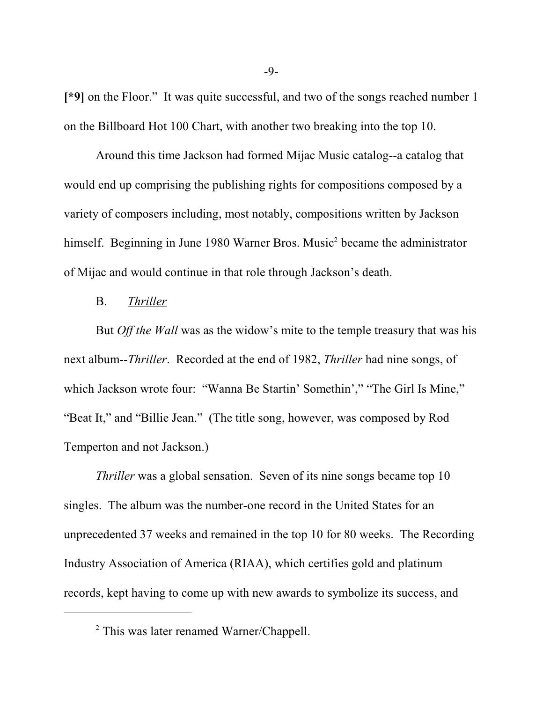**[\*9]** on the Floor." It was quite successful, and two of the songs reached number 1 on the Billboard Hot 100 Chart, with another two breaking into the top 10.

Around this time Jackson had formed Mijac Music catalog--a catalog that would end up comprising the publishing rights for compositions composed by a variety of composers including, most notably, compositions written by Jackson himself. Beginning in June 1980 Warner Bros. Music<sup>2</sup> became the administrator of Mijac and would continue in that role through Jackson's death.

## B. *Thriller*

But *Off the Wall* was as the widow's mite to the temple treasury that was his next album--*Thriller*. Recorded at the end of 1982, *Thriller* had nine songs, of which Jackson wrote four: "Wanna Be Startin' Somethin'," "The Girl Is Mine," "Beat It," and "Billie Jean." (The title song, however, was composed by Rod Temperton and not Jackson.)

*Thriller* was a global sensation. Seven of its nine songs became top 10 singles. The album was the number-one record in the United States for an unprecedented 37 weeks and remained in the top 10 for 80 weeks. The Recording Industry Association of America (RIAA), which certifies gold and platinum records, kept having to come up with new awards to symbolize its success, and

<sup>&</sup>lt;sup>2</sup> This was later renamed Warner/Chappell.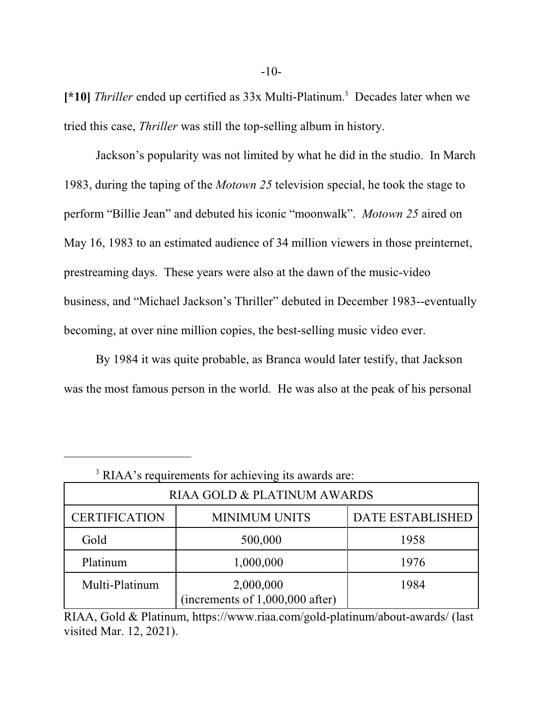**[\*10]** *Thriller* ended up certified as 33x Multi-Platinum. 3 Decades later when we tried this case, *Thriller* was still the top-selling album in history.

Jackson's popularity was not limited by what he did in the studio. In March 1983, during the taping of the *Motown 25* television special, he took the stage to perform "Billie Jean" and debuted his iconic "moonwalk". *Motown 25* aired on May 16, 1983 to an estimated audience of 34 million viewers in those preinternet, prestreaming days. These years were also at the dawn of the music-video business, and "Michael Jackson's Thriller" debuted in December 1983--eventually becoming, at over nine million copies, the best-selling music video ever.

By 1984 it was quite probable, as Branca would later testify, that Jackson was the most famous person in the world. He was also at the peak of his personal

| <sup>3</sup> RIAA's requirements for achieving its awards are: |                                                |                         |  |
|----------------------------------------------------------------|------------------------------------------------|-------------------------|--|
| RIAA GOLD & PLATINUM AWARDS                                    |                                                |                         |  |
| <b>CERTIFICATION</b>                                           | <b>MINIMUM UNITS</b>                           | <b>DATE ESTABLISHED</b> |  |
| Gold                                                           | 500,000                                        | 1958                    |  |
| Platinum                                                       | 1,000,000                                      | 1976                    |  |
| Multi-Platinum                                                 | 2,000,000<br>(increments of $1,000,000$ after) | 1984                    |  |

RIAA, Gold & Platinum, https://www.riaa.com/gold-platinum/about-awards/ (last visited Mar. 12, 2021).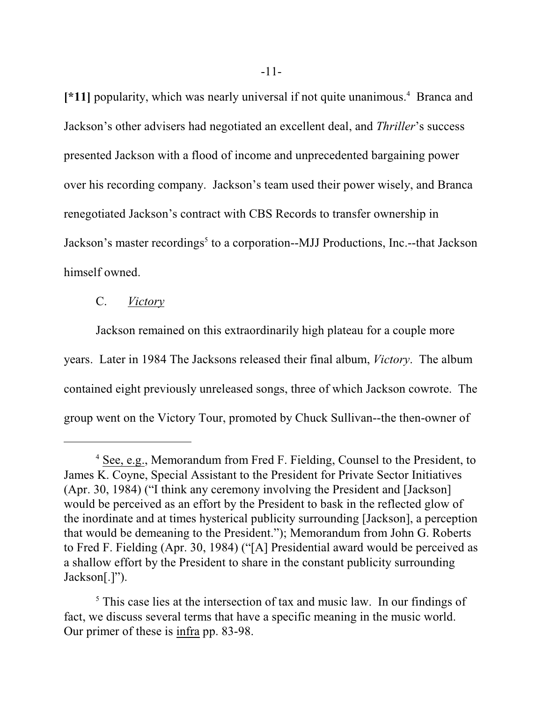[\*11] popularity, which was nearly universal if not quite unanimous.<sup>4</sup> Branca and Jackson's other advisers had negotiated an excellent deal, and *Thriller*'s success presented Jackson with a flood of income and unprecedented bargaining power over his recording company. Jackson's team used their power wisely, and Branca renegotiated Jackson's contract with CBS Records to transfer ownership in Jackson's master recordings<sup>5</sup> to a corporation--MJJ Productions, Inc.--that Jackson himself owned.

## C. *Victory*

Jackson remained on this extraordinarily high plateau for a couple more years. Later in 1984 The Jacksons released their final album, *Victory*. The album contained eight previously unreleased songs, three of which Jackson cowrote. The group went on the Victory Tour, promoted by Chuck Sullivan--the then-owner of

<sup>&</sup>lt;sup>4</sup> See, e.g., Memorandum from Fred F. Fielding, Counsel to the President, to James K. Coyne, Special Assistant to the President for Private Sector Initiatives (Apr. 30, 1984) ("I think any ceremony involving the President and [Jackson] would be perceived as an effort by the President to bask in the reflected glow of the inordinate and at times hysterical publicity surrounding [Jackson], a perception that would be demeaning to the President."); Memorandum from John G. Roberts to Fred F. Fielding (Apr. 30, 1984) ("[A] Presidential award would be perceived as a shallow effort by the President to share in the constant publicity surrounding Jackson[.]").

<sup>&</sup>lt;sup>5</sup> This case lies at the intersection of tax and music law. In our findings of fact, we discuss several terms that have a specific meaning in the music world. Our primer of these is infra pp. 83-98.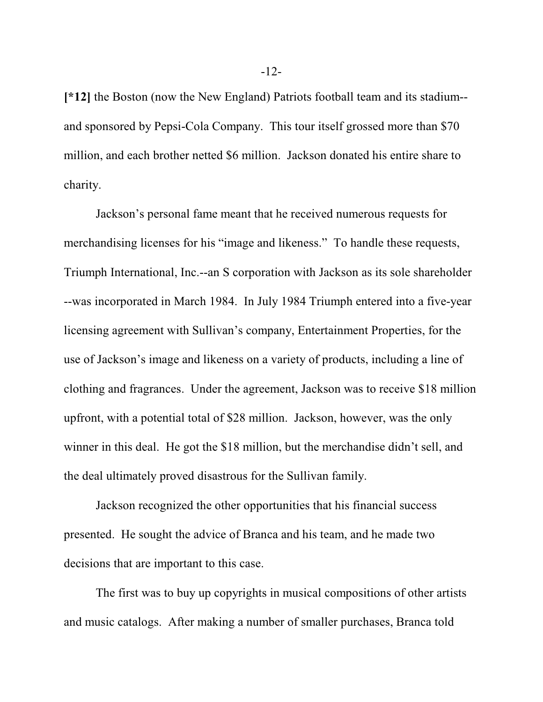**[\*12]** the Boston (now the New England) Patriots football team and its stadium- and sponsored by Pepsi-Cola Company. This tour itself grossed more than \$70 million, and each brother netted \$6 million. Jackson donated his entire share to charity.

Jackson's personal fame meant that he received numerous requests for merchandising licenses for his "image and likeness." To handle these requests, Triumph International, Inc.--an S corporation with Jackson as its sole shareholder --was incorporated in March 1984. In July 1984 Triumph entered into a five-year licensing agreement with Sullivan's company, Entertainment Properties, for the use of Jackson's image and likeness on a variety of products, including a line of clothing and fragrances. Under the agreement, Jackson was to receive \$18 million upfront, with a potential total of \$28 million. Jackson, however, was the only winner in this deal. He got the \$18 million, but the merchandise didn't sell, and the deal ultimately proved disastrous for the Sullivan family.

Jackson recognized the other opportunities that his financial success presented. He sought the advice of Branca and his team, and he made two decisions that are important to this case.

The first was to buy up copyrights in musical compositions of other artists and music catalogs. After making a number of smaller purchases, Branca told

-12-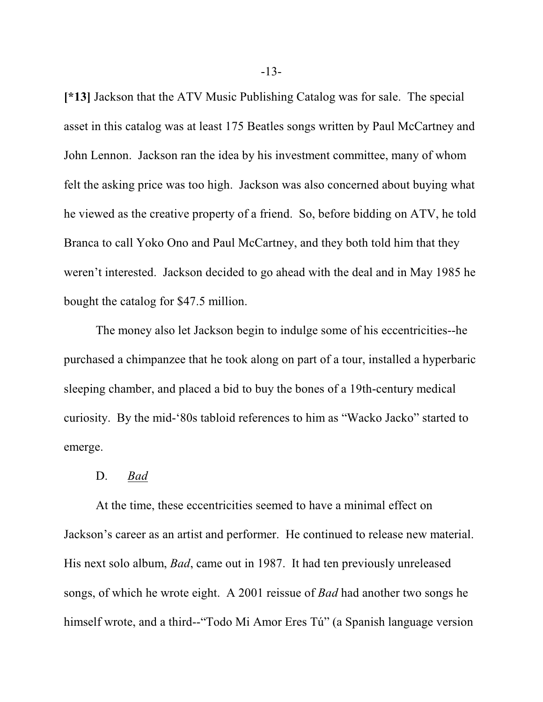**[\*13]** Jackson that the ATV Music Publishing Catalog was for sale. The special asset in this catalog was at least 175 Beatles songs written by Paul McCartney and John Lennon. Jackson ran the idea by his investment committee, many of whom felt the asking price was too high. Jackson was also concerned about buying what he viewed as the creative property of a friend. So, before bidding on ATV, he told Branca to call Yoko Ono and Paul McCartney, and they both told him that they weren't interested. Jackson decided to go ahead with the deal and in May 1985 he bought the catalog for \$47.5 million.

The money also let Jackson begin to indulge some of his eccentricities--he purchased a chimpanzee that he took along on part of a tour, installed a hyperbaric sleeping chamber, and placed a bid to buy the bones of a 19th-century medical curiosity. By the mid-'80s tabloid references to him as "Wacko Jacko" started to emerge.

#### D. *Bad*

At the time, these eccentricities seemed to have a minimal effect on Jackson's career as an artist and performer. He continued to release new material. His next solo album, *Bad*, came out in 1987. It had ten previously unreleased songs, of which he wrote eight. A 2001 reissue of *Bad* had another two songs he himself wrote, and a third--"Todo Mi Amor Eres Tú" (a Spanish language version

-13-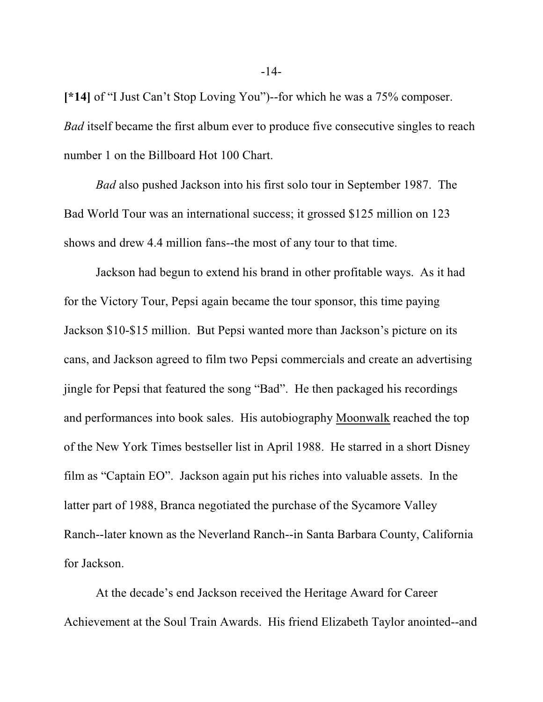**[\*14]** of "I Just Can't Stop Loving You")--for which he was a 75% composer. *Bad* itself became the first album ever to produce five consecutive singles to reach number 1 on the Billboard Hot 100 Chart.

*Bad* also pushed Jackson into his first solo tour in September 1987. The Bad World Tour was an international success; it grossed \$125 million on 123 shows and drew 4.4 million fans--the most of any tour to that time.

Jackson had begun to extend his brand in other profitable ways. As it had for the Victory Tour, Pepsi again became the tour sponsor, this time paying Jackson \$10-\$15 million. But Pepsi wanted more than Jackson's picture on its cans, and Jackson agreed to film two Pepsi commercials and create an advertising jingle for Pepsi that featured the song "Bad". He then packaged his recordings and performances into book sales. His autobiography Moonwalk reached the top of the New York Times bestseller list in April 1988. He starred in a short Disney film as "Captain EO". Jackson again put his riches into valuable assets. In the latter part of 1988, Branca negotiated the purchase of the Sycamore Valley Ranch--later known as the Neverland Ranch--in Santa Barbara County, California for Jackson.

At the decade's end Jackson received the Heritage Award for Career Achievement at the Soul Train Awards. His friend Elizabeth Taylor anointed--and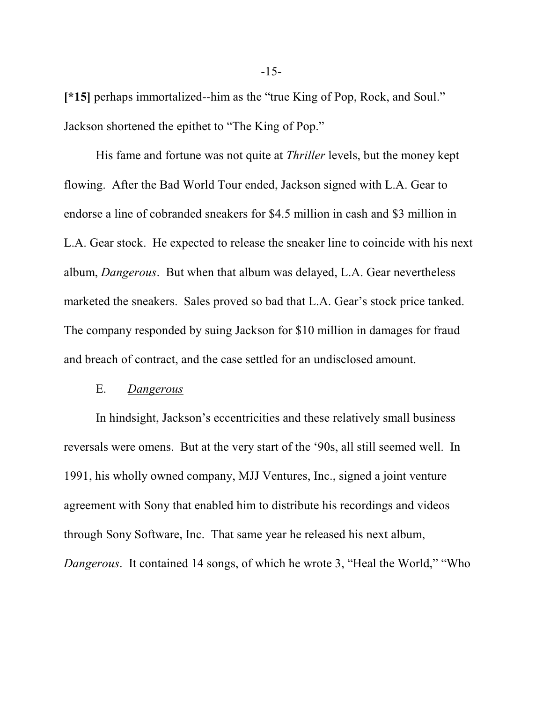**[\*15]** perhaps immortalized--him as the "true King of Pop, Rock, and Soul." Jackson shortened the epithet to "The King of Pop."

His fame and fortune was not quite at *Thriller* levels, but the money kept flowing. After the Bad World Tour ended, Jackson signed with L.A. Gear to endorse a line of cobranded sneakers for \$4.5 million in cash and \$3 million in L.A. Gear stock. He expected to release the sneaker line to coincide with his next album, *Dangerous*. But when that album was delayed, L.A. Gear nevertheless marketed the sneakers. Sales proved so bad that L.A. Gear's stock price tanked. The company responded by suing Jackson for \$10 million in damages for fraud and breach of contract, and the case settled for an undisclosed amount.

## E. *Dangerous*

In hindsight, Jackson's eccentricities and these relatively small business reversals were omens. But at the very start of the '90s, all still seemed well. In 1991, his wholly owned company, MJJ Ventures, Inc., signed a joint venture agreement with Sony that enabled him to distribute his recordings and videos through Sony Software, Inc. That same year he released his next album, *Dangerous*. It contained 14 songs, of which he wrote 3, "Heal the World," "Who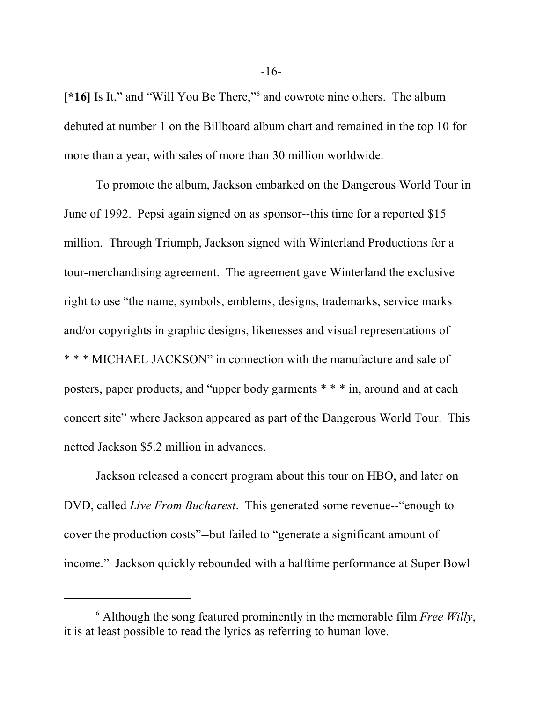[\*16] Is It," and "Will You Be There,"<sup>6</sup> and cowrote nine others. The album debuted at number 1 on the Billboard album chart and remained in the top 10 for more than a year, with sales of more than 30 million worldwide.

To promote the album, Jackson embarked on the Dangerous World Tour in June of 1992. Pepsi again signed on as sponsor--this time for a reported \$15 million. Through Triumph, Jackson signed with Winterland Productions for a tour-merchandising agreement. The agreement gave Winterland the exclusive right to use "the name, symbols, emblems, designs, trademarks, service marks and/or copyrights in graphic designs, likenesses and visual representations of \* \* \* MICHAEL JACKSON" in connection with the manufacture and sale of posters, paper products, and "upper body garments \* \* \* in, around and at each concert site" where Jackson appeared as part of the Dangerous World Tour. This netted Jackson \$5.2 million in advances.

Jackson released a concert program about this tour on HBO, and later on DVD, called *Live From Bucharest*. This generated some revenue--"enough to cover the production costs"--but failed to "generate a significant amount of income." Jackson quickly rebounded with a halftime performance at Super Bowl

<sup>6</sup> Although the song featured prominently in the memorable film *Free Willy*, it is at least possible to read the lyrics as referring to human love.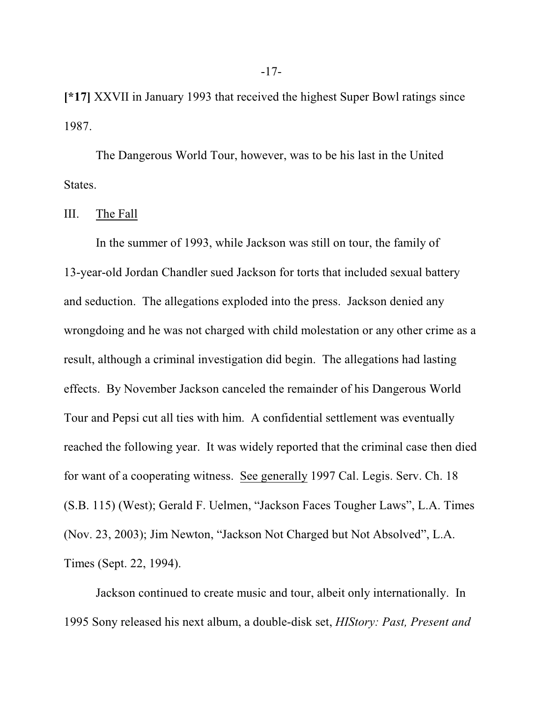**[\*17]** XXVII in January 1993 that received the highest Super Bowl ratings since 1987.

The Dangerous World Tour, however, was to be his last in the United States.

III. The Fall

In the summer of 1993, while Jackson was still on tour, the family of 13-year-old Jordan Chandler sued Jackson for torts that included sexual battery and seduction. The allegations exploded into the press. Jackson denied any wrongdoing and he was not charged with child molestation or any other crime as a result, although a criminal investigation did begin. The allegations had lasting effects. By November Jackson canceled the remainder of his Dangerous World Tour and Pepsi cut all ties with him. A confidential settlement was eventually reached the following year. It was widely reported that the criminal case then died for want of a cooperating witness. See generally 1997 Cal. Legis. Serv. Ch. 18 (S.B. 115) (West); Gerald F. Uelmen, "Jackson Faces Tougher Laws", L.A. Times (Nov. 23, 2003); Jim Newton, "Jackson Not Charged but Not Absolved", L.A. Times (Sept. 22, 1994).

Jackson continued to create music and tour, albeit only internationally. In 1995 Sony released his next album, a double-disk set, *HIStory: Past, Present and*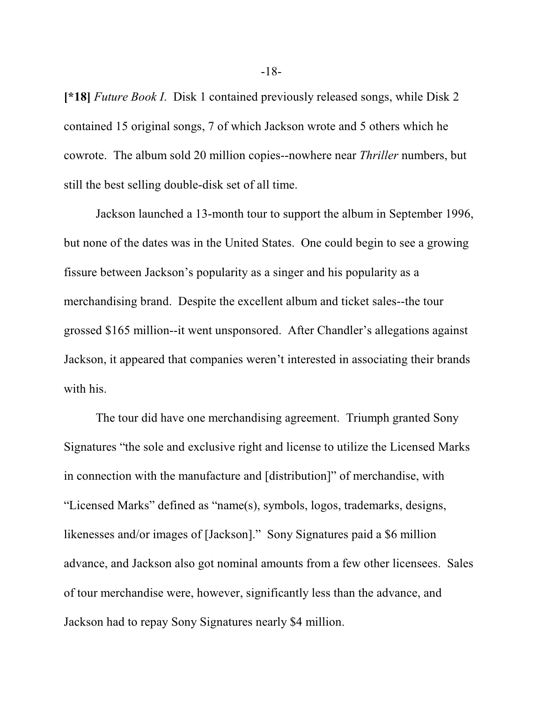**[\*18]** *Future Book I*. Disk 1 contained previously released songs, while Disk 2 contained 15 original songs, 7 of which Jackson wrote and 5 others which he cowrote. The album sold 20 million copies--nowhere near *Thriller* numbers, but still the best selling double-disk set of all time.

Jackson launched a 13-month tour to support the album in September 1996, but none of the dates was in the United States. One could begin to see a growing fissure between Jackson's popularity as a singer and his popularity as a merchandising brand. Despite the excellent album and ticket sales--the tour grossed \$165 million--it went unsponsored. After Chandler's allegations against Jackson, it appeared that companies weren't interested in associating their brands with his.

The tour did have one merchandising agreement. Triumph granted Sony Signatures "the sole and exclusive right and license to utilize the Licensed Marks in connection with the manufacture and [distribution]" of merchandise, with "Licensed Marks" defined as "name(s), symbols, logos, trademarks, designs, likenesses and/or images of [Jackson]." Sony Signatures paid a \$6 million advance, and Jackson also got nominal amounts from a few other licensees. Sales of tour merchandise were, however, significantly less than the advance, and Jackson had to repay Sony Signatures nearly \$4 million.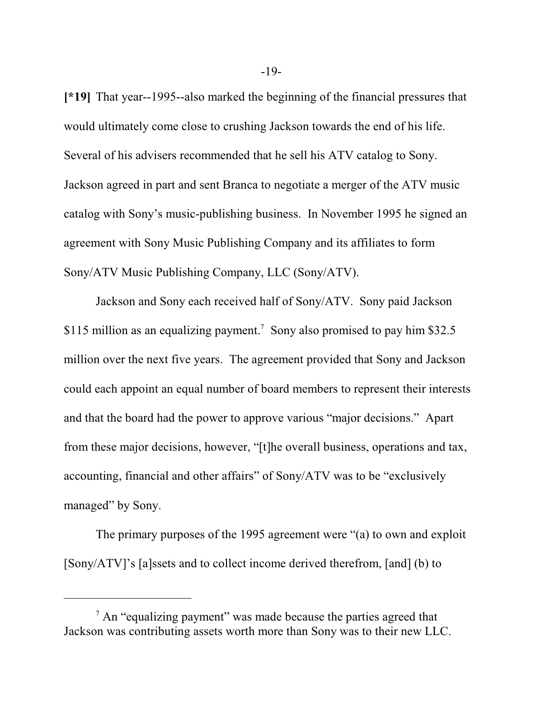**[\*19]** That year--1995--also marked the beginning of the financial pressures that would ultimately come close to crushing Jackson towards the end of his life. Several of his advisers recommended that he sell his ATV catalog to Sony. Jackson agreed in part and sent Branca to negotiate a merger of the ATV music catalog with Sony's music-publishing business. In November 1995 he signed an agreement with Sony Music Publishing Company and its affiliates to form Sony/ATV Music Publishing Company, LLC (Sony/ATV).

Jackson and Sony each received half of Sony/ATV. Sony paid Jackson \$115 million as an equalizing payment. 7 Sony also promised to pay him \$32.5 million over the next five years. The agreement provided that Sony and Jackson could each appoint an equal number of board members to represent their interests and that the board had the power to approve various "major decisions." Apart from these major decisions, however, "[t]he overall business, operations and tax, accounting, financial and other affairs" of Sony/ATV was to be "exclusively managed" by Sony.

The primary purposes of the 1995 agreement were "(a) to own and exploit [Sony/ATV]'s [a]ssets and to collect income derived therefrom, [and] (b) to

 $7$  An "equalizing payment" was made because the parties agreed that Jackson was contributing assets worth more than Sony was to their new LLC.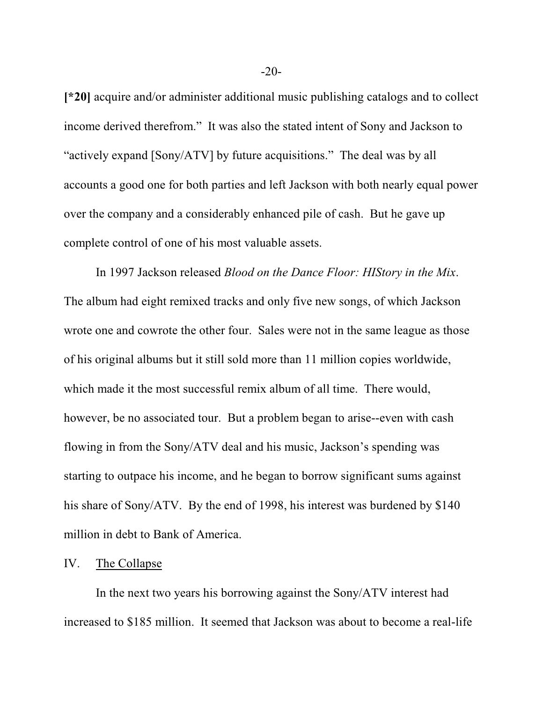**[\*20]** acquire and/or administer additional music publishing catalogs and to collect income derived therefrom." It was also the stated intent of Sony and Jackson to "actively expand [Sony/ATV] by future acquisitions." The deal was by all accounts a good one for both parties and left Jackson with both nearly equal power over the company and a considerably enhanced pile of cash. But he gave up complete control of one of his most valuable assets.

In 1997 Jackson released *Blood on the Dance Floor: HIStory in the Mix*. The album had eight remixed tracks and only five new songs, of which Jackson wrote one and cowrote the other four. Sales were not in the same league as those of his original albums but it still sold more than 11 million copies worldwide, which made it the most successful remix album of all time. There would, however, be no associated tour. But a problem began to arise--even with cash flowing in from the Sony/ATV deal and his music, Jackson's spending was starting to outpace his income, and he began to borrow significant sums against his share of Sony/ATV. By the end of 1998, his interest was burdened by \$140 million in debt to Bank of America.

#### IV. The Collapse

In the next two years his borrowing against the Sony/ATV interest had increased to \$185 million. It seemed that Jackson was about to become a real-life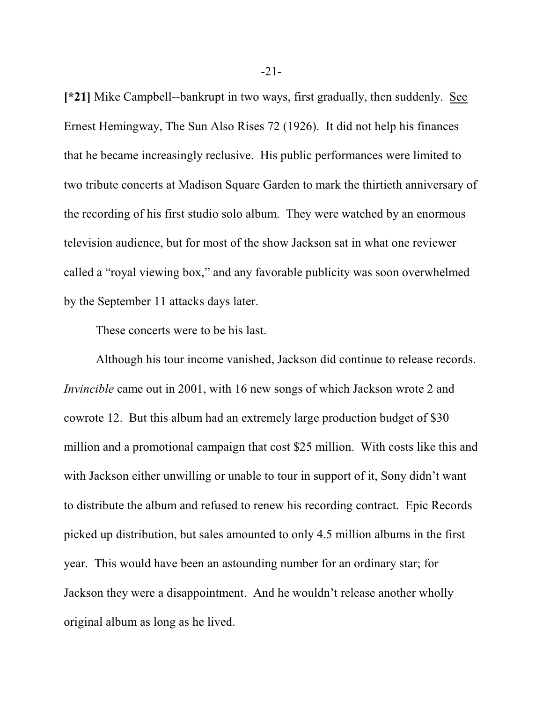**[\*21]** Mike Campbell--bankrupt in two ways, first gradually, then suddenly. See Ernest Hemingway, The Sun Also Rises 72 (1926). It did not help his finances that he became increasingly reclusive. His public performances were limited to two tribute concerts at Madison Square Garden to mark the thirtieth anniversary of the recording of his first studio solo album. They were watched by an enormous television audience, but for most of the show Jackson sat in what one reviewer called a "royal viewing box," and any favorable publicity was soon overwhelmed by the September 11 attacks days later.

These concerts were to be his last.

Although his tour income vanished, Jackson did continue to release records. *Invincible* came out in 2001, with 16 new songs of which Jackson wrote 2 and cowrote 12. But this album had an extremely large production budget of \$30 million and a promotional campaign that cost \$25 million. With costs like this and with Jackson either unwilling or unable to tour in support of it, Sony didn't want to distribute the album and refused to renew his recording contract. Epic Records picked up distribution, but sales amounted to only 4.5 million albums in the first year. This would have been an astounding number for an ordinary star; for Jackson they were a disappointment. And he wouldn't release another wholly original album as long as he lived.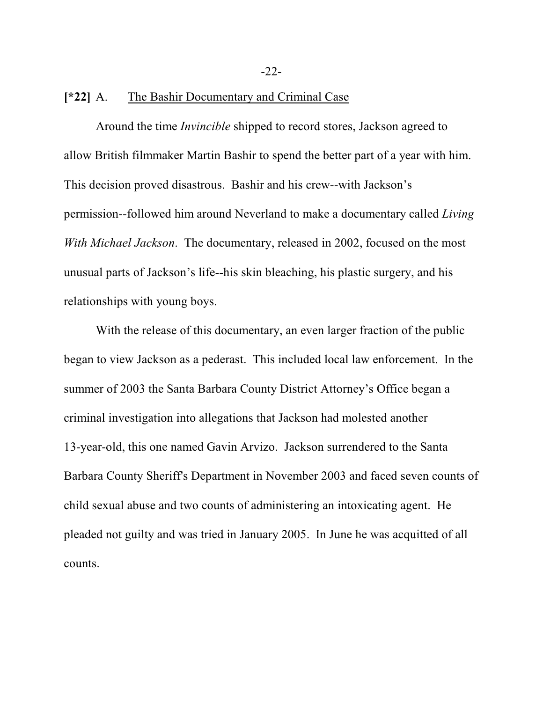-22-

## **[\*22]** A. The Bashir Documentary and Criminal Case

Around the time *Invincible* shipped to record stores, Jackson agreed to allow British filmmaker Martin Bashir to spend the better part of a year with him. This decision proved disastrous. Bashir and his crew--with Jackson's permission--followed him around Neverland to make a documentary called *Living With Michael Jackson*. The documentary, released in 2002, focused on the most unusual parts of Jackson's life--his skin bleaching, his plastic surgery, and his relationships with young boys.

With the release of this documentary, an even larger fraction of the public began to view Jackson as a pederast. This included local law enforcement. In the summer of 2003 the Santa Barbara County District Attorney's Office began a criminal investigation into allegations that Jackson had molested another 13-year-old, this one named Gavin Arvizo. Jackson surrendered to the Santa Barbara County Sheriff's Department in November 2003 and faced seven counts of child sexual abuse and two counts of administering an intoxicating agent. He pleaded not guilty and was tried in January 2005. In June he was acquitted of all counts.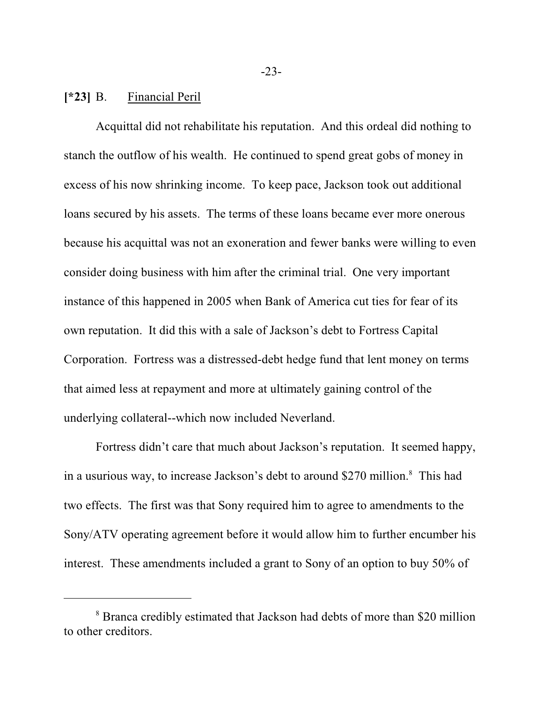## **[\*23]** B. Financial Peril

Acquittal did not rehabilitate his reputation. And this ordeal did nothing to stanch the outflow of his wealth. He continued to spend great gobs of money in excess of his now shrinking income. To keep pace, Jackson took out additional loans secured by his assets. The terms of these loans became ever more onerous because his acquittal was not an exoneration and fewer banks were willing to even consider doing business with him after the criminal trial. One very important instance of this happened in 2005 when Bank of America cut ties for fear of its own reputation. It did this with a sale of Jackson's debt to Fortress Capital Corporation. Fortress was a distressed-debt hedge fund that lent money on terms that aimed less at repayment and more at ultimately gaining control of the underlying collateral--which now included Neverland.

Fortress didn't care that much about Jackson's reputation. It seemed happy, in a usurious way, to increase Jackson's debt to around \$270 million. 8 This had two effects. The first was that Sony required him to agree to amendments to the Sony/ATV operating agreement before it would allow him to further encumber his interest. These amendments included a grant to Sony of an option to buy 50% of

<sup>&</sup>lt;sup>8</sup> Branca credibly estimated that Jackson had debts of more than \$20 million to other creditors.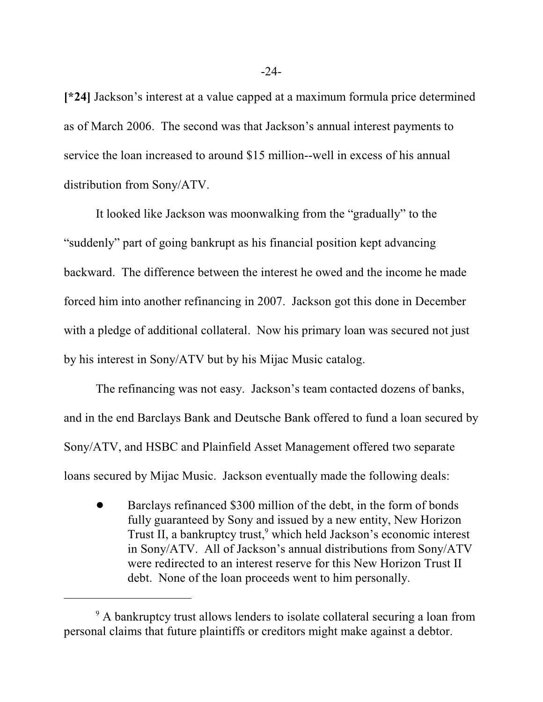**[\*24]** Jackson's interest at a value capped at a maximum formula price determined as of March 2006. The second was that Jackson's annual interest payments to service the loan increased to around \$15 million--well in excess of his annual distribution from Sony/ATV.

It looked like Jackson was moonwalking from the "gradually" to the "suddenly" part of going bankrupt as his financial position kept advancing backward. The difference between the interest he owed and the income he made forced him into another refinancing in 2007. Jackson got this done in December with a pledge of additional collateral. Now his primary loan was secured not just by his interest in Sony/ATV but by his Mijac Music catalog.

The refinancing was not easy. Jackson's team contacted dozens of banks, and in the end Barclays Bank and Deutsche Bank offered to fund a loan secured by Sony/ATV, and HSBC and Plainfield Asset Management offered two separate loans secured by Mijac Music. Jackson eventually made the following deals:

! Barclays refinanced \$300 million of the debt, in the form of bonds fully guaranteed by Sony and issued by a new entity, New Horizon Trust II, a bankruptcy trust, 9 which held Jackson's economic interest in Sony/ATV. All of Jackson's annual distributions from Sony/ATV were redirected to an interest reserve for this New Horizon Trust II debt. None of the loan proceeds went to him personally.

<sup>&</sup>lt;sup>9</sup> A bankruptcy trust allows lenders to isolate collateral securing a loan from personal claims that future plaintiffs or creditors might make against a debtor.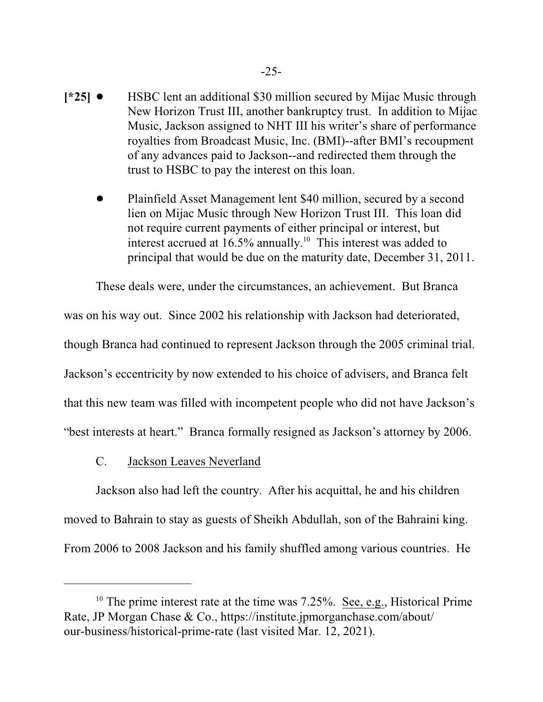- **[\*25]**  $\bullet$  HSBC lent an additional \$30 million secured by Mijac Music through New Horizon Trust III, another bankruptcy trust. In addition to Mijac Music, Jackson assigned to NHT III his writer's share of performance royalties from Broadcast Music, Inc. (BMI)--after BMI's recoupment of any advances paid to Jackson--and redirected them through the trust to HSBC to pay the interest on this loan.
	- ! Plainfield Asset Management lent \$40 million, secured by a second lien on Mijac Music through New Horizon Trust III. This loan did not require current payments of either principal or interest, but interest accrued at  $16.5\%$  annually.<sup>10</sup> This interest was added to principal that would be due on the maturity date, December 31, 2011.

These deals were, under the circumstances, an achievement. But Branca was on his way out. Since 2002 his relationship with Jackson had deteriorated, though Branca had continued to represent Jackson through the 2005 criminal trial. Jackson's eccentricity by now extended to his choice of advisers, and Branca felt that this new team was filled with incompetent people who did not have Jackson's "best interests at heart." Branca formally resigned as Jackson's attorney by 2006.

C. Jackson Leaves Neverland

Jackson also had left the country. After his acquittal, he and his children moved to Bahrain to stay as guests of Sheikh Abdullah, son of the Bahraini king. From 2006 to 2008 Jackson and his family shuffled among various countries. He

<sup>&</sup>lt;sup>10</sup> The prime interest rate at the time was  $7.25\%$ . <u>See, e.g.</u>, Historical Prime Rate, JP Morgan Chase & Co., https://institute.jpmorganchase.com/about/ our-business/historical-prime-rate (last visited Mar. 12, 2021).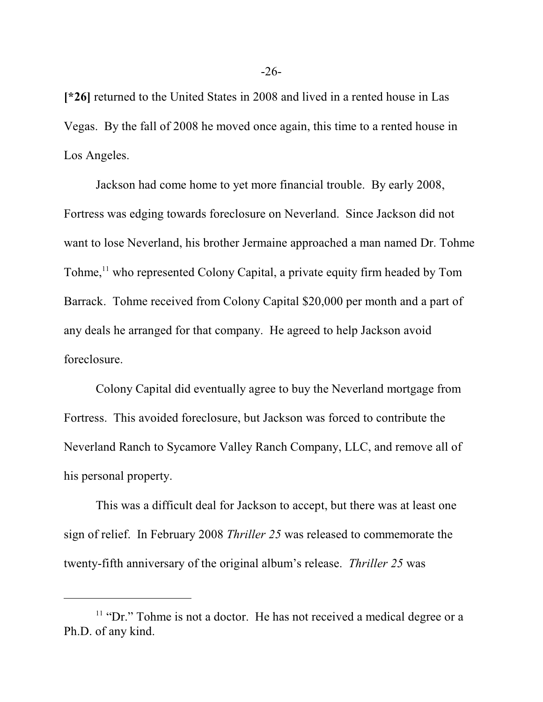**[\*26]** returned to the United States in 2008 and lived in a rented house in Las Vegas. By the fall of 2008 he moved once again, this time to a rented house in Los Angeles.

Jackson had come home to yet more financial trouble. By early 2008, Fortress was edging towards foreclosure on Neverland. Since Jackson did not want to lose Neverland, his brother Jermaine approached a man named Dr. Tohme Tohme,<sup>11</sup> who represented Colony Capital, a private equity firm headed by Tom Barrack. Tohme received from Colony Capital \$20,000 per month and a part of any deals he arranged for that company. He agreed to help Jackson avoid foreclosure.

Colony Capital did eventually agree to buy the Neverland mortgage from Fortress. This avoided foreclosure, but Jackson was forced to contribute the Neverland Ranch to Sycamore Valley Ranch Company, LLC, and remove all of his personal property.

This was a difficult deal for Jackson to accept, but there was at least one sign of relief. In February 2008 *Thriller 25* was released to commemorate the twenty-fifth anniversary of the original album's release. *Thriller 25* was

<sup>&</sup>lt;sup>11</sup> "Dr." Tohme is not a doctor. He has not received a medical degree or a Ph.D. of any kind.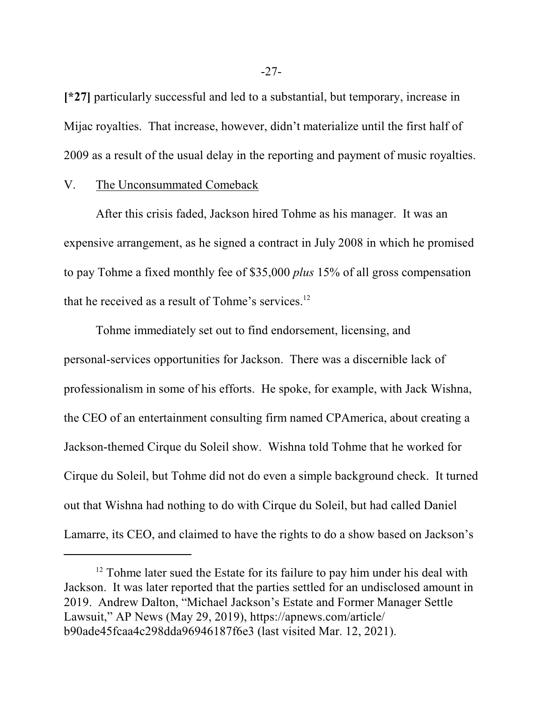**[\*27]** particularly successful and led to a substantial, but temporary, increase in Mijac royalties. That increase, however, didn't materialize until the first half of 2009 as a result of the usual delay in the reporting and payment of music royalties.

#### V. The Unconsummated Comeback

After this crisis faded, Jackson hired Tohme as his manager. It was an expensive arrangement, as he signed a contract in July 2008 in which he promised to pay Tohme a fixed monthly fee of \$35,000 *plus* 15% of all gross compensation that he received as a result of Tohme's services.<sup>12</sup>

Tohme immediately set out to find endorsement, licensing, and personal-services opportunities for Jackson. There was a discernible lack of professionalism in some of his efforts. He spoke, for example, with Jack Wishna, the CEO of an entertainment consulting firm named CPAmerica, about creating a Jackson-themed Cirque du Soleil show. Wishna told Tohme that he worked for Cirque du Soleil, but Tohme did not do even a simple background check. It turned out that Wishna had nothing to do with Cirque du Soleil, but had called Daniel Lamarre, its CEO, and claimed to have the rights to do a show based on Jackson's

<sup>&</sup>lt;sup>12</sup> Tohme later sued the Estate for its failure to pay him under his deal with Jackson. It was later reported that the parties settled for an undisclosed amount in 2019. Andrew Dalton, "Michael Jackson's Estate and Former Manager Settle Lawsuit," AP News (May 29, 2019), https://apnews.com/article/ b90ade45fcaa4c298dda96946187f6e3 (last visited Mar. 12, 2021).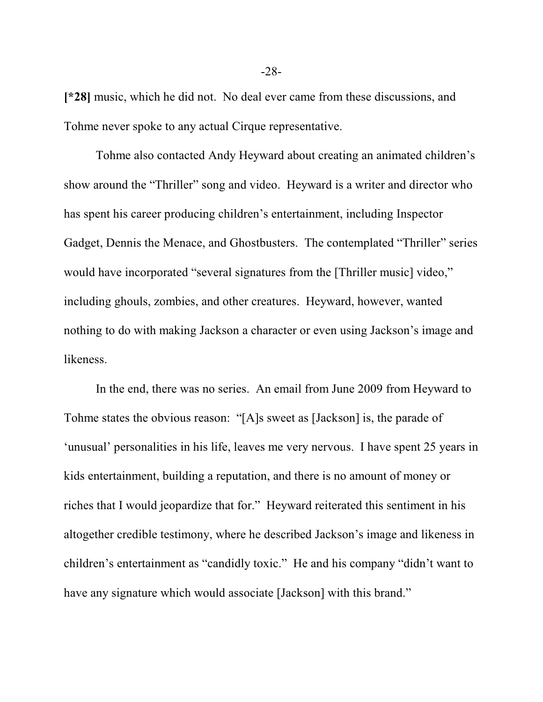**[\*28]** music, which he did not. No deal ever came from these discussions, and Tohme never spoke to any actual Cirque representative.

Tohme also contacted Andy Heyward about creating an animated children's show around the "Thriller" song and video. Heyward is a writer and director who has spent his career producing children's entertainment, including Inspector Gadget, Dennis the Menace, and Ghostbusters. The contemplated "Thriller" series would have incorporated "several signatures from the [Thriller music] video," including ghouls, zombies, and other creatures. Heyward, however, wanted nothing to do with making Jackson a character or even using Jackson's image and likeness.

In the end, there was no series. An email from June 2009 from Heyward to Tohme states the obvious reason: "[A]s sweet as [Jackson] is, the parade of 'unusual' personalities in his life, leaves me very nervous. I have spent 25 years in kids entertainment, building a reputation, and there is no amount of money or riches that I would jeopardize that for." Heyward reiterated this sentiment in his altogether credible testimony, where he described Jackson's image and likeness in children's entertainment as "candidly toxic." He and his company "didn't want to have any signature which would associate [Jackson] with this brand."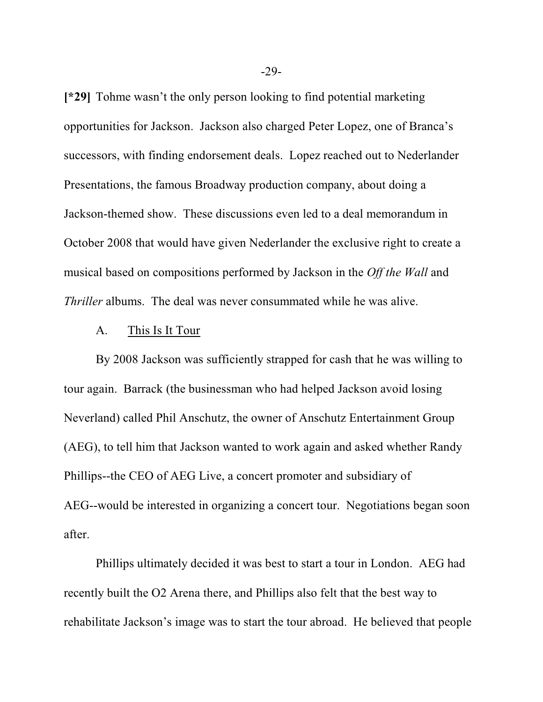**[\*29]** Tohme wasn't the only person looking to find potential marketing opportunities for Jackson. Jackson also charged Peter Lopez, one of Branca's successors, with finding endorsement deals. Lopez reached out to Nederlander Presentations, the famous Broadway production company, about doing a Jackson-themed show. These discussions even led to a deal memorandum in October 2008 that would have given Nederlander the exclusive right to create a musical based on compositions performed by Jackson in the *Off the Wall* and *Thriller* albums. The deal was never consummated while he was alive.

#### A. This Is It Tour

By 2008 Jackson was sufficiently strapped for cash that he was willing to tour again. Barrack (the businessman who had helped Jackson avoid losing Neverland) called Phil Anschutz, the owner of Anschutz Entertainment Group (AEG), to tell him that Jackson wanted to work again and asked whether Randy Phillips--the CEO of AEG Live, a concert promoter and subsidiary of AEG--would be interested in organizing a concert tour. Negotiations began soon after.

Phillips ultimately decided it was best to start a tour in London. AEG had recently built the O2 Arena there, and Phillips also felt that the best way to rehabilitate Jackson's image was to start the tour abroad. He believed that people

-29-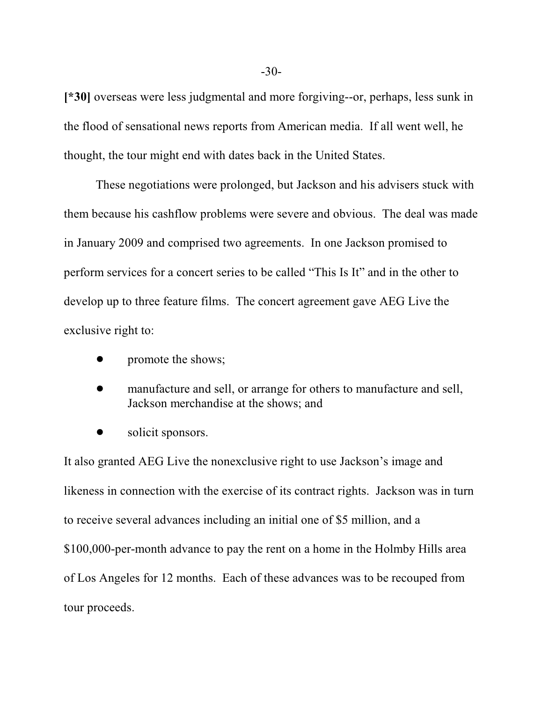**[\*30]** overseas were less judgmental and more forgiving--or, perhaps, less sunk in the flood of sensational news reports from American media. If all went well, he thought, the tour might end with dates back in the United States.

These negotiations were prolonged, but Jackson and his advisers stuck with them because his cashflow problems were severe and obvious. The deal was made in January 2009 and comprised two agreements. In one Jackson promised to perform services for a concert series to be called "This Is It" and in the other to develop up to three feature films. The concert agreement gave AEG Live the exclusive right to:

- promote the shows;
- manufacture and sell, or arrange for others to manufacture and sell, Jackson merchandise at the shows; and
- solicit sponsors.

It also granted AEG Live the nonexclusive right to use Jackson's image and likeness in connection with the exercise of its contract rights. Jackson was in turn to receive several advances including an initial one of \$5 million, and a \$100,000-per-month advance to pay the rent on a home in the Holmby Hills area of Los Angeles for 12 months. Each of these advances was to be recouped from tour proceeds.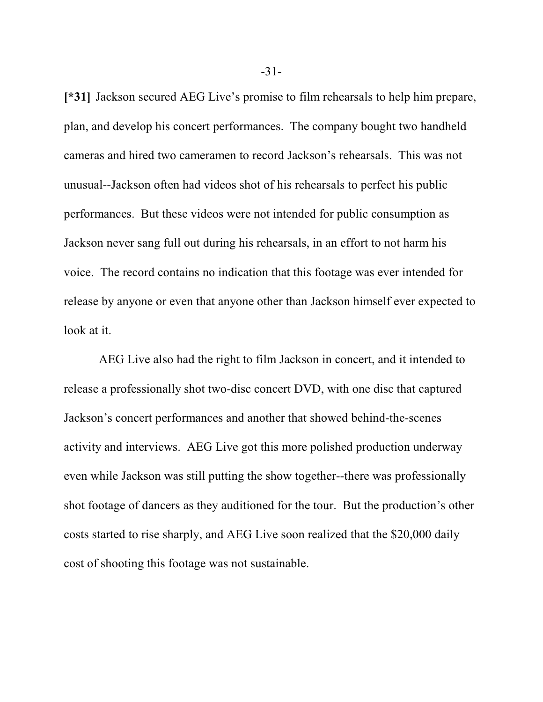**[\*31]** Jackson secured AEG Live's promise to film rehearsals to help him prepare, plan, and develop his concert performances. The company bought two handheld cameras and hired two cameramen to record Jackson's rehearsals. This was not unusual--Jackson often had videos shot of his rehearsals to perfect his public performances. But these videos were not intended for public consumption as Jackson never sang full out during his rehearsals, in an effort to not harm his voice. The record contains no indication that this footage was ever intended for release by anyone or even that anyone other than Jackson himself ever expected to look at it.

 AEG Live also had the right to film Jackson in concert, and it intended to release a professionally shot two-disc concert DVD, with one disc that captured Jackson's concert performances and another that showed behind-the-scenes activity and interviews. AEG Live got this more polished production underway even while Jackson was still putting the show together--there was professionally shot footage of dancers as they auditioned for the tour. But the production's other costs started to rise sharply, and AEG Live soon realized that the \$20,000 daily cost of shooting this footage was not sustainable.

-31-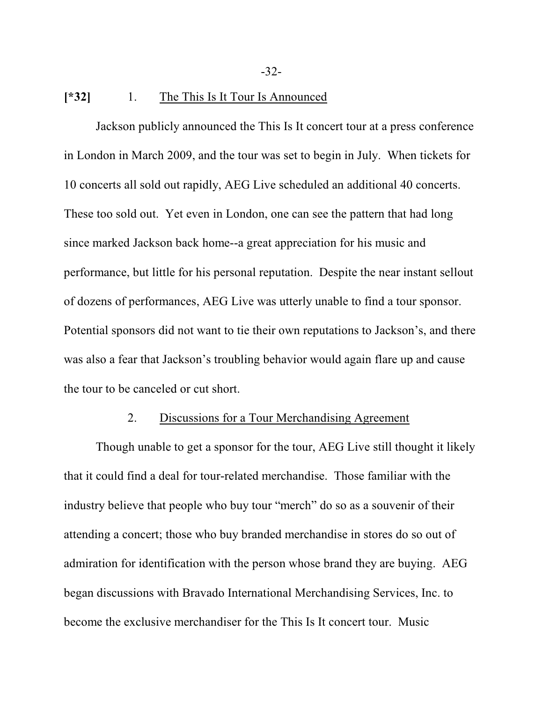# **[\*32]** 1. The This Is It Tour Is Announced

Jackson publicly announced the This Is It concert tour at a press conference in London in March 2009, and the tour was set to begin in July. When tickets for 10 concerts all sold out rapidly, AEG Live scheduled an additional 40 concerts. These too sold out. Yet even in London, one can see the pattern that had long since marked Jackson back home--a great appreciation for his music and performance, but little for his personal reputation. Despite the near instant sellout of dozens of performances, AEG Live was utterly unable to find a tour sponsor. Potential sponsors did not want to tie their own reputations to Jackson's, and there was also a fear that Jackson's troubling behavior would again flare up and cause the tour to be canceled or cut short.

# 2. Discussions for a Tour Merchandising Agreement

Though unable to get a sponsor for the tour, AEG Live still thought it likely that it could find a deal for tour-related merchandise. Those familiar with the industry believe that people who buy tour "merch" do so as a souvenir of their attending a concert; those who buy branded merchandise in stores do so out of admiration for identification with the person whose brand they are buying. AEG began discussions with Bravado International Merchandising Services, Inc. to become the exclusive merchandiser for the This Is It concert tour. Music

-32-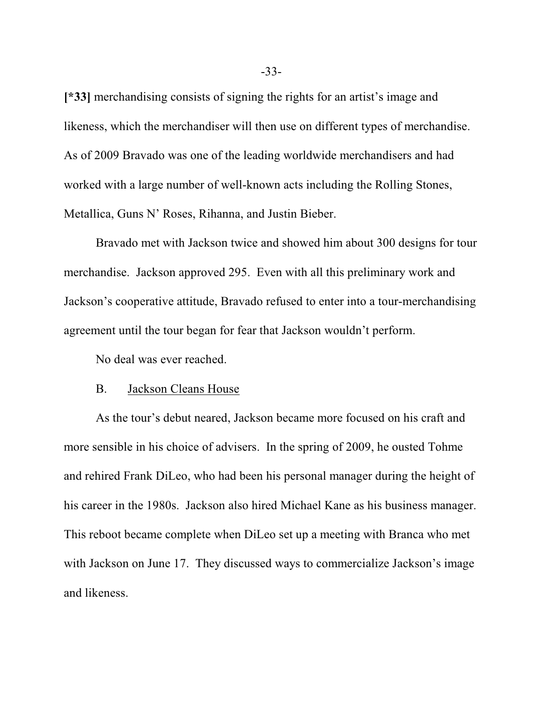**[\*33]** merchandising consists of signing the rights for an artist's image and likeness, which the merchandiser will then use on different types of merchandise. As of 2009 Bravado was one of the leading worldwide merchandisers and had worked with a large number of well-known acts including the Rolling Stones, Metallica, Guns N' Roses, Rihanna, and Justin Bieber.

Bravado met with Jackson twice and showed him about 300 designs for tour merchandise. Jackson approved 295. Even with all this preliminary work and Jackson's cooperative attitude, Bravado refused to enter into a tour-merchandising agreement until the tour began for fear that Jackson wouldn't perform.

No deal was ever reached.

#### B. Jackson Cleans House

As the tour's debut neared, Jackson became more focused on his craft and more sensible in his choice of advisers. In the spring of 2009, he ousted Tohme and rehired Frank DiLeo, who had been his personal manager during the height of his career in the 1980s. Jackson also hired Michael Kane as his business manager. This reboot became complete when DiLeo set up a meeting with Branca who met with Jackson on June 17. They discussed ways to commercialize Jackson's image and likeness.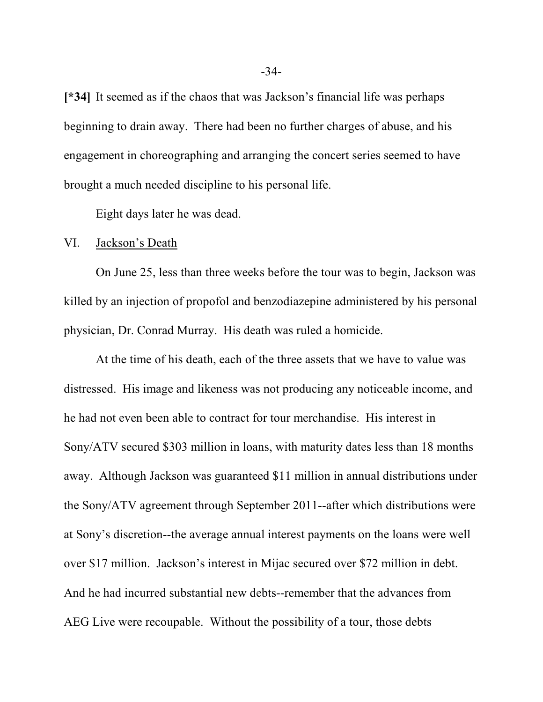**[\*34]** It seemed as if the chaos that was Jackson's financial life was perhaps beginning to drain away. There had been no further charges of abuse, and his engagement in choreographing and arranging the concert series seemed to have brought a much needed discipline to his personal life.

Eight days later he was dead.

## VI. Jackson's Death

On June 25, less than three weeks before the tour was to begin, Jackson was killed by an injection of propofol and benzodiazepine administered by his personal physician, Dr. Conrad Murray. His death was ruled a homicide.

At the time of his death, each of the three assets that we have to value was distressed. His image and likeness was not producing any noticeable income, and he had not even been able to contract for tour merchandise. His interest in Sony/ATV secured \$303 million in loans, with maturity dates less than 18 months away. Although Jackson was guaranteed \$11 million in annual distributions under the Sony/ATV agreement through September 2011--after which distributions were at Sony's discretion--the average annual interest payments on the loans were well over \$17 million. Jackson's interest in Mijac secured over \$72 million in debt. And he had incurred substantial new debts--remember that the advances from AEG Live were recoupable. Without the possibility of a tour, those debts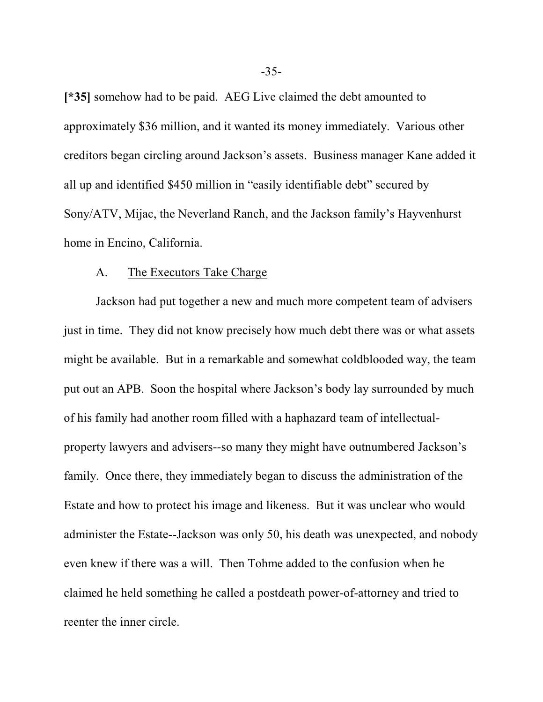**[\*35]** somehow had to be paid. AEG Live claimed the debt amounted to approximately \$36 million, and it wanted its money immediately. Various other creditors began circling around Jackson's assets. Business manager Kane added it all up and identified \$450 million in "easily identifiable debt" secured by Sony/ATV, Mijac, the Neverland Ranch, and the Jackson family's Hayvenhurst home in Encino, California.

#### A. The Executors Take Charge

Jackson had put together a new and much more competent team of advisers just in time. They did not know precisely how much debt there was or what assets might be available. But in a remarkable and somewhat coldblooded way, the team put out an APB. Soon the hospital where Jackson's body lay surrounded by much of his family had another room filled with a haphazard team of intellectualproperty lawyers and advisers--so many they might have outnumbered Jackson's family. Once there, they immediately began to discuss the administration of the Estate and how to protect his image and likeness. But it was unclear who would administer the Estate--Jackson was only 50, his death was unexpected, and nobody even knew if there was a will. Then Tohme added to the confusion when he claimed he held something he called a postdeath power-of-attorney and tried to reenter the inner circle.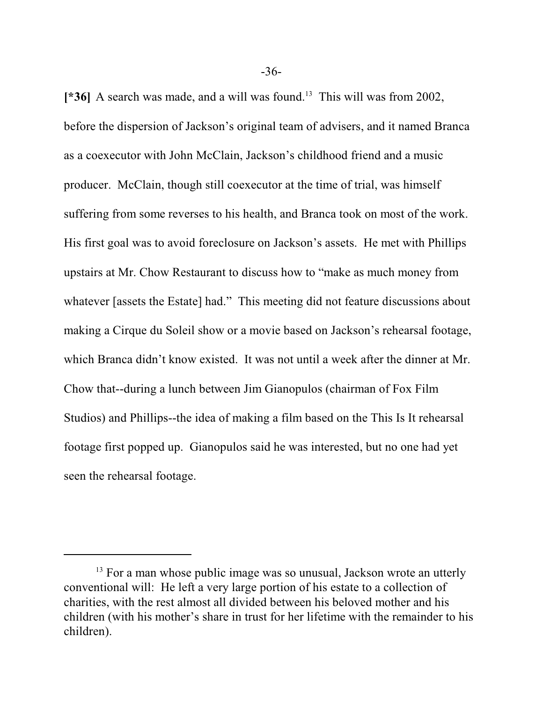[\*36] A search was made, and a will was found.<sup>13</sup> This will was from 2002, before the dispersion of Jackson's original team of advisers, and it named Branca as a coexecutor with John McClain, Jackson's childhood friend and a music producer. McClain, though still coexecutor at the time of trial, was himself suffering from some reverses to his health, and Branca took on most of the work. His first goal was to avoid foreclosure on Jackson's assets. He met with Phillips upstairs at Mr. Chow Restaurant to discuss how to "make as much money from whatever [assets the Estate] had." This meeting did not feature discussions about making a Cirque du Soleil show or a movie based on Jackson's rehearsal footage, which Branca didn't know existed. It was not until a week after the dinner at Mr. Chow that--during a lunch between Jim Gianopulos (chairman of Fox Film Studios) and Phillips--the idea of making a film based on the This Is It rehearsal footage first popped up. Gianopulos said he was interested, but no one had yet seen the rehearsal footage.

<sup>&</sup>lt;sup>13</sup> For a man whose public image was so unusual, Jackson wrote an utterly conventional will: He left a very large portion of his estate to a collection of charities, with the rest almost all divided between his beloved mother and his children (with his mother's share in trust for her lifetime with the remainder to his children).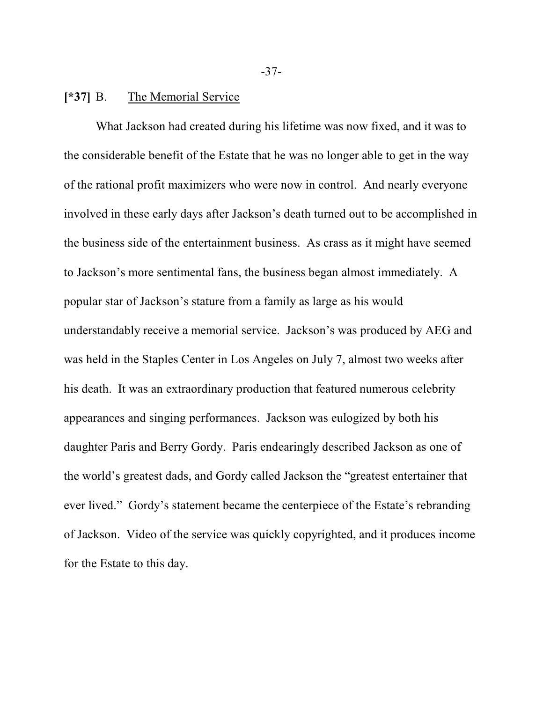# **[\*37]** B. The Memorial Service

What Jackson had created during his lifetime was now fixed, and it was to the considerable benefit of the Estate that he was no longer able to get in the way of the rational profit maximizers who were now in control. And nearly everyone involved in these early days after Jackson's death turned out to be accomplished in the business side of the entertainment business. As crass as it might have seemed to Jackson's more sentimental fans, the business began almost immediately. A popular star of Jackson's stature from a family as large as his would understandably receive a memorial service. Jackson's was produced by AEG and was held in the Staples Center in Los Angeles on July 7, almost two weeks after his death. It was an extraordinary production that featured numerous celebrity appearances and singing performances. Jackson was eulogized by both his daughter Paris and Berry Gordy. Paris endearingly described Jackson as one of the world's greatest dads, and Gordy called Jackson the "greatest entertainer that ever lived." Gordy's statement became the centerpiece of the Estate's rebranding of Jackson. Video of the service was quickly copyrighted, and it produces income for the Estate to this day.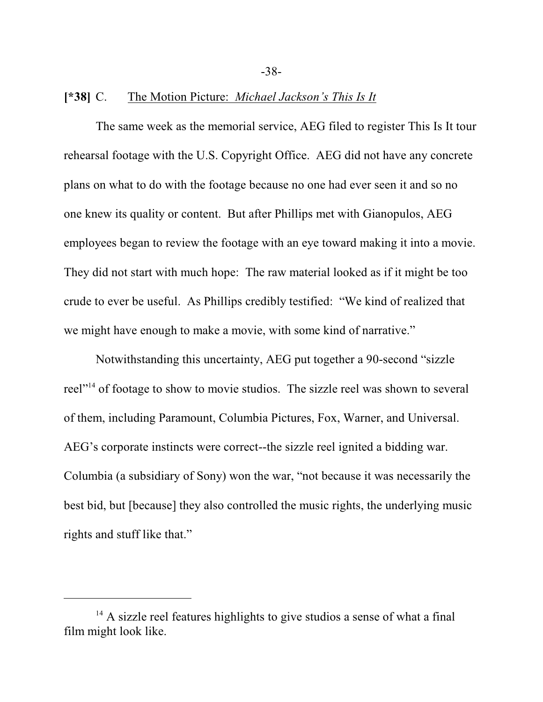# **[\*38]** C. The Motion Picture: *Michael Jackson's This Is It*

The same week as the memorial service, AEG filed to register This Is It tour rehearsal footage with the U.S. Copyright Office. AEG did not have any concrete plans on what to do with the footage because no one had ever seen it and so no one knew its quality or content. But after Phillips met with Gianopulos, AEG employees began to review the footage with an eye toward making it into a movie. They did not start with much hope: The raw material looked as if it might be too crude to ever be useful. As Phillips credibly testified: "We kind of realized that we might have enough to make a movie, with some kind of narrative."

Notwithstanding this uncertainty, AEG put together a 90-second "sizzle reel"<sup>14</sup> of footage to show to movie studios. The sizzle reel was shown to several of them, including Paramount, Columbia Pictures, Fox, Warner, and Universal. AEG's corporate instincts were correct--the sizzle reel ignited a bidding war. Columbia (a subsidiary of Sony) won the war, "not because it was necessarily the best bid, but [because] they also controlled the music rights, the underlying music rights and stuff like that."

<sup>&</sup>lt;sup>14</sup> A sizzle reel features highlights to give studios a sense of what a final film might look like.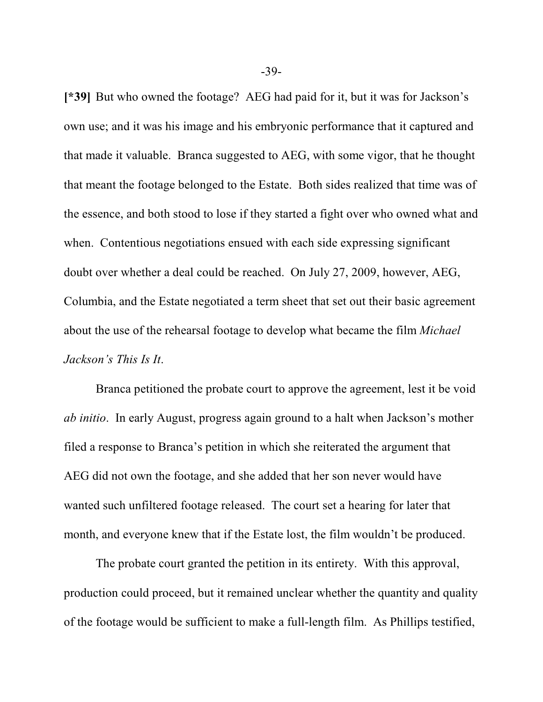**[\*39]** But who owned the footage? AEG had paid for it, but it was for Jackson's own use; and it was his image and his embryonic performance that it captured and that made it valuable. Branca suggested to AEG, with some vigor, that he thought that meant the footage belonged to the Estate. Both sides realized that time was of the essence, and both stood to lose if they started a fight over who owned what and when. Contentious negotiations ensued with each side expressing significant doubt over whether a deal could be reached. On July 27, 2009, however, AEG, Columbia, and the Estate negotiated a term sheet that set out their basic agreement about the use of the rehearsal footage to develop what became the film *Michael Jackson's This Is It*.

Branca petitioned the probate court to approve the agreement, lest it be void *ab initio*. In early August, progress again ground to a halt when Jackson's mother filed a response to Branca's petition in which she reiterated the argument that AEG did not own the footage, and she added that her son never would have wanted such unfiltered footage released. The court set a hearing for later that month, and everyone knew that if the Estate lost, the film wouldn't be produced.

The probate court granted the petition in its entirety. With this approval, production could proceed, but it remained unclear whether the quantity and quality of the footage would be sufficient to make a full-length film. As Phillips testified,

-39-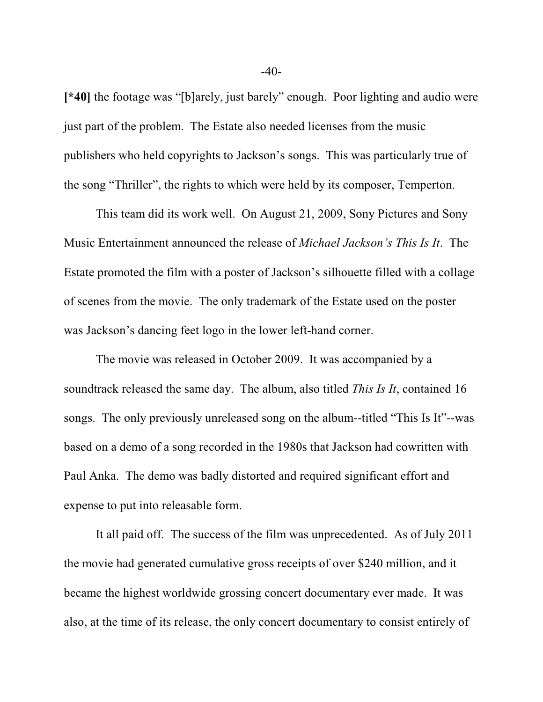**[\*40]** the footage was "[b]arely, just barely" enough. Poor lighting and audio were just part of the problem. The Estate also needed licenses from the music publishers who held copyrights to Jackson's songs. This was particularly true of the song "Thriller", the rights to which were held by its composer, Temperton.

This team did its work well. On August 21, 2009, Sony Pictures and Sony Music Entertainment announced the release of *Michael Jackson's This Is It*. The Estate promoted the film with a poster of Jackson's silhouette filled with a collage of scenes from the movie. The only trademark of the Estate used on the poster was Jackson's dancing feet logo in the lower left-hand corner.

The movie was released in October 2009. It was accompanied by a soundtrack released the same day. The album, also titled *This Is It*, contained 16 songs. The only previously unreleased song on the album--titled "This Is It"--was based on a demo of a song recorded in the 1980s that Jackson had cowritten with Paul Anka. The demo was badly distorted and required significant effort and expense to put into releasable form.

It all paid off. The success of the film was unprecedented. As of July 2011 the movie had generated cumulative gross receipts of over \$240 million, and it became the highest worldwide grossing concert documentary ever made. It was also, at the time of its release, the only concert documentary to consist entirely of

 $-40-$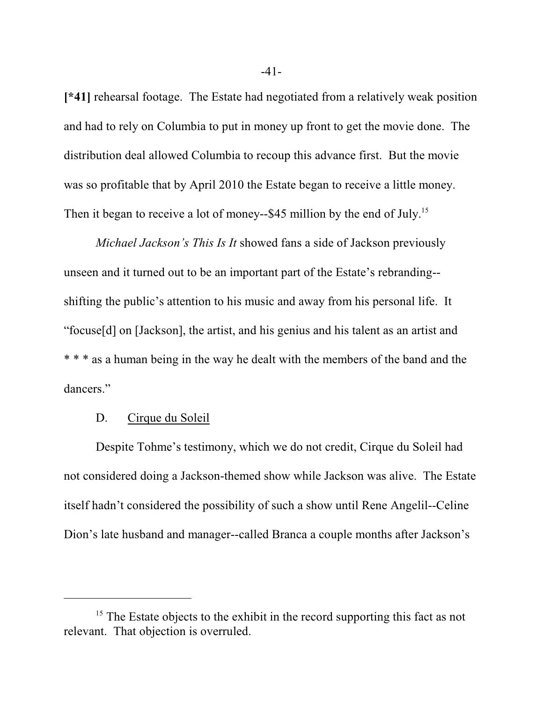**[\*41]** rehearsal footage. The Estate had negotiated from a relatively weak position and had to rely on Columbia to put in money up front to get the movie done. The distribution deal allowed Columbia to recoup this advance first. But the movie was so profitable that by April 2010 the Estate began to receive a little money. Then it began to receive a lot of money--\$45 million by the end of July.<sup>15</sup>

*Michael Jackson's This Is It* showed fans a side of Jackson previously unseen and it turned out to be an important part of the Estate's rebranding- shifting the public's attention to his music and away from his personal life. It "focuse[d] on [Jackson], the artist, and his genius and his talent as an artist and \* \* \* as a human being in the way he dealt with the members of the band and the dancers."

# D. Cirque du Soleil

Despite Tohme's testimony, which we do not credit, Cirque du Soleil had not considered doing a Jackson-themed show while Jackson was alive. The Estate itself hadn't considered the possibility of such a show until Rene Angelil--Celine Dion's late husband and manager--called Branca a couple months after Jackson's

<sup>&</sup>lt;sup>15</sup> The Estate objects to the exhibit in the record supporting this fact as not relevant. That objection is overruled.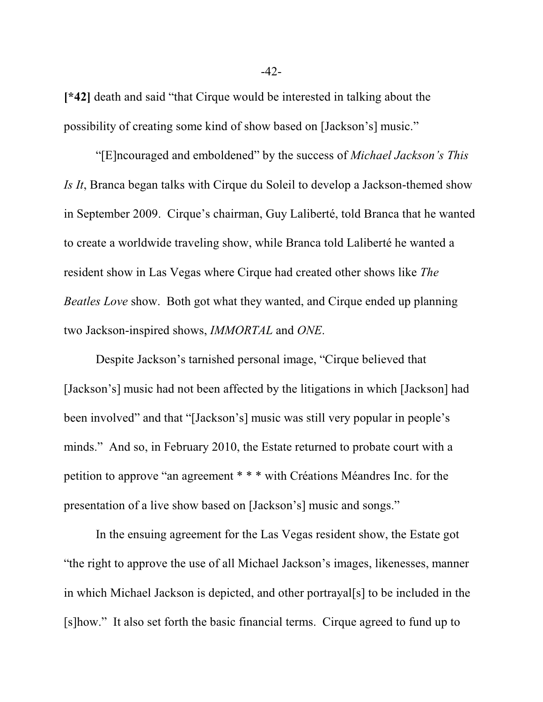**[\*42]** death and said "that Cirque would be interested in talking about the possibility of creating some kind of show based on [Jackson's] music."

"[E]ncouraged and emboldened" by the success of *Michael Jackson's This Is It*, Branca began talks with Cirque du Soleil to develop a Jackson-themed show in September 2009. Cirque's chairman, Guy Laliberté, told Branca that he wanted to create a worldwide traveling show, while Branca told Laliberté he wanted a resident show in Las Vegas where Cirque had created other shows like *The Beatles Love* show. Both got what they wanted, and Cirque ended up planning two Jackson-inspired shows, *IMMORTAL* and *ONE*.

Despite Jackson's tarnished personal image, "Cirque believed that [Jackson's] music had not been affected by the litigations in which [Jackson] had been involved" and that "[Jackson's] music was still very popular in people's minds." And so, in February 2010, the Estate returned to probate court with a petition to approve "an agreement \* \* \* with Créations Méandres Inc. for the presentation of a live show based on [Jackson's] music and songs."

In the ensuing agreement for the Las Vegas resident show, the Estate got "the right to approve the use of all Michael Jackson's images, likenesses, manner in which Michael Jackson is depicted, and other portrayal[s] to be included in the [s]how." It also set forth the basic financial terms. Cirque agreed to fund up to

-42-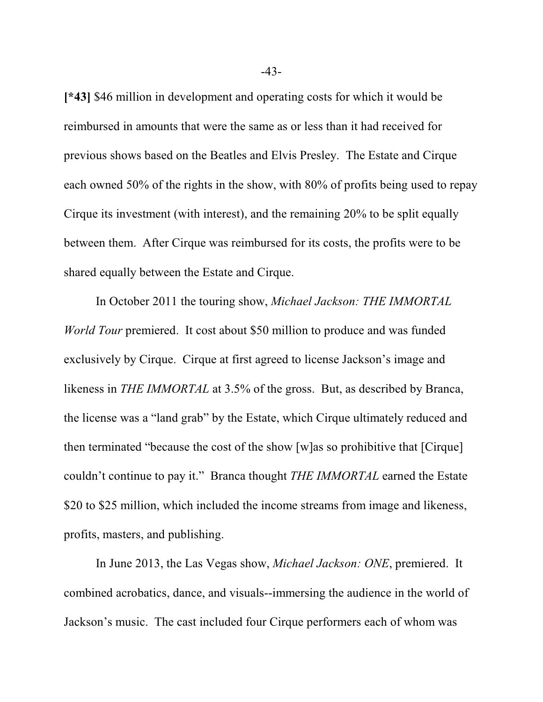**[\*43]** \$46 million in development and operating costs for which it would be reimbursed in amounts that were the same as or less than it had received for previous shows based on the Beatles and Elvis Presley. The Estate and Cirque each owned 50% of the rights in the show, with 80% of profits being used to repay Cirque its investment (with interest), and the remaining 20% to be split equally between them. After Cirque was reimbursed for its costs, the profits were to be shared equally between the Estate and Cirque.

In October 2011 the touring show, *Michael Jackson: THE IMMORTAL World Tour* premiered. It cost about \$50 million to produce and was funded exclusively by Cirque. Cirque at first agreed to license Jackson's image and likeness in *THE IMMORTAL* at 3.5% of the gross. But, as described by Branca, the license was a "land grab" by the Estate, which Cirque ultimately reduced and then terminated "because the cost of the show [w]as so prohibitive that [Cirque] couldn't continue to pay it." Branca thought *THE IMMORTAL* earned the Estate \$20 to \$25 million, which included the income streams from image and likeness, profits, masters, and publishing.

In June 2013, the Las Vegas show, *Michael Jackson: ONE*, premiered. It combined acrobatics, dance, and visuals--immersing the audience in the world of Jackson's music. The cast included four Cirque performers each of whom was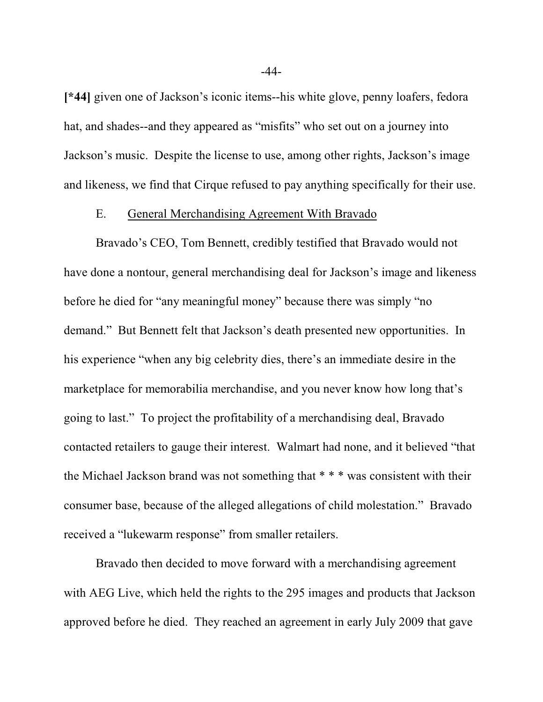**[\*44]** given one of Jackson's iconic items--his white glove, penny loafers, fedora hat, and shades--and they appeared as "misfits" who set out on a journey into Jackson's music. Despite the license to use, among other rights, Jackson's image and likeness, we find that Cirque refused to pay anything specifically for their use.

# E. General Merchandising Agreement With Bravado

Bravado's CEO, Tom Bennett, credibly testified that Bravado would not have done a nontour, general merchandising deal for Jackson's image and likeness before he died for "any meaningful money" because there was simply "no demand." But Bennett felt that Jackson's death presented new opportunities. In his experience "when any big celebrity dies, there's an immediate desire in the marketplace for memorabilia merchandise, and you never know how long that's going to last." To project the profitability of a merchandising deal, Bravado contacted retailers to gauge their interest. Walmart had none, and it believed "that the Michael Jackson brand was not something that \* \* \* was consistent with their consumer base, because of the alleged allegations of child molestation." Bravado received a "lukewarm response" from smaller retailers.

Bravado then decided to move forward with a merchandising agreement with AEG Live, which held the rights to the 295 images and products that Jackson approved before he died. They reached an agreement in early July 2009 that gave

-44-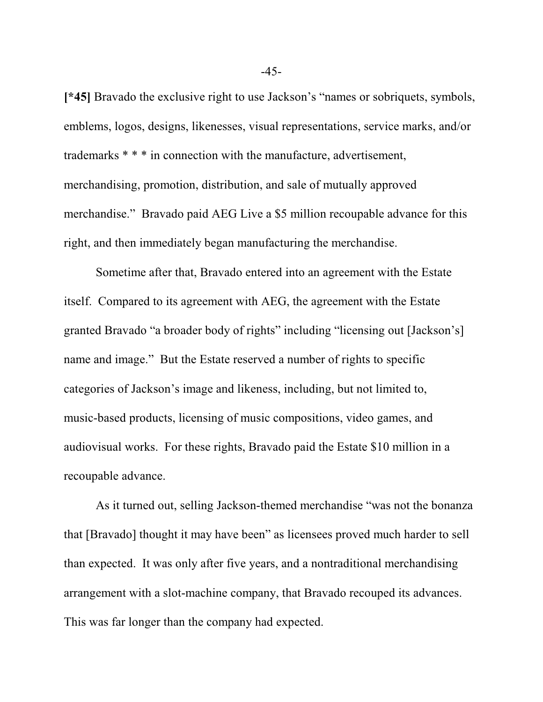**[\*45]** Bravado the exclusive right to use Jackson's "names or sobriquets, symbols, emblems, logos, designs, likenesses, visual representations, service marks, and/or trademarks \* \* \* in connection with the manufacture, advertisement, merchandising, promotion, distribution, and sale of mutually approved merchandise." Bravado paid AEG Live a \$5 million recoupable advance for this right, and then immediately began manufacturing the merchandise.

Sometime after that, Bravado entered into an agreement with the Estate itself. Compared to its agreement with AEG, the agreement with the Estate granted Bravado "a broader body of rights" including "licensing out [Jackson's] name and image." But the Estate reserved a number of rights to specific categories of Jackson's image and likeness, including, but not limited to, music-based products, licensing of music compositions, video games, and audiovisual works. For these rights, Bravado paid the Estate \$10 million in a recoupable advance.

As it turned out, selling Jackson-themed merchandise "was not the bonanza that [Bravado] thought it may have been" as licensees proved much harder to sell than expected. It was only after five years, and a nontraditional merchandising arrangement with a slot-machine company, that Bravado recouped its advances. This was far longer than the company had expected.

-45-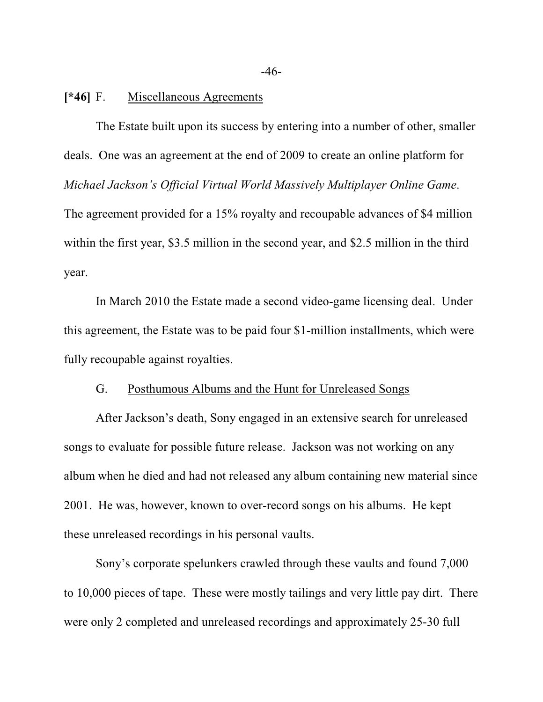## **[\*46]** F. Miscellaneous Agreements

The Estate built upon its success by entering into a number of other, smaller deals. One was an agreement at the end of 2009 to create an online platform for *Michael Jackson's Official Virtual World Massively Multiplayer Online Game*. The agreement provided for a 15% royalty and recoupable advances of \$4 million within the first year, \$3.5 million in the second year, and \$2.5 million in the third year.

In March 2010 the Estate made a second video-game licensing deal. Under this agreement, the Estate was to be paid four \$1-million installments, which were fully recoupable against royalties.

### G. Posthumous Albums and the Hunt for Unreleased Songs

After Jackson's death, Sony engaged in an extensive search for unreleased songs to evaluate for possible future release. Jackson was not working on any album when he died and had not released any album containing new material since 2001. He was, however, known to over-record songs on his albums. He kept these unreleased recordings in his personal vaults.

Sony's corporate spelunkers crawled through these vaults and found 7,000 to 10,000 pieces of tape. These were mostly tailings and very little pay dirt. There were only 2 completed and unreleased recordings and approximately 25-30 full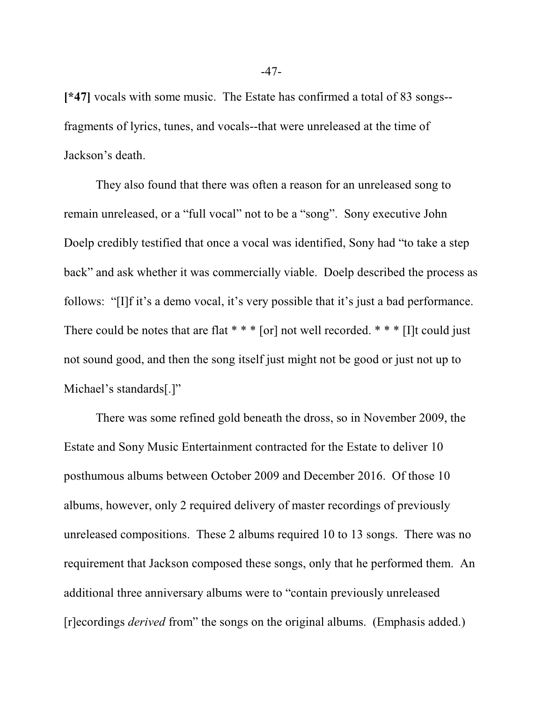**[\*47]** vocals with some music. The Estate has confirmed a total of 83 songs- fragments of lyrics, tunes, and vocals--that were unreleased at the time of Jackson's death.

They also found that there was often a reason for an unreleased song to remain unreleased, or a "full vocal" not to be a "song". Sony executive John Doelp credibly testified that once a vocal was identified, Sony had "to take a step back" and ask whether it was commercially viable. Doelp described the process as follows: "[I]f it's a demo vocal, it's very possible that it's just a bad performance. There could be notes that are flat  $***$  [or] not well recorded.  $***$  [I]t could just not sound good, and then the song itself just might not be good or just not up to Michael's standards[.]"

There was some refined gold beneath the dross, so in November 2009, the Estate and Sony Music Entertainment contracted for the Estate to deliver 10 posthumous albums between October 2009 and December 2016. Of those 10 albums, however, only 2 required delivery of master recordings of previously unreleased compositions. These 2 albums required 10 to 13 songs. There was no requirement that Jackson composed these songs, only that he performed them. An additional three anniversary albums were to "contain previously unreleased [r]ecordings *derived* from" the songs on the original albums. (Emphasis added.)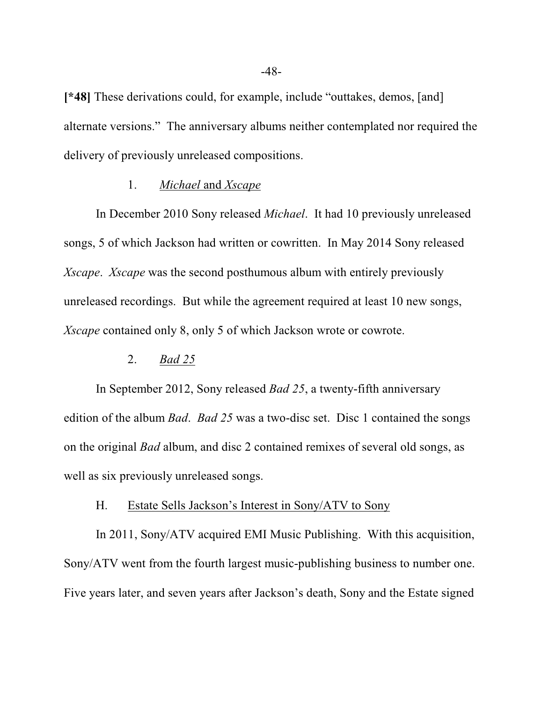**[\*48]** These derivations could, for example, include "outtakes, demos, [and] alternate versions." The anniversary albums neither contemplated nor required the delivery of previously unreleased compositions.

## 1. *Michael* and *Xscape*

In December 2010 Sony released *Michael*. It had 10 previously unreleased songs, 5 of which Jackson had written or cowritten. In May 2014 Sony released *Xscape*. *Xscape* was the second posthumous album with entirely previously unreleased recordings. But while the agreement required at least 10 new songs, *Xscape* contained only 8, only 5 of which Jackson wrote or cowrote.

#### 2. *Bad 25*

In September 2012, Sony released *Bad 25*, a twenty-fifth anniversary edition of the album *Bad*. *Bad 25* was a two-disc set. Disc 1 contained the songs on the original *Bad* album, and disc 2 contained remixes of several old songs, as well as six previously unreleased songs.

#### H. Estate Sells Jackson's Interest in Sony/ATV to Sony

In 2011, Sony/ATV acquired EMI Music Publishing. With this acquisition, Sony/ATV went from the fourth largest music-publishing business to number one. Five years later, and seven years after Jackson's death, Sony and the Estate signed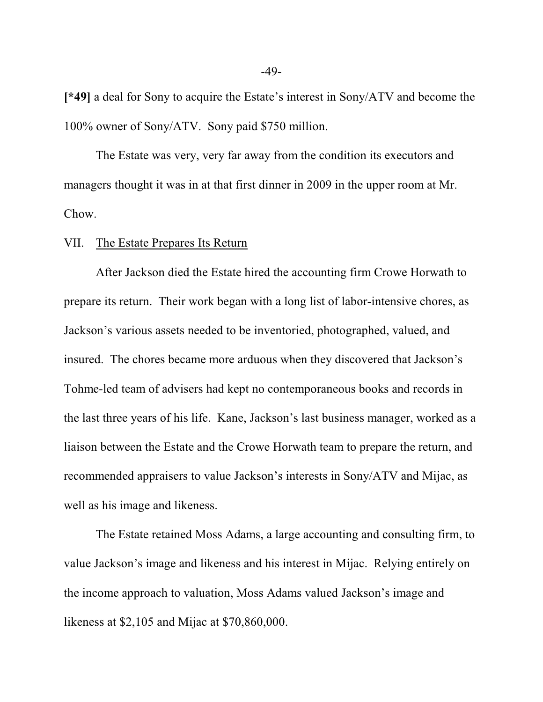**[\*49]** a deal for Sony to acquire the Estate's interest in Sony/ATV and become the 100% owner of Sony/ATV. Sony paid \$750 million.

The Estate was very, very far away from the condition its executors and managers thought it was in at that first dinner in 2009 in the upper room at Mr. Chow.

### VII. The Estate Prepares Its Return

After Jackson died the Estate hired the accounting firm Crowe Horwath to prepare its return. Their work began with a long list of labor-intensive chores, as Jackson's various assets needed to be inventoried, photographed, valued, and insured. The chores became more arduous when they discovered that Jackson's Tohme-led team of advisers had kept no contemporaneous books and records in the last three years of his life. Kane, Jackson's last business manager, worked as a liaison between the Estate and the Crowe Horwath team to prepare the return, and recommended appraisers to value Jackson's interests in Sony/ATV and Mijac, as well as his image and likeness.

The Estate retained Moss Adams, a large accounting and consulting firm, to value Jackson's image and likeness and his interest in Mijac. Relying entirely on the income approach to valuation, Moss Adams valued Jackson's image and likeness at \$2,105 and Mijac at \$70,860,000.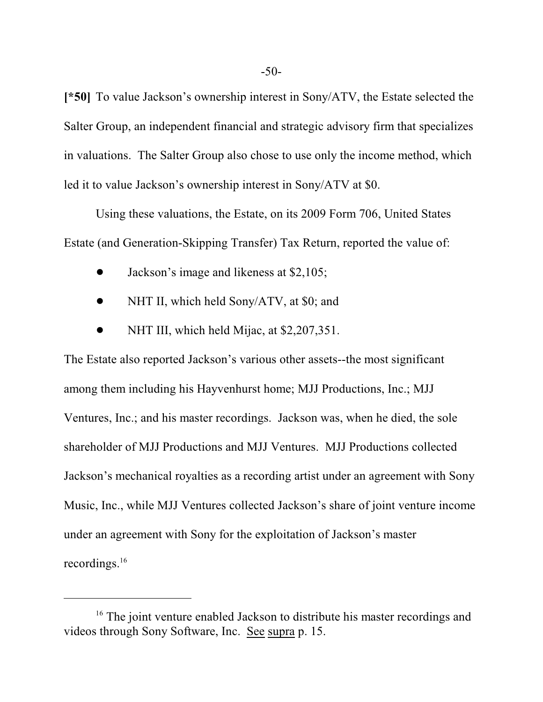**[\*50]** To value Jackson's ownership interest in Sony/ATV, the Estate selected the Salter Group, an independent financial and strategic advisory firm that specializes in valuations. The Salter Group also chose to use only the income method, which led it to value Jackson's ownership interest in Sony/ATV at \$0.

Using these valuations, the Estate, on its 2009 Form 706, United States Estate (and Generation-Skipping Transfer) Tax Return, reported the value of:

- Jackson's image and likeness at \$2,105;
- NHT II, which held Sony/ATV, at \$0; and
- NHT III, which held Mijac, at \$2,207,351.

The Estate also reported Jackson's various other assets--the most significant among them including his Hayvenhurst home; MJJ Productions, Inc.; MJJ Ventures, Inc.; and his master recordings. Jackson was, when he died, the sole shareholder of MJJ Productions and MJJ Ventures. MJJ Productions collected Jackson's mechanical royalties as a recording artist under an agreement with Sony Music, Inc., while MJJ Ventures collected Jackson's share of joint venture income under an agreement with Sony for the exploitation of Jackson's master recordings. 16

<sup>&</sup>lt;sup>16</sup> The joint venture enabled Jackson to distribute his master recordings and videos through Sony Software, Inc. See supra p. 15.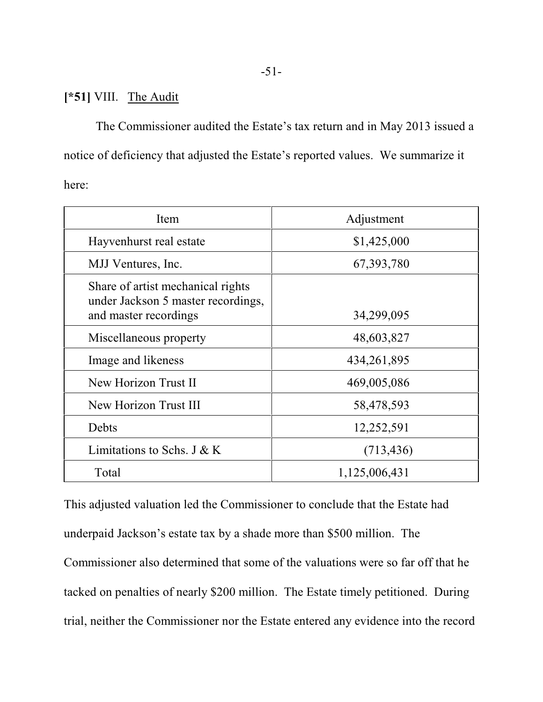# **[\*51]** VIII. The Audit

The Commissioner audited the Estate's tax return and in May 2013 issued a notice of deficiency that adjusted the Estate's reported values. We summarize it here:

| Item                                                                                             | Adjustment    |  |  |
|--------------------------------------------------------------------------------------------------|---------------|--|--|
| Hayvenhurst real estate                                                                          | \$1,425,000   |  |  |
| MJJ Ventures, Inc.                                                                               | 67, 393, 780  |  |  |
| Share of artist mechanical rights<br>under Jackson 5 master recordings,<br>and master recordings | 34,299,095    |  |  |
| Miscellaneous property                                                                           | 48,603,827    |  |  |
| Image and likeness                                                                               | 434, 261, 895 |  |  |
| New Horizon Trust II                                                                             | 469,005,086   |  |  |
| New Horizon Trust III                                                                            | 58,478,593    |  |  |
| Debts                                                                                            | 12,252,591    |  |  |
| Limitations to Schs. J & K                                                                       | (713, 436)    |  |  |
| Total                                                                                            | 1,125,006,431 |  |  |

This adjusted valuation led the Commissioner to conclude that the Estate had underpaid Jackson's estate tax by a shade more than \$500 million. The Commissioner also determined that some of the valuations were so far off that he tacked on penalties of nearly \$200 million. The Estate timely petitioned. During trial, neither the Commissioner nor the Estate entered any evidence into the record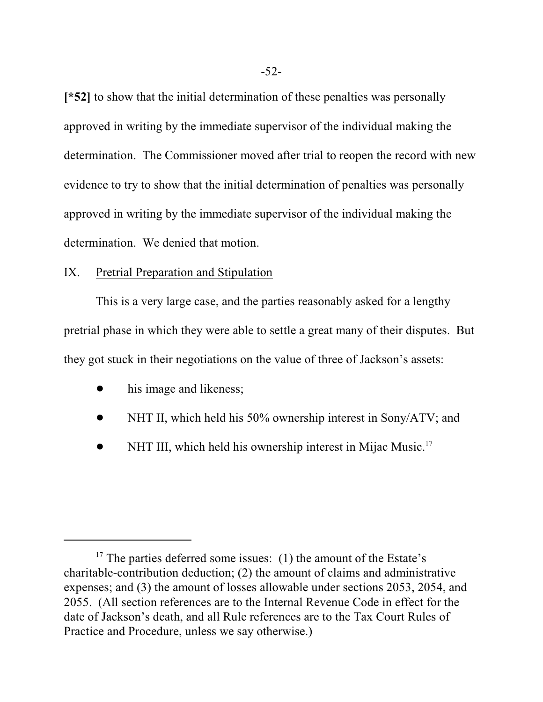**[\*52]** to show that the initial determination of these penalties was personally approved in writing by the immediate supervisor of the individual making the determination. The Commissioner moved after trial to reopen the record with new evidence to try to show that the initial determination of penalties was personally approved in writing by the immediate supervisor of the individual making the determination. We denied that motion.

# IX. Pretrial Preparation and Stipulation

This is a very large case, and the parties reasonably asked for a lengthy pretrial phase in which they were able to settle a great many of their disputes. But they got stuck in their negotiations on the value of three of Jackson's assets:

- his image and likeness;
- NHT II, which held his 50% ownership interest in Sony/ATV; and
- NHT III, which held his ownership interest in Mijac Music.<sup>17</sup>

 $17$  The parties deferred some issues: (1) the amount of the Estate's charitable-contribution deduction; (2) the amount of claims and administrative expenses; and (3) the amount of losses allowable under sections 2053, 2054, and 2055. (All section references are to the Internal Revenue Code in effect for the date of Jackson's death, and all Rule references are to the Tax Court Rules of Practice and Procedure, unless we say otherwise.)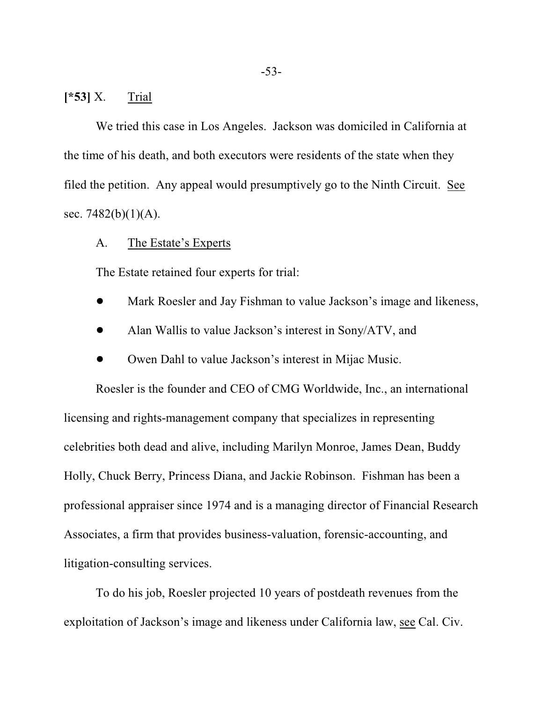# **[\*53]** X. Trial

We tried this case in Los Angeles. Jackson was domiciled in California at the time of his death, and both executors were residents of the state when they filed the petition. Any appeal would presumptively go to the Ninth Circuit. See sec.  $7482(b)(1)(A)$ .

# A. The Estate's Experts

The Estate retained four experts for trial:

- Mark Roesler and Jay Fishman to value Jackson's image and likeness,
- ! Alan Wallis to value Jackson's interest in Sony/ATV, and
- ! Owen Dahl to value Jackson's interest in Mijac Music.

Roesler is the founder and CEO of CMG Worldwide, Inc., an international licensing and rights-management company that specializes in representing celebrities both dead and alive, including Marilyn Monroe, James Dean, Buddy Holly, Chuck Berry, Princess Diana, and Jackie Robinson. Fishman has been a professional appraiser since 1974 and is a managing director of Financial Research Associates, a firm that provides business-valuation, forensic-accounting, and litigation-consulting services.

To do his job, Roesler projected 10 years of postdeath revenues from the exploitation of Jackson's image and likeness under California law, see Cal. Civ.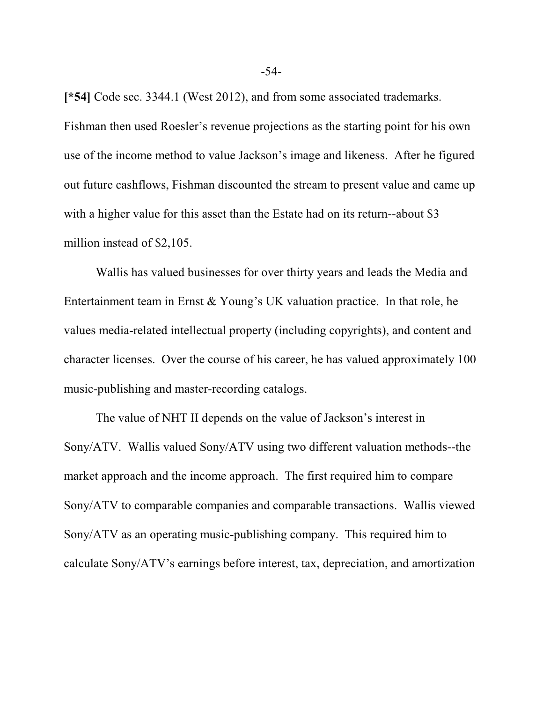**[\*54]** Code sec. 3344.1 (West 2012), and from some associated trademarks. Fishman then used Roesler's revenue projections as the starting point for his own use of the income method to value Jackson's image and likeness. After he figured out future cashflows, Fishman discounted the stream to present value and came up with a higher value for this asset than the Estate had on its return--about \$3 million instead of \$2,105.

Wallis has valued businesses for over thirty years and leads the Media and Entertainment team in Ernst & Young's UK valuation practice. In that role, he values media-related intellectual property (including copyrights), and content and character licenses. Over the course of his career, he has valued approximately 100 music-publishing and master-recording catalogs.

The value of NHT II depends on the value of Jackson's interest in Sony/ATV. Wallis valued Sony/ATV using two different valuation methods--the market approach and the income approach. The first required him to compare Sony/ATV to comparable companies and comparable transactions. Wallis viewed Sony/ATV as an operating music-publishing company. This required him to calculate Sony/ATV's earnings before interest, tax, depreciation, and amortization

-54-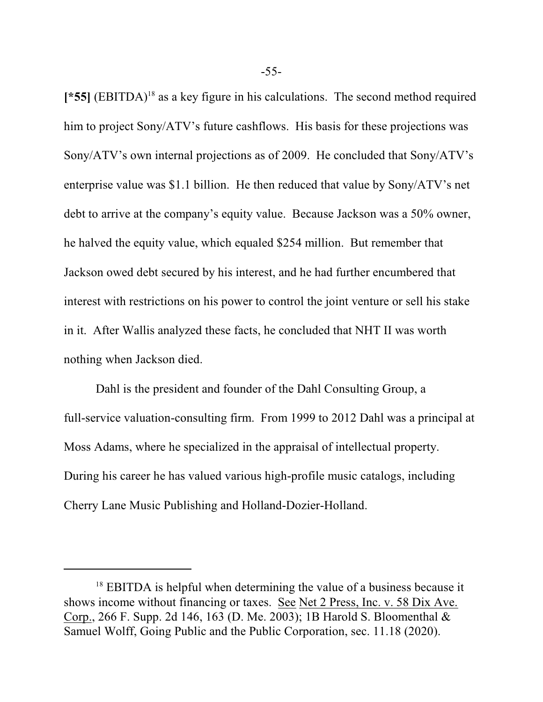[\*55] (EBITDA)<sup>18</sup> as a key figure in his calculations. The second method required him to project Sony/ATV's future cashflows. His basis for these projections was Sony/ATV's own internal projections as of 2009. He concluded that Sony/ATV's enterprise value was \$1.1 billion. He then reduced that value by Sony/ATV's net debt to arrive at the company's equity value. Because Jackson was a 50% owner, he halved the equity value, which equaled \$254 million. But remember that Jackson owed debt secured by his interest, and he had further encumbered that interest with restrictions on his power to control the joint venture or sell his stake in it. After Wallis analyzed these facts, he concluded that NHT II was worth nothing when Jackson died.

 Dahl is the president and founder of the Dahl Consulting Group, a full-service valuation-consulting firm. From 1999 to 2012 Dahl was a principal at Moss Adams, where he specialized in the appraisal of intellectual property. During his career he has valued various high-profile music catalogs, including Cherry Lane Music Publishing and Holland-Dozier-Holland.

-55-

 $18$  EBITDA is helpful when determining the value of a business because it shows income without financing or taxes. See Net 2 Press, Inc. v. 58 Dix Ave. Corp., 266 F. Supp. 2d 146, 163 (D. Me. 2003); 1B Harold S. Bloomenthal & Samuel Wolff, Going Public and the Public Corporation, sec. 11.18 (2020).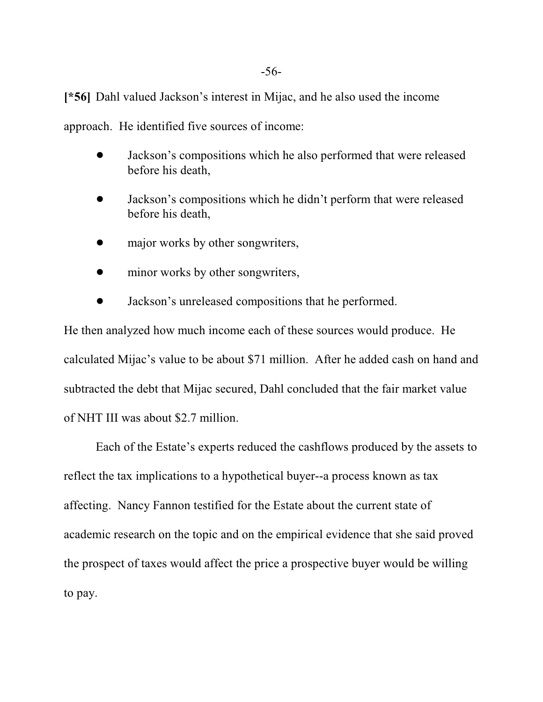**[\*56]** Dahl valued Jackson's interest in Mijac, and he also used the income

approach. He identified five sources of income:

- Jackson's compositions which he also performed that were released before his death,
- ! Jackson's compositions which he didn't perform that were released before his death,
- major works by other songwriters,
- minor works by other songwriters,
- ! Jackson's unreleased compositions that he performed.

He then analyzed how much income each of these sources would produce. He calculated Mijac's value to be about \$71 million. After he added cash on hand and subtracted the debt that Mijac secured, Dahl concluded that the fair market value of NHT III was about \$2.7 million.

Each of the Estate's experts reduced the cashflows produced by the assets to reflect the tax implications to a hypothetical buyer--a process known as tax affecting. Nancy Fannon testified for the Estate about the current state of academic research on the topic and on the empirical evidence that she said proved the prospect of taxes would affect the price a prospective buyer would be willing to pay.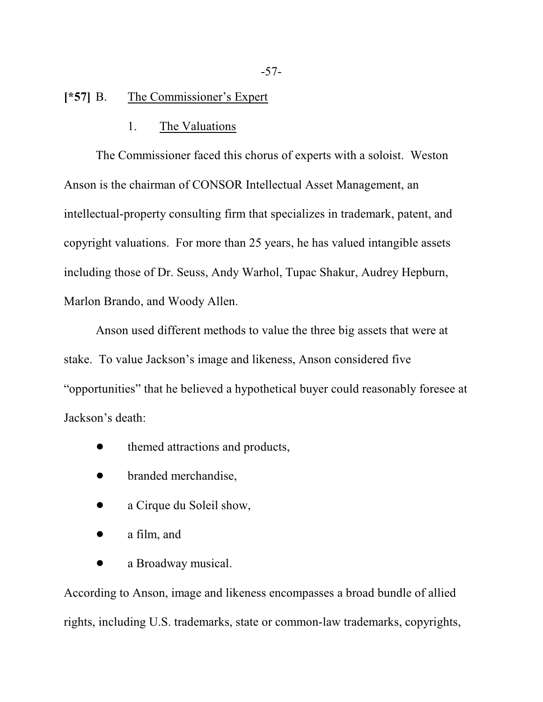# **[\*57]** B. The Commissioner's Expert

#### 1. The Valuations

The Commissioner faced this chorus of experts with a soloist. Weston Anson is the chairman of CONSOR Intellectual Asset Management, an intellectual-property consulting firm that specializes in trademark, patent, and copyright valuations. For more than 25 years, he has valued intangible assets including those of Dr. Seuss, Andy Warhol, Tupac Shakur, Audrey Hepburn, Marlon Brando, and Woody Allen.

Anson used different methods to value the three big assets that were at stake. To value Jackson's image and likeness, Anson considered five "opportunities" that he believed a hypothetical buyer could reasonably foresee at Jackson's death:

- themed attractions and products,
- branded merchandise,
- a Cirque du Soleil show,
- $\bullet$  a film, and
- a Broadway musical.

According to Anson, image and likeness encompasses a broad bundle of allied rights, including U.S. trademarks, state or common-law trademarks, copyrights,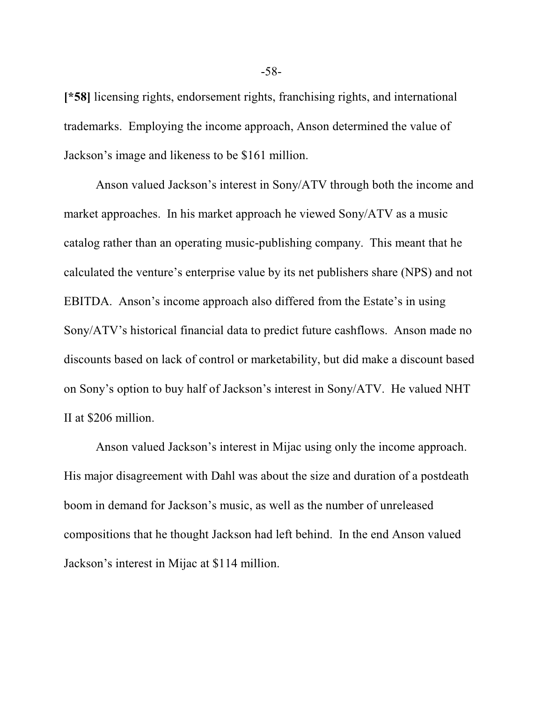**[\*58]** licensing rights, endorsement rights, franchising rights, and international trademarks. Employing the income approach, Anson determined the value of Jackson's image and likeness to be \$161 million.

Anson valued Jackson's interest in Sony/ATV through both the income and market approaches. In his market approach he viewed Sony/ATV as a music catalog rather than an operating music-publishing company. This meant that he calculated the venture's enterprise value by its net publishers share (NPS) and not EBITDA. Anson's income approach also differed from the Estate's in using Sony/ATV's historical financial data to predict future cashflows. Anson made no discounts based on lack of control or marketability, but did make a discount based on Sony's option to buy half of Jackson's interest in Sony/ATV. He valued NHT II at \$206 million.

Anson valued Jackson's interest in Mijac using only the income approach. His major disagreement with Dahl was about the size and duration of a postdeath boom in demand for Jackson's music, as well as the number of unreleased compositions that he thought Jackson had left behind. In the end Anson valued Jackson's interest in Mijac at \$114 million.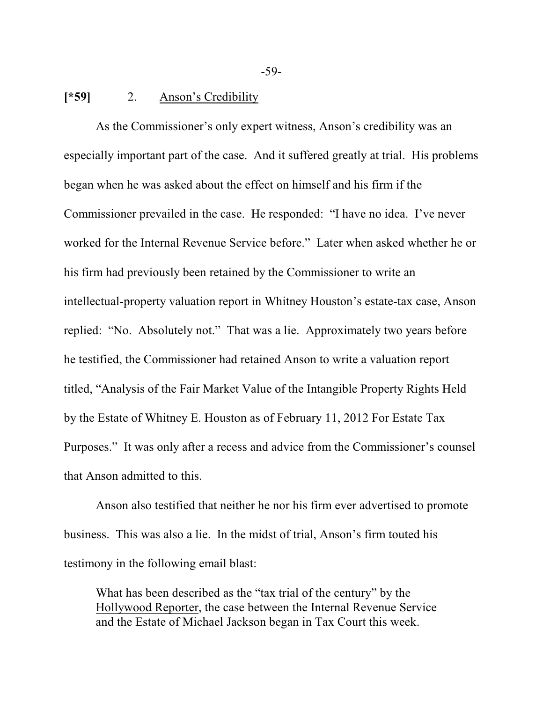## **[\*59]** 2. Anson's Credibility

As the Commissioner's only expert witness, Anson's credibility was an especially important part of the case. And it suffered greatly at trial. His problems began when he was asked about the effect on himself and his firm if the Commissioner prevailed in the case. He responded: "I have no idea. I've never worked for the Internal Revenue Service before." Later when asked whether he or his firm had previously been retained by the Commissioner to write an intellectual-property valuation report in Whitney Houston's estate-tax case, Anson replied: "No. Absolutely not." That was a lie. Approximately two years before he testified, the Commissioner had retained Anson to write a valuation report titled, "Analysis of the Fair Market Value of the Intangible Property Rights Held by the Estate of Whitney E. Houston as of February 11, 2012 For Estate Tax Purposes." It was only after a recess and advice from the Commissioner's counsel that Anson admitted to this.

Anson also testified that neither he nor his firm ever advertised to promote business. This was also a lie. In the midst of trial, Anson's firm touted his testimony in the following email blast:

What has been described as the "tax trial of the century" by the Hollywood Reporter, the case between the Internal Revenue Service and the Estate of Michael Jackson began in Tax Court this week.

-59-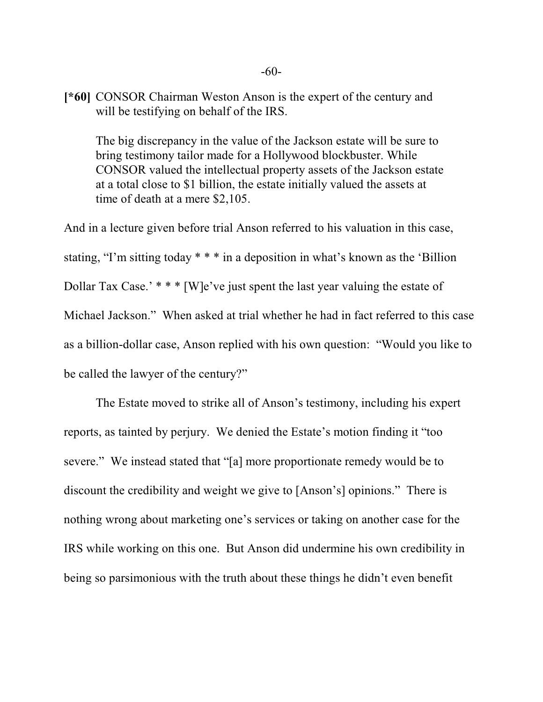**[\*60]** CONSOR Chairman Weston Anson is the expert of the century and will be testifying on behalf of the IRS.

The big discrepancy in the value of the Jackson estate will be sure to bring testimony tailor made for a Hollywood blockbuster. While CONSOR valued the intellectual property assets of the Jackson estate at a total close to \$1 billion, the estate initially valued the assets at time of death at a mere \$2,105.

And in a lecture given before trial Anson referred to his valuation in this case, stating, "I'm sitting today \* \* \* in a deposition in what's known as the 'Billion Dollar Tax Case.' \* \* \* [W]e've just spent the last year valuing the estate of Michael Jackson." When asked at trial whether he had in fact referred to this case as a billion-dollar case, Anson replied with his own question: "Would you like to be called the lawyer of the century?"

The Estate moved to strike all of Anson's testimony, including his expert reports, as tainted by perjury. We denied the Estate's motion finding it "too severe." We instead stated that "[a] more proportionate remedy would be to discount the credibility and weight we give to [Anson's] opinions." There is nothing wrong about marketing one's services or taking on another case for the IRS while working on this one. But Anson did undermine his own credibility in being so parsimonious with the truth about these things he didn't even benefit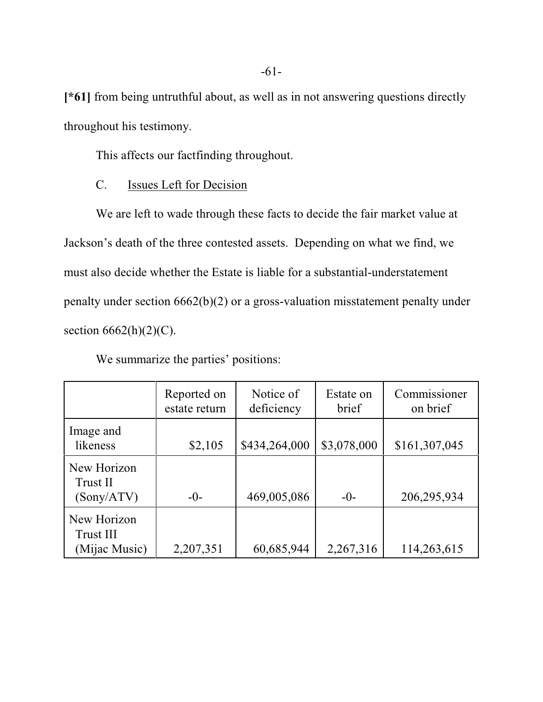**[\*61]** from being untruthful about, as well as in not answering questions directly throughout his testimony.

This affects our factfinding throughout.

# C. Issues Left for Decision

We are left to wade through these facts to decide the fair market value at Jackson's death of the three contested assets. Depending on what we find, we must also decide whether the Estate is liable for a substantial-understatement penalty under section 6662(b)(2) or a gross-valuation misstatement penalty under section  $6662(h)(2)(C)$ .

|                                           | Reported on<br>estate return | Notice of<br>deficiency | Estate on<br>brief | Commissioner<br>on brief |
|-------------------------------------------|------------------------------|-------------------------|--------------------|--------------------------|
| Image and<br>likeness                     | \$2,105                      | \$434,264,000           | \$3,078,000        | \$161,307,045            |
| New Horizon<br>Trust II<br>(Sony/ATV)     | $-()$ -                      | 469,005,086             | $-()$              | 206,295,934              |
| New Horizon<br>Trust III<br>(Mijac Music) | 2,207,351                    | 60,685,944              | 2,267,316          | 114,263,615              |

We summarize the parties' positions: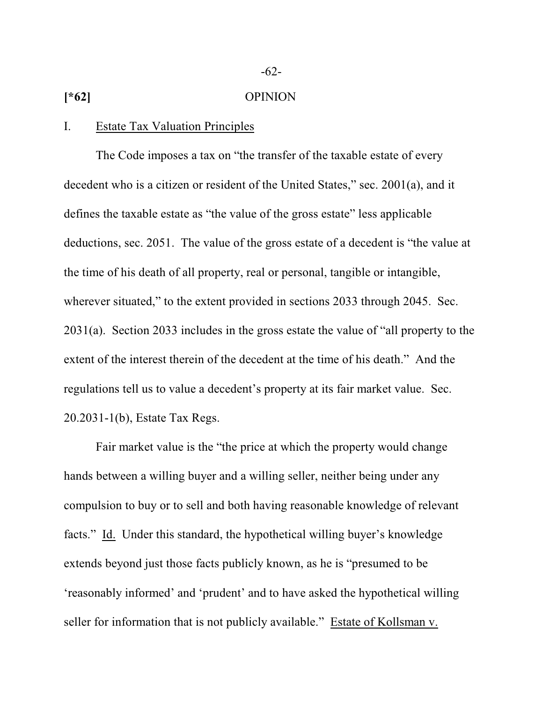# **[\*62]** OPINION

## I. Estate Tax Valuation Principles

The Code imposes a tax on "the transfer of the taxable estate of every decedent who is a citizen or resident of the United States," sec. 2001(a), and it defines the taxable estate as "the value of the gross estate" less applicable deductions, sec. 2051. The value of the gross estate of a decedent is "the value at the time of his death of all property, real or personal, tangible or intangible, wherever situated," to the extent provided in sections 2033 through 2045. Sec. 2031(a). Section 2033 includes in the gross estate the value of "all property to the extent of the interest therein of the decedent at the time of his death." And the regulations tell us to value a decedent's property at its fair market value. Sec. 20.2031-1(b), Estate Tax Regs.

Fair market value is the "the price at which the property would change hands between a willing buyer and a willing seller, neither being under any compulsion to buy or to sell and both having reasonable knowledge of relevant facts." Id. Under this standard, the hypothetical willing buyer's knowledge extends beyond just those facts publicly known, as he is "presumed to be 'reasonably informed' and 'prudent' and to have asked the hypothetical willing seller for information that is not publicly available." Estate of Kollsman v.

-62-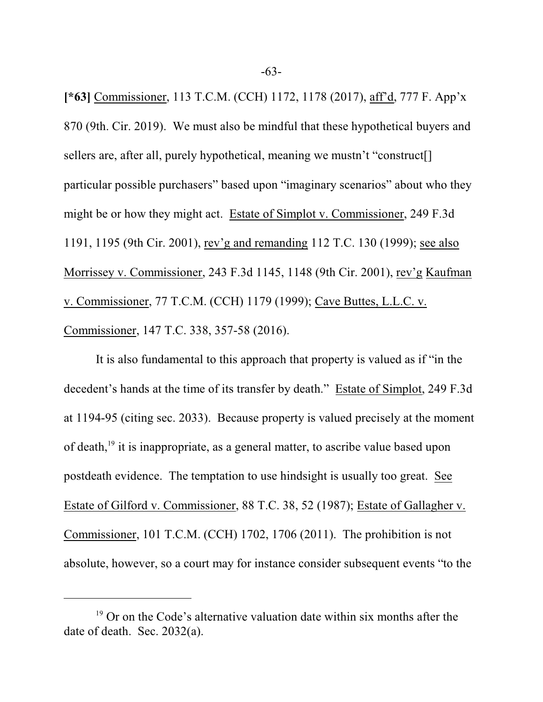**[\*63]** Commissioner, 113 T.C.M. (CCH) 1172, 1178 (2017), aff'd, 777 F. App'x 870 (9th. Cir. 2019). We must also be mindful that these hypothetical buyers and sellers are, after all, purely hypothetical, meaning we mustn't "construct<sup>[]</sup> particular possible purchasers" based upon "imaginary scenarios" about who they might be or how they might act. Estate of Simplot v. Commissioner, 249 F.3d 1191, 1195 (9th Cir. 2001), rev'g and remanding 112 T.C. 130 (1999); see also Morrissey v. Commissioner, 243 F.3d 1145, 1148 (9th Cir. 2001), rev'g Kaufman v. Commissioner, 77 T.C.M. (CCH) 1179 (1999); Cave Buttes, L.L.C. v. Commissioner, 147 T.C. 338, 357-58 (2016).

It is also fundamental to this approach that property is valued as if "in the decedent's hands at the time of its transfer by death." Estate of Simplot, 249 F.3d at 1194-95 (citing sec. 2033). Because property is valued precisely at the moment of death,<sup>19</sup> it is inappropriate, as a general matter, to ascribe value based upon postdeath evidence. The temptation to use hindsight is usually too great. See Estate of Gilford v. Commissioner, 88 T.C. 38, 52 (1987); Estate of Gallagher v. Commissioner, 101 T.C.M. (CCH) 1702, 1706 (2011). The prohibition is not absolute, however, so a court may for instance consider subsequent events "to the

<sup>&</sup>lt;sup>19</sup> Or on the Code's alternative valuation date within six months after the date of death. Sec. 2032(a).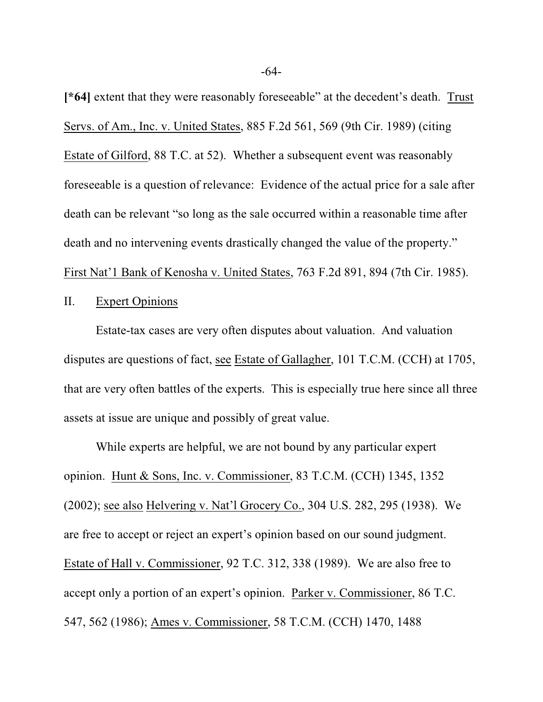**[\*64]** extent that they were reasonably foreseeable" at the decedent's death. Trust Servs. of Am., Inc. v. United States, 885 F.2d 561, 569 (9th Cir. 1989) (citing Estate of Gilford, 88 T.C. at 52). Whether a subsequent event was reasonably foreseeable is a question of relevance: Evidence of the actual price for a sale after death can be relevant "so long as the sale occurred within a reasonable time after death and no intervening events drastically changed the value of the property." First Nat'1 Bank of Kenosha v. United States, 763 F.2d 891, 894 (7th Cir. 1985).

# II. Expert Opinions

Estate-tax cases are very often disputes about valuation. And valuation disputes are questions of fact, see Estate of Gallagher, 101 T.C.M. (CCH) at 1705, that are very often battles of the experts. This is especially true here since all three assets at issue are unique and possibly of great value.

While experts are helpful, we are not bound by any particular expert opinion. Hunt & Sons, Inc. v. Commissioner, 83 T.C.M. (CCH) 1345, 1352 (2002); see also Helvering v. Nat'l Grocery Co., 304 U.S. 282, 295 (1938). We are free to accept or reject an expert's opinion based on our sound judgment. Estate of Hall v. Commissioner, 92 T.C. 312, 338 (1989). We are also free to accept only a portion of an expert's opinion. Parker v. Commissioner, 86 T.C. 547, 562 (1986); Ames v. Commissioner, 58 T.C.M. (CCH) 1470, 1488

-64-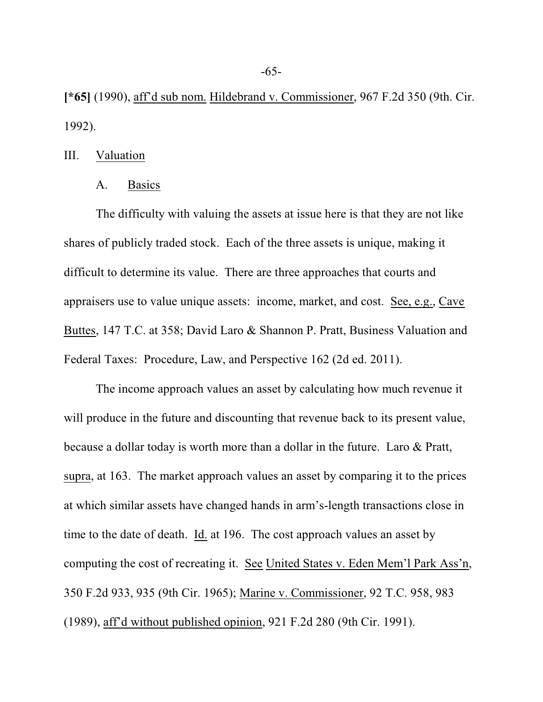**[\*65]** (1990), aff'd sub nom. Hildebrand v. Commissioner, 967 F.2d 350 (9th. Cir. 1992).

### III. Valuation

# A. Basics

The difficulty with valuing the assets at issue here is that they are not like shares of publicly traded stock. Each of the three assets is unique, making it difficult to determine its value. There are three approaches that courts and appraisers use to value unique assets: income, market, and cost. See, e.g., Cave Buttes, 147 T.C. at 358; David Laro & Shannon P. Pratt, Business Valuation and Federal Taxes: Procedure, Law, and Perspective 162 (2d ed. 2011).

The income approach values an asset by calculating how much revenue it will produce in the future and discounting that revenue back to its present value, because a dollar today is worth more than a dollar in the future. Laro & Pratt, supra, at 163. The market approach values an asset by comparing it to the prices at which similar assets have changed hands in arm's-length transactions close in time to the date of death. Id. at 196. The cost approach values an asset by computing the cost of recreating it. See United States v. Eden Mem'l Park Ass'n, 350 F.2d 933, 935 (9th Cir. 1965); Marine v. Commissioner, 92 T.C. 958, 983 (1989), aff'd without published opinion, 921 F.2d 280 (9th Cir. 1991).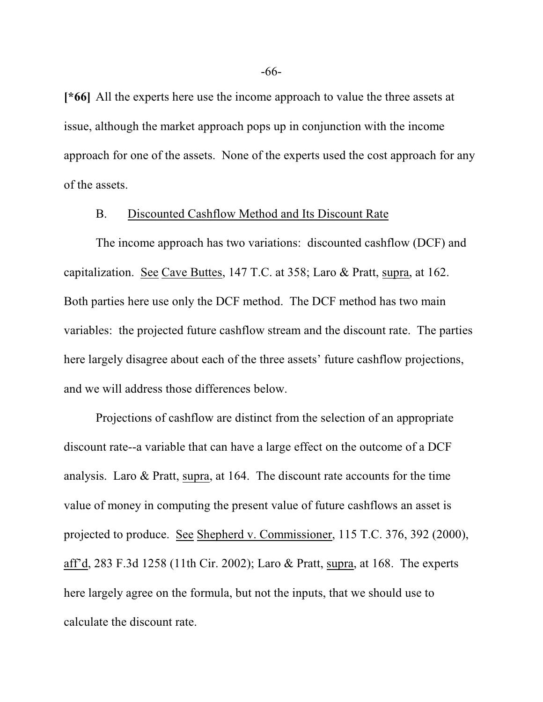**[\*66]** All the experts here use the income approach to value the three assets at issue, although the market approach pops up in conjunction with the income approach for one of the assets. None of the experts used the cost approach for any of the assets.

## B. Discounted Cashflow Method and Its Discount Rate

The income approach has two variations: discounted cashflow (DCF) and capitalization. See Cave Buttes, 147 T.C. at 358; Laro & Pratt, supra, at 162. Both parties here use only the DCF method. The DCF method has two main variables: the projected future cashflow stream and the discount rate. The parties here largely disagree about each of the three assets' future cashflow projections, and we will address those differences below.

Projections of cashflow are distinct from the selection of an appropriate discount rate--a variable that can have a large effect on the outcome of a DCF analysis. Laro & Pratt, supra, at 164. The discount rate accounts for the time value of money in computing the present value of future cashflows an asset is projected to produce. See Shepherd v. Commissioner, 115 T.C. 376, 392 (2000), aff'd, 283 F.3d 1258 (11th Cir. 2002); Laro & Pratt, supra, at 168. The experts here largely agree on the formula, but not the inputs, that we should use to calculate the discount rate.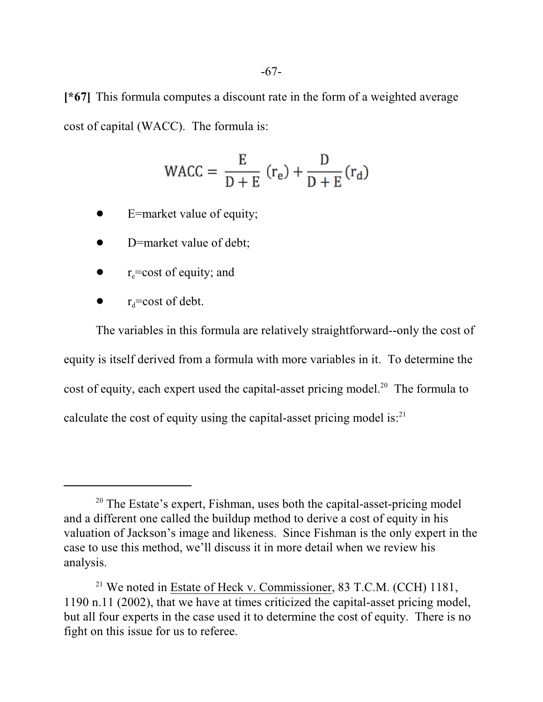**[\*67]** This formula computes a discount rate in the form of a weighted average cost of capital (WACC). The formula is:

$$
\text{WACC} = \frac{\text{E}}{\text{D} + \text{E}} \left( \text{r}_{\text{e}} \right) + \frac{\text{D}}{\text{D} + \text{E}} \left( \text{r}_{\text{d}} \right)
$$

- E=market value of equity;
- D=market value of debt;
- $\bullet$  r<sub>e</sub>=cost of equity; and
- $r_d$ =cost of debt.

The variables in this formula are relatively straightforward--only the cost of equity is itself derived from a formula with more variables in it. To determine the cost of equity, each expert used the capital-asset pricing model.<sup>20</sup> The formula to calculate the cost of equity using the capital-asset pricing model is:<sup>21</sup>

<sup>&</sup>lt;sup>20</sup> The Estate's expert, Fishman, uses both the capital-asset-pricing model and a different one called the buildup method to derive a cost of equity in his valuation of Jackson's image and likeness. Since Fishman is the only expert in the case to use this method, we'll discuss it in more detail when we review his analysis.

<sup>&</sup>lt;sup>21</sup> We noted in Estate of Heck v. Commissioner, 83 T.C.M. (CCH) 1181, 1190 n.11 (2002), that we have at times criticized the capital-asset pricing model, but all four experts in the case used it to determine the cost of equity. There is no fight on this issue for us to referee.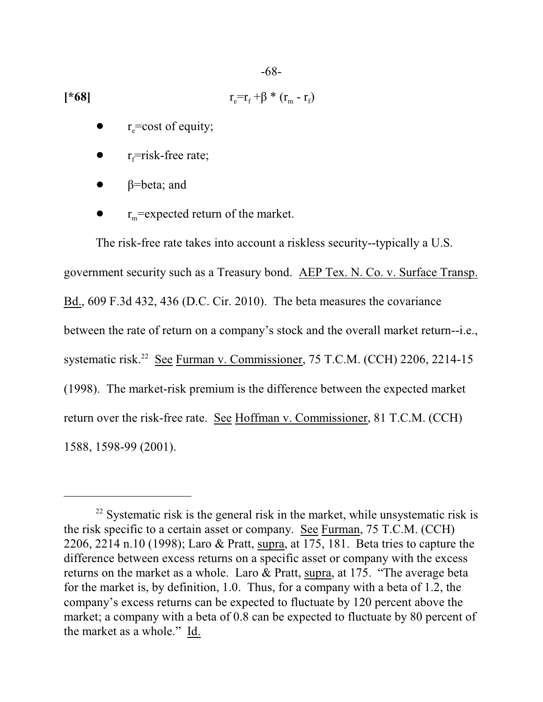-68-

$$
r_{\rm e} = r_{\rm f} + \beta \cdot (r_{\rm m} - r_{\rm f})
$$

- $r_{e}$ =cost of equity;
- $r_f$ =risk-free rate;
- $\beta$ =beta; and
- $r_m$ =expected return of the market.

The risk-free rate takes into account a riskless security--typically a U.S. government security such as a Treasury bond. AEP Tex. N. Co. v. Surface Transp. Bd., 609 F.3d 432, 436 (D.C. Cir. 2010). The beta measures the covariance between the rate of return on a company's stock and the overall market return--i.e., systematic risk.<sup>22</sup> See Furman v. Commissioner, 75 T.C.M. (CCH) 2206, 2214-15 (1998). The market-risk premium is the difference between the expected market return over the risk-free rate. See Hoffman v. Commissioner, 81 T.C.M. (CCH) 1588, 1598-99 (2001).

 $22$  Systematic risk is the general risk in the market, while unsystematic risk is the risk specific to a certain asset or company. See Furman, 75 T.C.M. (CCH) 2206, 2214 n.10 (1998); Laro & Pratt, supra, at 175, 181. Beta tries to capture the difference between excess returns on a specific asset or company with the excess returns on the market as a whole. Laro & Pratt, supra, at 175. "The average beta for the market is, by definition, 1.0. Thus, for a company with a beta of 1.2, the company's excess returns can be expected to fluctuate by 120 percent above the market; a company with a beta of 0.8 can be expected to fluctuate by 80 percent of the market as a whole." Id.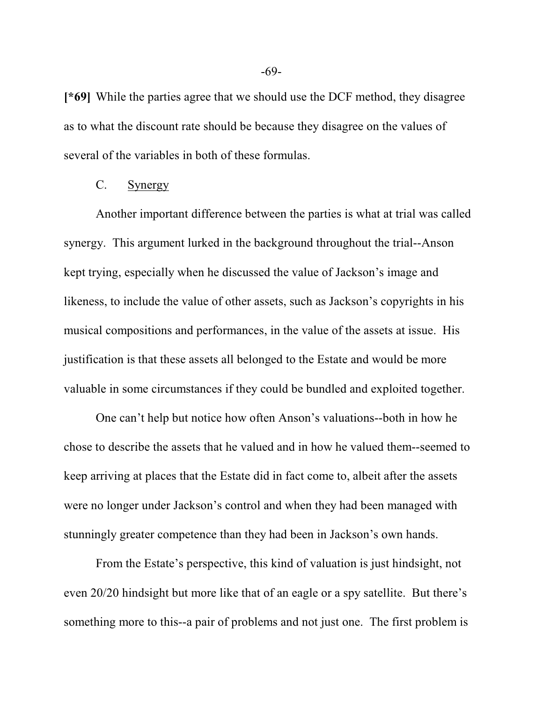**[\*69]** While the parties agree that we should use the DCF method, they disagree as to what the discount rate should be because they disagree on the values of several of the variables in both of these formulas.

## C. Synergy

Another important difference between the parties is what at trial was called synergy. This argument lurked in the background throughout the trial--Anson kept trying, especially when he discussed the value of Jackson's image and likeness, to include the value of other assets, such as Jackson's copyrights in his musical compositions and performances, in the value of the assets at issue. His justification is that these assets all belonged to the Estate and would be more valuable in some circumstances if they could be bundled and exploited together.

One can't help but notice how often Anson's valuations--both in how he chose to describe the assets that he valued and in how he valued them--seemed to keep arriving at places that the Estate did in fact come to, albeit after the assets were no longer under Jackson's control and when they had been managed with stunningly greater competence than they had been in Jackson's own hands.

From the Estate's perspective, this kind of valuation is just hindsight, not even 20/20 hindsight but more like that of an eagle or a spy satellite. But there's something more to this--a pair of problems and not just one. The first problem is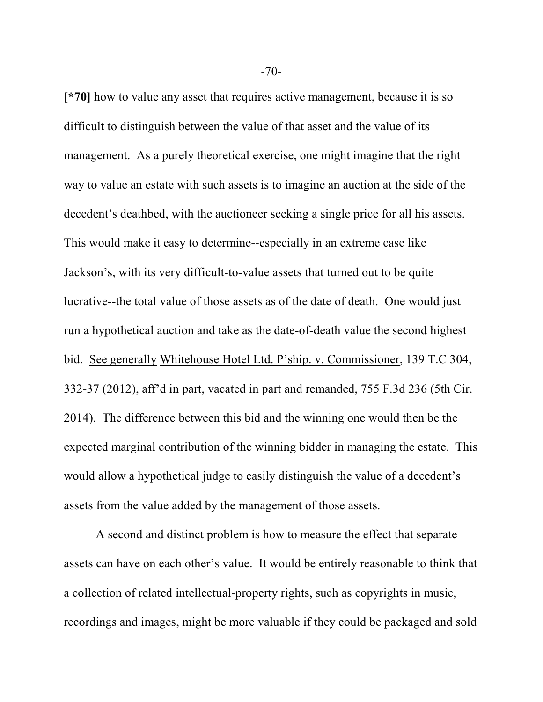**[\*70]** how to value any asset that requires active management, because it is so difficult to distinguish between the value of that asset and the value of its management. As a purely theoretical exercise, one might imagine that the right way to value an estate with such assets is to imagine an auction at the side of the decedent's deathbed, with the auctioneer seeking a single price for all his assets. This would make it easy to determine--especially in an extreme case like Jackson's, with its very difficult-to-value assets that turned out to be quite lucrative--the total value of those assets as of the date of death. One would just run a hypothetical auction and take as the date-of-death value the second highest bid. See generally Whitehouse Hotel Ltd. P'ship. v. Commissioner, 139 T.C 304, 332-37 (2012), aff'd in part, vacated in part and remanded, 755 F.3d 236 (5th Cir. 2014). The difference between this bid and the winning one would then be the expected marginal contribution of the winning bidder in managing the estate. This would allow a hypothetical judge to easily distinguish the value of a decedent's assets from the value added by the management of those assets.

A second and distinct problem is how to measure the effect that separate assets can have on each other's value. It would be entirely reasonable to think that a collection of related intellectual-property rights, such as copyrights in music, recordings and images, might be more valuable if they could be packaged and sold

-70-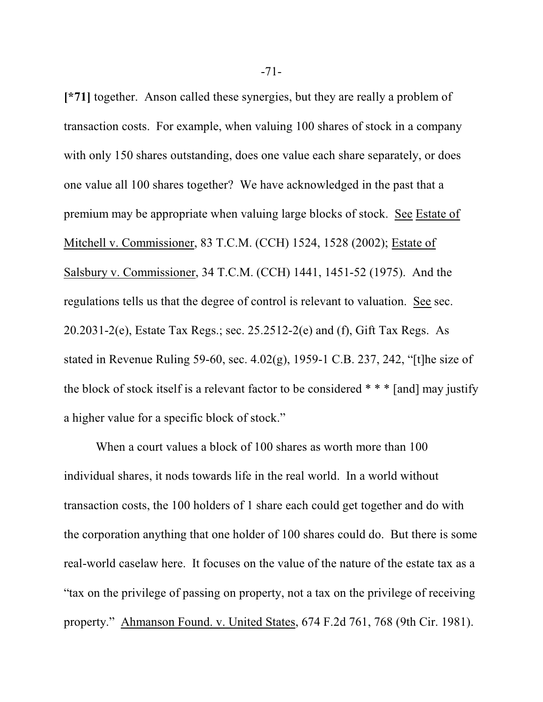**[\*71]** together. Anson called these synergies, but they are really a problem of transaction costs. For example, when valuing 100 shares of stock in a company with only 150 shares outstanding, does one value each share separately, or does one value all 100 shares together? We have acknowledged in the past that a premium may be appropriate when valuing large blocks of stock. See Estate of Mitchell v. Commissioner, 83 T.C.M. (CCH) 1524, 1528 (2002); Estate of Salsbury v. Commissioner, 34 T.C.M. (CCH) 1441, 1451-52 (1975). And the regulations tells us that the degree of control is relevant to valuation. See sec. 20.2031-2(e), Estate Tax Regs.; sec. 25.2512-2(e) and (f), Gift Tax Regs. As stated in Revenue Ruling 59-60, sec. 4.02(g), 1959-1 C.B. 237, 242, "[t]he size of the block of stock itself is a relevant factor to be considered \* \* \* [and] may justify a higher value for a specific block of stock."

When a court values a block of 100 shares as worth more than 100 individual shares, it nods towards life in the real world. In a world without transaction costs, the 100 holders of 1 share each could get together and do with the corporation anything that one holder of 100 shares could do. But there is some real-world caselaw here. It focuses on the value of the nature of the estate tax as a "tax on the privilege of passing on property, not a tax on the privilege of receiving property." Ahmanson Found. v. United States, 674 F.2d 761, 768 (9th Cir. 1981).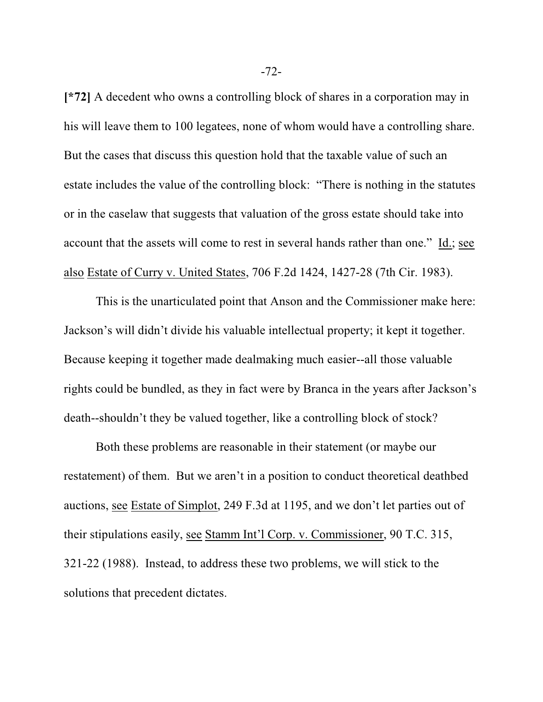**[\*72]** A decedent who owns a controlling block of shares in a corporation may in his will leave them to 100 legatees, none of whom would have a controlling share. But the cases that discuss this question hold that the taxable value of such an estate includes the value of the controlling block: "There is nothing in the statutes or in the caselaw that suggests that valuation of the gross estate should take into account that the assets will come to rest in several hands rather than one." Id.; see also Estate of Curry v. United States, 706 F.2d 1424, 1427-28 (7th Cir. 1983).

This is the unarticulated point that Anson and the Commissioner make here: Jackson's will didn't divide his valuable intellectual property; it kept it together. Because keeping it together made dealmaking much easier--all those valuable rights could be bundled, as they in fact were by Branca in the years after Jackson's death--shouldn't they be valued together, like a controlling block of stock?

Both these problems are reasonable in their statement (or maybe our restatement) of them. But we aren't in a position to conduct theoretical deathbed auctions, see Estate of Simplot, 249 F.3d at 1195, and we don't let parties out of their stipulations easily, see Stamm Int'l Corp. v. Commissioner, 90 T.C. 315, 321-22 (1988). Instead, to address these two problems, we will stick to the solutions that precedent dictates.

-72-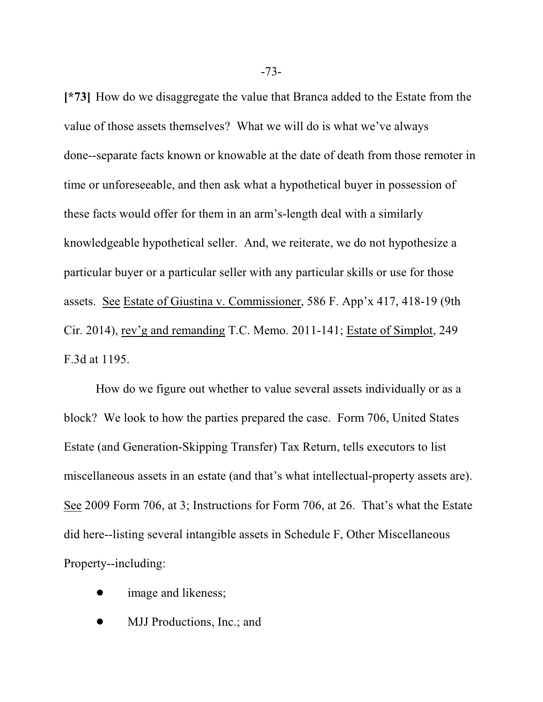**[\*73]** How do we disaggregate the value that Branca added to the Estate from the value of those assets themselves? What we will do is what we've always done--separate facts known or knowable at the date of death from those remoter in time or unforeseeable, and then ask what a hypothetical buyer in possession of these facts would offer for them in an arm's-length deal with a similarly knowledgeable hypothetical seller. And, we reiterate, we do not hypothesize a particular buyer or a particular seller with any particular skills or use for those assets. See Estate of Giustina v. Commissioner, 586 F. App'x 417, 418-19 (9th Cir. 2014), rev'g and remanding T.C. Memo. 2011-141; Estate of Simplot, 249 F.3d at 1195.

How do we figure out whether to value several assets individually or as a block? We look to how the parties prepared the case. Form 706, United States Estate (and Generation-Skipping Transfer) Tax Return, tells executors to list miscellaneous assets in an estate (and that's what intellectual-property assets are). See 2009 Form 706, at 3; Instructions for Form 706, at 26. That's what the Estate did here--listing several intangible assets in Schedule F, Other Miscellaneous Property--including:

- image and likeness;
- MJJ Productions, Inc.; and

-73-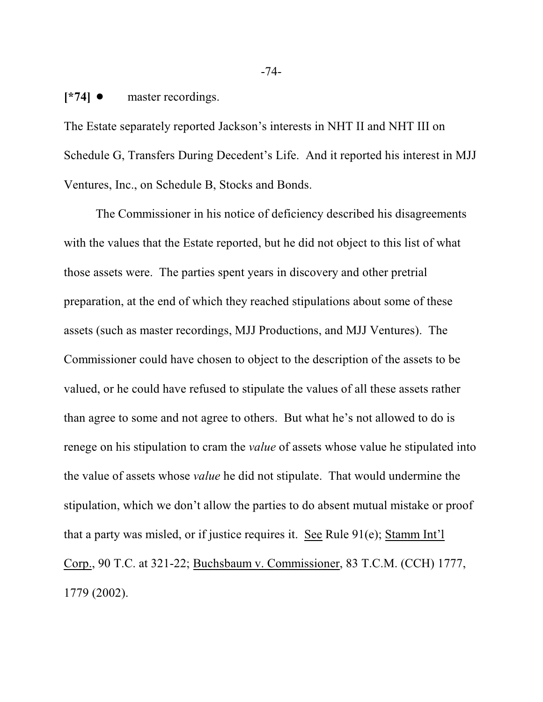**[\*74] ●** master recordings.

The Estate separately reported Jackson's interests in NHT II and NHT III on Schedule G, Transfers During Decedent's Life. And it reported his interest in MJJ Ventures, Inc., on Schedule B, Stocks and Bonds.

The Commissioner in his notice of deficiency described his disagreements with the values that the Estate reported, but he did not object to this list of what those assets were. The parties spent years in discovery and other pretrial preparation, at the end of which they reached stipulations about some of these assets (such as master recordings, MJJ Productions, and MJJ Ventures). The Commissioner could have chosen to object to the description of the assets to be valued, or he could have refused to stipulate the values of all these assets rather than agree to some and not agree to others. But what he's not allowed to do is renege on his stipulation to cram the *value* of assets whose value he stipulated into the value of assets whose *value* he did not stipulate. That would undermine the stipulation, which we don't allow the parties to do absent mutual mistake or proof that a party was misled, or if justice requires it. See Rule 91(e); Stamm Int'l Corp., 90 T.C. at 321-22; Buchsbaum v. Commissioner, 83 T.C.M. (CCH) 1777, 1779 (2002).

-74-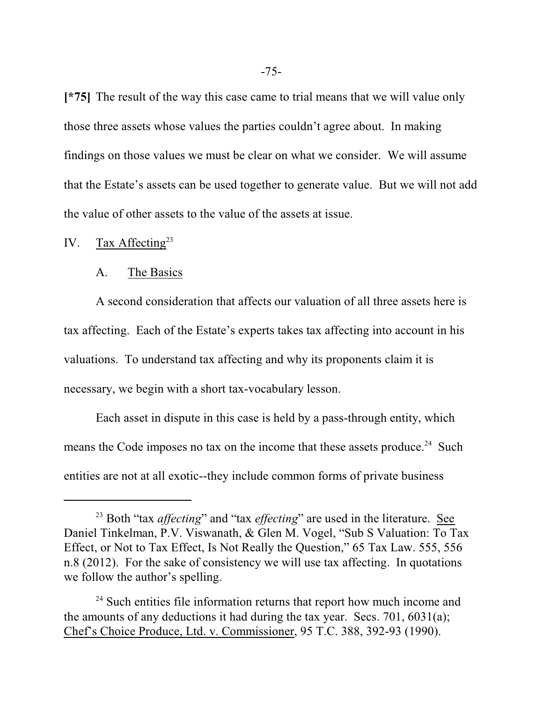**[\*75]** The result of the way this case came to trial means that we will value only those three assets whose values the parties couldn't agree about. In making findings on those values we must be clear on what we consider. We will assume that the Estate's assets can be used together to generate value. But we will not add the value of other assets to the value of the assets at issue.

# IV. Tax Affecting<sup>23</sup>

#### A. The Basics

A second consideration that affects our valuation of all three assets here is tax affecting. Each of the Estate's experts takes tax affecting into account in his valuations. To understand tax affecting and why its proponents claim it is necessary, we begin with a short tax-vocabulary lesson.

Each asset in dispute in this case is held by a pass-through entity, which means the Code imposes no tax on the income that these assets produce.<sup>24</sup> Such entities are not at all exotic--they include common forms of private business

<sup>&</sup>lt;sup>23</sup> Both "tax *affecting*" and "tax *effecting*" are used in the literature. See Daniel Tinkelman, P.V. Viswanath, & Glen M. Vogel, "Sub S Valuation: To Tax Effect, or Not to Tax Effect, Is Not Really the Question," 65 Tax Law. 555, 556 n.8 (2012). For the sake of consistency we will use tax affecting. In quotations we follow the author's spelling.

<sup>&</sup>lt;sup>24</sup> Such entities file information returns that report how much income and the amounts of any deductions it had during the tax year. Secs. 701, 6031(a); Chef's Choice Produce, Ltd. v. Commissioner, 95 T.C. 388, 392-93 (1990).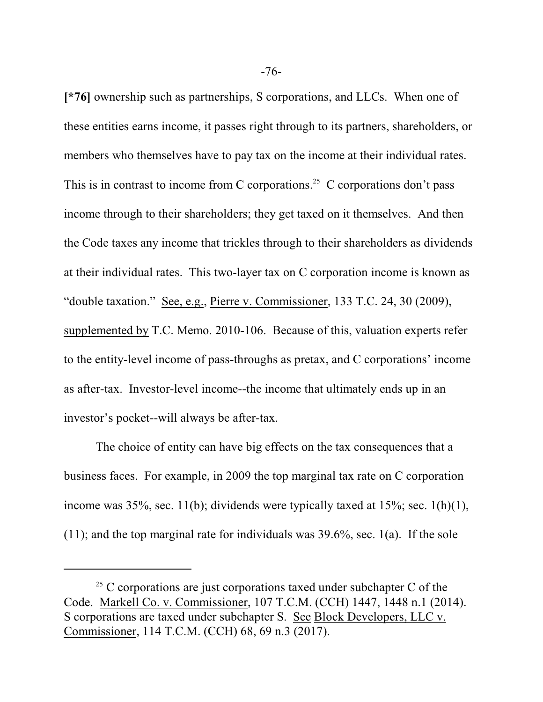**[\*76]** ownership such as partnerships, S corporations, and LLCs. When one of these entities earns income, it passes right through to its partners, shareholders, or members who themselves have to pay tax on the income at their individual rates. This is in contrast to income from C corporations.<sup>25</sup> C corporations don't pass income through to their shareholders; they get taxed on it themselves. And then the Code taxes any income that trickles through to their shareholders as dividends at their individual rates. This two-layer tax on C corporation income is known as "double taxation." See, e.g., Pierre v. Commissioner, 133 T.C. 24, 30 (2009), supplemented by T.C. Memo. 2010-106. Because of this, valuation experts refer to the entity-level income of pass-throughs as pretax, and C corporations' income as after-tax. Investor-level income--the income that ultimately ends up in an investor's pocket--will always be after-tax.

The choice of entity can have big effects on the tax consequences that a business faces. For example, in 2009 the top marginal tax rate on C corporation income was  $35\%$ , sec.  $11(b)$ ; dividends were typically taxed at  $15\%$ ; sec.  $1(h)(1)$ ,  $(11)$ ; and the top marginal rate for individuals was 39.6%, sec. 1(a). If the sole

 $25$  C corporations are just corporations taxed under subchapter C of the Code. Markell Co. v. Commissioner, 107 T.C.M. (CCH) 1447, 1448 n.1 (2014). S corporations are taxed under subchapter S. See Block Developers, LLC v. Commissioner, 114 T.C.M. (CCH) 68, 69 n.3 (2017).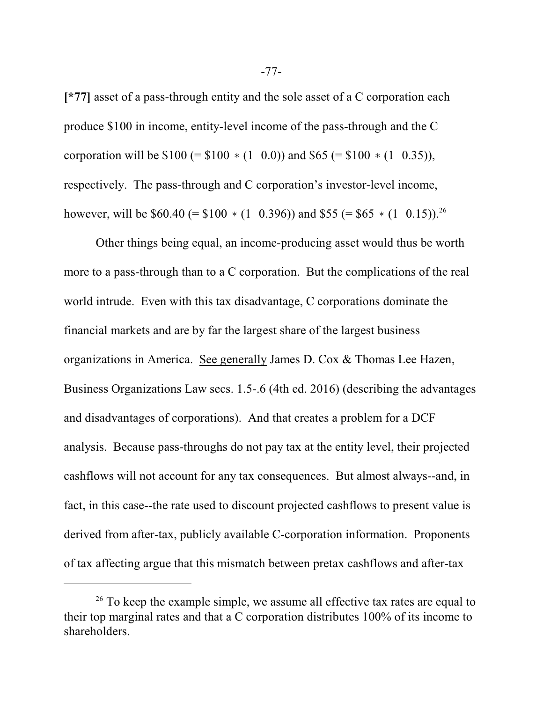**[\*77]** asset of a pass-through entity and the sole asset of a C corporation each produce \$100 in income, entity-level income of the pass-through and the C corporation will be  $$100 (= $100 * (1 0.0))$  and  $$65 (= $100 * (1 0.35)),$ respectively. The pass-through and C corporation's investor-level income, however, will be  $$60.40 (= $100 * (1 \ 0.396))$  and  $$55 (= $65 * (1 \ 0.15))$ .<sup>26</sup>

Other things being equal, an income-producing asset would thus be worth more to a pass-through than to a C corporation. But the complications of the real world intrude. Even with this tax disadvantage, C corporations dominate the financial markets and are by far the largest share of the largest business organizations in America. See generally James D. Cox & Thomas Lee Hazen, Business Organizations Law secs. 1.5-.6 (4th ed. 2016) (describing the advantages and disadvantages of corporations). And that creates a problem for a DCF analysis. Because pass-throughs do not pay tax at the entity level, their projected cashflows will not account for any tax consequences. But almost always--and, in fact, in this case--the rate used to discount projected cashflows to present value is derived from after-tax, publicly available C-corporation information. Proponents of tax affecting argue that this mismatch between pretax cashflows and after-tax

 $26$  To keep the example simple, we assume all effective tax rates are equal to their top marginal rates and that a C corporation distributes 100% of its income to shareholders.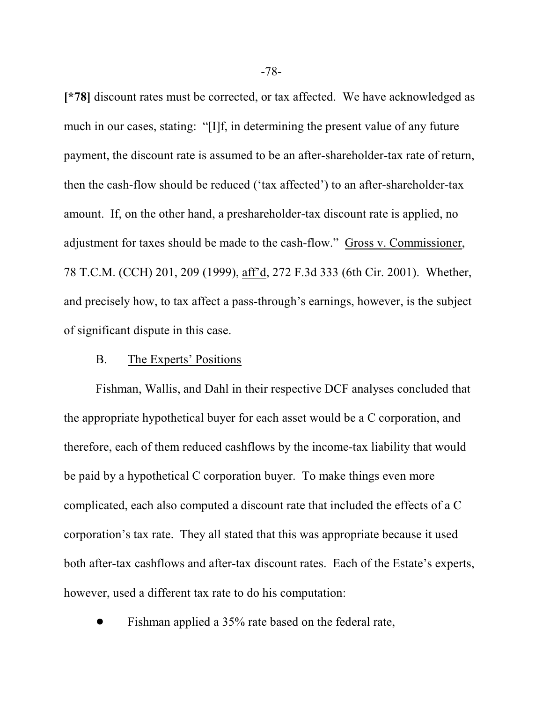**[\*78]** discount rates must be corrected, or tax affected. We have acknowledged as much in our cases, stating: "[I]f, in determining the present value of any future payment, the discount rate is assumed to be an after-shareholder-tax rate of return, then the cash-flow should be reduced ('tax affected') to an after-shareholder-tax amount. If, on the other hand, a preshareholder-tax discount rate is applied, no adjustment for taxes should be made to the cash-flow." Gross v. Commissioner, 78 T.C.M. (CCH) 201, 209 (1999), aff'd, 272 F.3d 333 (6th Cir. 2001). Whether, and precisely how, to tax affect a pass-through's earnings, however, is the subject of significant dispute in this case.

### B. The Experts' Positions

Fishman, Wallis, and Dahl in their respective DCF analyses concluded that the appropriate hypothetical buyer for each asset would be a C corporation, and therefore, each of them reduced cashflows by the income-tax liability that would be paid by a hypothetical C corporation buyer. To make things even more complicated, each also computed a discount rate that included the effects of a C corporation's tax rate. They all stated that this was appropriate because it used both after-tax cashflows and after-tax discount rates. Each of the Estate's experts, however, used a different tax rate to do his computation:

Fishman applied a 35% rate based on the federal rate,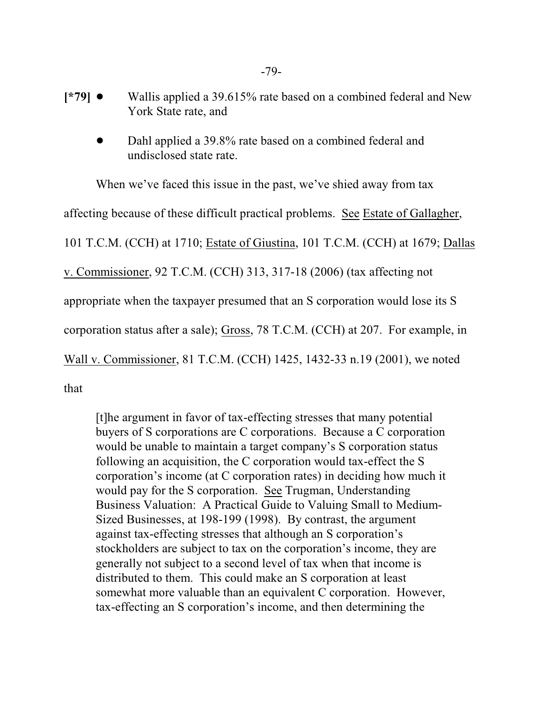- **[\*79]**  $\bullet$  Wallis applied a 39.615% rate based on a combined federal and New York State rate, and
	- Dahl applied a 39.8% rate based on a combined federal and undisclosed state rate.

When we've faced this issue in the past, we've shied away from tax affecting because of these difficult practical problems. See Estate of Gallagher, 101 T.C.M. (CCH) at 1710; Estate of Giustina, 101 T.C.M. (CCH) at 1679; Dallas v. Commissioner, 92 T.C.M. (CCH) 313, 317-18 (2006) (tax affecting not appropriate when the taxpayer presumed that an S corporation would lose its S corporation status after a sale); Gross, 78 T.C.M. (CCH) at 207. For example, in Wall v. Commissioner, 81 T.C.M. (CCH) 1425, 1432-33 n.19 (2001), we noted

that

[t]he argument in favor of tax-effecting stresses that many potential buyers of S corporations are C corporations. Because a C corporation would be unable to maintain a target company's S corporation status following an acquisition, the C corporation would tax-effect the S corporation's income (at C corporation rates) in deciding how much it would pay for the S corporation. See Trugman, Understanding Business Valuation: A Practical Guide to Valuing Small to Medium-Sized Businesses, at 198-199 (1998). By contrast, the argument against tax-effecting stresses that although an S corporation's stockholders are subject to tax on the corporation's income, they are generally not subject to a second level of tax when that income is distributed to them. This could make an S corporation at least somewhat more valuable than an equivalent C corporation. However, tax-effecting an S corporation's income, and then determining the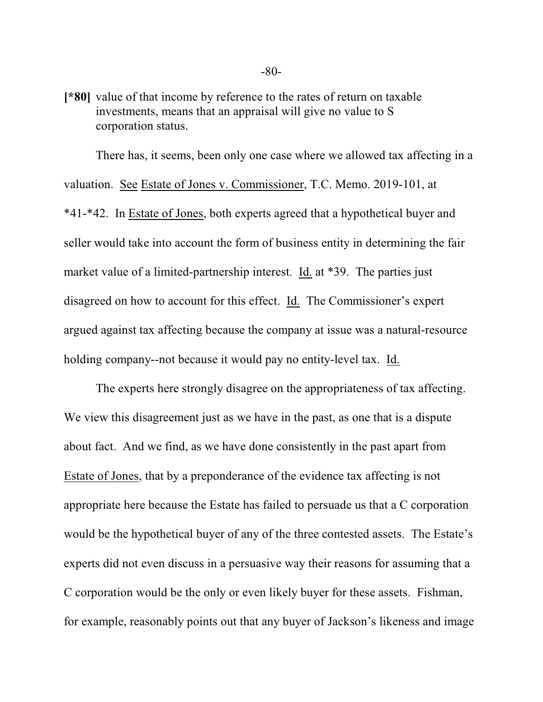**[\*80]** value of that income by reference to the rates of return on taxable investments, means that an appraisal will give no value to S corporation status.

There has, it seems, been only one case where we allowed tax affecting in a valuation. See Estate of Jones v. Commissioner, T.C. Memo. 2019-101, at \*41-\*42. In Estate of Jones, both experts agreed that a hypothetical buyer and seller would take into account the form of business entity in determining the fair market value of a limited-partnership interest. Id. at \*39. The parties just disagreed on how to account for this effect. Id. The Commissioner's expert argued against tax affecting because the company at issue was a natural-resource holding company--not because it would pay no entity-level tax. Id.

The experts here strongly disagree on the appropriateness of tax affecting. We view this disagreement just as we have in the past, as one that is a dispute about fact. And we find, as we have done consistently in the past apart from Estate of Jones, that by a preponderance of the evidence tax affecting is not appropriate here because the Estate has failed to persuade us that a C corporation would be the hypothetical buyer of any of the three contested assets. The Estate's experts did not even discuss in a persuasive way their reasons for assuming that a C corporation would be the only or even likely buyer for these assets. Fishman, for example, reasonably points out that any buyer of Jackson's likeness and image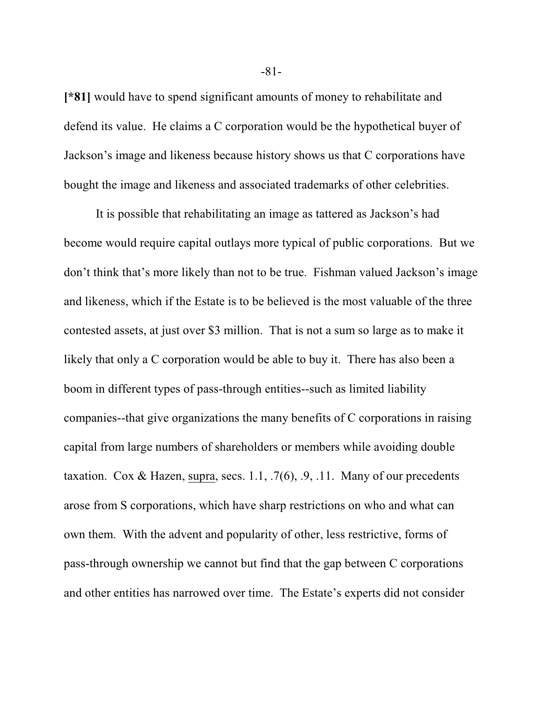**[\*81]** would have to spend significant amounts of money to rehabilitate and defend its value. He claims a C corporation would be the hypothetical buyer of Jackson's image and likeness because history shows us that C corporations have bought the image and likeness and associated trademarks of other celebrities.

It is possible that rehabilitating an image as tattered as Jackson's had become would require capital outlays more typical of public corporations. But we don't think that's more likely than not to be true. Fishman valued Jackson's image and likeness, which if the Estate is to be believed is the most valuable of the three contested assets, at just over \$3 million. That is not a sum so large as to make it likely that only a C corporation would be able to buy it. There has also been a boom in different types of pass-through entities--such as limited liability companies--that give organizations the many benefits of C corporations in raising capital from large numbers of shareholders or members while avoiding double taxation. Cox & Hazen, supra, secs. 1.1, .7(6), .9, .11. Many of our precedents arose from S corporations, which have sharp restrictions on who and what can own them. With the advent and popularity of other, less restrictive, forms of pass-through ownership we cannot but find that the gap between C corporations and other entities has narrowed over time. The Estate's experts did not consider

-81-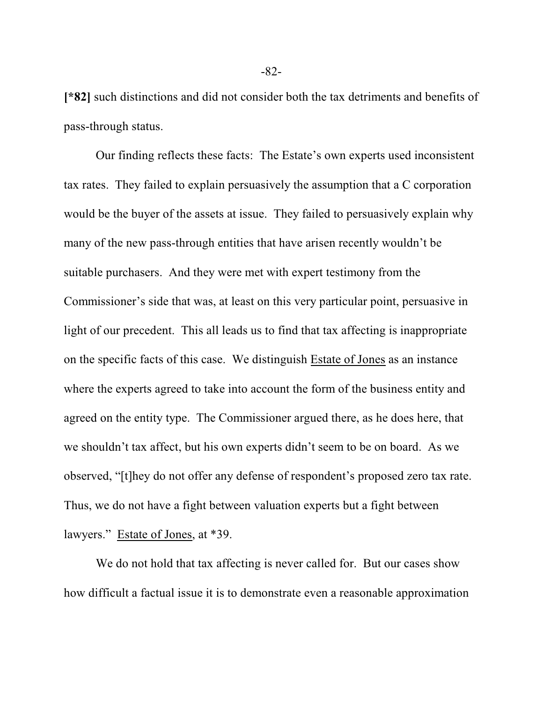**[\*82]** such distinctions and did not consider both the tax detriments and benefits of pass-through status.

Our finding reflects these facts: The Estate's own experts used inconsistent tax rates. They failed to explain persuasively the assumption that a C corporation would be the buyer of the assets at issue. They failed to persuasively explain why many of the new pass-through entities that have arisen recently wouldn't be suitable purchasers. And they were met with expert testimony from the Commissioner's side that was, at least on this very particular point, persuasive in light of our precedent. This all leads us to find that tax affecting is inappropriate on the specific facts of this case. We distinguish Estate of Jones as an instance where the experts agreed to take into account the form of the business entity and agreed on the entity type. The Commissioner argued there, as he does here, that we shouldn't tax affect, but his own experts didn't seem to be on board. As we observed, "[t]hey do not offer any defense of respondent's proposed zero tax rate. Thus, we do not have a fight between valuation experts but a fight between lawyers." Estate of Jones, at \*39.

We do not hold that tax affecting is never called for. But our cases show how difficult a factual issue it is to demonstrate even a reasonable approximation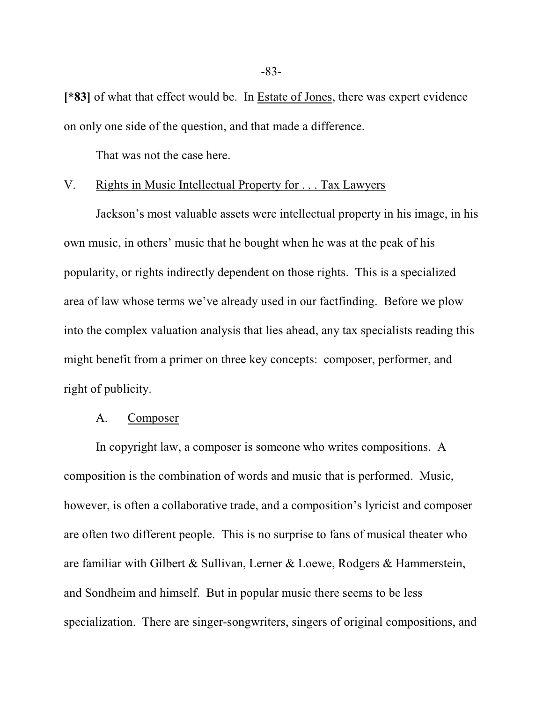**[\*83]** of what that effect would be. In Estate of Jones, there was expert evidence on only one side of the question, and that made a difference.

That was not the case here.

# V. Rights in Music Intellectual Property for . . . Tax Lawyers

Jackson's most valuable assets were intellectual property in his image, in his own music, in others' music that he bought when he was at the peak of his popularity, or rights indirectly dependent on those rights. This is a specialized area of law whose terms we've already used in our factfinding. Before we plow into the complex valuation analysis that lies ahead, any tax specialists reading this might benefit from a primer on three key concepts: composer, performer, and right of publicity.

### A. Composer

In copyright law, a composer is someone who writes compositions. A composition is the combination of words and music that is performed. Music, however, is often a collaborative trade, and a composition's lyricist and composer are often two different people. This is no surprise to fans of musical theater who are familiar with Gilbert & Sullivan, Lerner & Loewe, Rodgers & Hammerstein, and Sondheim and himself. But in popular music there seems to be less specialization. There are singer-songwriters, singers of original compositions, and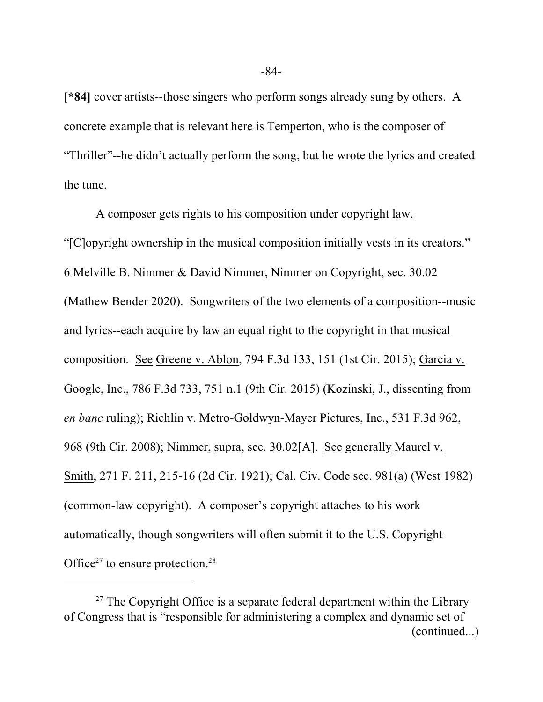**[\*84]** cover artists--those singers who perform songs already sung by others. A concrete example that is relevant here is Temperton, who is the composer of "Thriller"--he didn't actually perform the song, but he wrote the lyrics and created the tune.

A composer gets rights to his composition under copyright law. "[C]opyright ownership in the musical composition initially vests in its creators." 6 Melville B. Nimmer & David Nimmer, Nimmer on Copyright, sec. 30.02 (Mathew Bender 2020). Songwriters of the two elements of a composition--music and lyrics--each acquire by law an equal right to the copyright in that musical composition. See Greene v. Ablon, 794 F.3d 133, 151 (1st Cir. 2015); Garcia v. Google, Inc., 786 F.3d 733, 751 n.1 (9th Cir. 2015) (Kozinski, J., dissenting from *en banc* ruling); Richlin v. Metro-Goldwyn-Mayer Pictures, Inc., 531 F.3d 962, 968 (9th Cir. 2008); Nimmer, supra, sec. 30.02[A]. See generally Maurel v. Smith, 271 F. 211, 215-16 (2d Cir. 1921); Cal. Civ. Code sec. 981(a) (West 1982) (common-law copyright). A composer's copyright attaches to his work automatically, though songwriters will often submit it to the U.S. Copyright Office<sup>27</sup> to ensure protection.<sup>28</sup>

<sup>&</sup>lt;sup>27</sup> The Copyright Office is a separate federal department within the Library of Congress that is "responsible for administering a complex and dynamic set of (continued...)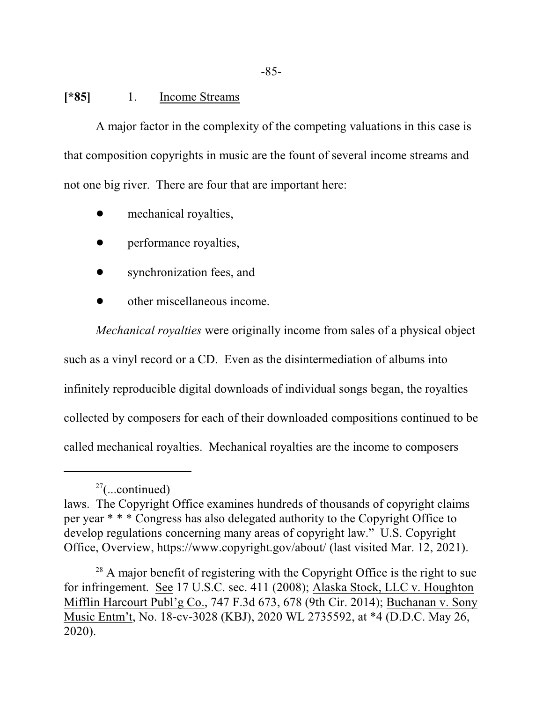## **[\*85]** 1. Income Streams

A major factor in the complexity of the competing valuations in this case is that composition copyrights in music are the fount of several income streams and not one big river. There are four that are important here:

- mechanical royalties,
- performance royalties,
- synchronization fees, and
- other miscellaneous income.

*Mechanical royalties* were originally income from sales of a physical object such as a vinyl record or a CD. Even as the disintermediation of albums into infinitely reproducible digital downloads of individual songs began, the royalties collected by composers for each of their downloaded compositions continued to be called mechanical royalties. Mechanical royalties are the income to composers

 $27$ (...continued)

laws. The Copyright Office examines hundreds of thousands of copyright claims per year \* \* \* Congress has also delegated authority to the Copyright Office to develop regulations concerning many areas of copyright law." U.S. Copyright Office, Overview, https://www.copyright.gov/about/ (last visited Mar. 12, 2021).

 $28$  A major benefit of registering with the Copyright Office is the right to sue for infringement. See 17 U.S.C. sec. 411 (2008); Alaska Stock, LLC v. Houghton Mifflin Harcourt Publ'g Co., 747 F.3d 673, 678 (9th Cir. 2014); Buchanan v. Sony Music Entm't, No. 18-cv-3028 (KBJ), 2020 WL 2735592, at \*4 (D.D.C. May 26, 2020).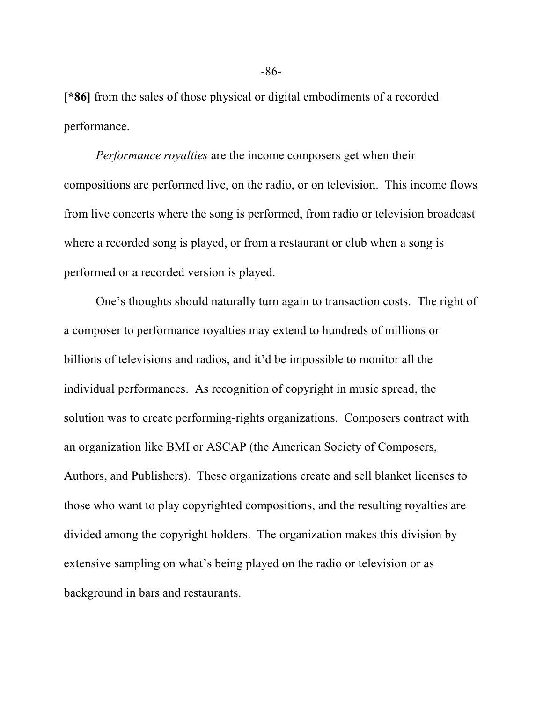**[\*86]** from the sales of those physical or digital embodiments of a recorded performance.

*Performance royalties* are the income composers get when their compositions are performed live, on the radio, or on television. This income flows from live concerts where the song is performed, from radio or television broadcast where a recorded song is played, or from a restaurant or club when a song is performed or a recorded version is played.

One's thoughts should naturally turn again to transaction costs. The right of a composer to performance royalties may extend to hundreds of millions or billions of televisions and radios, and it'd be impossible to monitor all the individual performances. As recognition of copyright in music spread, the solution was to create performing-rights organizations. Composers contract with an organization like BMI or ASCAP (the American Society of Composers, Authors, and Publishers). These organizations create and sell blanket licenses to those who want to play copyrighted compositions, and the resulting royalties are divided among the copyright holders. The organization makes this division by extensive sampling on what's being played on the radio or television or as background in bars and restaurants.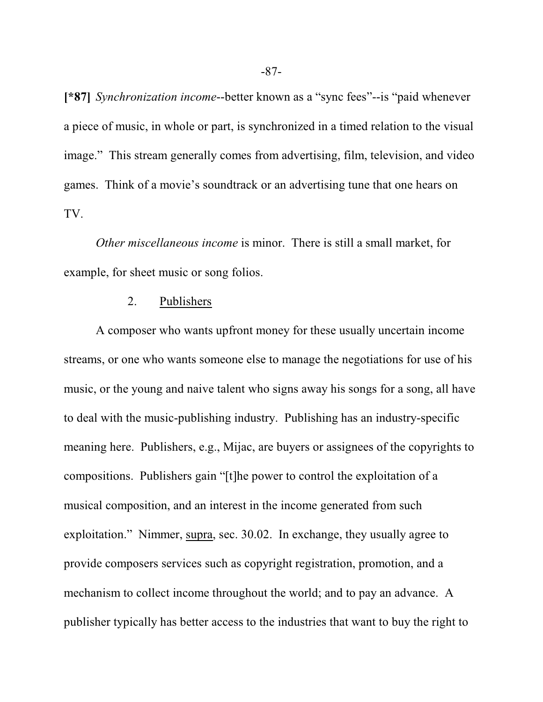**[\*87]** *Synchronization income*--better known as a "sync fees"--is "paid whenever a piece of music, in whole or part, is synchronized in a timed relation to the visual image." This stream generally comes from advertising, film, television, and video games. Think of a movie's soundtrack or an advertising tune that one hears on TV.

*Other miscellaneous income* is minor. There is still a small market, for example, for sheet music or song folios.

### 2. Publishers

A composer who wants upfront money for these usually uncertain income streams, or one who wants someone else to manage the negotiations for use of his music, or the young and naive talent who signs away his songs for a song, all have to deal with the music-publishing industry. Publishing has an industry-specific meaning here. Publishers, e.g., Mijac, are buyers or assignees of the copyrights to compositions. Publishers gain "[t]he power to control the exploitation of a musical composition, and an interest in the income generated from such exploitation." Nimmer, supra, sec. 30.02. In exchange, they usually agree to provide composers services such as copyright registration, promotion, and a mechanism to collect income throughout the world; and to pay an advance. A publisher typically has better access to the industries that want to buy the right to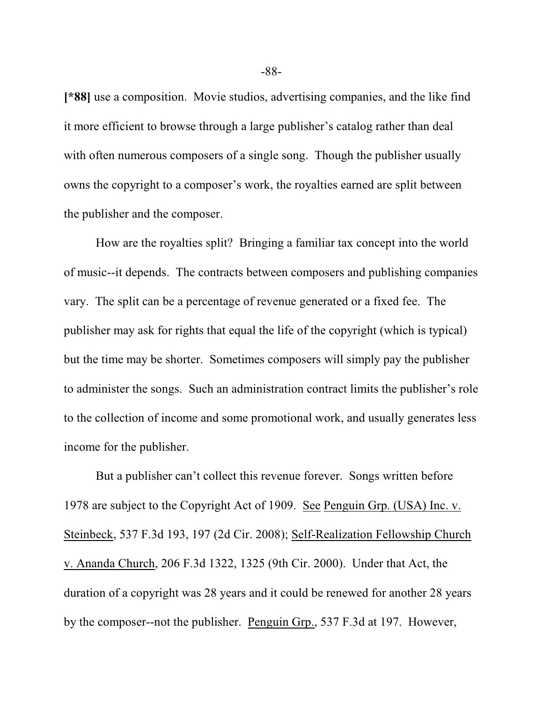**[\*88]** use a composition. Movie studios, advertising companies, and the like find it more efficient to browse through a large publisher's catalog rather than deal with often numerous composers of a single song. Though the publisher usually owns the copyright to a composer's work, the royalties earned are split between the publisher and the composer.

How are the royalties split? Bringing a familiar tax concept into the world of music--it depends. The contracts between composers and publishing companies vary. The split can be a percentage of revenue generated or a fixed fee. The publisher may ask for rights that equal the life of the copyright (which is typical) but the time may be shorter. Sometimes composers will simply pay the publisher to administer the songs. Such an administration contract limits the publisher's role to the collection of income and some promotional work, and usually generates less income for the publisher.

But a publisher can't collect this revenue forever. Songs written before 1978 are subject to the Copyright Act of 1909. See Penguin Grp. (USA) Inc. v. Steinbeck, 537 F.3d 193, 197 (2d Cir. 2008); Self-Realization Fellowship Church v. Ananda Church, 206 F.3d 1322, 1325 (9th Cir. 2000). Under that Act, the duration of a copyright was 28 years and it could be renewed for another 28 years by the composer--not the publisher. Penguin Grp., 537 F.3d at 197. However,

-88-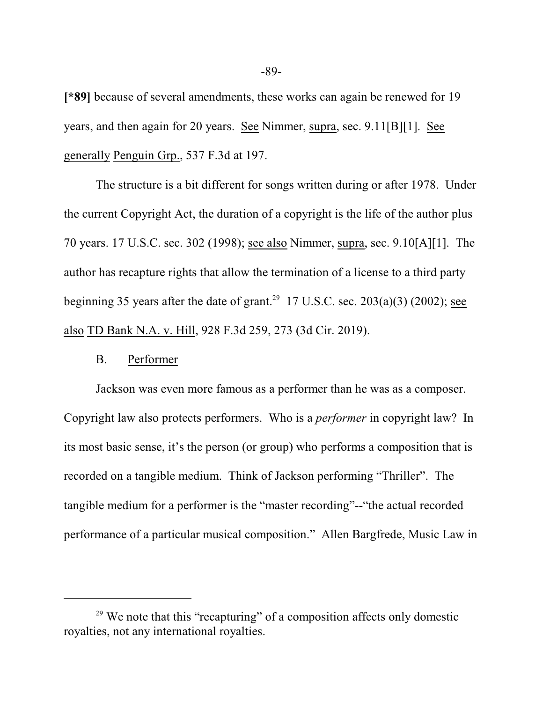**[\*89]** because of several amendments, these works can again be renewed for 19 years, and then again for 20 years. See Nimmer, supra, sec. 9.11[B][1]. See generally Penguin Grp., 537 F.3d at 197.

The structure is a bit different for songs written during or after 1978. Under the current Copyright Act, the duration of a copyright is the life of the author plus 70 years. 17 U.S.C. sec. 302 (1998); see also Nimmer, supra, sec. 9.10[A][1]. The author has recapture rights that allow the termination of a license to a third party beginning 35 years after the date of grant.<sup>29</sup> 17 U.S.C. sec.  $203(a)(3)$  (2002); see also TD Bank N.A. v. Hill, 928 F.3d 259, 273 (3d Cir. 2019).

### B. Performer

Jackson was even more famous as a performer than he was as a composer. Copyright law also protects performers. Who is a *performer* in copyright law? In its most basic sense, it's the person (or group) who performs a composition that is recorded on a tangible medium. Think of Jackson performing "Thriller". The tangible medium for a performer is the "master recording"--"the actual recorded performance of a particular musical composition." Allen Bargfrede, Music Law in

<sup>&</sup>lt;sup>29</sup> We note that this "recapturing" of a composition affects only domestic royalties, not any international royalties.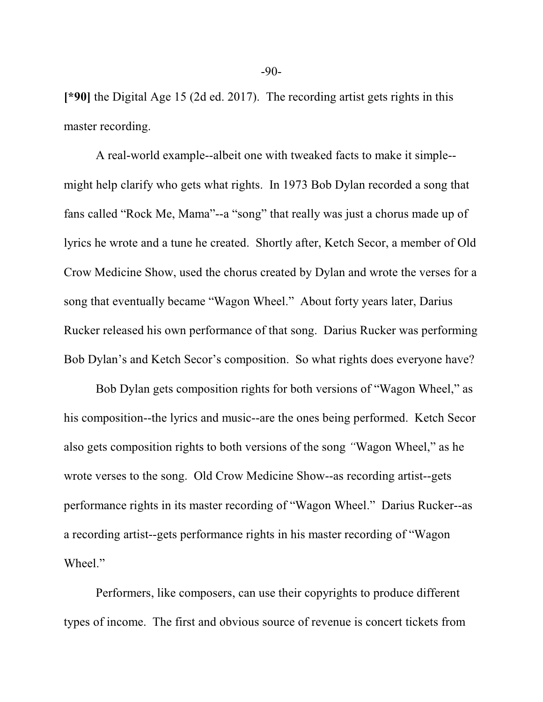**[\*90]** the Digital Age 15 (2d ed. 2017). The recording artist gets rights in this master recording.

A real-world example--albeit one with tweaked facts to make it simple- might help clarify who gets what rights. In 1973 Bob Dylan recorded a song that fans called "Rock Me, Mama"--a "song" that really was just a chorus made up of lyrics he wrote and a tune he created. Shortly after, Ketch Secor, a member of Old Crow Medicine Show, used the chorus created by Dylan and wrote the verses for a song that eventually became "Wagon Wheel." About forty years later, Darius Rucker released his own performance of that song. Darius Rucker was performing Bob Dylan's and Ketch Secor's composition. So what rights does everyone have?

Bob Dylan gets composition rights for both versions of "Wagon Wheel," as his composition--the lyrics and music--are the ones being performed. Ketch Secor also gets composition rights to both versions of the song *"*Wagon Wheel," as he wrote verses to the song. Old Crow Medicine Show--as recording artist--gets performance rights in its master recording of "Wagon Wheel." Darius Rucker--as a recording artist--gets performance rights in his master recording of "Wagon Wheel."

Performers, like composers, can use their copyrights to produce different types of income. The first and obvious source of revenue is concert tickets from

-90-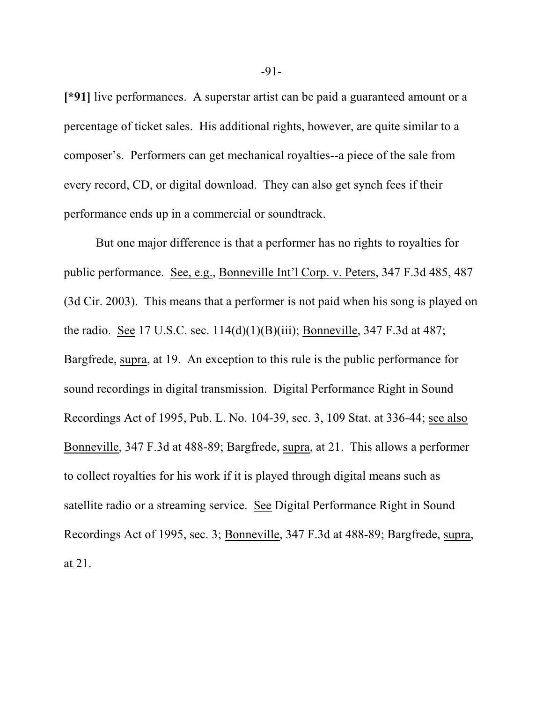**[\*91]** live performances. A superstar artist can be paid a guaranteed amount or a percentage of ticket sales. His additional rights, however, are quite similar to a composer's. Performers can get mechanical royalties--a piece of the sale from every record, CD, or digital download. They can also get synch fees if their performance ends up in a commercial or soundtrack.

But one major difference is that a performer has no rights to royalties for public performance. See, e.g., Bonneville Int'l Corp. v. Peters, 347 F.3d 485, 487 (3d Cir. 2003). This means that a performer is not paid when his song is played on the radio. See 17 U.S.C. sec.  $114(d)(1)(B)(iii)$ ; Bonneville, 347 F.3d at 487; Bargfrede, supra, at 19. An exception to this rule is the public performance for sound recordings in digital transmission. Digital Performance Right in Sound Recordings Act of 1995, Pub. L. No. 104-39, sec. 3, 109 Stat. at 336-44; see also Bonneville, 347 F.3d at 488-89; Bargfrede, supra, at 21. This allows a performer to collect royalties for his work if it is played through digital means such as satellite radio or a streaming service. See Digital Performance Right in Sound Recordings Act of 1995, sec. 3; Bonneville, 347 F.3d at 488-89; Bargfrede, supra, at 21.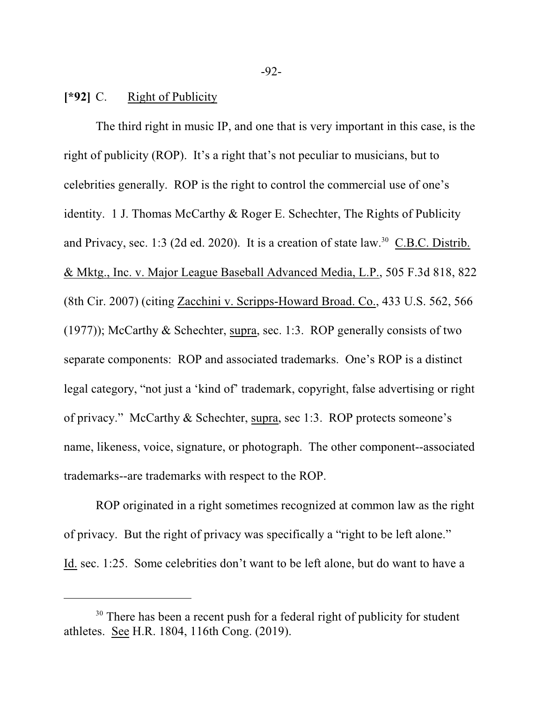### **[\*92]** C. Right of Publicity

The third right in music IP, and one that is very important in this case, is the right of publicity (ROP). It's a right that's not peculiar to musicians, but to celebrities generally. ROP is the right to control the commercial use of one's identity. 1 J. Thomas McCarthy & Roger E. Schechter, The Rights of Publicity and Privacy, sec. 1:3 (2d ed. 2020). It is a creation of state law.<sup>30</sup> C.B.C. Distrib. & Mktg., Inc. v. Major League Baseball Advanced Media, L.P., 505 F.3d 818, 822 (8th Cir. 2007) (citing Zacchini v. Scripps-Howard Broad. Co., 433 U.S. 562, 566 (1977)); McCarthy & Schechter, supra, sec. 1:3. ROP generally consists of two separate components: ROP and associated trademarks. One's ROP is a distinct legal category, "not just a 'kind of' trademark, copyright, false advertising or right of privacy." McCarthy & Schechter, supra, sec 1:3. ROP protects someone's name, likeness, voice, signature, or photograph. The other component--associated trademarks--are trademarks with respect to the ROP.

ROP originated in a right sometimes recognized at common law as the right of privacy. But the right of privacy was specifically a "right to be left alone." Id. sec. 1:25. Some celebrities don't want to be left alone, but do want to have a

-92-

<sup>&</sup>lt;sup>30</sup> There has been a recent push for a federal right of publicity for student athletes. See H.R. 1804, 116th Cong. (2019).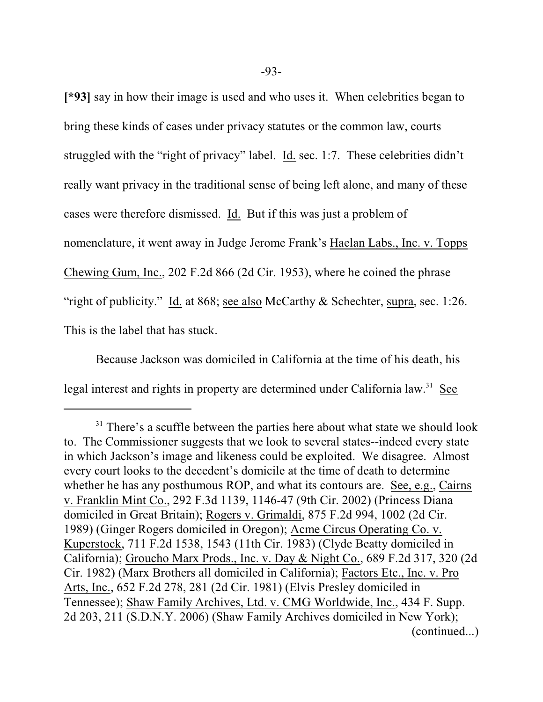**[\*93]** say in how their image is used and who uses it. When celebrities began to bring these kinds of cases under privacy statutes or the common law, courts struggled with the "right of privacy" label. Id. sec. 1:7. These celebrities didn't really want privacy in the traditional sense of being left alone, and many of these cases were therefore dismissed. Id. But if this was just a problem of nomenclature, it went away in Judge Jerome Frank's Haelan Labs., Inc. v. Topps Chewing Gum, Inc., 202 F.2d 866 (2d Cir. 1953), where he coined the phrase "right of publicity." Id. at 868; see also McCarthy & Schechter, supra, sec. 1:26. This is the label that has stuck.

Because Jackson was domiciled in California at the time of his death, his legal interest and rights in property are determined under California law.<sup>31</sup> See

<sup>&</sup>lt;sup>31</sup> There's a scuffle between the parties here about what state we should look to. The Commissioner suggests that we look to several states--indeed every state in which Jackson's image and likeness could be exploited. We disagree. Almost every court looks to the decedent's domicile at the time of death to determine whether he has any posthumous ROP, and what its contours are. See, e.g., Cairns v. Franklin Mint Co., 292 F.3d 1139, 1146-47 (9th Cir. 2002) (Princess Diana domiciled in Great Britain); Rogers v. Grimaldi, 875 F.2d 994, 1002 (2d Cir. 1989) (Ginger Rogers domiciled in Oregon); Acme Circus Operating Co. v. Kuperstock, 711 F.2d 1538, 1543 (11th Cir. 1983) (Clyde Beatty domiciled in California); Groucho Marx Prods., Inc. v. Day & Night Co., 689 F.2d 317, 320 (2d Cir. 1982) (Marx Brothers all domiciled in California); Factors Etc., Inc. v. Pro Arts, Inc., 652 F.2d 278, 281 (2d Cir. 1981) (Elvis Presley domiciled in Tennessee); Shaw Family Archives, Ltd. v. CMG Worldwide, Inc., 434 F. Supp. 2d 203, 211 (S.D.N.Y. 2006) (Shaw Family Archives domiciled in New York); (continued...)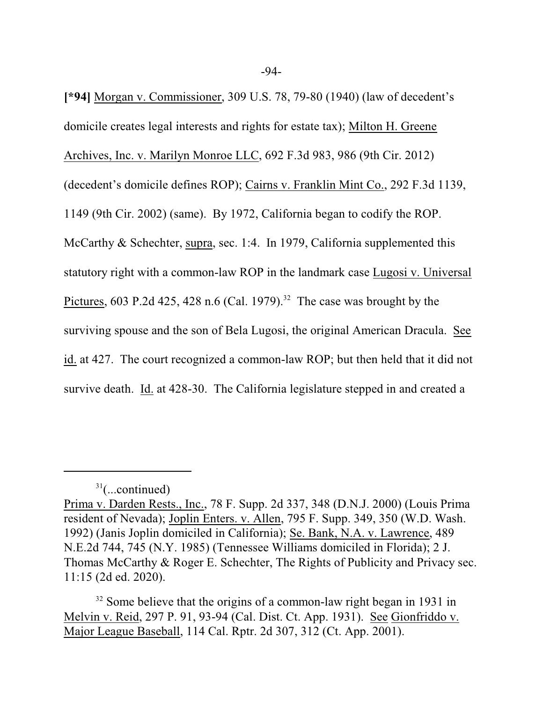**[\*94]** Morgan v. Commissioner, 309 U.S. 78, 79-80 (1940) (law of decedent's domicile creates legal interests and rights for estate tax); Milton H. Greene Archives, Inc. v. Marilyn Monroe LLC, 692 F.3d 983, 986 (9th Cir. 2012) (decedent's domicile defines ROP); Cairns v. Franklin Mint Co., 292 F.3d 1139, 1149 (9th Cir. 2002) (same). By 1972, California began to codify the ROP. McCarthy & Schechter, supra, sec. 1:4. In 1979, California supplemented this statutory right with a common-law ROP in the landmark case Lugosi v. Universal Pictures, 603 P.2d 425, 428 n.6 (Cal. 1979).<sup>32</sup> The case was brought by the surviving spouse and the son of Bela Lugosi, the original American Dracula. See id. at 427. The court recognized a common-law ROP; but then held that it did not survive death. Id. at 428-30. The California legislature stepped in and created a

 $31$ (...continued)

Prima v. Darden Rests., Inc., 78 F. Supp. 2d 337, 348 (D.N.J. 2000) (Louis Prima resident of Nevada); Joplin Enters. v. Allen, 795 F. Supp. 349, 350 (W.D. Wash. 1992) (Janis Joplin domiciled in California); Se. Bank, N.A. v. Lawrence, 489 N.E.2d 744, 745 (N.Y. 1985) (Tennessee Williams domiciled in Florida); 2 J. Thomas McCarthy & Roger E. Schechter, The Rights of Publicity and Privacy sec. 11:15 (2d ed. 2020).

 $32$  Some believe that the origins of a common-law right began in 1931 in Melvin v. Reid, 297 P. 91, 93-94 (Cal. Dist. Ct. App. 1931). See Gionfriddo v. Major League Baseball, 114 Cal. Rptr. 2d 307, 312 (Ct. App. 2001).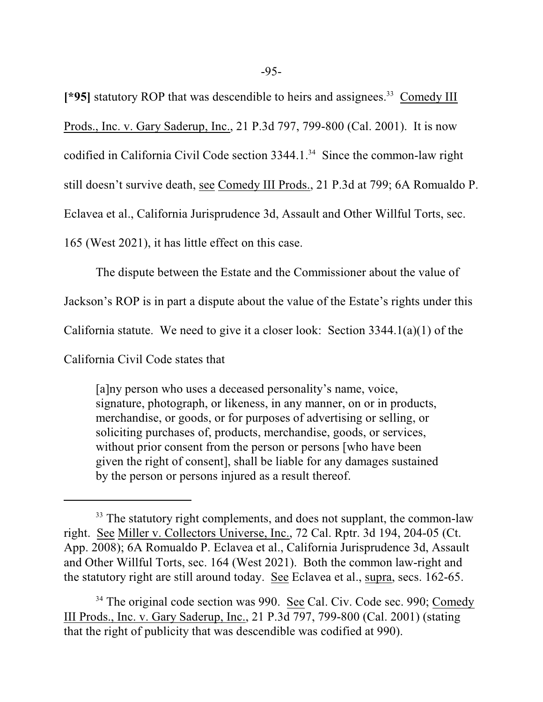[\*95] statutory ROP that was descendible to heirs and assignees.<sup>33</sup> Comedy III

Prods., Inc. v. Gary Saderup, Inc., 21 P.3d 797, 799-800 (Cal. 2001). It is now

codified in California Civil Code section 3344.1. 34 Since the common-law right

still doesn't survive death, see Comedy III Prods., 21 P.3d at 799; 6A Romualdo P.

Eclavea et al., California Jurisprudence 3d, Assault and Other Willful Torts, sec.

165 (West 2021), it has little effect on this case.

The dispute between the Estate and the Commissioner about the value of

Jackson's ROP is in part a dispute about the value of the Estate's rights under this

California statute. We need to give it a closer look: Section 3344.1(a)(1) of the

California Civil Code states that

[a]ny person who uses a deceased personality's name, voice, signature, photograph, or likeness, in any manner, on or in products, merchandise, or goods, or for purposes of advertising or selling, or soliciting purchases of, products, merchandise, goods, or services, without prior consent from the person or persons [who have been given the right of consent], shall be liable for any damages sustained by the person or persons injured as a result thereof.

<sup>&</sup>lt;sup>33</sup> The statutory right complements, and does not supplant, the common-law right. See Miller v. Collectors Universe, Inc., 72 Cal. Rptr. 3d 194, 204-05 (Ct. App. 2008); 6A Romualdo P. Eclavea et al., California Jurisprudence 3d, Assault and Other Willful Torts, sec. 164 (West 2021). Both the common law-right and the statutory right are still around today. See Eclavea et al., supra, secs. 162-65.

<sup>&</sup>lt;sup>34</sup> The original code section was 990. See Cal. Civ. Code sec. 990; Comedy III Prods., Inc. v. Gary Saderup, Inc., 21 P.3d 797, 799-800 (Cal. 2001) (stating that the right of publicity that was descendible was codified at 990).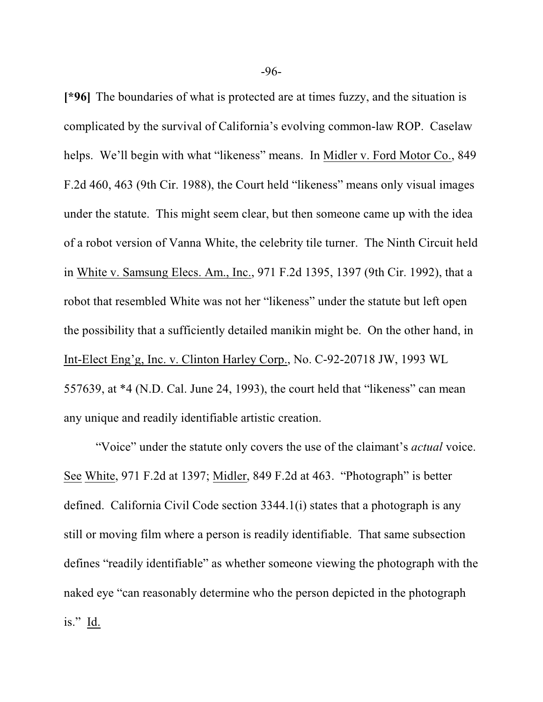**[\*96]** The boundaries of what is protected are at times fuzzy, and the situation is complicated by the survival of California's evolving common-law ROP. Caselaw helps. We'll begin with what "likeness" means. In Midler v. Ford Motor Co., 849 F.2d 460, 463 (9th Cir. 1988), the Court held "likeness" means only visual images under the statute. This might seem clear, but then someone came up with the idea of a robot version of Vanna White, the celebrity tile turner. The Ninth Circuit held in White v. Samsung Elecs. Am., Inc., 971 F.2d 1395, 1397 (9th Cir. 1992), that a robot that resembled White was not her "likeness" under the statute but left open the possibility that a sufficiently detailed manikin might be. On the other hand, in Int-Elect Eng'g, Inc. v. Clinton Harley Corp., No. C-92-20718 JW, 1993 WL 557639, at \*4 (N.D. Cal. June 24, 1993), the court held that "likeness" can mean any unique and readily identifiable artistic creation.

"Voice" under the statute only covers the use of the claimant's *actual* voice. See White, 971 F.2d at 1397; Midler, 849 F.2d at 463. "Photograph" is better defined. California Civil Code section 3344.1(i) states that a photograph is any still or moving film where a person is readily identifiable. That same subsection defines "readily identifiable" as whether someone viewing the photograph with the naked eye "can reasonably determine who the person depicted in the photograph is." Id.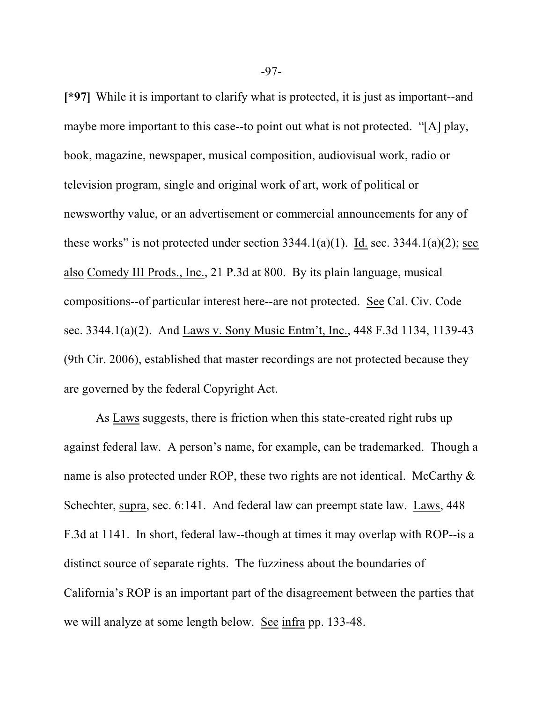**[\*97]** While it is important to clarify what is protected, it is just as important--and maybe more important to this case--to point out what is not protected. "[A] play, book, magazine, newspaper, musical composition, audiovisual work, radio or television program, single and original work of art, work of political or newsworthy value, or an advertisement or commercial announcements for any of these works" is not protected under section  $3344.1(a)(1)$ . Id. sec.  $3344.1(a)(2)$ ; see also Comedy III Prods., Inc., 21 P.3d at 800. By its plain language, musical compositions--of particular interest here--are not protected. See Cal. Civ. Code sec. 3344.1(a)(2). And Laws v. Sony Music Entm't, Inc., 448 F.3d 1134, 1139-43 (9th Cir. 2006), established that master recordings are not protected because they are governed by the federal Copyright Act.

As Laws suggests, there is friction when this state-created right rubs up against federal law. A person's name, for example, can be trademarked. Though a name is also protected under ROP, these two rights are not identical. McCarthy  $\&$ Schechter, supra, sec. 6:141. And federal law can preempt state law. Laws, 448 F.3d at 1141. In short, federal law--though at times it may overlap with ROP--is a distinct source of separate rights. The fuzziness about the boundaries of California's ROP is an important part of the disagreement between the parties that we will analyze at some length below. See infra pp. 133-48.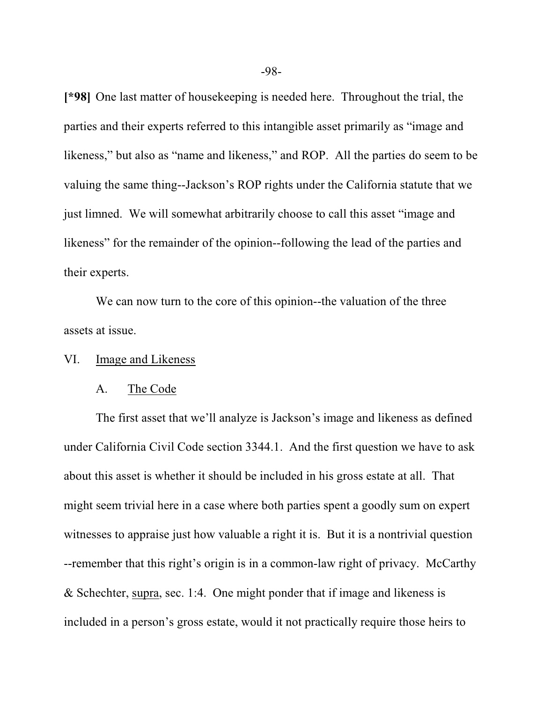**[\*98]** One last matter of housekeeping is needed here. Throughout the trial, the parties and their experts referred to this intangible asset primarily as "image and likeness," but also as "name and likeness," and ROP. All the parties do seem to be valuing the same thing--Jackson's ROP rights under the California statute that we just limned. We will somewhat arbitrarily choose to call this asset "image and likeness" for the remainder of the opinion--following the lead of the parties and their experts.

We can now turn to the core of this opinion--the valuation of the three assets at issue.

#### VI. Image and Likeness

#### A. The Code

The first asset that we'll analyze is Jackson's image and likeness as defined under California Civil Code section 3344.1. And the first question we have to ask about this asset is whether it should be included in his gross estate at all. That might seem trivial here in a case where both parties spent a goodly sum on expert witnesses to appraise just how valuable a right it is. But it is a nontrivial question --remember that this right's origin is in a common-law right of privacy. McCarthy & Schechter, supra, sec. 1:4. One might ponder that if image and likeness is included in a person's gross estate, would it not practically require those heirs to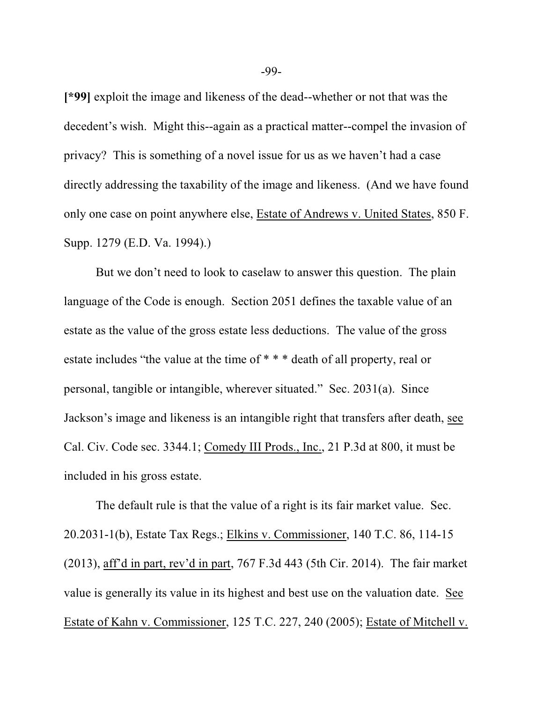**[\*99]** exploit the image and likeness of the dead--whether or not that was the decedent's wish. Might this--again as a practical matter--compel the invasion of privacy? This is something of a novel issue for us as we haven't had a case directly addressing the taxability of the image and likeness. (And we have found only one case on point anywhere else, Estate of Andrews v. United States, 850 F. Supp. 1279 (E.D. Va. 1994).)

But we don't need to look to caselaw to answer this question. The plain language of the Code is enough. Section 2051 defines the taxable value of an estate as the value of the gross estate less deductions. The value of the gross estate includes "the value at the time of \* \* \* death of all property, real or personal, tangible or intangible, wherever situated." Sec. 2031(a). Since Jackson's image and likeness is an intangible right that transfers after death, see Cal. Civ. Code sec. 3344.1; Comedy III Prods., Inc., 21 P.3d at 800, it must be included in his gross estate.

The default rule is that the value of a right is its fair market value. Sec. 20.2031-1(b), Estate Tax Regs.; Elkins v. Commissioner, 140 T.C. 86, 114-15 (2013), aff'd in part, rev'd in part, 767 F.3d 443 (5th Cir. 2014). The fair market value is generally its value in its highest and best use on the valuation date. See Estate of Kahn v. Commissioner, 125 T.C. 227, 240 (2005); Estate of Mitchell v.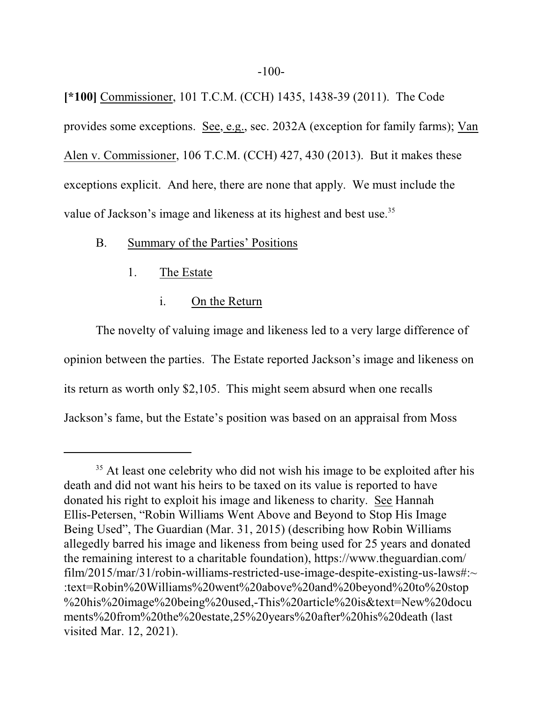**[\*100]** Commissioner, 101 T.C.M. (CCH) 1435, 1438-39 (2011). The Code provides some exceptions. See, e.g., sec. 2032A (exception for family farms); Van Alen v. Commissioner, 106 T.C.M. (CCH) 427, 430 (2013). But it makes these exceptions explicit. And here, there are none that apply. We must include the value of Jackson's image and likeness at its highest and best use.<sup>35</sup>

## B. Summary of the Parties' Positions

- 1. The Estate
	- i. On the Return

The novelty of valuing image and likeness led to a very large difference of opinion between the parties. The Estate reported Jackson's image and likeness on its return as worth only \$2,105. This might seem absurd when one recalls Jackson's fame, but the Estate's position was based on an appraisal from Moss

<sup>&</sup>lt;sup>35</sup> At least one celebrity who did not wish his image to be exploited after his death and did not want his heirs to be taxed on its value is reported to have donated his right to exploit his image and likeness to charity. See Hannah Ellis-Petersen, "Robin Williams Went Above and Beyond to Stop His Image Being Used", The Guardian (Mar. 31, 2015) (describing how Robin Williams allegedly barred his image and likeness from being used for 25 years and donated the remaining interest to a charitable foundation), https://www.theguardian.com/ film/2015/mar/31/robin-williams-restricted-use-image-despite-existing-us-laws#:~ :text=Robin%20Williams%20went%20above%20and%20beyond%20to%20stop %20his%20image%20being%20used,-This%20article%20is&text=New%20docu ments%20from%20the%20estate,25%20years%20after%20his%20death (last visited Mar. 12, 2021).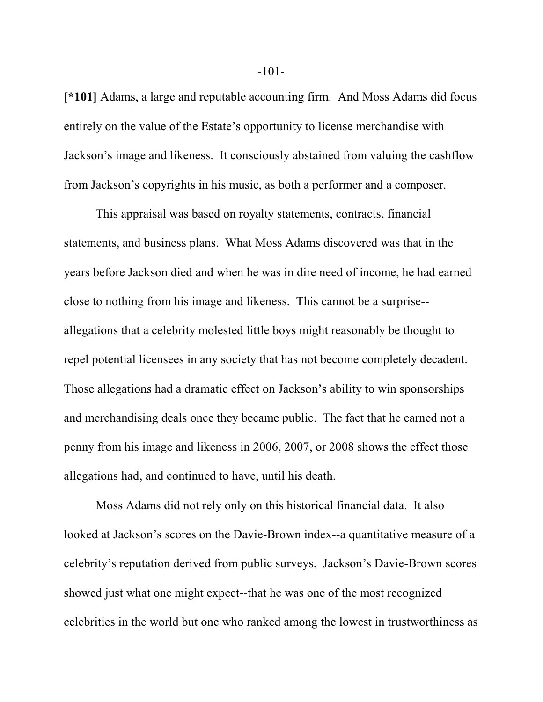**[\*101]** Adams, a large and reputable accounting firm. And Moss Adams did focus entirely on the value of the Estate's opportunity to license merchandise with Jackson's image and likeness. It consciously abstained from valuing the cashflow from Jackson's copyrights in his music, as both a performer and a composer.

This appraisal was based on royalty statements, contracts, financial statements, and business plans. What Moss Adams discovered was that in the years before Jackson died and when he was in dire need of income, he had earned close to nothing from his image and likeness. This cannot be a surprise- allegations that a celebrity molested little boys might reasonably be thought to repel potential licensees in any society that has not become completely decadent. Those allegations had a dramatic effect on Jackson's ability to win sponsorships and merchandising deals once they became public. The fact that he earned not a penny from his image and likeness in 2006, 2007, or 2008 shows the effect those allegations had, and continued to have, until his death.

Moss Adams did not rely only on this historical financial data. It also looked at Jackson's scores on the Davie-Brown index--a quantitative measure of a celebrity's reputation derived from public surveys. Jackson's Davie-Brown scores showed just what one might expect--that he was one of the most recognized celebrities in the world but one who ranked among the lowest in trustworthiness as

-101-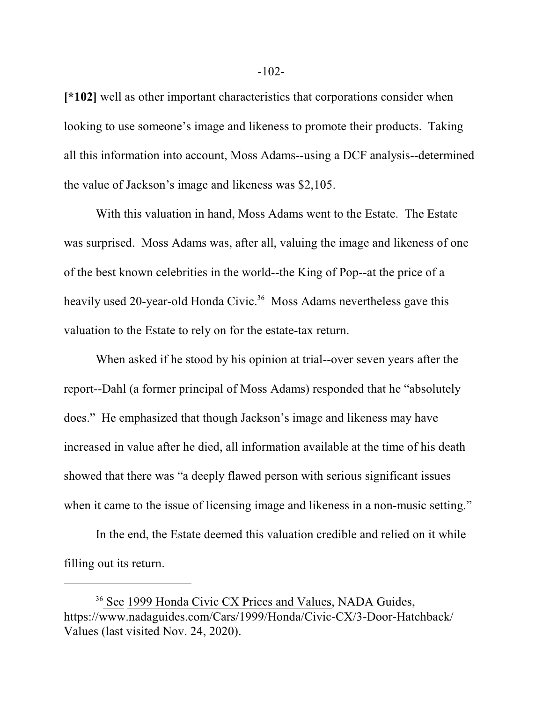**[\*102]** well as other important characteristics that corporations consider when looking to use someone's image and likeness to promote their products. Taking all this information into account, Moss Adams--using a DCF analysis--determined the value of Jackson's image and likeness was \$2,105.

With this valuation in hand, Moss Adams went to the Estate. The Estate was surprised. Moss Adams was, after all, valuing the image and likeness of one of the best known celebrities in the world--the King of Pop--at the price of a heavily used 20-year-old Honda Civic.<sup>36</sup> Moss Adams nevertheless gave this valuation to the Estate to rely on for the estate-tax return.

When asked if he stood by his opinion at trial--over seven years after the report--Dahl (a former principal of Moss Adams) responded that he "absolutely does." He emphasized that though Jackson's image and likeness may have increased in value after he died, all information available at the time of his death showed that there was "a deeply flawed person with serious significant issues when it came to the issue of licensing image and likeness in a non-music setting."

In the end, the Estate deemed this valuation credible and relied on it while filling out its return.

<sup>&</sup>lt;sup>36</sup> See 1999 Honda Civic CX Prices and Values, NADA Guides, https://www.nadaguides.com/Cars/1999/Honda/Civic-CX/3-Door-Hatchback/ Values (last visited Nov. 24, 2020).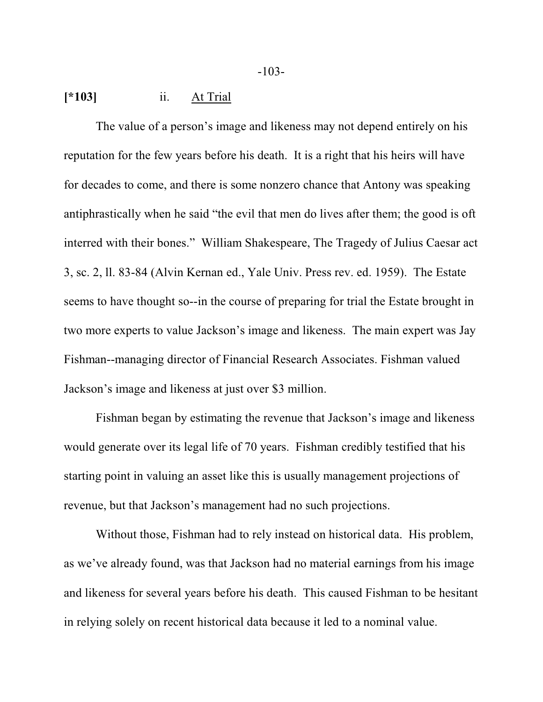### **[\*103]** ii. At Trial

The value of a person's image and likeness may not depend entirely on his reputation for the few years before his death. It is a right that his heirs will have for decades to come, and there is some nonzero chance that Antony was speaking antiphrastically when he said "the evil that men do lives after them; the good is oft interred with their bones." William Shakespeare, The Tragedy of Julius Caesar act 3, sc. 2, ll. 83-84 (Alvin Kernan ed., Yale Univ. Press rev. ed. 1959). The Estate seems to have thought so--in the course of preparing for trial the Estate brought in two more experts to value Jackson's image and likeness. The main expert was Jay Fishman--managing director of Financial Research Associates. Fishman valued Jackson's image and likeness at just over \$3 million.

Fishman began by estimating the revenue that Jackson's image and likeness would generate over its legal life of 70 years. Fishman credibly testified that his starting point in valuing an asset like this is usually management projections of revenue, but that Jackson's management had no such projections.

Without those, Fishman had to rely instead on historical data. His problem, as we've already found, was that Jackson had no material earnings from his image and likeness for several years before his death. This caused Fishman to be hesitant in relying solely on recent historical data because it led to a nominal value.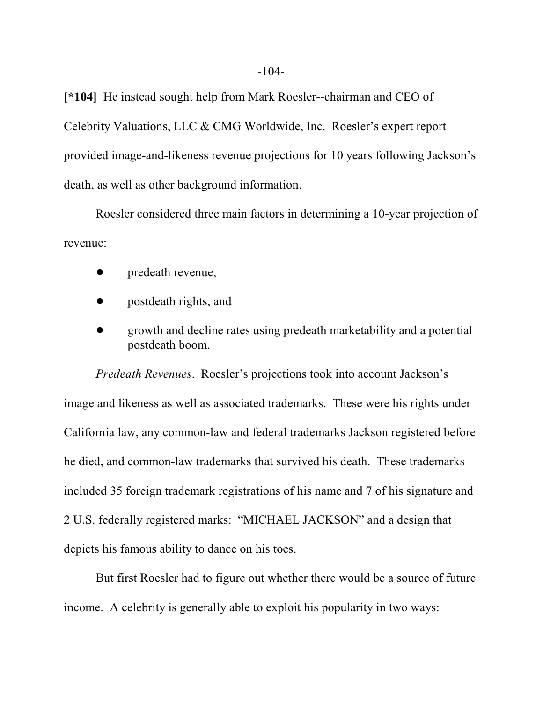**[\*104]** He instead sought help from Mark Roesler--chairman and CEO of Celebrity Valuations, LLC & CMG Worldwide, Inc. Roesler's expert report provided image-and-likeness revenue projections for 10 years following Jackson's death, as well as other background information.

Roesler considered three main factors in determining a 10-year projection of revenue:

- predeath revenue,
- ! postdeath rights, and
- ! growth and decline rates using predeath marketability and a potential postdeath boom.

*Predeath Revenues*. Roesler's projections took into account Jackson's image and likeness as well as associated trademarks. These were his rights under California law, any common-law and federal trademarks Jackson registered before he died, and common-law trademarks that survived his death. These trademarks included 35 foreign trademark registrations of his name and 7 of his signature and 2 U.S. federally registered marks: "MICHAEL JACKSON" and a design that depicts his famous ability to dance on his toes.

But first Roesler had to figure out whether there would be a source of future income. A celebrity is generally able to exploit his popularity in two ways: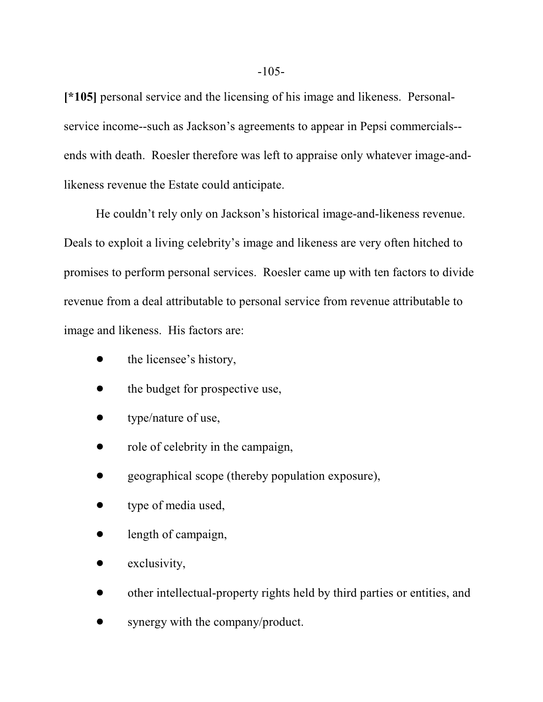**[\*105]** personal service and the licensing of his image and likeness. Personalservice income--such as Jackson's agreements to appear in Pepsi commercials- ends with death. Roesler therefore was left to appraise only whatever image-andlikeness revenue the Estate could anticipate.

He couldn't rely only on Jackson's historical image-and-likeness revenue. Deals to exploit a living celebrity's image and likeness are very often hitched to promises to perform personal services. Roesler came up with ten factors to divide revenue from a deal attributable to personal service from revenue attributable to image and likeness. His factors are:

- the licensee's history,
- the budget for prospective use,
- type/nature of use,
- role of celebrity in the campaign,
- ! geographical scope (thereby population exposure),
- type of media used,
- $\bullet$  length of campaign,
- exclusivity,
- ! other intellectual-property rights held by third parties or entities, and
- synergy with the company/product.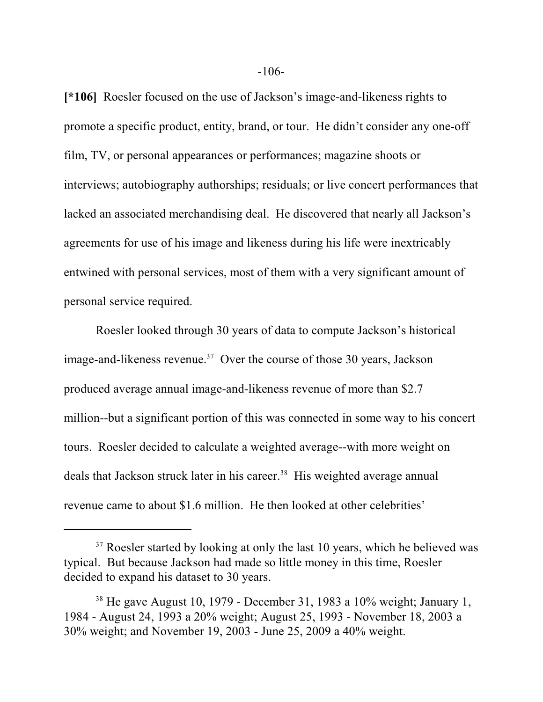**[\*106]** Roesler focused on the use of Jackson's image-and-likeness rights to promote a specific product, entity, brand, or tour. He didn't consider any one-off film, TV, or personal appearances or performances; magazine shoots or interviews; autobiography authorships; residuals; or live concert performances that lacked an associated merchandising deal. He discovered that nearly all Jackson's agreements for use of his image and likeness during his life were inextricably entwined with personal services, most of them with a very significant amount of personal service required.

Roesler looked through 30 years of data to compute Jackson's historical image-and-likeness revenue.<sup>37</sup> Over the course of those 30 years, Jackson produced average annual image-and-likeness revenue of more than \$2.7 million--but a significant portion of this was connected in some way to his concert tours. Roesler decided to calculate a weighted average--with more weight on deals that Jackson struck later in his career.<sup>38</sup> His weighted average annual revenue came to about \$1.6 million. He then looked at other celebrities'

<sup>&</sup>lt;sup>37</sup> Roesler started by looking at only the last 10 years, which he believed was typical. But because Jackson had made so little money in this time, Roesler decided to expand his dataset to 30 years.

 $38$  He gave August 10, 1979 - December 31, 1983 a 10% weight; January 1, 1984 - August 24, 1993 a 20% weight; August 25, 1993 - November 18, 2003 a 30% weight; and November 19, 2003 - June 25, 2009 a 40% weight.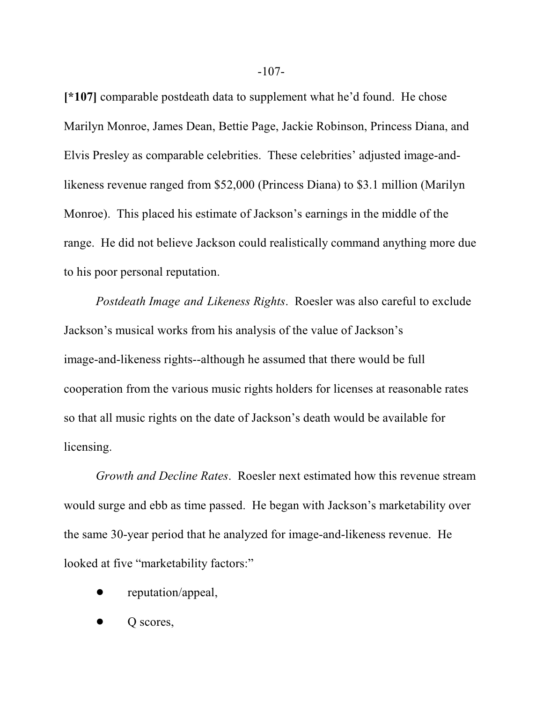**[\*107]** comparable postdeath data to supplement what he'd found. He chose Marilyn Monroe, James Dean, Bettie Page, Jackie Robinson, Princess Diana, and Elvis Presley as comparable celebrities. These celebrities' adjusted image-andlikeness revenue ranged from \$52,000 (Princess Diana) to \$3.1 million (Marilyn Monroe). This placed his estimate of Jackson's earnings in the middle of the range. He did not believe Jackson could realistically command anything more due to his poor personal reputation.

*Postdeath Image and Likeness Rights*. Roesler was also careful to exclude Jackson's musical works from his analysis of the value of Jackson's image-and-likeness rights--although he assumed that there would be full cooperation from the various music rights holders for licenses at reasonable rates so that all music rights on the date of Jackson's death would be available for licensing.

*Growth and Decline Rates*. Roesler next estimated how this revenue stream would surge and ebb as time passed. He began with Jackson's marketability over the same 30-year period that he analyzed for image-and-likeness revenue. He looked at five "marketability factors:"

- reputation/appeal,
- O scores,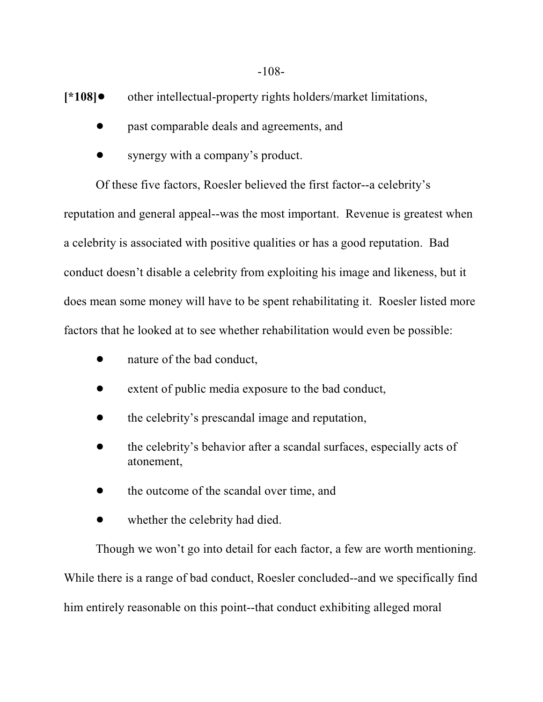**[\*108]** other intellectual-property rights holders/market limitations,

- past comparable deals and agreements, and
- synergy with a company's product.

Of these five factors, Roesler believed the first factor--a celebrity's reputation and general appeal--was the most important. Revenue is greatest when a celebrity is associated with positive qualities or has a good reputation. Bad conduct doesn't disable a celebrity from exploiting his image and likeness, but it does mean some money will have to be spent rehabilitating it. Roesler listed more factors that he looked at to see whether rehabilitation would even be possible:

- nature of the bad conduct,
- extent of public media exposure to the bad conduct,
- ! the celebrity's prescandal image and reputation,
- ! the celebrity's behavior after a scandal surfaces, especially acts of atonement,
- the outcome of the scandal over time, and
- whether the celebrity had died.

Though we won't go into detail for each factor, a few are worth mentioning. While there is a range of bad conduct, Roesler concluded--and we specifically find him entirely reasonable on this point--that conduct exhibiting alleged moral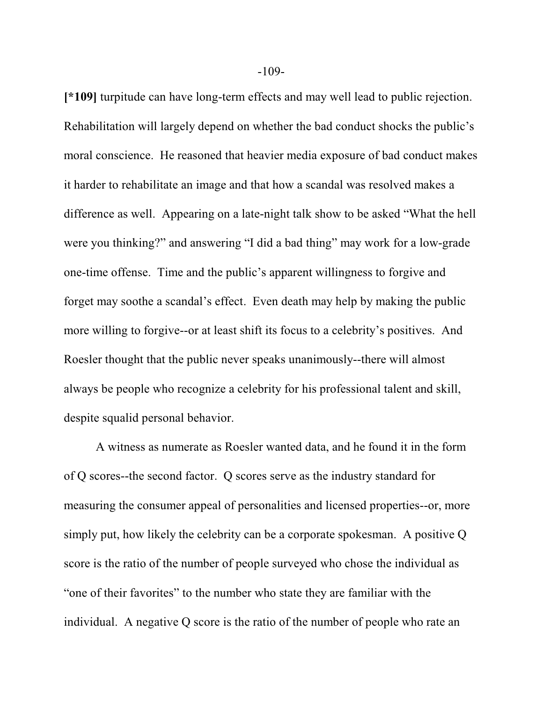**[\*109]** turpitude can have long-term effects and may well lead to public rejection. Rehabilitation will largely depend on whether the bad conduct shocks the public's moral conscience. He reasoned that heavier media exposure of bad conduct makes it harder to rehabilitate an image and that how a scandal was resolved makes a difference as well. Appearing on a late-night talk show to be asked "What the hell were you thinking?" and answering "I did a bad thing" may work for a low-grade one-time offense. Time and the public's apparent willingness to forgive and forget may soothe a scandal's effect. Even death may help by making the public more willing to forgive--or at least shift its focus to a celebrity's positives. And Roesler thought that the public never speaks unanimously--there will almost always be people who recognize a celebrity for his professional talent and skill, despite squalid personal behavior.

A witness as numerate as Roesler wanted data, and he found it in the form of Q scores--the second factor. Q scores serve as the industry standard for measuring the consumer appeal of personalities and licensed properties--or, more simply put, how likely the celebrity can be a corporate spokesman. A positive Q score is the ratio of the number of people surveyed who chose the individual as "one of their favorites" to the number who state they are familiar with the individual. A negative Q score is the ratio of the number of people who rate an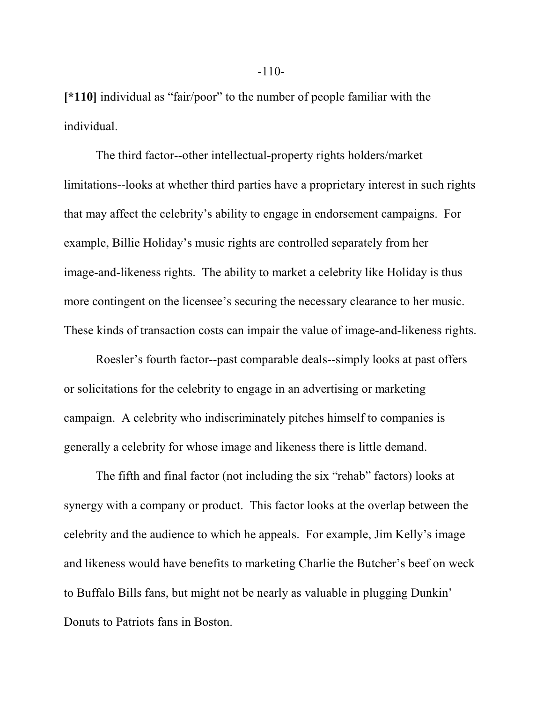**[\*110]** individual as "fair/poor" to the number of people familiar with the individual.

The third factor--other intellectual-property rights holders/market limitations--looks at whether third parties have a proprietary interest in such rights that may affect the celebrity's ability to engage in endorsement campaigns. For example, Billie Holiday's music rights are controlled separately from her image-and-likeness rights. The ability to market a celebrity like Holiday is thus more contingent on the licensee's securing the necessary clearance to her music. These kinds of transaction costs can impair the value of image-and-likeness rights.

Roesler's fourth factor--past comparable deals--simply looks at past offers or solicitations for the celebrity to engage in an advertising or marketing campaign. A celebrity who indiscriminately pitches himself to companies is generally a celebrity for whose image and likeness there is little demand.

The fifth and final factor (not including the six "rehab" factors) looks at synergy with a company or product. This factor looks at the overlap between the celebrity and the audience to which he appeals. For example, Jim Kelly's image and likeness would have benefits to marketing Charlie the Butcher's beef on weck to Buffalo Bills fans, but might not be nearly as valuable in plugging Dunkin' Donuts to Patriots fans in Boston.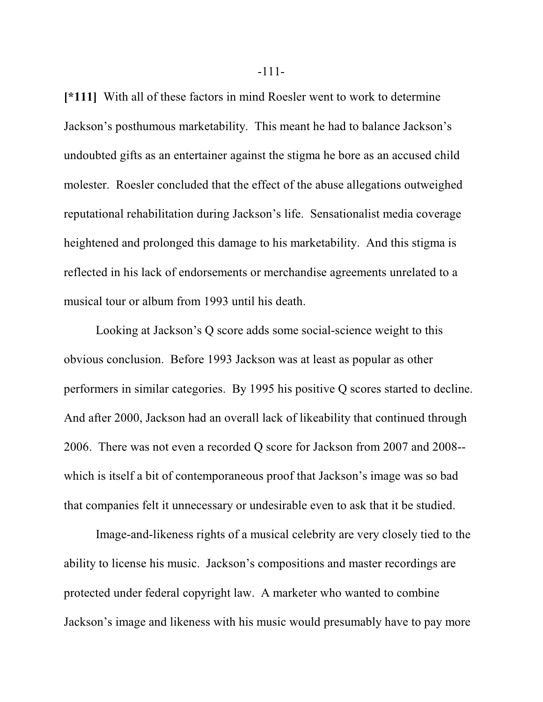**[\*111]** With all of these factors in mind Roesler went to work to determine Jackson's posthumous marketability. This meant he had to balance Jackson's undoubted gifts as an entertainer against the stigma he bore as an accused child molester. Roesler concluded that the effect of the abuse allegations outweighed reputational rehabilitation during Jackson's life. Sensationalist media coverage heightened and prolonged this damage to his marketability. And this stigma is reflected in his lack of endorsements or merchandise agreements unrelated to a musical tour or album from 1993 until his death.

Looking at Jackson's Q score adds some social-science weight to this obvious conclusion. Before 1993 Jackson was at least as popular as other performers in similar categories. By 1995 his positive Q scores started to decline. And after 2000, Jackson had an overall lack of likeability that continued through 2006. There was not even a recorded Q score for Jackson from 2007 and 2008- which is itself a bit of contemporaneous proof that Jackson's image was so bad that companies felt it unnecessary or undesirable even to ask that it be studied.

Image-and-likeness rights of a musical celebrity are very closely tied to the ability to license his music. Jackson's compositions and master recordings are protected under federal copyright law. A marketer who wanted to combine Jackson's image and likeness with his music would presumably have to pay more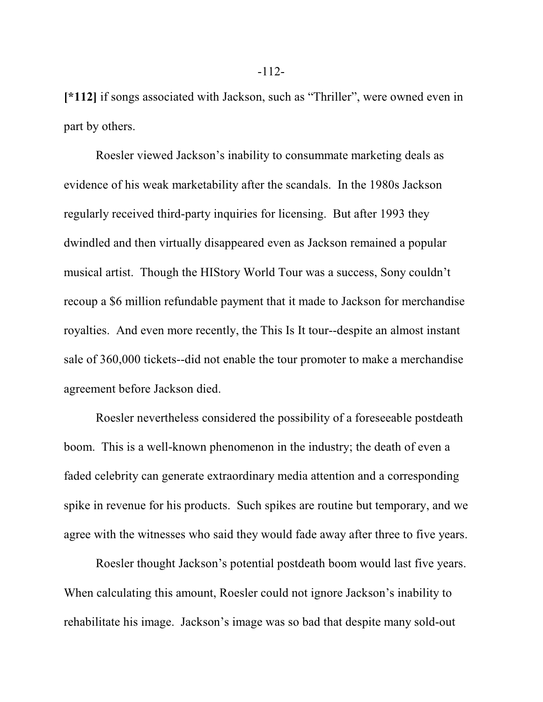**[\*112]** if songs associated with Jackson, such as "Thriller", were owned even in part by others.

Roesler viewed Jackson's inability to consummate marketing deals as evidence of his weak marketability after the scandals. In the 1980s Jackson regularly received third-party inquiries for licensing. But after 1993 they dwindled and then virtually disappeared even as Jackson remained a popular musical artist. Though the HIStory World Tour was a success, Sony couldn't recoup a \$6 million refundable payment that it made to Jackson for merchandise royalties. And even more recently, the This Is It tour--despite an almost instant sale of 360,000 tickets--did not enable the tour promoter to make a merchandise agreement before Jackson died.

Roesler nevertheless considered the possibility of a foreseeable postdeath boom. This is a well-known phenomenon in the industry; the death of even a faded celebrity can generate extraordinary media attention and a corresponding spike in revenue for his products. Such spikes are routine but temporary, and we agree with the witnesses who said they would fade away after three to five years.

Roesler thought Jackson's potential postdeath boom would last five years. When calculating this amount, Roesler could not ignore Jackson's inability to rehabilitate his image. Jackson's image was so bad that despite many sold-out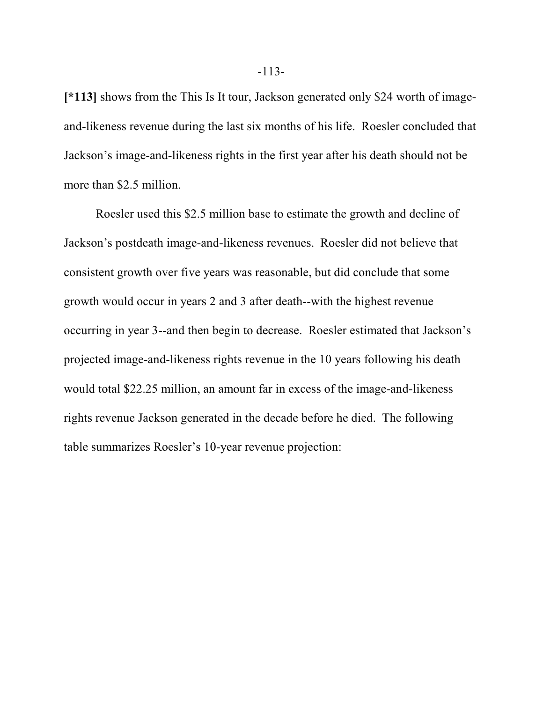**[\*113]** shows from the This Is It tour, Jackson generated only \$24 worth of imageand-likeness revenue during the last six months of his life. Roesler concluded that Jackson's image-and-likeness rights in the first year after his death should not be more than \$2.5 million.

Roesler used this \$2.5 million base to estimate the growth and decline of Jackson's postdeath image-and-likeness revenues. Roesler did not believe that consistent growth over five years was reasonable, but did conclude that some growth would occur in years 2 and 3 after death--with the highest revenue occurring in year 3--and then begin to decrease. Roesler estimated that Jackson's projected image-and-likeness rights revenue in the 10 years following his death would total \$22.25 million, an amount far in excess of the image-and-likeness rights revenue Jackson generated in the decade before he died. The following table summarizes Roesler's 10-year revenue projection: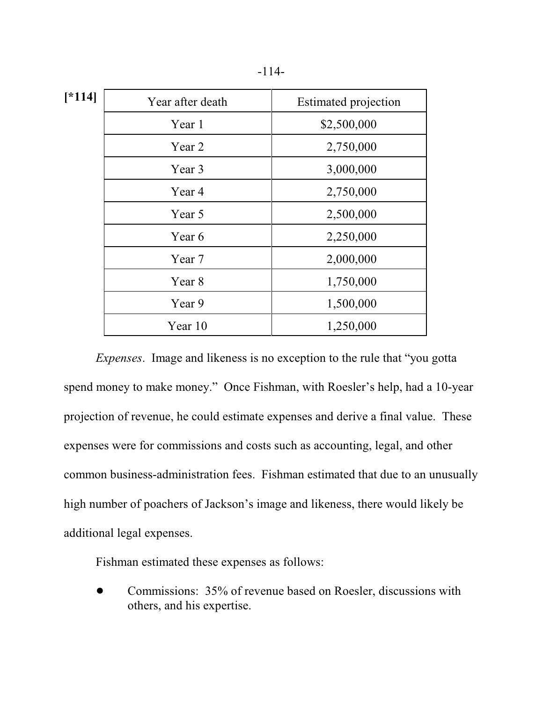|--|--|

**[\*114]**

| 1 | Year after death | <b>Estimated projection</b> |
|---|------------------|-----------------------------|
|   | Year 1           | \$2,500,000                 |
|   | Year 2           | 2,750,000                   |
|   | Year 3           | 3,000,000                   |
|   | Year 4           | 2,750,000                   |
|   | Year 5           | 2,500,000                   |
|   | Year 6           | 2,250,000                   |
|   | Year 7           | 2,000,000                   |
|   | Year 8           | 1,750,000                   |
|   | Year 9           | 1,500,000                   |
|   | Year 10          | 1,250,000                   |

*Expenses*. Image and likeness is no exception to the rule that "you gotta spend money to make money." Once Fishman, with Roesler's help, had a 10-year projection of revenue, he could estimate expenses and derive a final value. These expenses were for commissions and costs such as accounting, legal, and other common business-administration fees. Fishman estimated that due to an unusually high number of poachers of Jackson's image and likeness, there would likely be additional legal expenses.

Fishman estimated these expenses as follows:

• Commissions: 35% of revenue based on Roesler, discussions with others, and his expertise.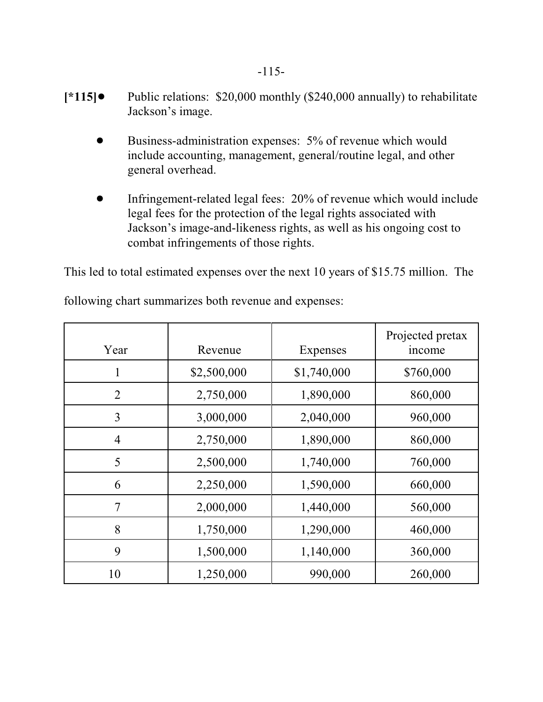- **[\*115]**! Public relations: \$20,000 monthly (\$240,000 annually) to rehabilitate Jackson's image.
	- Business-administration expenses: 5% of revenue which would include accounting, management, general/routine legal, and other general overhead.
	- ! Infringement-related legal fees: 20% of revenue which would include legal fees for the protection of the legal rights associated with Jackson's image-and-likeness rights, as well as his ongoing cost to combat infringements of those rights.

This led to total estimated expenses over the next 10 years of \$15.75 million. The

| Year           | Revenue     | Expenses    | Projected pretax<br>income |
|----------------|-------------|-------------|----------------------------|
| 1              | \$2,500,000 | \$1,740,000 | \$760,000                  |
| 2              | 2,750,000   | 1,890,000   | 860,000                    |
| 3              | 3,000,000   | 2,040,000   | 960,000                    |
| $\overline{4}$ | 2,750,000   | 1,890,000   | 860,000                    |
| 5              | 2,500,000   | 1,740,000   | 760,000                    |
| 6              | 2,250,000   | 1,590,000   | 660,000                    |
| $\tau$         | 2,000,000   | 1,440,000   | 560,000                    |
| 8              | 1,750,000   | 1,290,000   | 460,000                    |
| 9              | 1,500,000   | 1,140,000   | 360,000                    |
| 10             | 1,250,000   | 990,000     | 260,000                    |

following chart summarizes both revenue and expenses: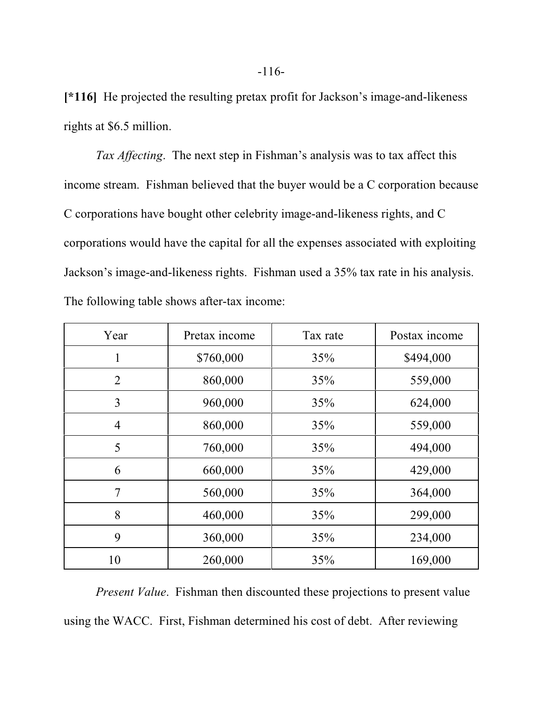**[\*116]** He projected the resulting pretax profit for Jackson's image-and-likeness rights at \$6.5 million.

*Tax Affecting*. The next step in Fishman's analysis was to tax affect this income stream. Fishman believed that the buyer would be a C corporation because C corporations have bought other celebrity image-and-likeness rights, and C corporations would have the capital for all the expenses associated with exploiting Jackson's image-and-likeness rights. Fishman used a 35% tax rate in his analysis. The following table shows after-tax income:

| Year           | Pretax income | Tax rate | Postax income |
|----------------|---------------|----------|---------------|
|                | \$760,000     | 35%      | \$494,000     |
| $\overline{2}$ | 860,000       | 35%      | 559,000       |
| 3              | 960,000       | 35%      | 624,000       |
| $\overline{4}$ | 860,000       | 35%      | 559,000       |
| 5              | 760,000       | 35%      | 494,000       |
| 6              | 660,000       | 35%      | 429,000       |
| 7              | 560,000       | 35%      | 364,000       |
| 8              | 460,000       | 35%      | 299,000       |
| 9              | 360,000       | 35%      | 234,000       |
| 10             | 260,000       | 35%      | 169,000       |

*Present Value*. Fishman then discounted these projections to present value using the WACC. First, Fishman determined his cost of debt. After reviewing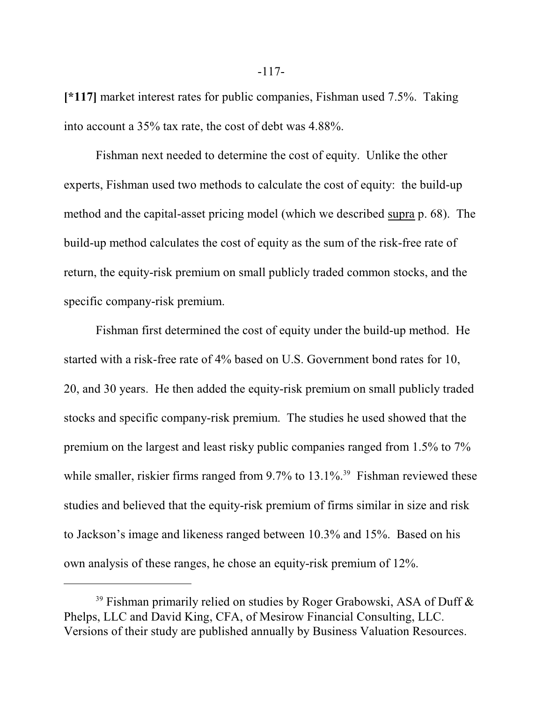**[\*117]** market interest rates for public companies, Fishman used 7.5%. Taking into account a 35% tax rate, the cost of debt was 4.88%.

Fishman next needed to determine the cost of equity. Unlike the other experts, Fishman used two methods to calculate the cost of equity: the build-up method and the capital-asset pricing model (which we described supra p. 68). The build-up method calculates the cost of equity as the sum of the risk-free rate of return, the equity-risk premium on small publicly traded common stocks, and the specific company-risk premium.

Fishman first determined the cost of equity under the build-up method. He started with a risk-free rate of 4% based on U.S. Government bond rates for 10, 20, and 30 years. He then added the equity-risk premium on small publicly traded stocks and specific company-risk premium. The studies he used showed that the premium on the largest and least risky public companies ranged from 1.5% to 7% while smaller, riskier firms ranged from  $9.7\%$  to  $13.1\%$ <sup>39</sup> Fishman reviewed these studies and believed that the equity-risk premium of firms similar in size and risk to Jackson's image and likeness ranged between 10.3% and 15%. Based on his own analysis of these ranges, he chose an equity-risk premium of 12%.

<sup>&</sup>lt;sup>39</sup> Fishman primarily relied on studies by Roger Grabowski, ASA of Duff  $\&$ Phelps, LLC and David King, CFA, of Mesirow Financial Consulting, LLC. Versions of their study are published annually by Business Valuation Resources.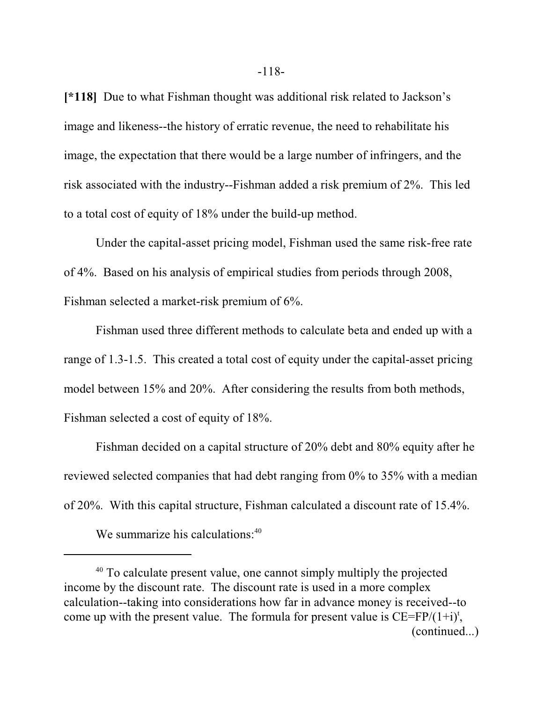**[\*118]** Due to what Fishman thought was additional risk related to Jackson's image and likeness--the history of erratic revenue, the need to rehabilitate his image, the expectation that there would be a large number of infringers, and the risk associated with the industry--Fishman added a risk premium of 2%. This led to a total cost of equity of 18% under the build-up method.

Under the capital-asset pricing model, Fishman used the same risk-free rate of 4%. Based on his analysis of empirical studies from periods through 2008, Fishman selected a market-risk premium of 6%.

Fishman used three different methods to calculate beta and ended up with a range of 1.3-1.5. This created a total cost of equity under the capital-asset pricing model between 15% and 20%. After considering the results from both methods, Fishman selected a cost of equity of 18%.

Fishman decided on a capital structure of 20% debt and 80% equity after he reviewed selected companies that had debt ranging from 0% to 35% with a median of 20%. With this capital structure, Fishman calculated a discount rate of 15.4%.

We summarize his calculations:<sup>40</sup>

<sup>&</sup>lt;sup>40</sup> To calculate present value, one cannot simply multiply the projected income by the discount rate. The discount rate is used in a more complex calculation--taking into considerations how far in advance money is received--to come up with the present value. The formula for present value is  $CE = FP/(1+i)^t$ , (continued...)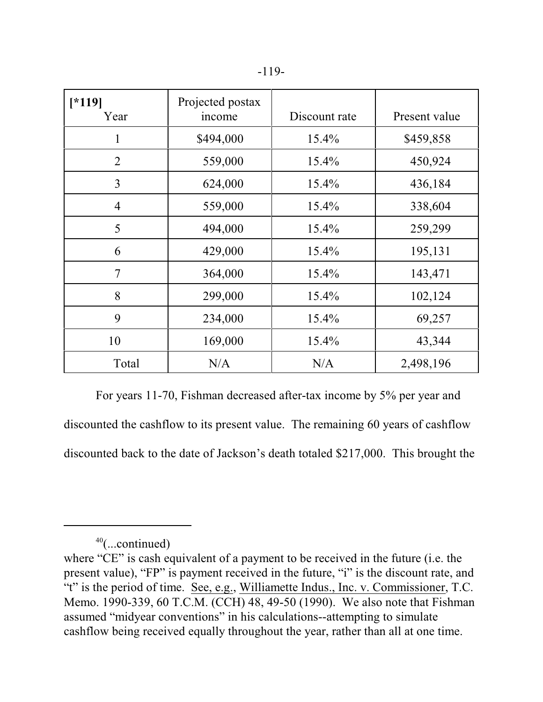| $[*119]$<br>Year | Projected postax<br>income | Discount rate | Present value |
|------------------|----------------------------|---------------|---------------|
| 1                | \$494,000                  | $15.4\%$      | \$459,858     |
| $\overline{2}$   | 559,000                    | $15.4\%$      | 450,924       |
| 3                | 624,000                    | $15.4\%$      | 436,184       |
| $\overline{4}$   | 559,000                    | $15.4\%$      | 338,604       |
| 5                | 494,000                    | $15.4\%$      | 259,299       |
| 6                | 429,000                    | $15.4\%$      | 195,131       |
| $\overline{7}$   | 364,000                    | $15.4\%$      | 143,471       |
| 8                | 299,000                    | $15.4\%$      | 102,124       |
| 9                | 234,000                    | 15.4%         | 69,257        |
| 10               | 169,000                    | $15.4\%$      | 43,344        |
| Total            | N/A                        | N/A           | 2,498,196     |

For years 11-70, Fishman decreased after-tax income by 5% per year and discounted the cashflow to its present value. The remaining 60 years of cashflow discounted back to the date of Jackson's death totaled \$217,000. This brought the

<sup>40</sup> (...continued)

where "CE" is cash equivalent of a payment to be received in the future (i.e. the present value), "FP" is payment received in the future, "i" is the discount rate, and "t" is the period of time. See, e.g., Williamette Indus., Inc. v. Commissioner, T.C. Memo. 1990-339, 60 T.C.M. (CCH) 48, 49-50 (1990). We also note that Fishman assumed "midyear conventions" in his calculations--attempting to simulate cashflow being received equally throughout the year, rather than all at one time.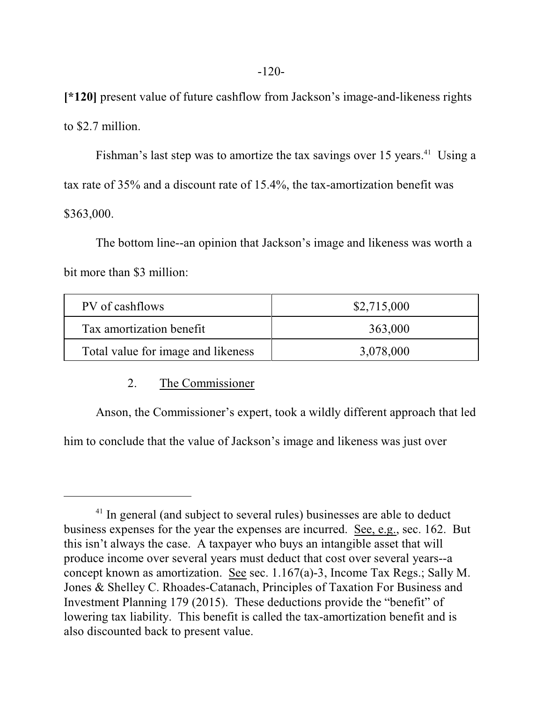**[\*120]** present value of future cashflow from Jackson's image-and-likeness rights to \$2.7 million.

Fishman's last step was to amortize the tax savings over 15 years.<sup>41</sup> Using a tax rate of 35% and a discount rate of 15.4%, the tax-amortization benefit was \$363,000.

The bottom line--an opinion that Jackson's image and likeness was worth a bit more than \$3 million:

| PV of cashflows                    | \$2,715,000 |
|------------------------------------|-------------|
| Tax amortization benefit           | 363,000     |
| Total value for image and likeness | 3,078,000   |

## 2. The Commissioner

Anson, the Commissioner's expert, took a wildly different approach that led him to conclude that the value of Jackson's image and likeness was just over

<sup>&</sup>lt;sup>41</sup> In general (and subject to several rules) businesses are able to deduct business expenses for the year the expenses are incurred. See, e.g., sec. 162. But this isn't always the case. A taxpayer who buys an intangible asset that will produce income over several years must deduct that cost over several years--a concept known as amortization. See sec. 1.167(a)-3, Income Tax Regs.; Sally M. Jones & Shelley C. Rhoades-Catanach, Principles of Taxation For Business and Investment Planning 179 (2015). These deductions provide the "benefit" of lowering tax liability. This benefit is called the tax-amortization benefit and is also discounted back to present value.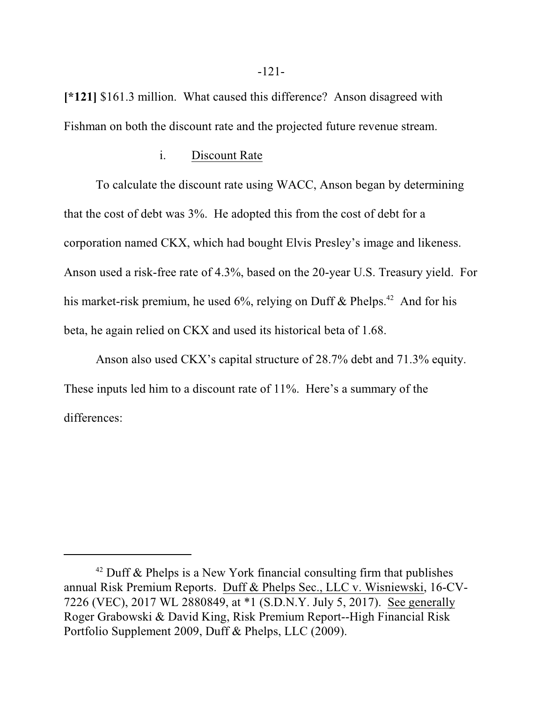**[\*121]** \$161.3 million. What caused this difference? Anson disagreed with Fishman on both the discount rate and the projected future revenue stream.

#### i. Discount Rate

To calculate the discount rate using WACC, Anson began by determining that the cost of debt was 3%. He adopted this from the cost of debt for a corporation named CKX, which had bought Elvis Presley's image and likeness. Anson used a risk-free rate of 4.3%, based on the 20-year U.S. Treasury yield. For his market-risk premium, he used 6%, relying on Duff & Phelps.<sup>42</sup> And for his beta, he again relied on CKX and used its historical beta of 1.68.

Anson also used CKX's capital structure of 28.7% debt and 71.3% equity. These inputs led him to a discount rate of 11%. Here's a summary of the differences:

 $42$  Duff & Phelps is a New York financial consulting firm that publishes annual Risk Premium Reports. Duff & Phelps Sec., LLC v. Wisniewski, 16-CV-7226 (VEC), 2017 WL 2880849, at \*1 (S.D.N.Y. July 5, 2017). See generally Roger Grabowski & David King, Risk Premium Report--High Financial Risk Portfolio Supplement 2009, Duff & Phelps, LLC (2009).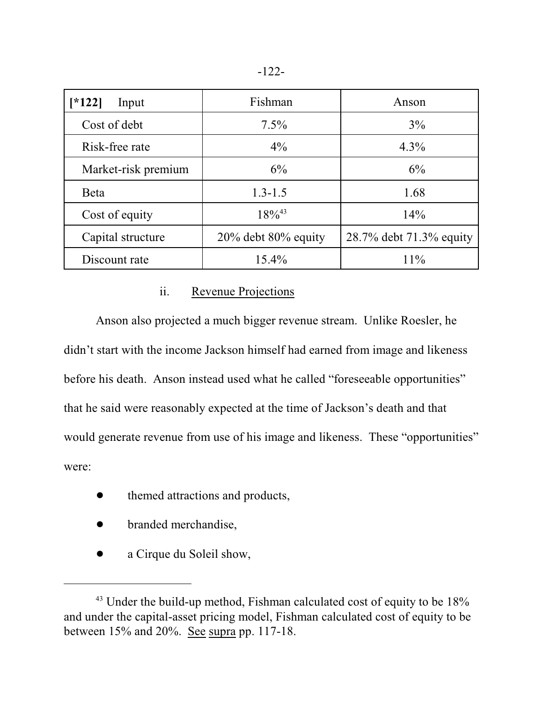|--|--|

| $*122$<br>Input     | Fishman                | Anson                   |  |
|---------------------|------------------------|-------------------------|--|
| Cost of debt        | $7.5\%$                | 3%                      |  |
| Risk-free rate      | $4\%$                  | $4.3\%$                 |  |
| Market-risk premium | 6%                     | 6%                      |  |
| <b>Beta</b>         | $1.3 - 1.5$            | 1.68                    |  |
| Cost of equity      | $18\%^{43}$            | 14%                     |  |
| Capital structure   | $20\%$ debt 80% equity | 28.7% debt 71.3% equity |  |
| Discount rate       | $15.4\%$               | 11%                     |  |

## ii. Revenue Projections

Anson also projected a much bigger revenue stream. Unlike Roesler, he didn't start with the income Jackson himself had earned from image and likeness before his death. Anson instead used what he called "foreseeable opportunities" that he said were reasonably expected at the time of Jackson's death and that would generate revenue from use of his image and likeness. These "opportunities" were:

- $\bullet$  themed attractions and products,
- branded merchandise,
- a Cirque du Soleil show,

 $43$  Under the build-up method, Fishman calculated cost of equity to be 18% and under the capital-asset pricing model, Fishman calculated cost of equity to be between 15% and 20%. See supra pp. 117-18.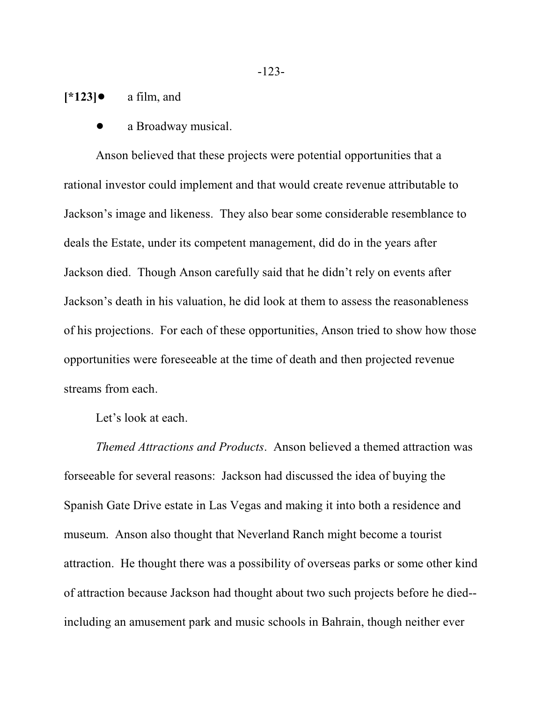$[\ast 123]$  **a** film, and

a Broadway musical.

Anson believed that these projects were potential opportunities that a rational investor could implement and that would create revenue attributable to Jackson's image and likeness. They also bear some considerable resemblance to deals the Estate, under its competent management, did do in the years after Jackson died. Though Anson carefully said that he didn't rely on events after Jackson's death in his valuation, he did look at them to assess the reasonableness of his projections. For each of these opportunities, Anson tried to show how those opportunities were foreseeable at the time of death and then projected revenue streams from each.

Let's look at each.

*Themed Attractions and Products*. Anson believed a themed attraction was forseeable for several reasons: Jackson had discussed the idea of buying the Spanish Gate Drive estate in Las Vegas and making it into both a residence and museum. Anson also thought that Neverland Ranch might become a tourist attraction. He thought there was a possibility of overseas parks or some other kind of attraction because Jackson had thought about two such projects before he died- including an amusement park and music schools in Bahrain, though neither ever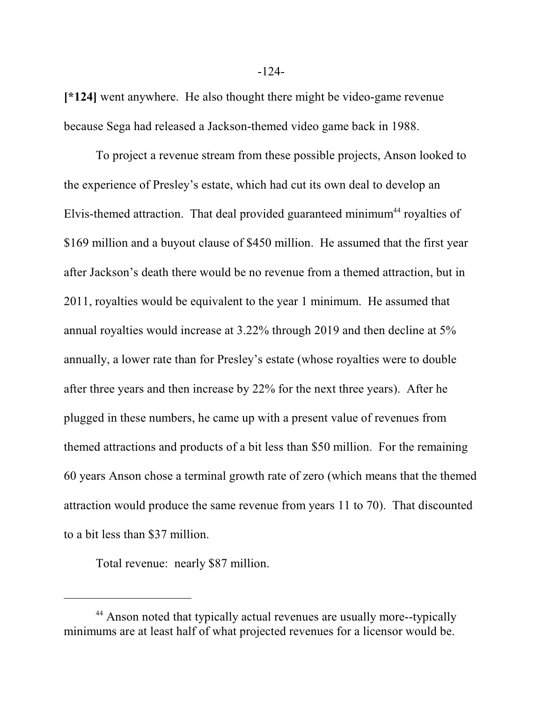**[\*124]** went anywhere. He also thought there might be video-game revenue because Sega had released a Jackson-themed video game back in 1988.

To project a revenue stream from these possible projects, Anson looked to the experience of Presley's estate, which had cut its own deal to develop an Elvis-themed attraction. That deal provided guaranteed minimum<sup>44</sup> royalties of \$169 million and a buyout clause of \$450 million. He assumed that the first year after Jackson's death there would be no revenue from a themed attraction, but in 2011, royalties would be equivalent to the year 1 minimum. He assumed that annual royalties would increase at 3.22% through 2019 and then decline at 5% annually, a lower rate than for Presley's estate (whose royalties were to double after three years and then increase by 22% for the next three years). After he plugged in these numbers, he came up with a present value of revenues from themed attractions and products of a bit less than \$50 million. For the remaining 60 years Anson chose a terminal growth rate of zero (which means that the themed attraction would produce the same revenue from years 11 to 70). That discounted to a bit less than \$37 million.

Total revenue: nearly \$87 million.

<sup>&</sup>lt;sup>44</sup> Anson noted that typically actual revenues are usually more--typically minimums are at least half of what projected revenues for a licensor would be.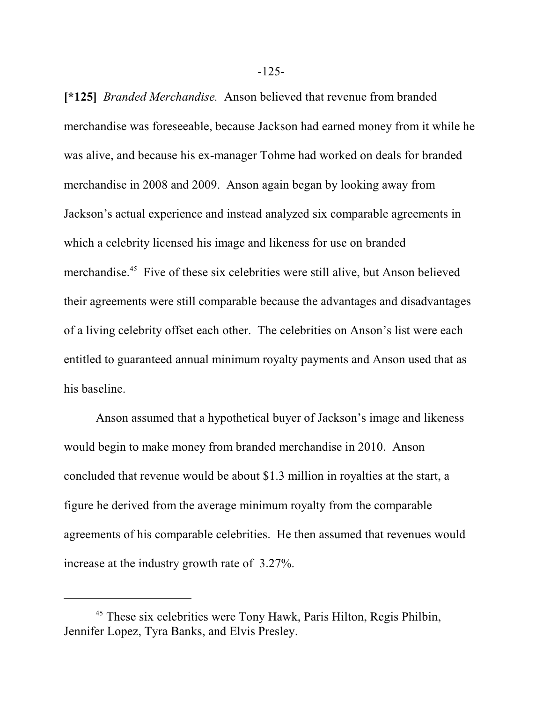**[\*125]** *Branded Merchandise.* Anson believed that revenue from branded merchandise was foreseeable, because Jackson had earned money from it while he was alive, and because his ex-manager Tohme had worked on deals for branded merchandise in 2008 and 2009. Anson again began by looking away from Jackson's actual experience and instead analyzed six comparable agreements in which a celebrity licensed his image and likeness for use on branded merchandise.<sup>45</sup> Five of these six celebrities were still alive, but Anson believed their agreements were still comparable because the advantages and disadvantages of a living celebrity offset each other. The celebrities on Anson's list were each entitled to guaranteed annual minimum royalty payments and Anson used that as his baseline.

Anson assumed that a hypothetical buyer of Jackson's image and likeness would begin to make money from branded merchandise in 2010. Anson concluded that revenue would be about \$1.3 million in royalties at the start, a figure he derived from the average minimum royalty from the comparable agreements of his comparable celebrities. He then assumed that revenues would increase at the industry growth rate of 3.27%.

-125-

<sup>&</sup>lt;sup>45</sup> These six celebrities were Tony Hawk, Paris Hilton, Regis Philbin, Jennifer Lopez, Tyra Banks, and Elvis Presley.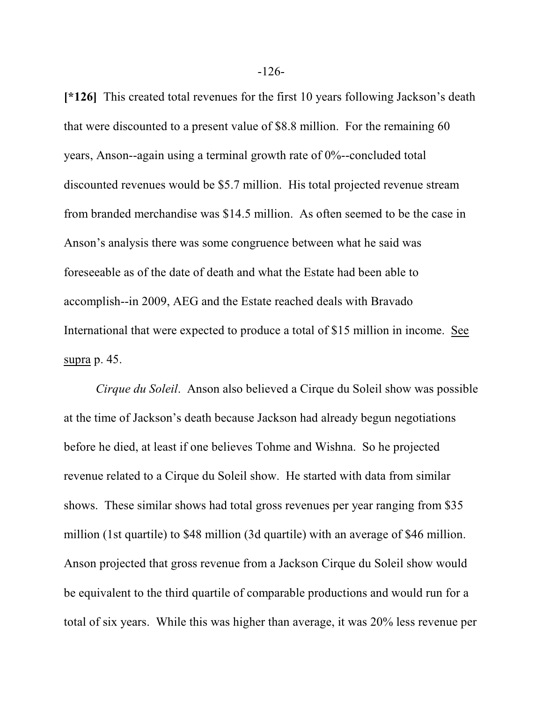**[\*126]** This created total revenues for the first 10 years following Jackson's death that were discounted to a present value of \$8.8 million. For the remaining 60 years, Anson--again using a terminal growth rate of 0%--concluded total discounted revenues would be \$5.7 million. His total projected revenue stream from branded merchandise was \$14.5 million. As often seemed to be the case in Anson's analysis there was some congruence between what he said was foreseeable as of the date of death and what the Estate had been able to accomplish--in 2009, AEG and the Estate reached deals with Bravado International that were expected to produce a total of \$15 million in income. See supra p. 45.

*Cirque du Soleil*. Anson also believed a Cirque du Soleil show was possible at the time of Jackson's death because Jackson had already begun negotiations before he died, at least if one believes Tohme and Wishna. So he projected revenue related to a Cirque du Soleil show. He started with data from similar shows. These similar shows had total gross revenues per year ranging from \$35 million (1st quartile) to \$48 million (3d quartile) with an average of \$46 million. Anson projected that gross revenue from a Jackson Cirque du Soleil show would be equivalent to the third quartile of comparable productions and would run for a total of six years. While this was higher than average, it was 20% less revenue per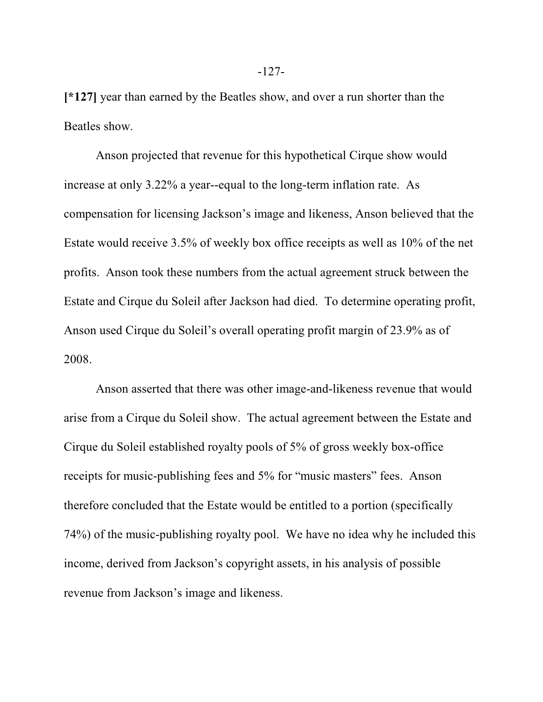**[\*127]** year than earned by the Beatles show, and over a run shorter than the Beatles show.

Anson projected that revenue for this hypothetical Cirque show would increase at only 3.22% a year--equal to the long-term inflation rate. As compensation for licensing Jackson's image and likeness, Anson believed that the Estate would receive 3.5% of weekly box office receipts as well as 10% of the net profits. Anson took these numbers from the actual agreement struck between the Estate and Cirque du Soleil after Jackson had died. To determine operating profit, Anson used Cirque du Soleil's overall operating profit margin of 23.9% as of 2008.

Anson asserted that there was other image-and-likeness revenue that would arise from a Cirque du Soleil show. The actual agreement between the Estate and Cirque du Soleil established royalty pools of 5% of gross weekly box-office receipts for music-publishing fees and 5% for "music masters" fees. Anson therefore concluded that the Estate would be entitled to a portion (specifically 74%) of the music-publishing royalty pool. We have no idea why he included this income, derived from Jackson's copyright assets, in his analysis of possible revenue from Jackson's image and likeness.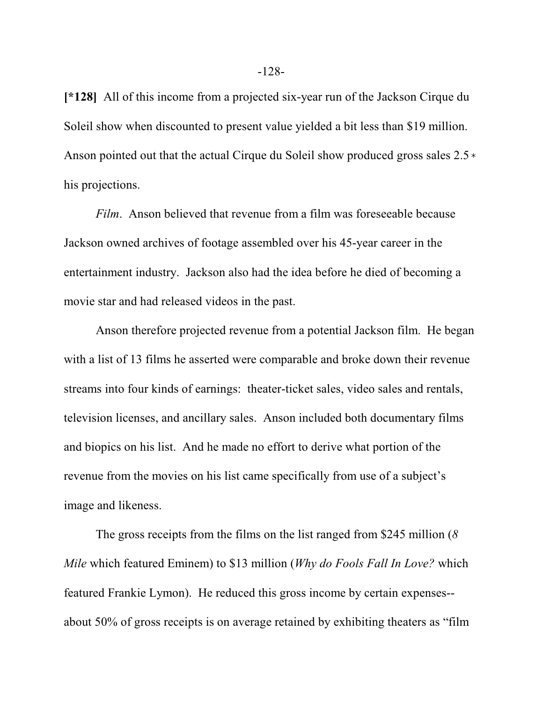**[\*128]** All of this income from a projected six-year run of the Jackson Cirque du Soleil show when discounted to present value yielded a bit less than \$19 million. Anson pointed out that the actual Cirque du Soleil show produced gross sales  $2.5*$ his projections.

*Film*. Anson believed that revenue from a film was foreseeable because Jackson owned archives of footage assembled over his 45-year career in the entertainment industry. Jackson also had the idea before he died of becoming a movie star and had released videos in the past.

Anson therefore projected revenue from a potential Jackson film. He began with a list of 13 films he asserted were comparable and broke down their revenue streams into four kinds of earnings: theater-ticket sales, video sales and rentals, television licenses, and ancillary sales. Anson included both documentary films and biopics on his list. And he made no effort to derive what portion of the revenue from the movies on his list came specifically from use of a subject's image and likeness.

The gross receipts from the films on the list ranged from \$245 million (*8 Mile* which featured Eminem) to \$13 million (*Why do Fools Fall In Love?* which featured Frankie Lymon). He reduced this gross income by certain expenses- about 50% of gross receipts is on average retained by exhibiting theaters as "film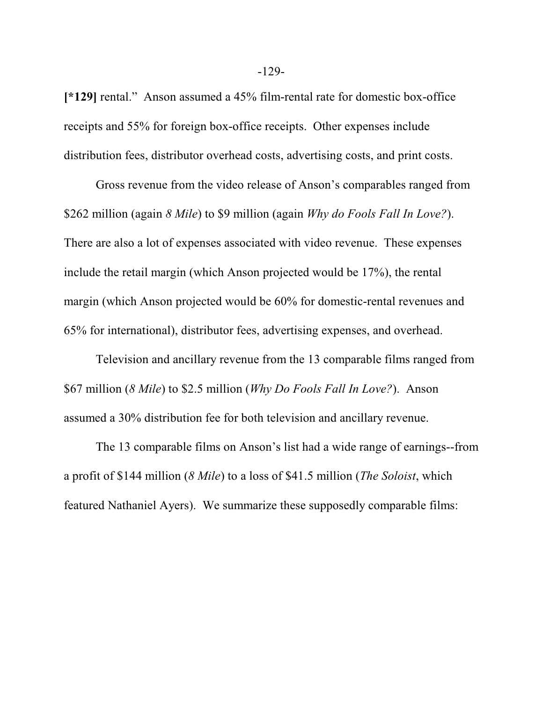**[\*129]** rental." Anson assumed a 45% film-rental rate for domestic box-office receipts and 55% for foreign box-office receipts. Other expenses include distribution fees, distributor overhead costs, advertising costs, and print costs.

Gross revenue from the video release of Anson's comparables ranged from \$262 million (again *8 Mile*) to \$9 million (again *Why do Fools Fall In Love?*). There are also a lot of expenses associated with video revenue. These expenses include the retail margin (which Anson projected would be 17%), the rental margin (which Anson projected would be 60% for domestic-rental revenues and 65% for international), distributor fees, advertising expenses, and overhead.

Television and ancillary revenue from the 13 comparable films ranged from \$67 million (*8 Mile*) to \$2.5 million (*Why Do Fools Fall In Love?*). Anson assumed a 30% distribution fee for both television and ancillary revenue.

The 13 comparable films on Anson's list had a wide range of earnings--from a profit of \$144 million (*8 Mile*) to a loss of \$41.5 million (*The Soloist*, which featured Nathaniel Ayers). We summarize these supposedly comparable films: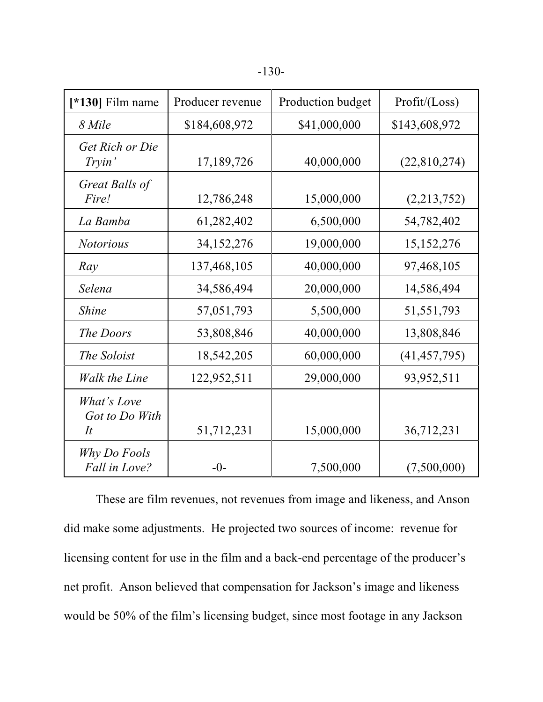| [ $*130$ ] Film name                | Producer revenue | Production budget | Profit / (Loss) |
|-------------------------------------|------------------|-------------------|-----------------|
| 8 Mile                              | \$184,608,972    | \$41,000,000      | \$143,608,972   |
| Get Rich or Die<br>Tryin'           | 17,189,726       | 40,000,000        | (22,810,274)    |
| Great Balls of<br>Fire!             | 12,786,248       | 15,000,000        | (2,213,752)     |
| La Bamba                            | 61,282,402       | 6,500,000         | 54,782,402      |
| <b>Notorious</b>                    | 34, 152, 276     | 19,000,000        | 15, 152, 276    |
| Ray                                 | 137,468,105      | 40,000,000        | 97,468,105      |
| Selena                              | 34,586,494       | 20,000,000        | 14,586,494      |
| <b>Shine</b>                        | 57,051,793       | 5,500,000         | 51,551,793      |
| The Doors                           | 53,808,846       | 40,000,000        | 13,808,846      |
| The Soloist                         | 18,542,205       | 60,000,000        | (41, 457, 795)  |
| <b>Walk the Line</b>                | 122,952,511      | 29,000,000        | 93,952,511      |
| What's Love<br>Got to Do With<br>It | 51,712,231       | 15,000,000        | 36,712,231      |
| Why Do Fools<br>Fall in Love?       | $-0-$            | 7,500,000         | (7,500,000)     |

These are film revenues, not revenues from image and likeness, and Anson did make some adjustments. He projected two sources of income: revenue for licensing content for use in the film and a back-end percentage of the producer's net profit. Anson believed that compensation for Jackson's image and likeness would be 50% of the film's licensing budget, since most footage in any Jackson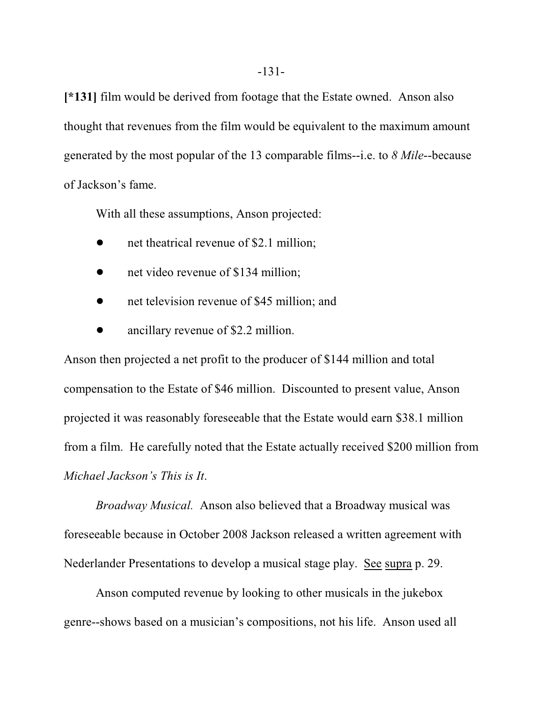**[\*131]** film would be derived from footage that the Estate owned. Anson also thought that revenues from the film would be equivalent to the maximum amount generated by the most popular of the 13 comparable films--i.e. to *8 Mile*--because of Jackson's fame.

With all these assumptions, Anson projected:

- net theatrical revenue of \$2.1 million;
- net video revenue of \$134 million;
- net television revenue of \$45 million; and
- ancillary revenue of \$2.2 million.

Anson then projected a net profit to the producer of \$144 million and total compensation to the Estate of \$46 million. Discounted to present value, Anson projected it was reasonably foreseeable that the Estate would earn \$38.1 million from a film. He carefully noted that the Estate actually received \$200 million from *Michael Jackson's This is It*.

*Broadway Musical.* Anson also believed that a Broadway musical was foreseeable because in October 2008 Jackson released a written agreement with Nederlander Presentations to develop a musical stage play. See supra p. 29.

Anson computed revenue by looking to other musicals in the jukebox genre--shows based on a musician's compositions, not his life. Anson used all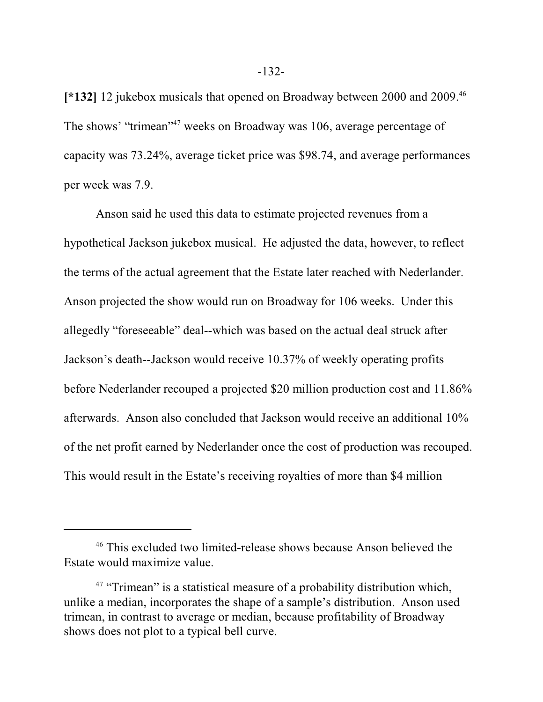**[\*132]** 12 jukebox musicals that opened on Broadway between 2000 and 2009. 46 The shows' "trimean"<sup>47</sup> weeks on Broadway was 106, average percentage of capacity was 73.24%, average ticket price was \$98.74, and average performances per week was 7.9.

Anson said he used this data to estimate projected revenues from a hypothetical Jackson jukebox musical. He adjusted the data, however, to reflect the terms of the actual agreement that the Estate later reached with Nederlander. Anson projected the show would run on Broadway for 106 weeks. Under this allegedly "foreseeable" deal--which was based on the actual deal struck after Jackson's death--Jackson would receive 10.37% of weekly operating profits before Nederlander recouped a projected \$20 million production cost and 11.86% afterwards. Anson also concluded that Jackson would receive an additional 10% of the net profit earned by Nederlander once the cost of production was recouped. This would result in the Estate's receiving royalties of more than \$4 million

<sup>&</sup>lt;sup>46</sup> This excluded two limited-release shows because Anson believed the Estate would maximize value.

<sup>&</sup>lt;sup>47</sup> "Trimean" is a statistical measure of a probability distribution which, unlike a median, incorporates the shape of a sample's distribution. Anson used trimean, in contrast to average or median, because profitability of Broadway shows does not plot to a typical bell curve.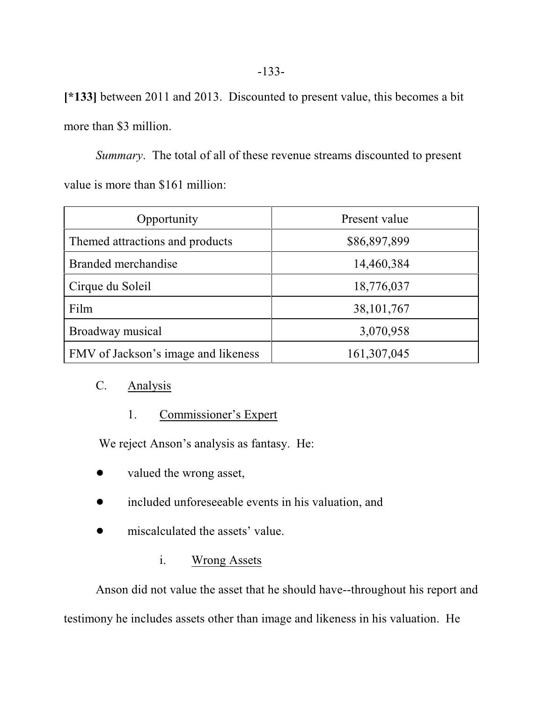**[\*133]** between 2011 and 2013. Discounted to present value, this becomes a bit more than \$3 million.

*Summary*. The total of all of these revenue streams discounted to present value is more than \$161 million:

| Opportunity                         | Present value |
|-------------------------------------|---------------|
| Themed attractions and products     | \$86,897,899  |
| Branded merchandise                 | 14,460,384    |
| Cirque du Soleil                    | 18,776,037    |
| Film                                | 38, 101, 767  |
| Broadway musical                    | 3,070,958     |
| FMV of Jackson's image and likeness | 161, 307, 045 |

# C. Analysis

# 1. Commissioner's Expert

We reject Anson's analysis as fantasy. He:

- valued the wrong asset,
- included unforeseeable events in his valuation, and
- miscalculated the assets' value.

# i. Wrong Assets

Anson did not value the asset that he should have--throughout his report and testimony he includes assets other than image and likeness in his valuation. He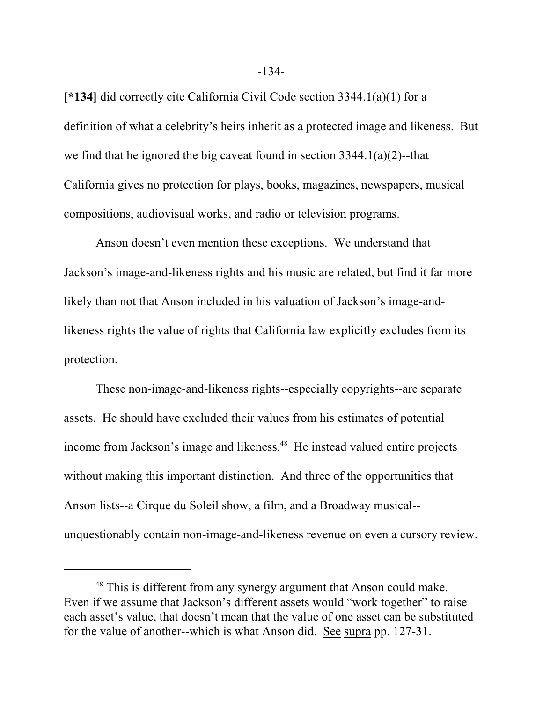**[\*134]** did correctly cite California Civil Code section 3344.1(a)(1) for a definition of what a celebrity's heirs inherit as a protected image and likeness. But we find that he ignored the big caveat found in section  $3344.1(a)(2)$ --that California gives no protection for plays, books, magazines, newspapers, musical compositions, audiovisual works, and radio or television programs.

Anson doesn't even mention these exceptions. We understand that Jackson's image-and-likeness rights and his music are related, but find it far more likely than not that Anson included in his valuation of Jackson's image-andlikeness rights the value of rights that California law explicitly excludes from its protection.

These non-image-and-likeness rights--especially copyrights--are separate assets. He should have excluded their values from his estimates of potential income from Jackson's image and likeness. 48 He instead valued entire projects without making this important distinction. And three of the opportunities that Anson lists--a Cirque du Soleil show, a film, and a Broadway musical- unquestionably contain non-image-and-likeness revenue on even a cursory review.

<sup>&</sup>lt;sup>48</sup> This is different from any synergy argument that Anson could make. Even if we assume that Jackson's different assets would "work together" to raise each asset's value, that doesn't mean that the value of one asset can be substituted for the value of another--which is what Anson did. See supra pp. 127-31.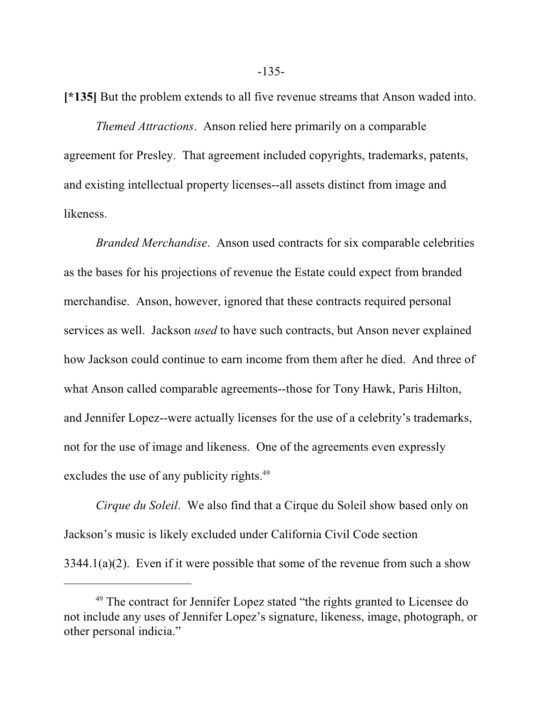**[\*135]** But the problem extends to all five revenue streams that Anson waded into.

*Themed Attractions*. Anson relied here primarily on a comparable agreement for Presley. That agreement included copyrights, trademarks, patents, and existing intellectual property licenses--all assets distinct from image and likeness.

*Branded Merchandise*. Anson used contracts for six comparable celebrities as the bases for his projections of revenue the Estate could expect from branded merchandise. Anson, however, ignored that these contracts required personal services as well. Jackson *used* to have such contracts, but Anson never explained how Jackson could continue to earn income from them after he died. And three of what Anson called comparable agreements--those for Tony Hawk, Paris Hilton, and Jennifer Lopez--were actually licenses for the use of a celebrity's trademarks, not for the use of image and likeness. One of the agreements even expressly excludes the use of any publicity rights.<sup>49</sup>

*Cirque du Soleil*. We also find that a Cirque du Soleil show based only on Jackson's music is likely excluded under California Civil Code section  $3344.1(a)(2)$ . Even if it were possible that some of the revenue from such a show

<sup>&</sup>lt;sup>49</sup> The contract for Jennifer Lopez stated "the rights granted to Licensee do not include any uses of Jennifer Lopez's signature, likeness, image, photograph, or other personal indicia."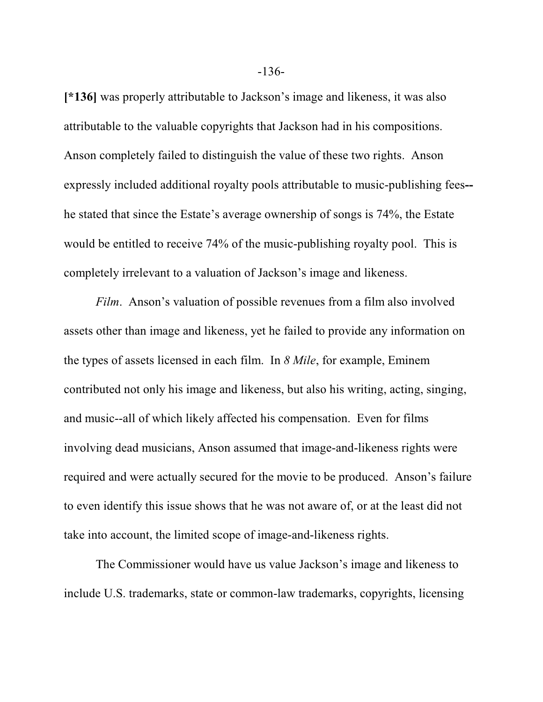**[\*136]** was properly attributable to Jackson's image and likeness, it was also attributable to the valuable copyrights that Jackson had in his compositions. Anson completely failed to distinguish the value of these two rights. Anson expressly included additional royalty pools attributable to music-publishing fees**-** he stated that since the Estate's average ownership of songs is 74%, the Estate would be entitled to receive 74% of the music-publishing royalty pool. This is completely irrelevant to a valuation of Jackson's image and likeness.

*Film*. Anson's valuation of possible revenues from a film also involved assets other than image and likeness, yet he failed to provide any information on the types of assets licensed in each film. In *8 Mile*, for example, Eminem contributed not only his image and likeness, but also his writing, acting, singing, and music--all of which likely affected his compensation. Even for films involving dead musicians, Anson assumed that image-and-likeness rights were required and were actually secured for the movie to be produced. Anson's failure to even identify this issue shows that he was not aware of, or at the least did not take into account, the limited scope of image-and-likeness rights.

The Commissioner would have us value Jackson's image and likeness to include U.S. trademarks, state or common-law trademarks, copyrights, licensing

-136-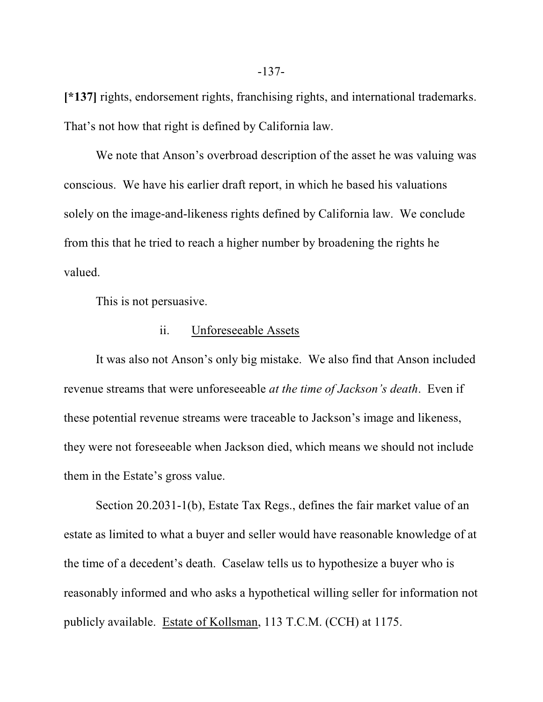**[\*137]** rights, endorsement rights, franchising rights, and international trademarks. That's not how that right is defined by California law.

We note that Anson's overbroad description of the asset he was valuing was conscious. We have his earlier draft report, in which he based his valuations solely on the image-and-likeness rights defined by California law. We conclude from this that he tried to reach a higher number by broadening the rights he valued.

This is not persuasive.

#### ii. Unforeseeable Assets

It was also not Anson's only big mistake. We also find that Anson included revenue streams that were unforeseeable *at the time of Jackson's death*. Even if these potential revenue streams were traceable to Jackson's image and likeness, they were not foreseeable when Jackson died, which means we should not include them in the Estate's gross value.

Section 20.2031-1(b), Estate Tax Regs., defines the fair market value of an estate as limited to what a buyer and seller would have reasonable knowledge of at the time of a decedent's death. Caselaw tells us to hypothesize a buyer who is reasonably informed and who asks a hypothetical willing seller for information not publicly available. Estate of Kollsman, 113 T.C.M. (CCH) at 1175.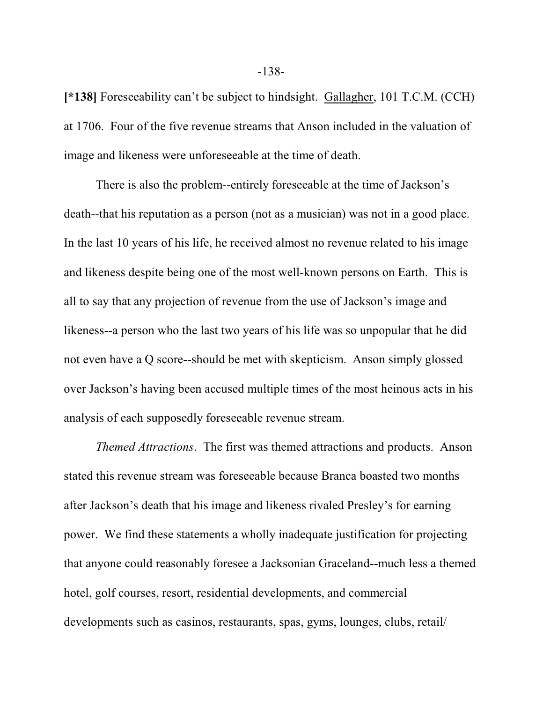**[\*138]** Foreseeability can't be subject to hindsight. Gallagher, 101 T.C.M. (CCH) at 1706. Four of the five revenue streams that Anson included in the valuation of image and likeness were unforeseeable at the time of death.

There is also the problem--entirely foreseeable at the time of Jackson's death--that his reputation as a person (not as a musician) was not in a good place. In the last 10 years of his life, he received almost no revenue related to his image and likeness despite being one of the most well-known persons on Earth. This is all to say that any projection of revenue from the use of Jackson's image and likeness--a person who the last two years of his life was so unpopular that he did not even have a Q score--should be met with skepticism. Anson simply glossed over Jackson's having been accused multiple times of the most heinous acts in his analysis of each supposedly foreseeable revenue stream.

*Themed Attractions*. The first was themed attractions and products. Anson stated this revenue stream was foreseeable because Branca boasted two months after Jackson's death that his image and likeness rivaled Presley's for earning power. We find these statements a wholly inadequate justification for projecting that anyone could reasonably foresee a Jacksonian Graceland--much less a themed hotel, golf courses, resort, residential developments, and commercial developments such as casinos, restaurants, spas, gyms, lounges, clubs, retail/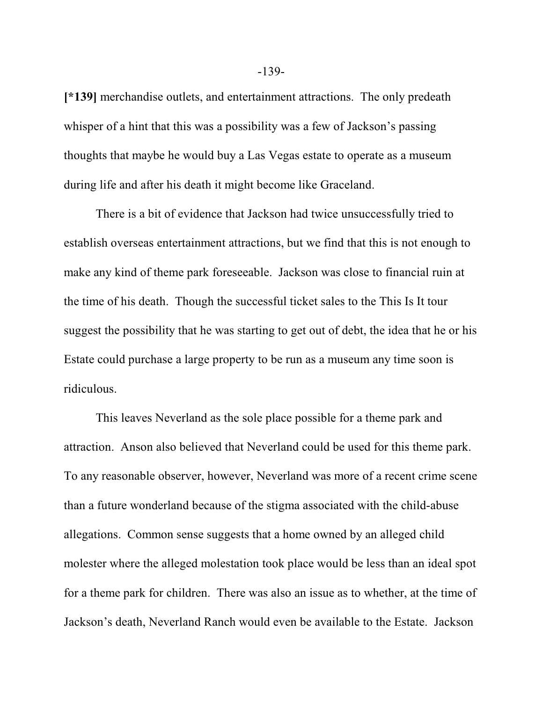**[\*139]** merchandise outlets, and entertainment attractions. The only predeath whisper of a hint that this was a possibility was a few of Jackson's passing thoughts that maybe he would buy a Las Vegas estate to operate as a museum during life and after his death it might become like Graceland.

There is a bit of evidence that Jackson had twice unsuccessfully tried to establish overseas entertainment attractions, but we find that this is not enough to make any kind of theme park foreseeable. Jackson was close to financial ruin at the time of his death. Though the successful ticket sales to the This Is It tour suggest the possibility that he was starting to get out of debt, the idea that he or his Estate could purchase a large property to be run as a museum any time soon is ridiculous.

This leaves Neverland as the sole place possible for a theme park and attraction. Anson also believed that Neverland could be used for this theme park. To any reasonable observer, however, Neverland was more of a recent crime scene than a future wonderland because of the stigma associated with the child-abuse allegations. Common sense suggests that a home owned by an alleged child molester where the alleged molestation took place would be less than an ideal spot for a theme park for children. There was also an issue as to whether, at the time of Jackson's death, Neverland Ranch would even be available to the Estate. Jackson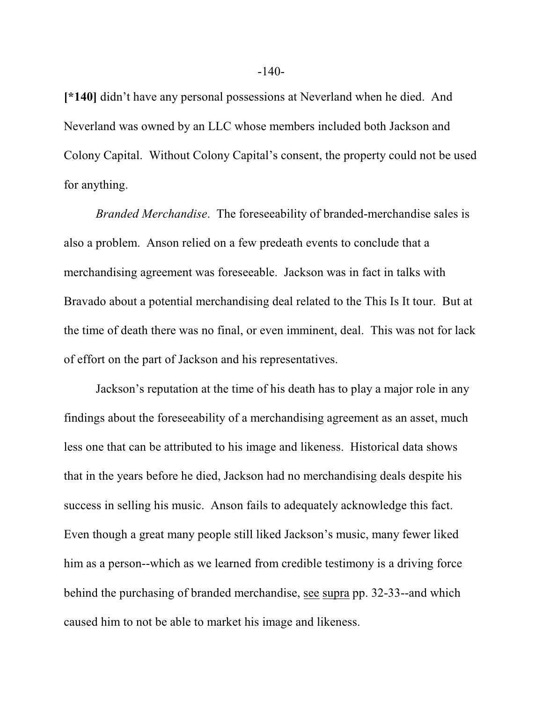**[\*140]** didn't have any personal possessions at Neverland when he died. And Neverland was owned by an LLC whose members included both Jackson and Colony Capital. Without Colony Capital's consent, the property could not be used for anything.

*Branded Merchandise*. The foreseeability of branded-merchandise sales is also a problem. Anson relied on a few predeath events to conclude that a merchandising agreement was foreseeable. Jackson was in fact in talks with Bravado about a potential merchandising deal related to the This Is It tour. But at the time of death there was no final, or even imminent, deal. This was not for lack of effort on the part of Jackson and his representatives.

Jackson's reputation at the time of his death has to play a major role in any findings about the foreseeability of a merchandising agreement as an asset, much less one that can be attributed to his image and likeness. Historical data shows that in the years before he died, Jackson had no merchandising deals despite his success in selling his music. Anson fails to adequately acknowledge this fact. Even though a great many people still liked Jackson's music, many fewer liked him as a person--which as we learned from credible testimony is a driving force behind the purchasing of branded merchandise, see supra pp. 32-33--and which caused him to not be able to market his image and likeness.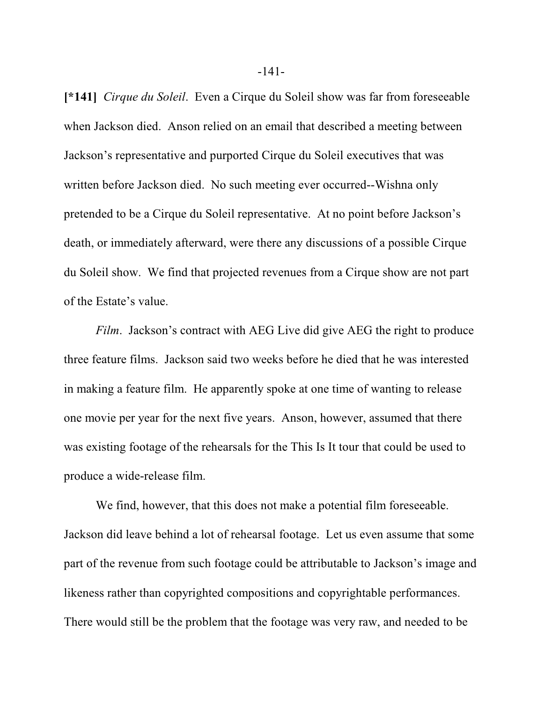**[\*141]** *Cirque du Soleil*. Even a Cirque du Soleil show was far from foreseeable when Jackson died. Anson relied on an email that described a meeting between Jackson's representative and purported Cirque du Soleil executives that was written before Jackson died. No such meeting ever occurred--Wishna only pretended to be a Cirque du Soleil representative. At no point before Jackson's death, or immediately afterward, were there any discussions of a possible Cirque du Soleil show. We find that projected revenues from a Cirque show are not part of the Estate's value.

*Film.* Jackson's contract with AEG Live did give AEG the right to produce three feature films. Jackson said two weeks before he died that he was interested in making a feature film. He apparently spoke at one time of wanting to release one movie per year for the next five years. Anson, however, assumed that there was existing footage of the rehearsals for the This Is It tour that could be used to produce a wide-release film.

We find, however, that this does not make a potential film foreseeable. Jackson did leave behind a lot of rehearsal footage. Let us even assume that some part of the revenue from such footage could be attributable to Jackson's image and likeness rather than copyrighted compositions and copyrightable performances. There would still be the problem that the footage was very raw, and needed to be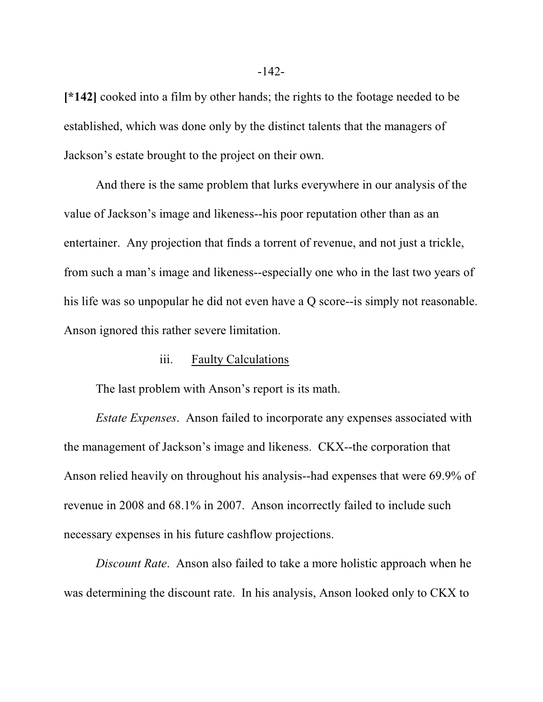**[\*142]** cooked into a film by other hands; the rights to the footage needed to be established, which was done only by the distinct talents that the managers of Jackson's estate brought to the project on their own.

And there is the same problem that lurks everywhere in our analysis of the value of Jackson's image and likeness--his poor reputation other than as an entertainer. Any projection that finds a torrent of revenue, and not just a trickle, from such a man's image and likeness--especially one who in the last two years of his life was so unpopular he did not even have a Q score--is simply not reasonable. Anson ignored this rather severe limitation.

#### iii. Faulty Calculations

The last problem with Anson's report is its math.

*Estate Expenses*. Anson failed to incorporate any expenses associated with the management of Jackson's image and likeness. CKX--the corporation that Anson relied heavily on throughout his analysis--had expenses that were 69.9% of revenue in 2008 and 68.1% in 2007. Anson incorrectly failed to include such necessary expenses in his future cashflow projections.

*Discount Rate*. Anson also failed to take a more holistic approach when he was determining the discount rate. In his analysis, Anson looked only to CKX to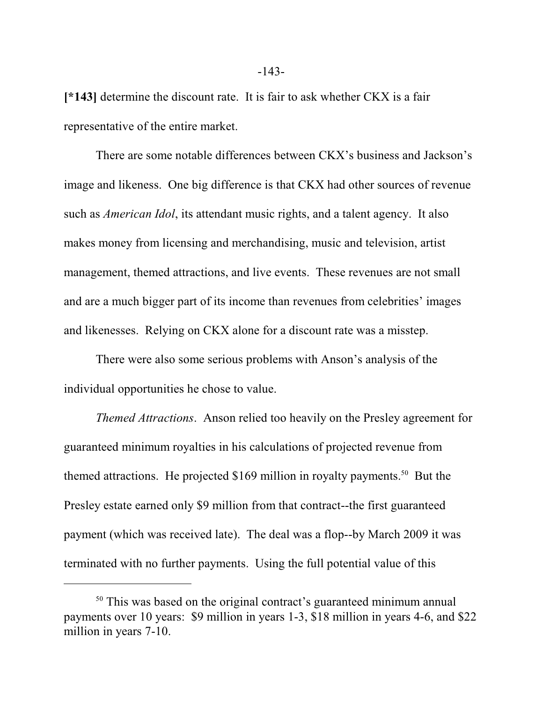**[\*143]** determine the discount rate. It is fair to ask whether CKX is a fair representative of the entire market.

There are some notable differences between CKX's business and Jackson's image and likeness. One big difference is that CKX had other sources of revenue such as *American Idol*, its attendant music rights, and a talent agency. It also makes money from licensing and merchandising, music and television, artist management, themed attractions, and live events. These revenues are not small and are a much bigger part of its income than revenues from celebrities' images and likenesses. Relying on CKX alone for a discount rate was a misstep.

There were also some serious problems with Anson's analysis of the individual opportunities he chose to value.

*Themed Attractions*. Anson relied too heavily on the Presley agreement for guaranteed minimum royalties in his calculations of projected revenue from themed attractions. He projected \$169 million in royalty payments.<sup>50</sup> But the Presley estate earned only \$9 million from that contract--the first guaranteed payment (which was received late). The deal was a flop--by March 2009 it was terminated with no further payments. Using the full potential value of this

<sup>&</sup>lt;sup>50</sup> This was based on the original contract's guaranteed minimum annual payments over 10 years: \$9 million in years 1-3, \$18 million in years 4-6, and \$22 million in years 7-10.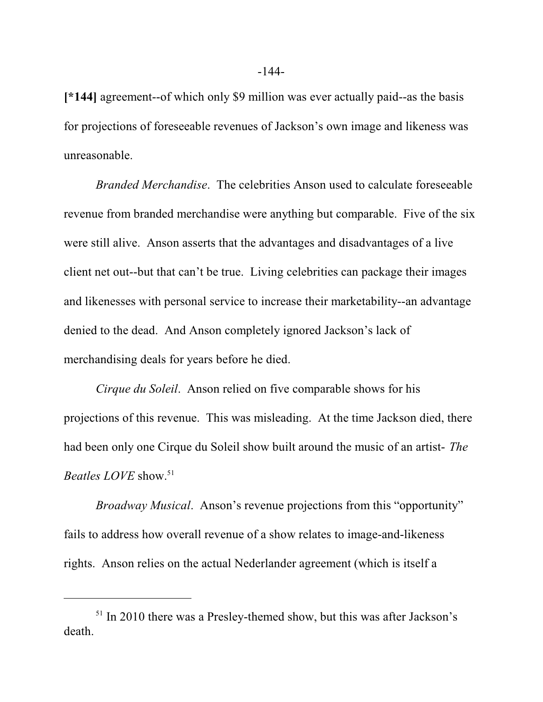**[\*144]** agreement--of which only \$9 million was ever actually paid--as the basis for projections of foreseeable revenues of Jackson's own image and likeness was unreasonable.

*Branded Merchandise*. The celebrities Anson used to calculate foreseeable revenue from branded merchandise were anything but comparable. Five of the six were still alive. Anson asserts that the advantages and disadvantages of a live client net out--but that can't be true. Living celebrities can package their images and likenesses with personal service to increase their marketability--an advantage denied to the dead. And Anson completely ignored Jackson's lack of merchandising deals for years before he died.

*Cirque du Soleil*. Anson relied on five comparable shows for his projections of this revenue. This was misleading. At the time Jackson died, there had been only one Cirque du Soleil show built around the music of an artist- *The Beatles LOVE* show.<sup>51</sup>

*Broadway Musical*. Anson's revenue projections from this "opportunity" fails to address how overall revenue of a show relates to image-and-likeness rights. Anson relies on the actual Nederlander agreement (which is itself a

<sup>&</sup>lt;sup>51</sup> In 2010 there was a Presley-themed show, but this was after Jackson's death.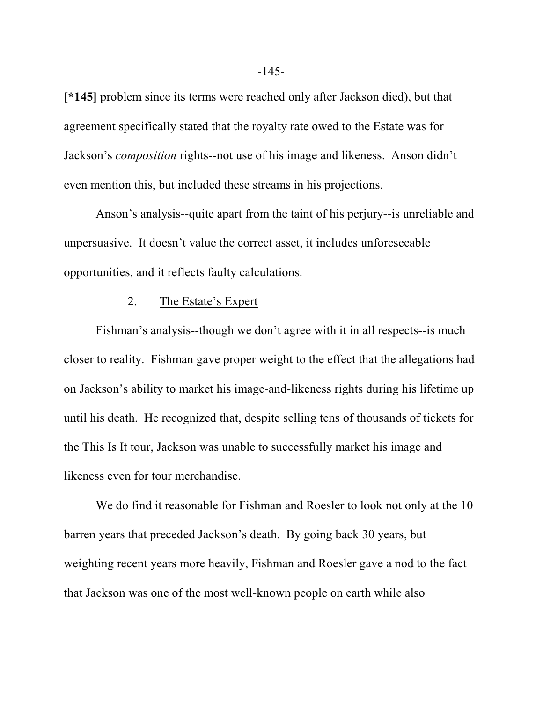**[\*145]** problem since its terms were reached only after Jackson died), but that agreement specifically stated that the royalty rate owed to the Estate was for Jackson's *composition* rights--not use of his image and likeness. Anson didn't even mention this, but included these streams in his projections.

Anson's analysis--quite apart from the taint of his perjury--is unreliable and unpersuasive. It doesn't value the correct asset, it includes unforeseeable opportunities, and it reflects faulty calculations.

#### 2. The Estate's Expert

Fishman's analysis--though we don't agree with it in all respects--is much closer to reality. Fishman gave proper weight to the effect that the allegations had on Jackson's ability to market his image-and-likeness rights during his lifetime up until his death. He recognized that, despite selling tens of thousands of tickets for the This Is It tour, Jackson was unable to successfully market his image and likeness even for tour merchandise.

We do find it reasonable for Fishman and Roesler to look not only at the 10 barren years that preceded Jackson's death. By going back 30 years, but weighting recent years more heavily, Fishman and Roesler gave a nod to the fact that Jackson was one of the most well-known people on earth while also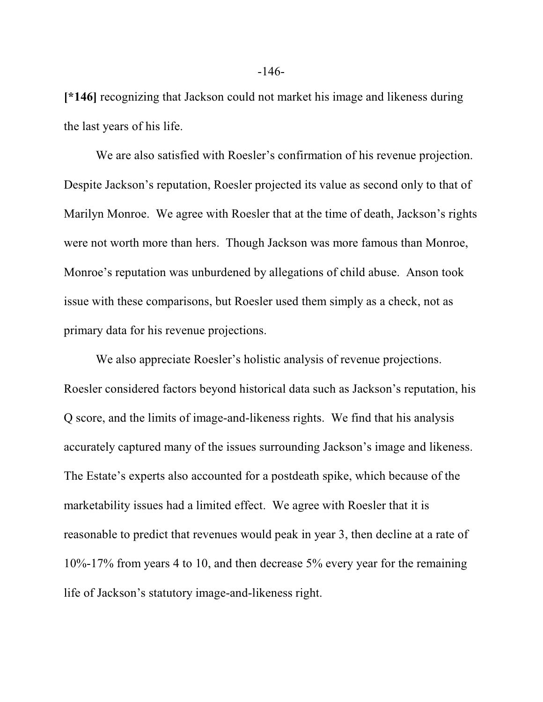**[\*146]** recognizing that Jackson could not market his image and likeness during the last years of his life.

We are also satisfied with Roesler's confirmation of his revenue projection. Despite Jackson's reputation, Roesler projected its value as second only to that of Marilyn Monroe. We agree with Roesler that at the time of death, Jackson's rights were not worth more than hers. Though Jackson was more famous than Monroe, Monroe's reputation was unburdened by allegations of child abuse. Anson took issue with these comparisons, but Roesler used them simply as a check, not as primary data for his revenue projections.

We also appreciate Roesler's holistic analysis of revenue projections. Roesler considered factors beyond historical data such as Jackson's reputation, his Q score, and the limits of image-and-likeness rights. We find that his analysis accurately captured many of the issues surrounding Jackson's image and likeness. The Estate's experts also accounted for a postdeath spike, which because of the marketability issues had a limited effect. We agree with Roesler that it is reasonable to predict that revenues would peak in year 3, then decline at a rate of 10%-17% from years 4 to 10, and then decrease 5% every year for the remaining life of Jackson's statutory image-and-likeness right.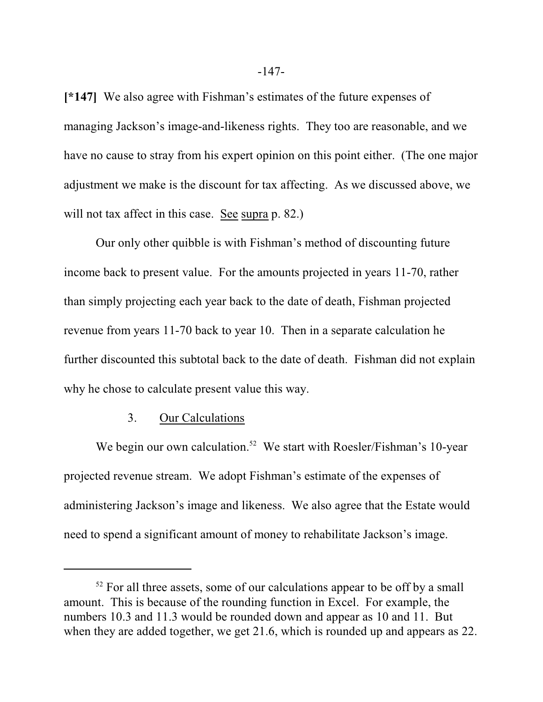**[\*147]** We also agree with Fishman's estimates of the future expenses of managing Jackson's image-and-likeness rights. They too are reasonable, and we have no cause to stray from his expert opinion on this point either. (The one major adjustment we make is the discount for tax affecting. As we discussed above, we will not tax affect in this case. See supra p. 82.)

Our only other quibble is with Fishman's method of discounting future income back to present value. For the amounts projected in years 11-70, rather than simply projecting each year back to the date of death, Fishman projected revenue from years 11-70 back to year 10. Then in a separate calculation he further discounted this subtotal back to the date of death. Fishman did not explain why he chose to calculate present value this way.

#### 3. Our Calculations

We begin our own calculation.<sup>52</sup> We start with Roesler/Fishman's 10-year projected revenue stream. We adopt Fishman's estimate of the expenses of administering Jackson's image and likeness. We also agree that the Estate would need to spend a significant amount of money to rehabilitate Jackson's image.

 $52$  For all three assets, some of our calculations appear to be off by a small amount. This is because of the rounding function in Excel. For example, the numbers 10.3 and 11.3 would be rounded down and appear as 10 and 11. But when they are added together, we get 21.6, which is rounded up and appears as 22.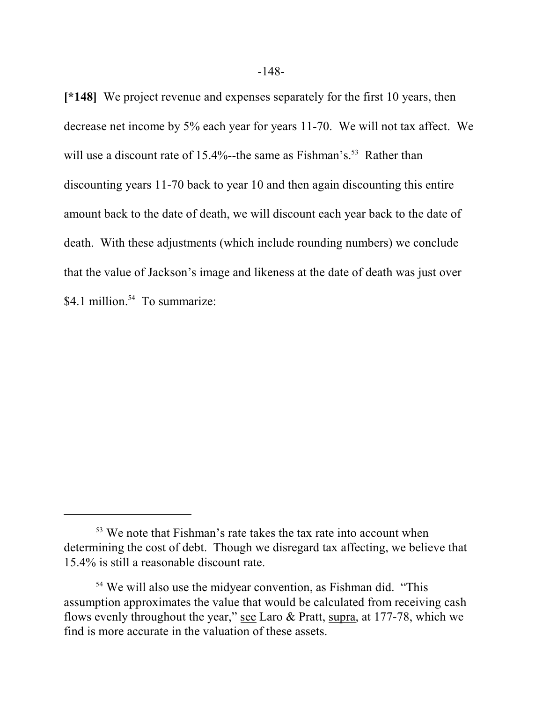**[\*148]** We project revenue and expenses separately for the first 10 years, then decrease net income by 5% each year for years 11-70. We will not tax affect. We will use a discount rate of 15.4%--the same as Fishman's.<sup>53</sup> Rather than discounting years 11-70 back to year 10 and then again discounting this entire amount back to the date of death, we will discount each year back to the date of death. With these adjustments (which include rounding numbers) we conclude that the value of Jackson's image and likeness at the date of death was just over \$4.1 million.<sup>54</sup> To summarize:

<sup>&</sup>lt;sup>53</sup> We note that Fishman's rate takes the tax rate into account when determining the cost of debt. Though we disregard tax affecting, we believe that 15.4% is still a reasonable discount rate.

<sup>&</sup>lt;sup>54</sup> We will also use the midyear convention, as Fishman did. "This assumption approximates the value that would be calculated from receiving cash flows evenly throughout the year," see Laro & Pratt, supra, at 177-78, which we find is more accurate in the valuation of these assets.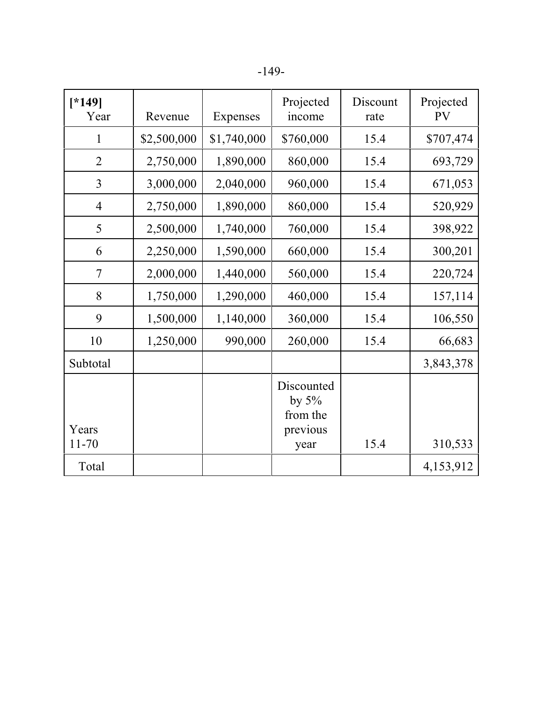|--|

| $[ *149]$<br>Year | Revenue     | Expenses    | Projected<br>income                            | Discount<br>rate | Projected<br><b>PV</b> |
|-------------------|-------------|-------------|------------------------------------------------|------------------|------------------------|
| $\mathbf{1}$      | \$2,500,000 | \$1,740,000 | \$760,000                                      | 15.4             | \$707,474              |
| $\overline{2}$    | 2,750,000   | 1,890,000   | 860,000                                        | 15.4             | 693,729                |
| $\overline{3}$    | 3,000,000   | 2,040,000   | 960,000                                        | 15.4             | 671,053                |
| $\overline{4}$    | 2,750,000   | 1,890,000   | 860,000                                        | 15.4             | 520,929                |
| 5                 | 2,500,000   | 1,740,000   | 760,000                                        | 15.4             | 398,922                |
| 6                 | 2,250,000   | 1,590,000   | 660,000                                        | 15.4             | 300,201                |
| $\overline{7}$    | 2,000,000   | 1,440,000   | 560,000                                        | 15.4             | 220,724                |
| 8                 | 1,750,000   | 1,290,000   | 460,000                                        | 15.4             | 157,114                |
| 9                 | 1,500,000   | 1,140,000   | 360,000                                        | 15.4             | 106,550                |
| 10                | 1,250,000   | 990,000     | 260,000                                        | 15.4             | 66,683                 |
| Subtotal          |             |             |                                                |                  | 3,843,378              |
| Years             |             |             | Discounted<br>by $5\%$<br>from the<br>previous |                  |                        |
| $11 - 70$         |             |             | year                                           | 15.4             | 310,533                |
| Total             |             |             |                                                |                  | 4,153,912              |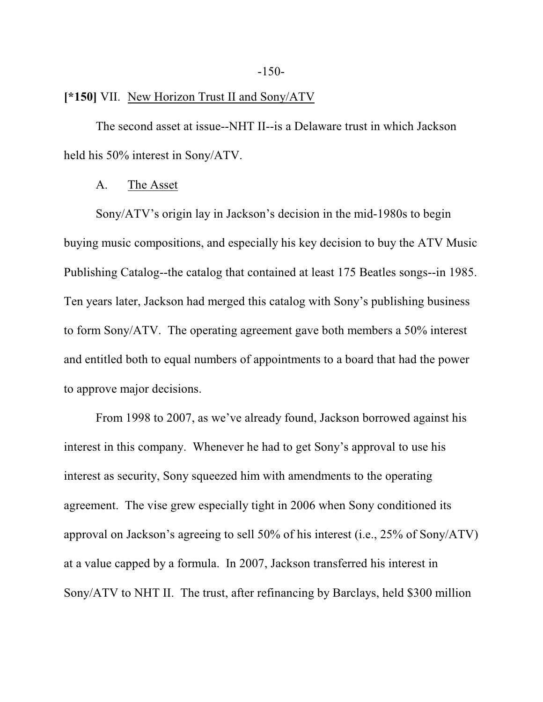### **[\*150]** VII. New Horizon Trust II and Sony/ATV

The second asset at issue--NHT II--is a Delaware trust in which Jackson held his 50% interest in Sony/ATV.

#### A. The Asset

Sony/ATV's origin lay in Jackson's decision in the mid-1980s to begin buying music compositions, and especially his key decision to buy the ATV Music Publishing Catalog--the catalog that contained at least 175 Beatles songs--in 1985. Ten years later, Jackson had merged this catalog with Sony's publishing business to form Sony/ATV. The operating agreement gave both members a 50% interest and entitled both to equal numbers of appointments to a board that had the power to approve major decisions.

From 1998 to 2007, as we've already found, Jackson borrowed against his interest in this company. Whenever he had to get Sony's approval to use his interest as security, Sony squeezed him with amendments to the operating agreement. The vise grew especially tight in 2006 when Sony conditioned its approval on Jackson's agreeing to sell 50% of his interest (i.e., 25% of Sony/ATV) at a value capped by a formula. In 2007, Jackson transferred his interest in Sony/ATV to NHT II. The trust, after refinancing by Barclays, held \$300 million

#### -150-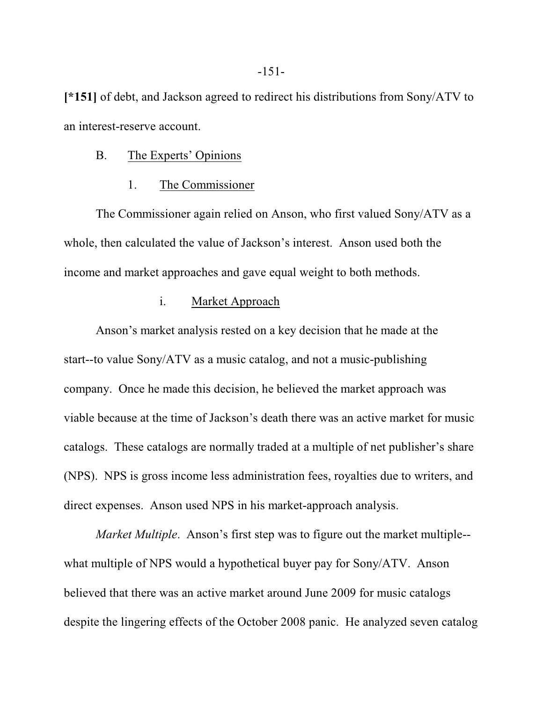**[\*151]** of debt, and Jackson agreed to redirect his distributions from Sony/ATV to an interest-reserve account.

#### B. The Experts' Opinions

#### 1. The Commissioner

The Commissioner again relied on Anson, who first valued Sony/ATV as a whole, then calculated the value of Jackson's interest. Anson used both the income and market approaches and gave equal weight to both methods.

### i. Market Approach

Anson's market analysis rested on a key decision that he made at the start--to value Sony/ATV as a music catalog, and not a music-publishing company. Once he made this decision, he believed the market approach was viable because at the time of Jackson's death there was an active market for music catalogs. These catalogs are normally traded at a multiple of net publisher's share (NPS). NPS is gross income less administration fees, royalties due to writers, and direct expenses. Anson used NPS in his market-approach analysis.

*Market Multiple*. Anson's first step was to figure out the market multiple- what multiple of NPS would a hypothetical buyer pay for Sony/ATV. Anson believed that there was an active market around June 2009 for music catalogs despite the lingering effects of the October 2008 panic. He analyzed seven catalog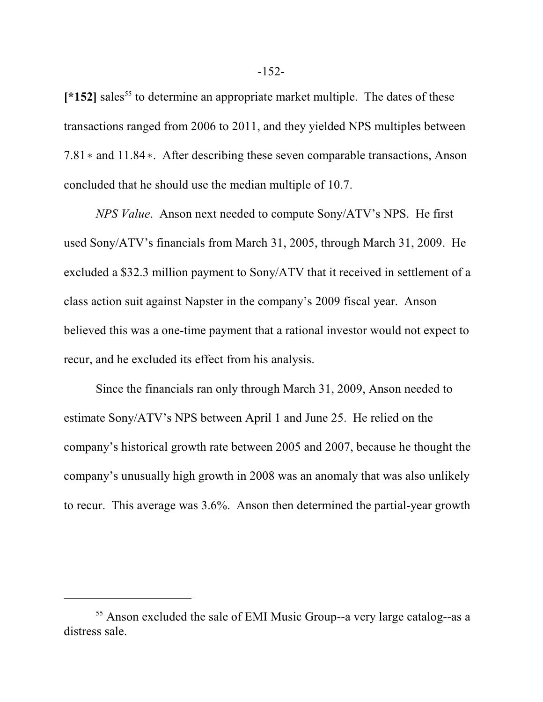[\*152] sales<sup>55</sup> to determine an appropriate market multiple. The dates of these transactions ranged from 2006 to 2011, and they yielded NPS multiples between  $7.81*$  and  $11.84*$ . After describing these seven comparable transactions, Anson concluded that he should use the median multiple of 10.7.

*NPS Value*. Anson next needed to compute Sony/ATV's NPS. He first used Sony/ATV's financials from March 31, 2005, through March 31, 2009. He excluded a \$32.3 million payment to Sony/ATV that it received in settlement of a class action suit against Napster in the company's 2009 fiscal year. Anson believed this was a one-time payment that a rational investor would not expect to recur, and he excluded its effect from his analysis.

Since the financials ran only through March 31, 2009, Anson needed to estimate Sony/ATV's NPS between April 1 and June 25. He relied on the company's historical growth rate between 2005 and 2007, because he thought the company's unusually high growth in 2008 was an anomaly that was also unlikely to recur. This average was 3.6%. Anson then determined the partial-year growth

<sup>&</sup>lt;sup>55</sup> Anson excluded the sale of EMI Music Group--a very large catalog--as a distress sale.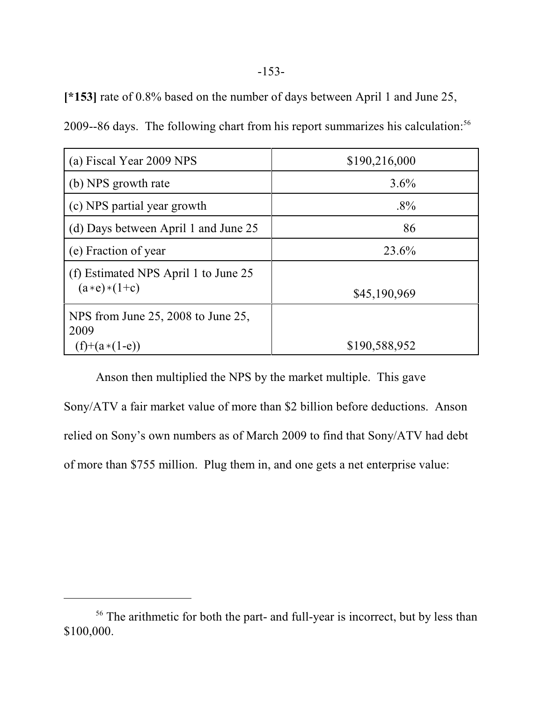**[\*153]** rate of 0.8% based on the number of days between April 1 and June 25,

2009--86 days. The following chart from his report summarizes his calculation: 56

| (a) Fiscal Year 2009 NPS                                      | \$190,216,000 |
|---------------------------------------------------------------|---------------|
| (b) NPS growth rate                                           | $3.6\%$       |
| (c) NPS partial year growth                                   | $.8\%$        |
| (d) Days between April 1 and June 25                          | 86            |
| (e) Fraction of year                                          | 23.6%         |
| (f) Estimated NPS April 1 to June 25<br>$(a*e)*(1+c)$         | \$45,190,969  |
| NPS from June 25, 2008 to June 25,<br>2009<br>$(f)+(a*(1-e))$ | \$190,588,952 |

Anson then multiplied the NPS by the market multiple. This gave Sony/ATV a fair market value of more than \$2 billion before deductions. Anson relied on Sony's own numbers as of March 2009 to find that Sony/ATV had debt of more than \$755 million. Plug them in, and one gets a net enterprise value:

<sup>&</sup>lt;sup>56</sup> The arithmetic for both the part- and full-year is incorrect, but by less than \$100,000.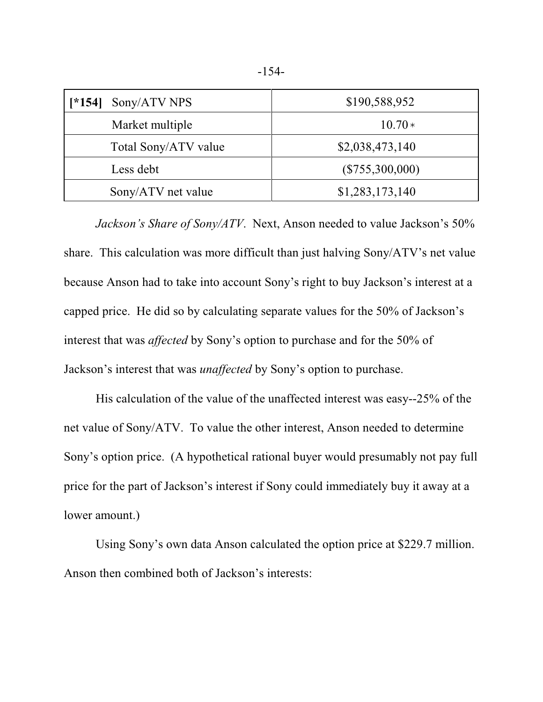| Sony/ATV NPS<br>$[ *154]$ | \$190,588,952     |
|---------------------------|-------------------|
| Market multiple           | $10.70*$          |
| Total Sony/ATV value      | \$2,038,473,140   |
| Less debt                 | $(\$755,300,000)$ |
| Sony/ATV net value        | \$1,283,173,140   |

*Jackson's Share of Sony/ATV*. Next, Anson needed to value Jackson's 50% share. This calculation was more difficult than just halving Sony/ATV's net value because Anson had to take into account Sony's right to buy Jackson's interest at a capped price. He did so by calculating separate values for the 50% of Jackson's interest that was *affected* by Sony's option to purchase and for the 50% of Jackson's interest that was *unaffected* by Sony's option to purchase.

His calculation of the value of the unaffected interest was easy--25% of the net value of Sony/ATV. To value the other interest, Anson needed to determine Sony's option price. (A hypothetical rational buyer would presumably not pay full price for the part of Jackson's interest if Sony could immediately buy it away at a lower amount.)

Using Sony's own data Anson calculated the option price at \$229.7 million. Anson then combined both of Jackson's interests: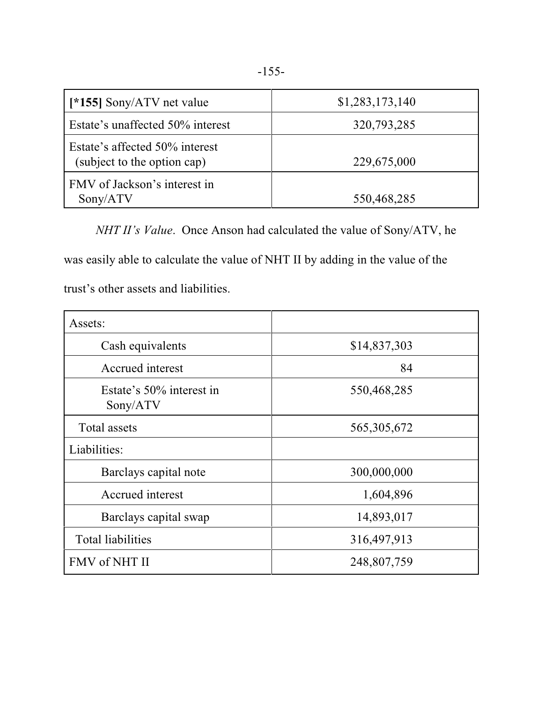| [*155] Sony/ATV net value                                     | \$1,283,173,140 |
|---------------------------------------------------------------|-----------------|
| Estate's unaffected 50% interest                              | 320,793,285     |
| Estate's affected 50% interest<br>(subject to the option cap) | 229,675,000     |
| FMV of Jackson's interest in<br>Sony/ATV                      | 550,468,285     |

*NHT II's Value*. Once Anson had calculated the value of Sony/ATV, he was easily able to calculate the value of NHT II by adding in the value of the trust's other assets and liabilities.

| Assets:                              |               |
|--------------------------------------|---------------|
| Cash equivalents                     | \$14,837,303  |
| Accrued interest                     | 84            |
| Estate's 50% interest in<br>Sony/ATV | 550,468,285   |
| Total assets                         | 565, 305, 672 |
| Liabilities:                         |               |
| Barclays capital note                | 300,000,000   |
| Accrued interest                     | 1,604,896     |
| Barclays capital swap                | 14,893,017    |
| <b>Total liabilities</b>             | 316,497,913   |
| FMV of NHT II                        | 248,807,759   |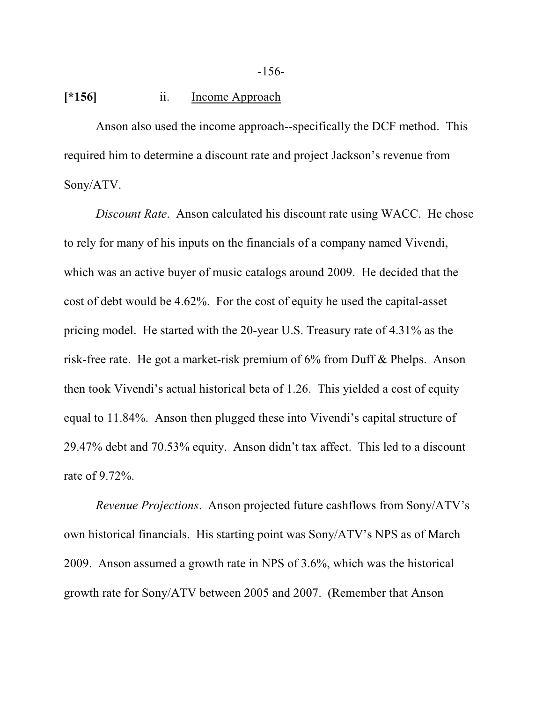## **[\*156]** ii. Income Approach

Anson also used the income approach--specifically the DCF method. This required him to determine a discount rate and project Jackson's revenue from Sony/ATV.

*Discount Rate*. Anson calculated his discount rate using WACC. He chose to rely for many of his inputs on the financials of a company named Vivendi, which was an active buyer of music catalogs around 2009. He decided that the cost of debt would be 4.62%. For the cost of equity he used the capital-asset pricing model. He started with the 20-year U.S. Treasury rate of 4.31% as the risk-free rate. He got a market-risk premium of 6% from Duff & Phelps. Anson then took Vivendi's actual historical beta of 1.26. This yielded a cost of equity equal to 11.84%. Anson then plugged these into Vivendi's capital structure of 29.47% debt and 70.53% equity. Anson didn't tax affect. This led to a discount rate of 9.72%.

*Revenue Projections*. Anson projected future cashflows from Sony/ATV's own historical financials. His starting point was Sony/ATV's NPS as of March 2009. Anson assumed a growth rate in NPS of 3.6%, which was the historical growth rate for Sony/ATV between 2005 and 2007. (Remember that Anson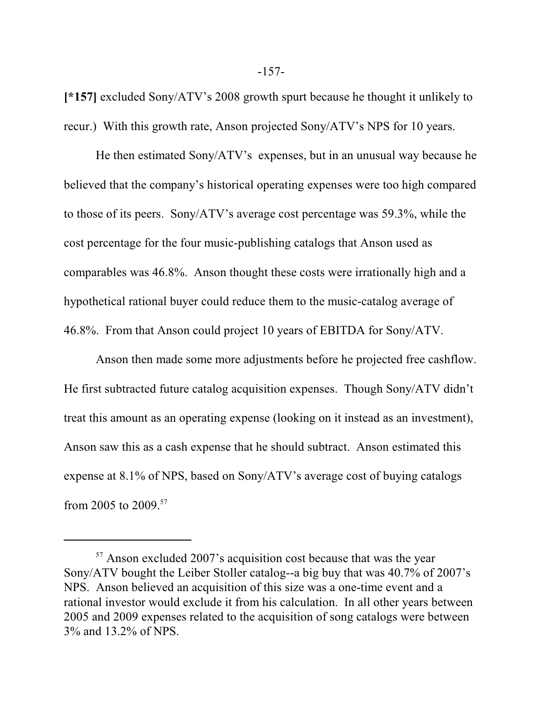**[\*157]** excluded Sony/ATV's 2008 growth spurt because he thought it unlikely to recur.) With this growth rate, Anson projected Sony/ATV's NPS for 10 years.

He then estimated Sony/ATV's expenses, but in an unusual way because he believed that the company's historical operating expenses were too high compared to those of its peers. Sony/ATV's average cost percentage was 59.3%, while the cost percentage for the four music-publishing catalogs that Anson used as comparables was 46.8%. Anson thought these costs were irrationally high and a hypothetical rational buyer could reduce them to the music-catalog average of 46.8%. From that Anson could project 10 years of EBITDA for Sony/ATV.

Anson then made some more adjustments before he projected free cashflow. He first subtracted future catalog acquisition expenses. Though Sony/ATV didn't treat this amount as an operating expense (looking on it instead as an investment), Anson saw this as a cash expense that he should subtract. Anson estimated this expense at 8.1% of NPS, based on Sony/ATV's average cost of buying catalogs from 2005 to 2009. 57

<sup>&</sup>lt;sup>57</sup> Anson excluded 2007's acquisition cost because that was the year Sony/ATV bought the Leiber Stoller catalog--a big buy that was 40.7% of 2007's NPS. Anson believed an acquisition of this size was a one-time event and a rational investor would exclude it from his calculation. In all other years between 2005 and 2009 expenses related to the acquisition of song catalogs were between 3% and 13.2% of NPS.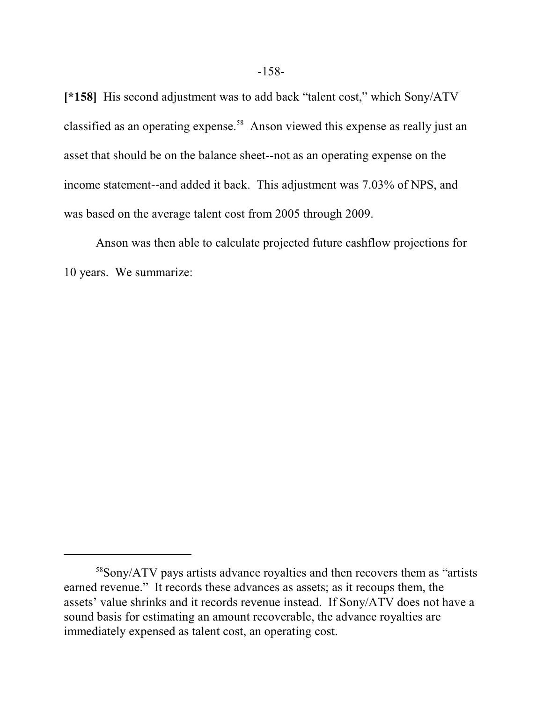**[\*158]** His second adjustment was to add back "talent cost," which Sony/ATV classified as an operating expense.<sup>58</sup> Anson viewed this expense as really just an asset that should be on the balance sheet--not as an operating expense on the income statement--and added it back. This adjustment was 7.03% of NPS, and was based on the average talent cost from 2005 through 2009.

Anson was then able to calculate projected future cashflow projections for 10 years. We summarize:

<sup>58</sup>Sony/ATV pays artists advance royalties and then recovers them as "artists earned revenue." It records these advances as assets; as it recoups them, the assets' value shrinks and it records revenue instead. If Sony/ATV does not have a sound basis for estimating an amount recoverable, the advance royalties are immediately expensed as talent cost, an operating cost.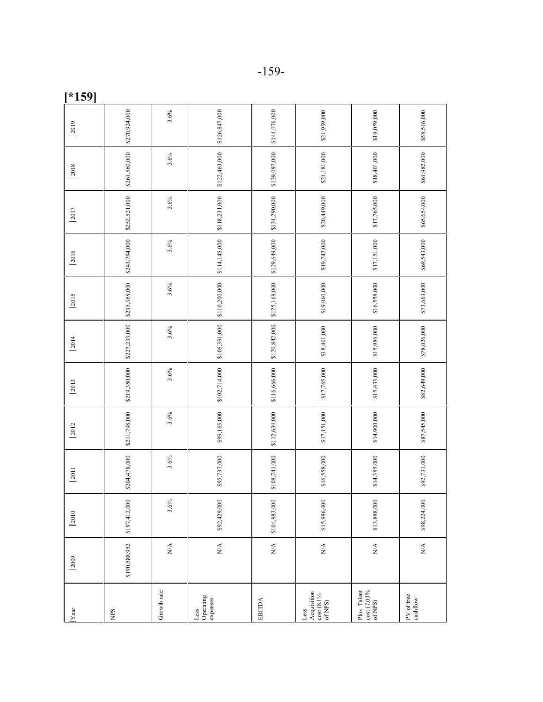| 2019 | \$270,924,000 | 3.6%                                     | \$126,847,000                | \$144,076,000                | \$21,939,000                                                 | \$19,059,000                          | \$58,516,000                    |
|------|---------------|------------------------------------------|------------------------------|------------------------------|--------------------------------------------------------------|---------------------------------------|---------------------------------|
| 2018 | \$261,560,000 | 3.6%                                     | \$122,463,000                | \$139,097,000                | \$21,181,000                                                 | \$18,401,000                          | \$61,982,000                    |
| 2017 | \$252,521,000 | 3.6%                                     | \$118,231,000                | \$134,290,000                | \$20,449,000                                                 | \$17,765,000                          | \$65,654,000                    |
| 2016 | \$243,794,000 | 3.6%                                     | \$114,145,000                | \$129,649,000                | \$19,742,000                                                 | \$17,151,000                          | \$69,543,000                    |
| 2015 | \$235,368,000 | 3.6%                                     | \$110,200,000                | \$125,168,000                | \$19,060,000                                                 | \$16,558,000                          | \$73,663,000                    |
| 2014 | \$227,233,000 | 3.6%                                     | \$106,391,000                | \$120,842,000                | \$18,401,000                                                 | \$15,986,000                          | \$78,026,000                    |
| 2013 | \$219,380,000 | 3.6%                                     | \$102,714,000                | \$116,666,000                | \$17,765,000                                                 | \$15,433,000                          | \$82,649,000                    |
| 2012 | \$211,798,000 | 3.6%                                     | \$99,165,000                 | \$112,634,000                | \$17,151,000                                                 | \$14,900,000                          | \$87,545,000                    |
| 2011 | \$204,478,000 | 3.6%                                     | \$95,737,000                 | \$108,741,000                | \$16,558,000                                                 | \$14,385,000                          | \$92,731,000                    |
| 2010 | \$197,412,000 | 3.6%                                     | \$92,429,000                 | \$104,983,000                | \$15,986,000                                                 | \$13,888,000                          | \$98,224,000                    |
| 2009 | \$190,588,952 | $\stackrel{\triangle}{\scriptstyle\sim}$ | $\stackrel{\triangle}{\geq}$ | $\stackrel{\triangle}{\geq}$ | $\stackrel{\triangle}{\geq}$                                 |                                       | $\mathop{\rm NA}\limits^\Delta$ |
| Year | SdIN          | Growth rate                              | Operating<br>expenses<br>Les | <b>EBITDA</b>                | Acquisition<br>$\frac{\cot{(8.1\%)}}{\text{of NPS}}$<br>Less | cost (7.03%<br>Plus Talent<br>of NPS) | PV of free<br>cashflow          |

-159-

**[\*159]**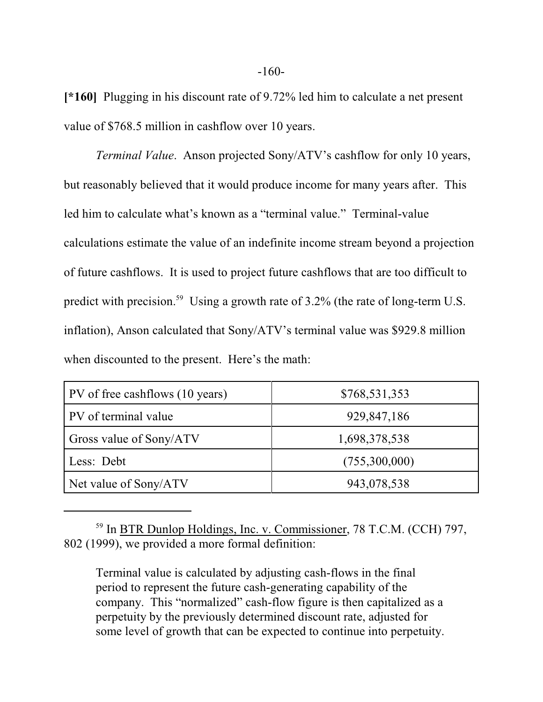**[\*160]** Plugging in his discount rate of 9.72% led him to calculate a net present value of \$768.5 million in cashflow over 10 years.

*Terminal Value*. Anson projected Sony/ATV's cashflow for only 10 years, but reasonably believed that it would produce income for many years after. This led him to calculate what's known as a "terminal value." Terminal-value calculations estimate the value of an indefinite income stream beyond a projection of future cashflows. It is used to project future cashflows that are too difficult to predict with precision.<sup>59</sup> Using a growth rate of 3.2% (the rate of long-term U.S. inflation), Anson calculated that Sony/ATV's terminal value was \$929.8 million when discounted to the present. Here's the math:

| PV of free cashflows (10 years) | \$768,531,353 |
|---------------------------------|---------------|
| PV of terminal value            | 929,847,186   |
| Gross value of Sony/ATV         | 1,698,378,538 |
| Less: Debt                      | (755,300,000) |
| Net value of Sony/ATV           | 943,078,538   |

<sup>&</sup>lt;sup>59</sup> In <u>BTR Dunlop Holdings, Inc. v. Commissioner</u>, 78 T.C.M. (CCH) 797, 802 (1999), we provided a more formal definition:

Terminal value is calculated by adjusting cash-flows in the final period to represent the future cash-generating capability of the company. This "normalized" cash-flow figure is then capitalized as a perpetuity by the previously determined discount rate, adjusted for some level of growth that can be expected to continue into perpetuity.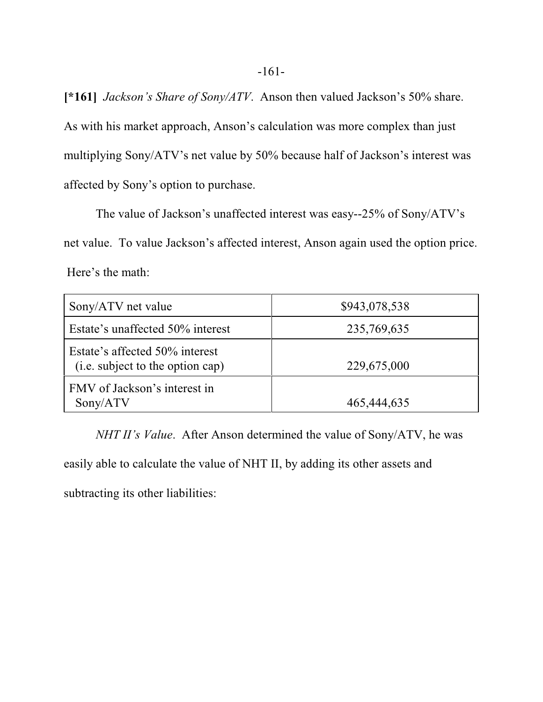**[\*161]** *Jackson's Share of Sony/ATV*. Anson then valued Jackson's 50% share. As with his market approach, Anson's calculation was more complex than just multiplying Sony/ATV's net value by 50% because half of Jackson's interest was affected by Sony's option to purchase.

The value of Jackson's unaffected interest was easy--25% of Sony/ATV's net value. To value Jackson's affected interest, Anson again used the option price. Here's the math:

| Sony/ATV net value                                                 | \$943,078,538 |
|--------------------------------------------------------------------|---------------|
| Estate's unaffected 50% interest                                   | 235,769,635   |
| Estate's affected 50% interest<br>(i.e. subject to the option cap) | 229,675,000   |
| FMV of Jackson's interest in<br>Sony/ATV                           | 465,444,635   |

*NHT II's Value*. After Anson determined the value of Sony/ATV, he was easily able to calculate the value of NHT II, by adding its other assets and subtracting its other liabilities: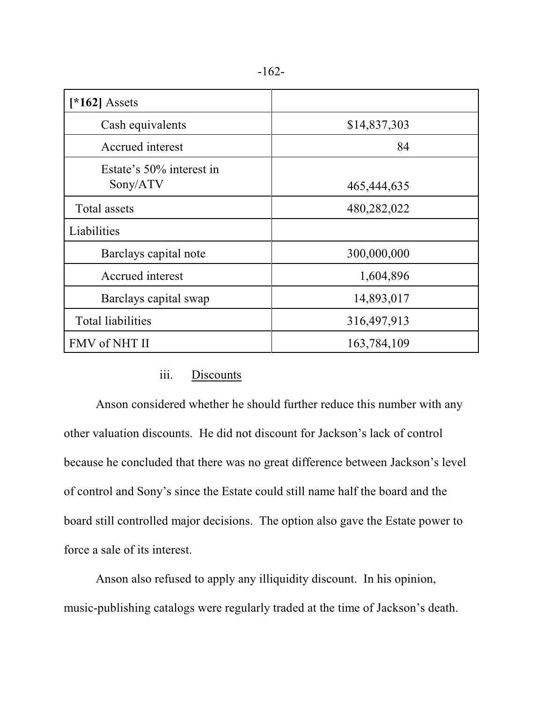| [ $*162$ ] Assets                    |              |
|--------------------------------------|--------------|
| Cash equivalents                     | \$14,837,303 |
| Accrued interest                     | 84           |
| Estate's 50% interest in<br>Sony/ATV | 465,444,635  |
| <b>Total assets</b>                  | 480,282,022  |
| Liabilities                          |              |
| Barclays capital note                | 300,000,000  |
| Accrued interest                     | 1,604,896    |
| Barclays capital swap                | 14,893,017   |
| <b>Total liabilities</b>             | 316,497,913  |
| FMV of NHT II                        | 163,784,109  |

## iii. Discounts

Anson considered whether he should further reduce this number with any other valuation discounts. He did not discount for Jackson's lack of control because he concluded that there was no great difference between Jackson's level of control and Sony's since the Estate could still name half the board and the board still controlled major decisions. The option also gave the Estate power to force a sale of its interest.

Anson also refused to apply any illiquidity discount. In his opinion, music-publishing catalogs were regularly traded at the time of Jackson's death.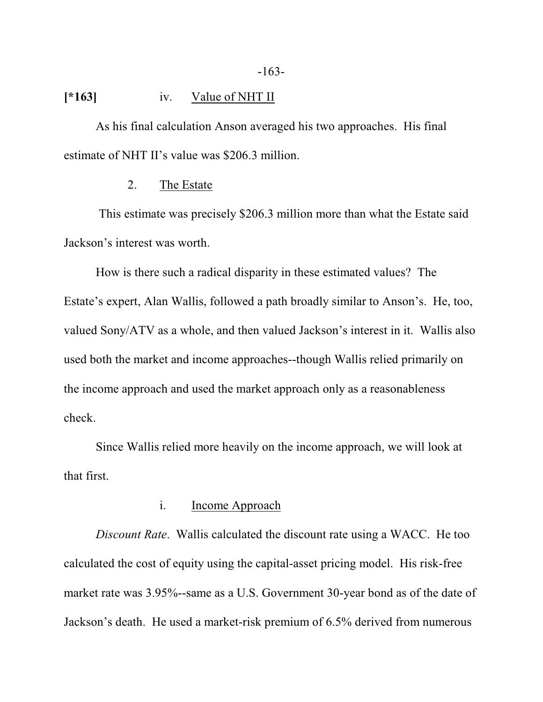## **[\*163]** iv. Value of NHT II

As his final calculation Anson averaged his two approaches. His final estimate of NHT II's value was \$206.3 million.

### 2. The Estate

 This estimate was precisely \$206.3 million more than what the Estate said Jackson's interest was worth.

How is there such a radical disparity in these estimated values? The Estate's expert, Alan Wallis, followed a path broadly similar to Anson's. He, too, valued Sony/ATV as a whole, and then valued Jackson's interest in it. Wallis also used both the market and income approaches--though Wallis relied primarily on the income approach and used the market approach only as a reasonableness check.

Since Wallis relied more heavily on the income approach, we will look at that first.

## i. Income Approach

*Discount Rate*. Wallis calculated the discount rate using a WACC. He too calculated the cost of equity using the capital-asset pricing model. His risk-free market rate was 3.95%--same as a U.S. Government 30-year bond as of the date of Jackson's death. He used a market-risk premium of 6.5% derived from numerous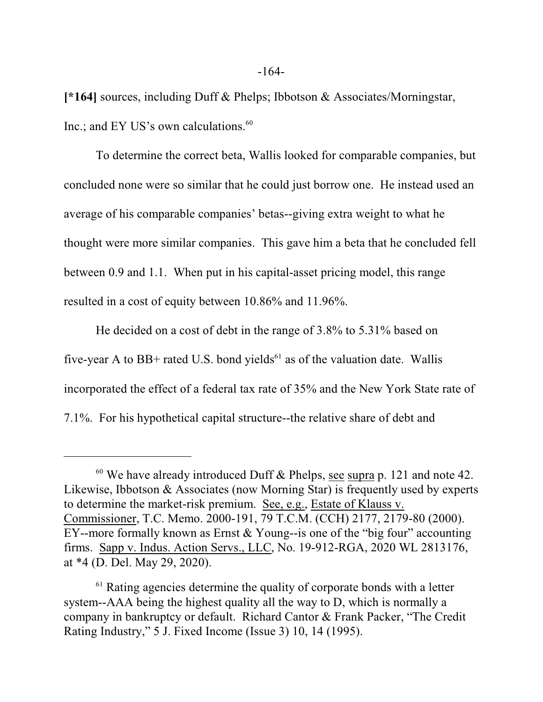**[\*164]** sources, including Duff & Phelps; Ibbotson & Associates/Morningstar, Inc.; and EY US's own calculations.<sup>60</sup>

To determine the correct beta, Wallis looked for comparable companies, but concluded none were so similar that he could just borrow one. He instead used an average of his comparable companies' betas--giving extra weight to what he thought were more similar companies. This gave him a beta that he concluded fell between 0.9 and 1.1. When put in his capital-asset pricing model, this range resulted in a cost of equity between 10.86% and 11.96%.

He decided on a cost of debt in the range of 3.8% to 5.31% based on five-year A to BB+ rated U.S. bond yields $^{61}$  as of the valuation date. Wallis incorporated the effect of a federal tax rate of 35% and the New York State rate of 7.1%. For his hypothetical capital structure--the relative share of debt and

 $60$  We have already introduced Duff & Phelps, see supra p. 121 and note 42. Likewise, Ibbotson & Associates (now Morning Star) is frequently used by experts to determine the market-risk premium. See, e.g., Estate of Klauss v. Commissioner, T.C. Memo. 2000-191, 79 T.C.M. (CCH) 2177, 2179-80 (2000). EY--more formally known as Ernst & Young--is one of the "big four" accounting firms. Sapp v. Indus. Action Servs., LLC, No. 19-912-RGA, 2020 WL 2813176, at \*4 (D. Del. May 29, 2020).

<sup>&</sup>lt;sup>61</sup> Rating agencies determine the quality of corporate bonds with a letter system--AAA being the highest quality all the way to D, which is normally a company in bankruptcy or default. Richard Cantor & Frank Packer, "The Credit Rating Industry," 5 J. Fixed Income (Issue 3) 10, 14 (1995).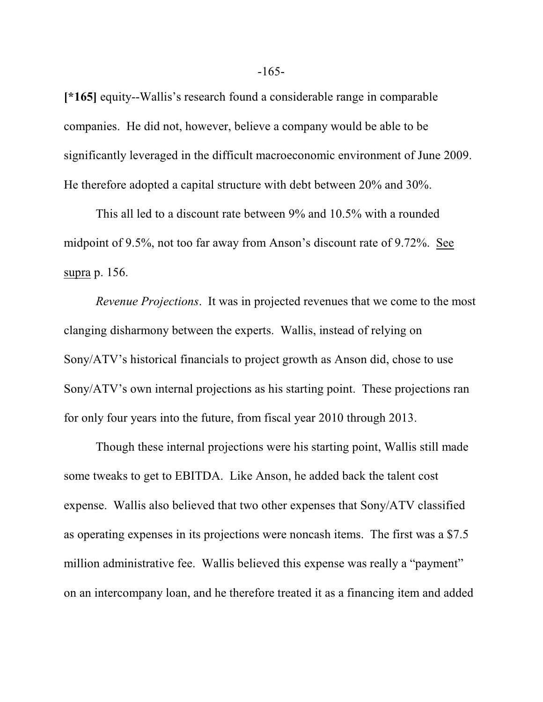**[\*165]** equity--Wallis's research found a considerable range in comparable companies. He did not, however, believe a company would be able to be significantly leveraged in the difficult macroeconomic environment of June 2009. He therefore adopted a capital structure with debt between 20% and 30%.

This all led to a discount rate between 9% and 10.5% with a rounded midpoint of 9.5%, not too far away from Anson's discount rate of 9.72%. See supra p. 156.

*Revenue Projections*. It was in projected revenues that we come to the most clanging disharmony between the experts. Wallis, instead of relying on Sony/ATV's historical financials to project growth as Anson did, chose to use Sony/ATV's own internal projections as his starting point. These projections ran for only four years into the future, from fiscal year 2010 through 2013.

Though these internal projections were his starting point, Wallis still made some tweaks to get to EBITDA. Like Anson, he added back the talent cost expense. Wallis also believed that two other expenses that Sony/ATV classified as operating expenses in its projections were noncash items. The first was a \$7.5 million administrative fee. Wallis believed this expense was really a "payment" on an intercompany loan, and he therefore treated it as a financing item and added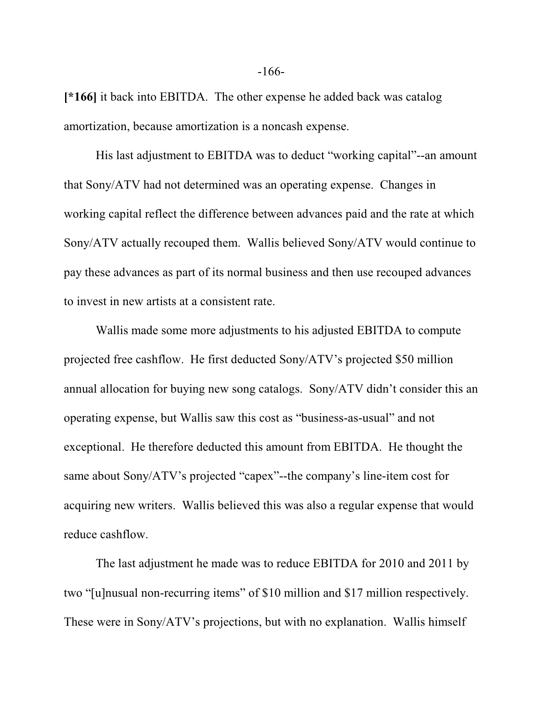**[\*166]** it back into EBITDA. The other expense he added back was catalog amortization, because amortization is a noncash expense.

His last adjustment to EBITDA was to deduct "working capital"--an amount that Sony/ATV had not determined was an operating expense. Changes in working capital reflect the difference between advances paid and the rate at which Sony/ATV actually recouped them. Wallis believed Sony/ATV would continue to pay these advances as part of its normal business and then use recouped advances to invest in new artists at a consistent rate.

Wallis made some more adjustments to his adjusted EBITDA to compute projected free cashflow. He first deducted Sony/ATV's projected \$50 million annual allocation for buying new song catalogs. Sony/ATV didn't consider this an operating expense, but Wallis saw this cost as "business-as-usual" and not exceptional. He therefore deducted this amount from EBITDA. He thought the same about Sony/ATV's projected "capex"--the company's line-item cost for acquiring new writers. Wallis believed this was also a regular expense that would reduce cashflow.

The last adjustment he made was to reduce EBITDA for 2010 and 2011 by two "[u]nusual non-recurring items" of \$10 million and \$17 million respectively. These were in Sony/ATV's projections, but with no explanation. Wallis himself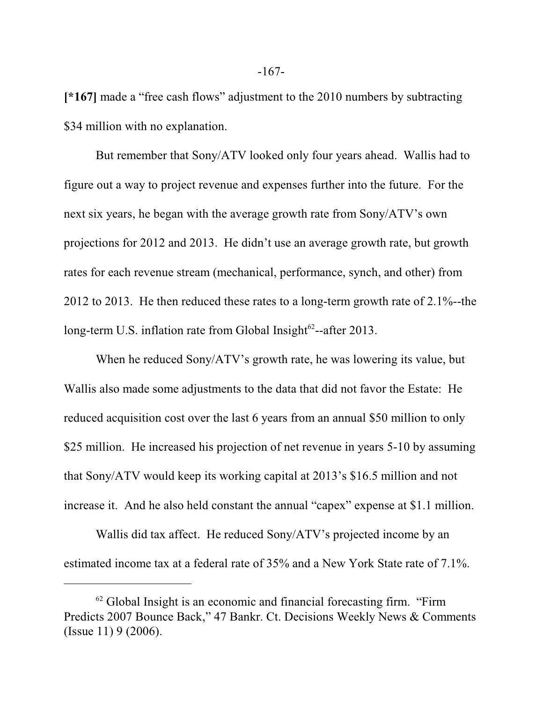**[\*167]** made a "free cash flows" adjustment to the 2010 numbers by subtracting \$34 million with no explanation.

But remember that Sony/ATV looked only four years ahead. Wallis had to figure out a way to project revenue and expenses further into the future. For the next six years, he began with the average growth rate from Sony/ATV's own projections for 2012 and 2013. He didn't use an average growth rate, but growth rates for each revenue stream (mechanical, performance, synch, and other) from 2012 to 2013. He then reduced these rates to a long-term growth rate of 2.1%--the long-term U.S. inflation rate from Global Insight<sup>62</sup>--after 2013.

When he reduced Sony/ATV's growth rate, he was lowering its value, but Wallis also made some adjustments to the data that did not favor the Estate: He reduced acquisition cost over the last 6 years from an annual \$50 million to only \$25 million. He increased his projection of net revenue in years 5-10 by assuming that Sony/ATV would keep its working capital at 2013's \$16.5 million and not increase it. And he also held constant the annual "capex" expense at \$1.1 million.

Wallis did tax affect. He reduced Sony/ATV's projected income by an estimated income tax at a federal rate of 35% and a New York State rate of 7.1%.

 $62$  Global Insight is an economic and financial forecasting firm. "Firm Predicts 2007 Bounce Back," 47 Bankr. Ct. Decisions Weekly News & Comments (Issue 11) 9 (2006).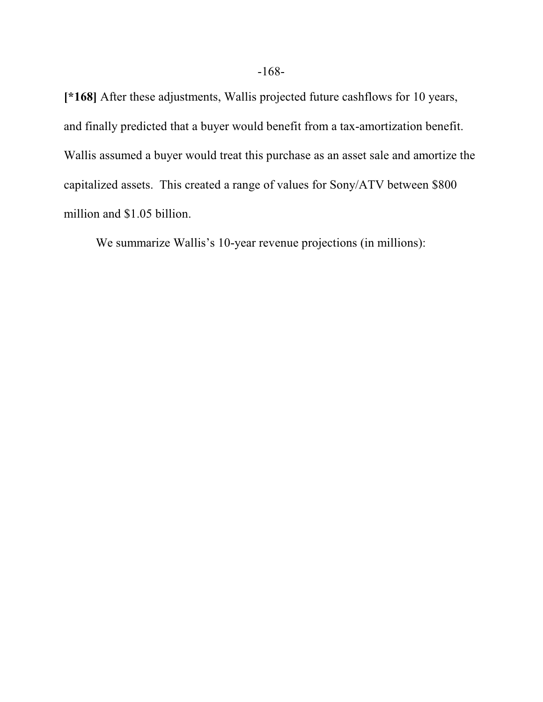**[\*168]** After these adjustments, Wallis projected future cashflows for 10 years, and finally predicted that a buyer would benefit from a tax-amortization benefit. Wallis assumed a buyer would treat this purchase as an asset sale and amortize the capitalized assets. This created a range of values for Sony/ATV between \$800 million and \$1.05 billion.

We summarize Wallis's 10-year revenue projections (in millions):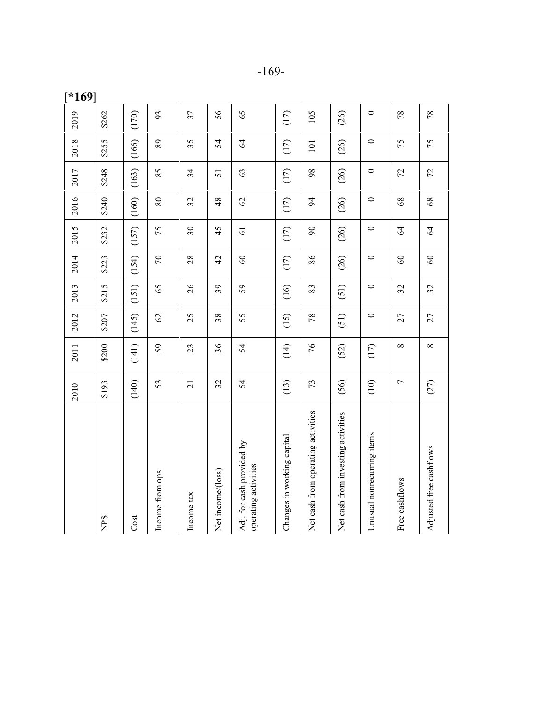|--|--|

**[\* 1 69]**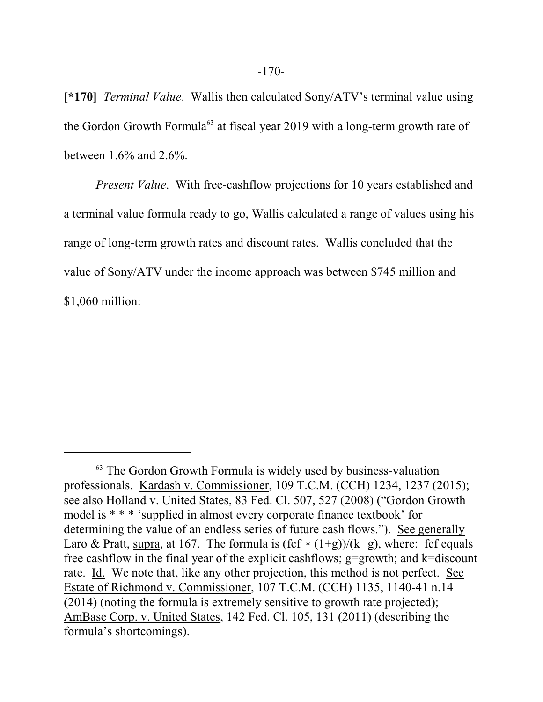**[\*170]** *Terminal Value*. Wallis then calculated Sony/ATV's terminal value using the Gordon Growth Formula<sup>63</sup> at fiscal year 2019 with a long-term growth rate of between 1.6% and 2.6%.

*Present Value*. With free-cashflow projections for 10 years established and a terminal value formula ready to go, Wallis calculated a range of values using his range of long-term growth rates and discount rates. Wallis concluded that the value of Sony/ATV under the income approach was between \$745 million and \$1,060 million:

<sup>&</sup>lt;sup>63</sup> The Gordon Growth Formula is widely used by business-valuation professionals. Kardash v. Commissioner, 109 T.C.M. (CCH) 1234, 1237 (2015); see also Holland v. United States, 83 Fed. Cl. 507, 527 (2008) ("Gordon Growth model is \* \* \* 'supplied in almost every corporate finance textbook' for determining the value of an endless series of future cash flows."). See generally Laro & Pratt, supra, at 167. The formula is  $(fcf * (1+g))/(k g)$ , where: fcf equals free cashflow in the final year of the explicit cashflows;  $g=$  growth; and k=discount rate. Id. We note that, like any other projection, this method is not perfect. See Estate of Richmond v. Commissioner, 107 T.C.M. (CCH) 1135, 1140-41 n.14 (2014) (noting the formula is extremely sensitive to growth rate projected); AmBase Corp. v. United States, 142 Fed. Cl. 105, 131 (2011) (describing the formula's shortcomings).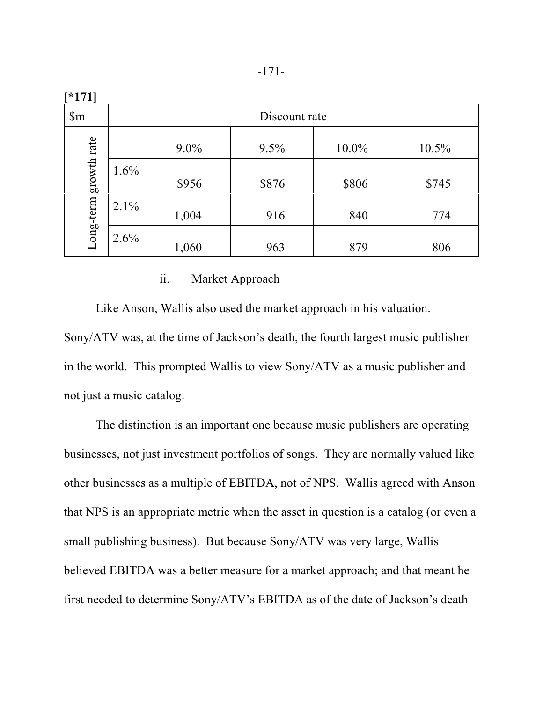| [171]                    |               |         |       |          |       |
|--------------------------|---------------|---------|-------|----------|-------|
| $\mathop{\mathrm{Sm}}$   | Discount rate |         |       |          |       |
| growth rate<br>Long-term |               | $9.0\%$ | 9.5%  | $10.0\%$ | 10.5% |
|                          | 1.6%          | \$956   | \$876 | \$806    | \$745 |
|                          | 2.1%          | 1,004   | 916   | 840      | 774   |
|                          | 2.6%          | 1,060   | 963   | 879      | 806   |

## ii. Market Approach

Like Anson, Wallis also used the market approach in his valuation. Sony/ATV was, at the time of Jackson's death, the fourth largest music publisher in the world. This prompted Wallis to view Sony/ATV as a music publisher and not just a music catalog.

The distinction is an important one because music publishers are operating businesses, not just investment portfolios of songs. They are normally valued like other businesses as a multiple of EBITDA, not of NPS. Wallis agreed with Anson that NPS is an appropriate metric when the asset in question is a catalog (or even a small publishing business). But because Sony/ATV was very large, Wallis believed EBITDA was a better measure for a market approach; and that meant he first needed to determine Sony/ATV's EBITDA as of the date of Jackson's death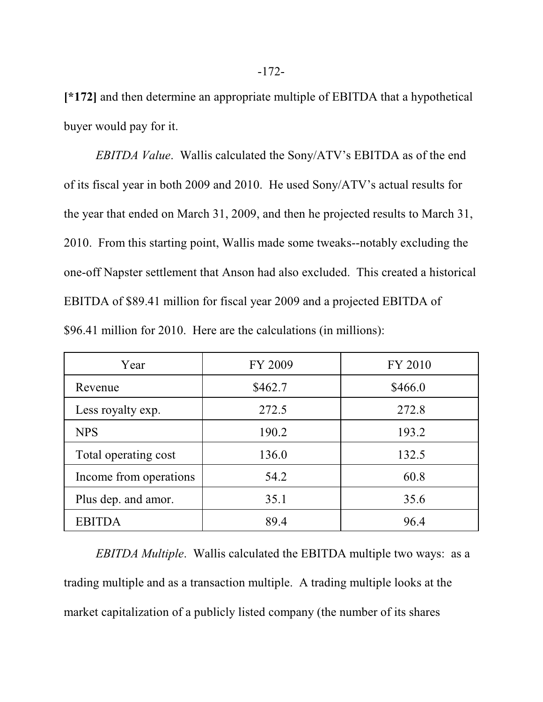**[\*172]** and then determine an appropriate multiple of EBITDA that a hypothetical buyer would pay for it.

*EBITDA Value*. Wallis calculated the Sony/ATV's EBITDA as of the end of its fiscal year in both 2009 and 2010. He used Sony/ATV's actual results for the year that ended on March 31, 2009, and then he projected results to March 31, 2010. From this starting point, Wallis made some tweaks--notably excluding the one-off Napster settlement that Anson had also excluded. This created a historical EBITDA of \$89.41 million for fiscal year 2009 and a projected EBITDA of \$96.41 million for 2010. Here are the calculations (in millions):

| Year                   | FY 2009 | FY 2010 |
|------------------------|---------|---------|
| Revenue                | \$462.7 | \$466.0 |
| Less royalty exp.      | 272.5   | 272.8   |
| <b>NPS</b>             | 190.2   | 193.2   |
| Total operating cost   | 136.0   | 132.5   |
| Income from operations | 54.2    | 60.8    |
| Plus dep. and amor.    | 35.1    | 35.6    |
| <b>EBITDA</b>          | 89.4    | 96.4    |

*EBITDA Multiple*. Wallis calculated the EBITDA multiple two ways: as a trading multiple and as a transaction multiple. A trading multiple looks at the market capitalization of a publicly listed company (the number of its shares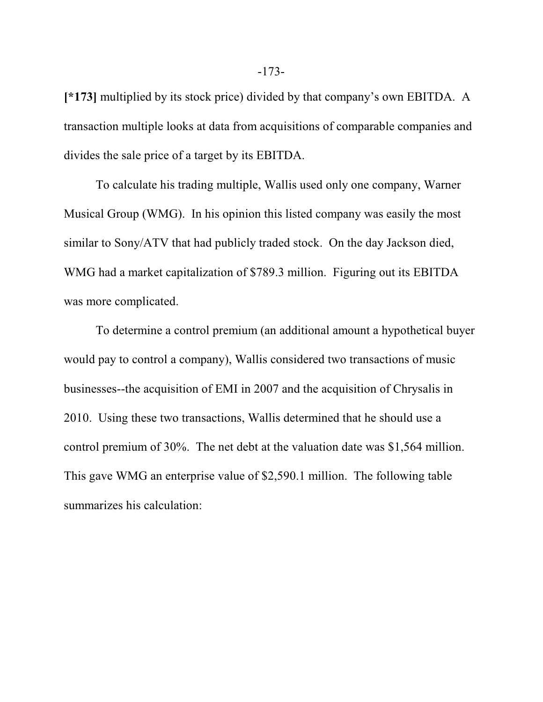**[\*173]** multiplied by its stock price) divided by that company's own EBITDA. A transaction multiple looks at data from acquisitions of comparable companies and divides the sale price of a target by its EBITDA.

To calculate his trading multiple, Wallis used only one company, Warner Musical Group (WMG). In his opinion this listed company was easily the most similar to Sony/ATV that had publicly traded stock. On the day Jackson died, WMG had a market capitalization of \$789.3 million. Figuring out its EBITDA was more complicated.

To determine a control premium (an additional amount a hypothetical buyer would pay to control a company), Wallis considered two transactions of music businesses--the acquisition of EMI in 2007 and the acquisition of Chrysalis in 2010. Using these two transactions, Wallis determined that he should use a control premium of 30%. The net debt at the valuation date was \$1,564 million. This gave WMG an enterprise value of \$2,590.1 million. The following table summarizes his calculation: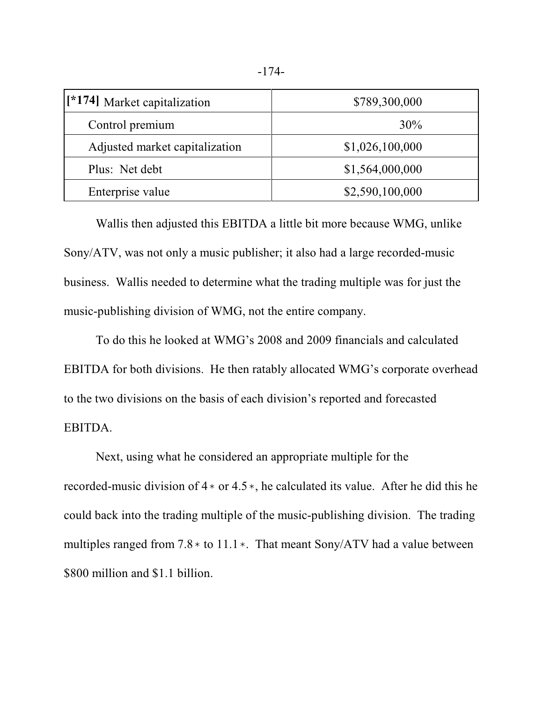| [*174] Market capitalization   | \$789,300,000   |
|--------------------------------|-----------------|
| Control premium                | 30%             |
| Adjusted market capitalization | \$1,026,100,000 |
| Plus: Net debt                 | \$1,564,000,000 |
| Enterprise value               | \$2,590,100,000 |

Wallis then adjusted this EBITDA a little bit more because WMG, unlike Sony/ATV, was not only a music publisher; it also had a large recorded-music business. Wallis needed to determine what the trading multiple was for just the music-publishing division of WMG, not the entire company.

To do this he looked at WMG's 2008 and 2009 financials and calculated EBITDA for both divisions. He then ratably allocated WMG's corporate overhead to the two divisions on the basis of each division's reported and forecasted EBITDA.

Next, using what he considered an appropriate multiple for the recorded-music division of  $4*$  or  $4.5*$ , he calculated its value. After he did this he could back into the trading multiple of the music-publishing division. The trading multiples ranged from  $7.8*$  to  $11.1*$ . That meant Sony/ATV had a value between \$800 million and \$1.1 billion.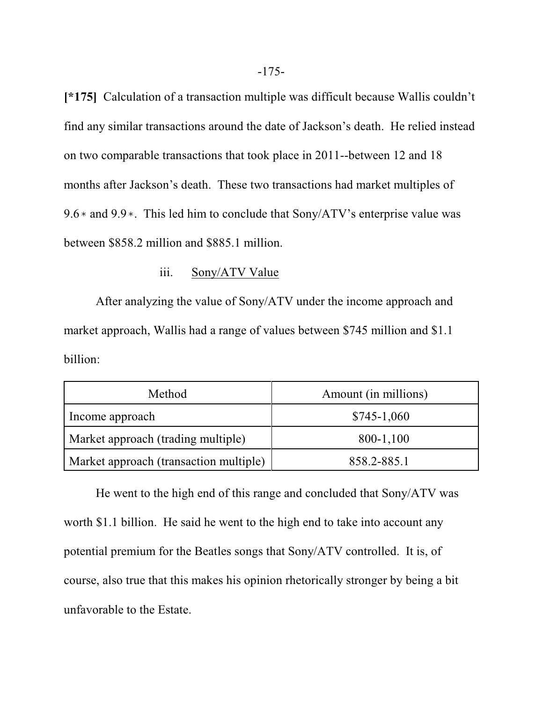**[\*175]** Calculation of a transaction multiple was difficult because Wallis couldn't find any similar transactions around the date of Jackson's death. He relied instead on two comparable transactions that took place in 2011--between 12 and 18 months after Jackson's death. These two transactions had market multiples of 9.6  $*$  and 9.9 $*$ . This led him to conclude that Sony/ATV's enterprise value was between \$858.2 million and \$885.1 million.

## iii. Sony/ATV Value

After analyzing the value of Sony/ATV under the income approach and market approach, Wallis had a range of values between \$745 million and \$1.1 billion:

| Method                                 | Amount (in millions) |  |
|----------------------------------------|----------------------|--|
| Income approach                        | $$745-1,060$         |  |
| Market approach (trading multiple)     | 800-1,100            |  |
| Market approach (transaction multiple) | 858.2-885.1          |  |

He went to the high end of this range and concluded that Sony/ATV was worth \$1.1 billion. He said he went to the high end to take into account any potential premium for the Beatles songs that Sony/ATV controlled. It is, of course, also true that this makes his opinion rhetorically stronger by being a bit unfavorable to the Estate.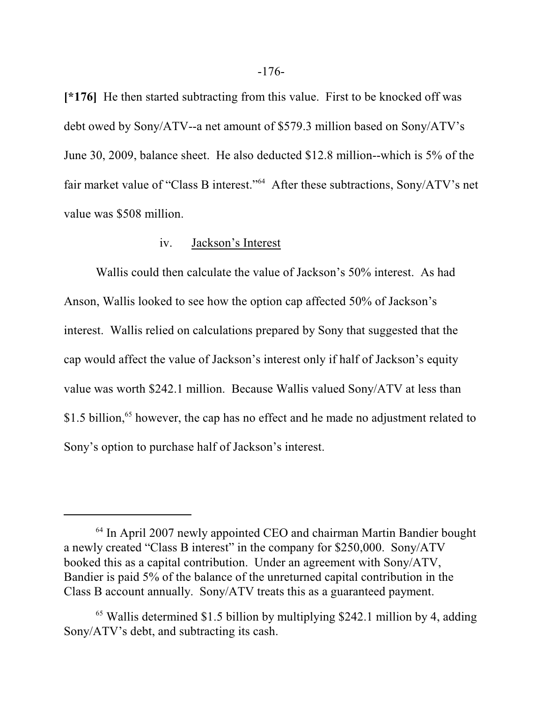**[\*176]** He then started subtracting from this value. First to be knocked off was debt owed by Sony/ATV--a net amount of \$579.3 million based on Sony/ATV's June 30, 2009, balance sheet. He also deducted \$12.8 million--which is 5% of the fair market value of "Class B interest."<sup>64</sup> After these subtractions, Sony/ATV's net value was \$508 million.

### iv. Jackson's Interest

Wallis could then calculate the value of Jackson's 50% interest. As had Anson, Wallis looked to see how the option cap affected 50% of Jackson's interest. Wallis relied on calculations prepared by Sony that suggested that the cap would affect the value of Jackson's interest only if half of Jackson's equity value was worth \$242.1 million. Because Wallis valued Sony/ATV at less than \$1.5 billion,<sup>65</sup> however, the cap has no effect and he made no adjustment related to Sony's option to purchase half of Jackson's interest.

<sup>64</sup> In April 2007 newly appointed CEO and chairman Martin Bandier bought a newly created "Class B interest" in the company for \$250,000. Sony/ATV booked this as a capital contribution. Under an agreement with Sony/ATV, Bandier is paid 5% of the balance of the unreturned capital contribution in the Class B account annually. Sony/ATV treats this as a guaranteed payment.

<sup>65</sup> Wallis determined \$1.5 billion by multiplying \$242.1 million by 4, adding Sony/ATV's debt, and subtracting its cash.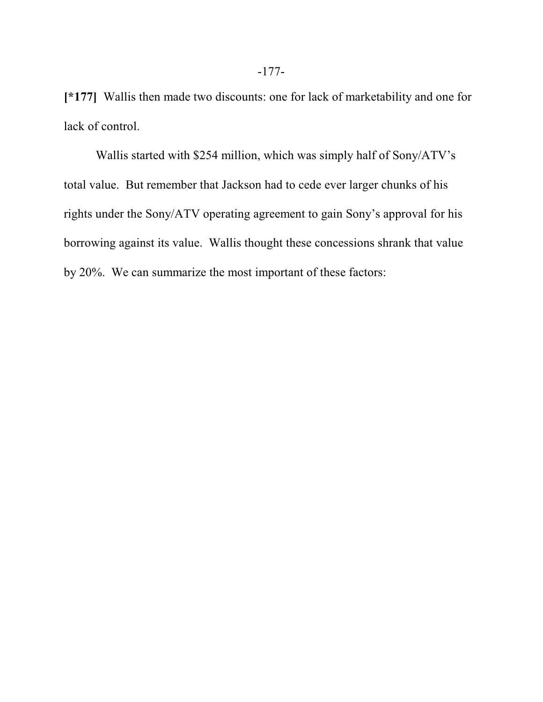**[\*177]** Wallis then made two discounts: one for lack of marketability and one for lack of control.

Wallis started with \$254 million, which was simply half of Sony/ATV's total value. But remember that Jackson had to cede ever larger chunks of his rights under the Sony/ATV operating agreement to gain Sony's approval for his borrowing against its value. Wallis thought these concessions shrank that value by 20%. We can summarize the most important of these factors: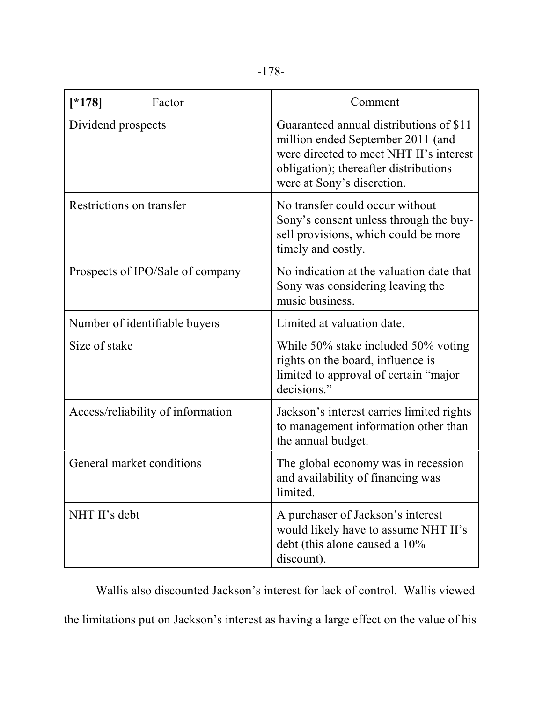| $[*178]$<br>Factor                | Comment                                                                                                                                                                                        |
|-----------------------------------|------------------------------------------------------------------------------------------------------------------------------------------------------------------------------------------------|
| Dividend prospects                | Guaranteed annual distributions of \$11<br>million ended September 2011 (and<br>were directed to meet NHT II's interest<br>obligation); thereafter distributions<br>were at Sony's discretion. |
| Restrictions on transfer          | No transfer could occur without<br>Sony's consent unless through the buy-<br>sell provisions, which could be more<br>timely and costly.                                                        |
| Prospects of IPO/Sale of company  | No indication at the valuation date that<br>Sony was considering leaving the<br>music business.                                                                                                |
| Number of identifiable buyers     | Limited at valuation date.                                                                                                                                                                     |
| Size of stake                     | While 50% stake included 50% voting<br>rights on the board, influence is<br>limited to approval of certain "major<br>decisions."                                                               |
| Access/reliability of information | Jackson's interest carries limited rights<br>to management information other than<br>the annual budget.                                                                                        |
| General market conditions         | The global economy was in recession<br>and availability of financing was<br>limited.                                                                                                           |
| NHT II's debt                     | A purchaser of Jackson's interest<br>would likely have to assume NHT II's<br>debt (this alone caused a 10%<br>discount).                                                                       |

Wallis also discounted Jackson's interest for lack of control. Wallis viewed the limitations put on Jackson's interest as having a large effect on the value of his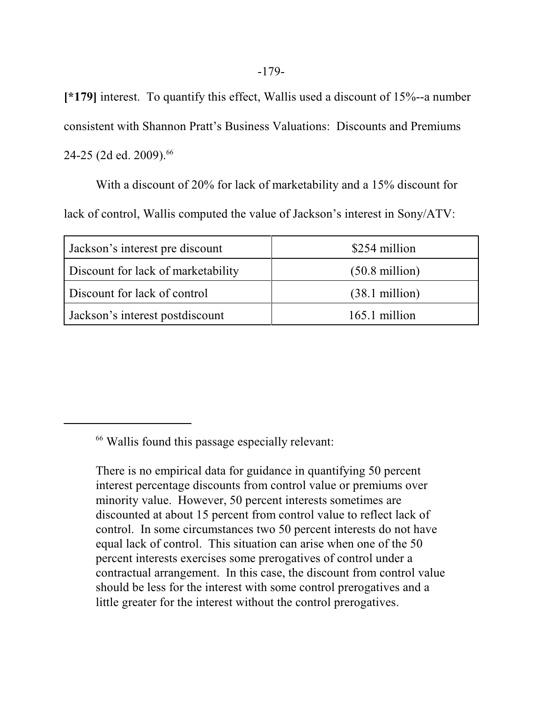**[\*179]** interest. To quantify this effect, Wallis used a discount of 15%--a number consistent with Shannon Pratt's Business Valuations: Discounts and Premiums 24-25 (2d ed. 2009).<sup>66</sup>

With a discount of 20% for lack of marketability and a 15% discount for lack of control, Wallis computed the value of Jackson's interest in Sony/ATV:

| Jackson's interest pre discount    | \$254 million            |
|------------------------------------|--------------------------|
| Discount for lack of marketability | $(50.8 \text{ million})$ |
| Discount for lack of control       | $(38.1 \text{ million})$ |
| Jackson's interest postdiscount    | 165.1 million            |

66 Wallis found this passage especially relevant:

There is no empirical data for guidance in quantifying 50 percent interest percentage discounts from control value or premiums over minority value. However, 50 percent interests sometimes are discounted at about 15 percent from control value to reflect lack of control. In some circumstances two 50 percent interests do not have equal lack of control. This situation can arise when one of the 50 percent interests exercises some prerogatives of control under a contractual arrangement. In this case, the discount from control value should be less for the interest with some control prerogatives and a little greater for the interest without the control prerogatives.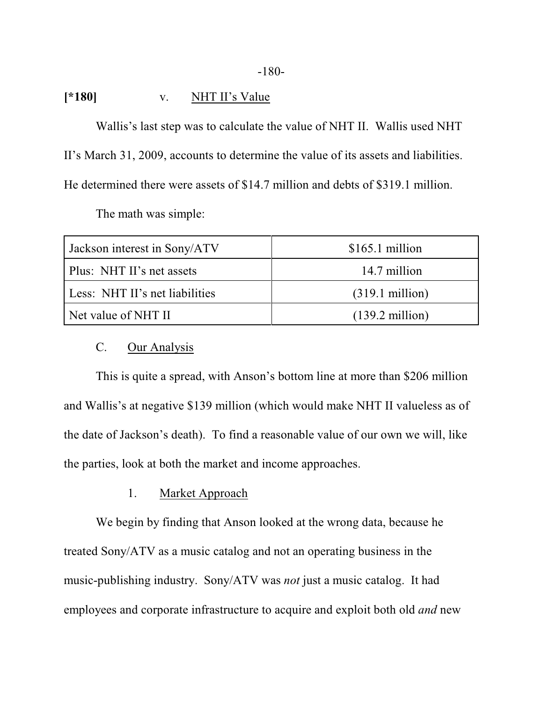#### -180-

## **[\*180]** v. NHT II's Value

Wallis's last step was to calculate the value of NHT II. Wallis used NHT II's March 31, 2009, accounts to determine the value of its assets and liabilities. He determined there were assets of \$14.7 million and debts of \$319.1 million.

The math was simple:

| Jackson interest in Sony/ATV   | $$165.1$ million          |
|--------------------------------|---------------------------|
| Plus: NHT II's net assets      | 14.7 million              |
| Less: NHT II's net liabilities | $(319.1 \text{ million})$ |
| Net value of NHT II            | $(139.2 \text{ million})$ |

# C. Our Analysis

This is quite a spread, with Anson's bottom line at more than \$206 million and Wallis's at negative \$139 million (which would make NHT II valueless as of the date of Jackson's death). To find a reasonable value of our own we will, like the parties, look at both the market and income approaches.

## 1. Market Approach

We begin by finding that Anson looked at the wrong data, because he treated Sony/ATV as a music catalog and not an operating business in the music-publishing industry. Sony/ATV was *not* just a music catalog. It had employees and corporate infrastructure to acquire and exploit both old *and* new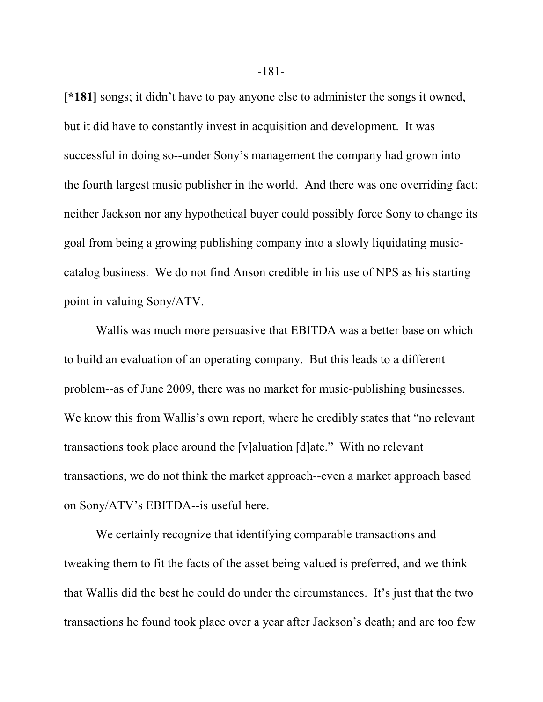**[\*181]** songs; it didn't have to pay anyone else to administer the songs it owned, but it did have to constantly invest in acquisition and development. It was successful in doing so--under Sony's management the company had grown into the fourth largest music publisher in the world. And there was one overriding fact: neither Jackson nor any hypothetical buyer could possibly force Sony to change its goal from being a growing publishing company into a slowly liquidating musiccatalog business. We do not find Anson credible in his use of NPS as his starting point in valuing Sony/ATV.

Wallis was much more persuasive that EBITDA was a better base on which to build an evaluation of an operating company. But this leads to a different problem--as of June 2009, there was no market for music-publishing businesses. We know this from Wallis's own report, where he credibly states that "no relevant transactions took place around the [v]aluation [d]ate." With no relevant transactions, we do not think the market approach--even a market approach based on Sony/ATV's EBITDA--is useful here.

We certainly recognize that identifying comparable transactions and tweaking them to fit the facts of the asset being valued is preferred, and we think that Wallis did the best he could do under the circumstances. It's just that the two transactions he found took place over a year after Jackson's death; and are too few

-181-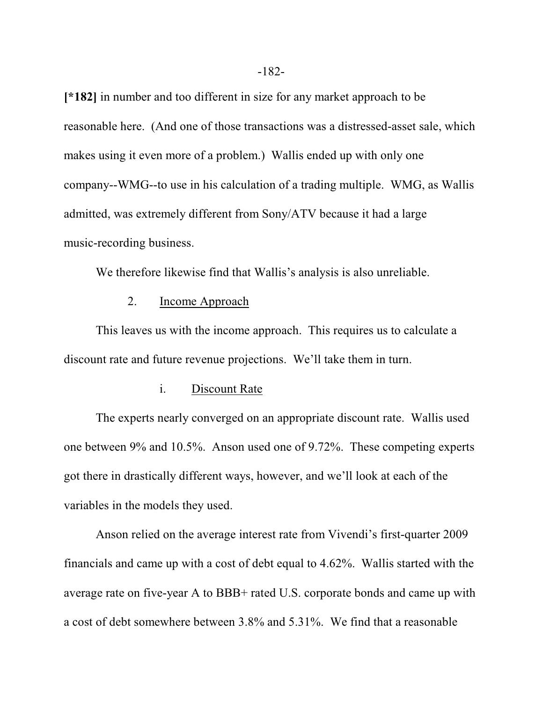**[\*182]** in number and too different in size for any market approach to be reasonable here. (And one of those transactions was a distressed-asset sale, which makes using it even more of a problem.) Wallis ended up with only one company--WMG--to use in his calculation of a trading multiple. WMG, as Wallis admitted, was extremely different from Sony/ATV because it had a large music-recording business.

We therefore likewise find that Wallis's analysis is also unreliable.

### 2. Income Approach

This leaves us with the income approach. This requires us to calculate a discount rate and future revenue projections. We'll take them in turn.

### i. Discount Rate

The experts nearly converged on an appropriate discount rate. Wallis used one between 9% and 10.5%. Anson used one of 9.72%. These competing experts got there in drastically different ways, however, and we'll look at each of the variables in the models they used.

Anson relied on the average interest rate from Vivendi's first-quarter 2009 financials and came up with a cost of debt equal to 4.62%. Wallis started with the average rate on five-year A to BBB+ rated U.S. corporate bonds and came up with a cost of debt somewhere between 3.8% and 5.31%. We find that a reasonable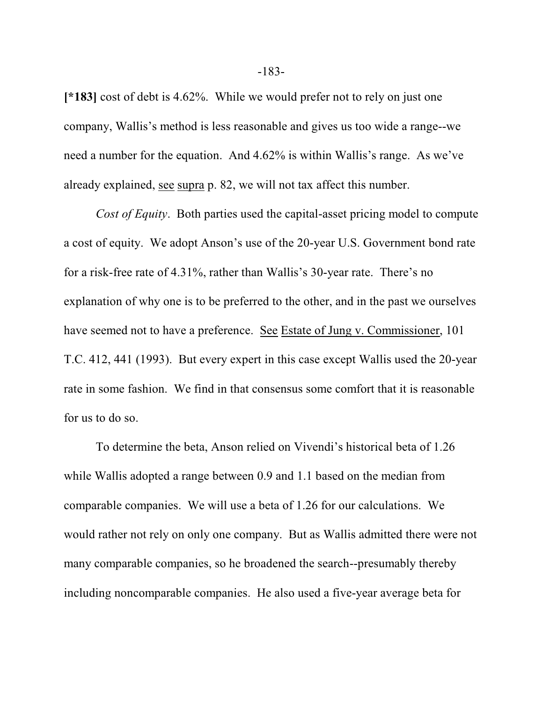**[\*183]** cost of debt is 4.62%. While we would prefer not to rely on just one company, Wallis's method is less reasonable and gives us too wide a range--we need a number for the equation. And 4.62% is within Wallis's range. As we've already explained, see supra p. 82, we will not tax affect this number.

*Cost of Equity*. Both parties used the capital-asset pricing model to compute a cost of equity. We adopt Anson's use of the 20-year U.S. Government bond rate for a risk-free rate of 4.31%, rather than Wallis's 30-year rate. There's no explanation of why one is to be preferred to the other, and in the past we ourselves have seemed not to have a preference. See Estate of Jung v. Commissioner, 101 T.C. 412, 441 (1993). But every expert in this case except Wallis used the 20-year rate in some fashion. We find in that consensus some comfort that it is reasonable for us to do so.

To determine the beta, Anson relied on Vivendi's historical beta of 1.26 while Wallis adopted a range between 0.9 and 1.1 based on the median from comparable companies. We will use a beta of 1.26 for our calculations. We would rather not rely on only one company. But as Wallis admitted there were not many comparable companies, so he broadened the search--presumably thereby including noncomparable companies. He also used a five-year average beta for

-183-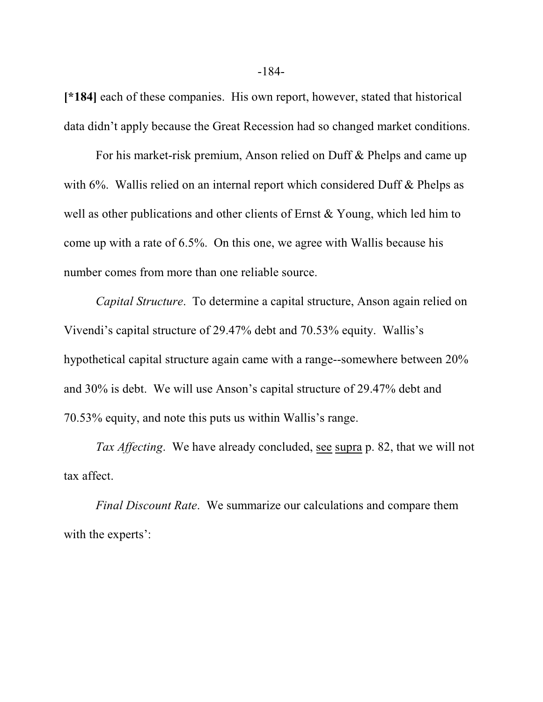**[\*184]** each of these companies. His own report, however, stated that historical data didn't apply because the Great Recession had so changed market conditions.

For his market-risk premium, Anson relied on Duff & Phelps and came up with 6%. Wallis relied on an internal report which considered Duff & Phelps as well as other publications and other clients of Ernst & Young, which led him to come up with a rate of 6.5%. On this one, we agree with Wallis because his number comes from more than one reliable source.

*Capital Structure*. To determine a capital structure, Anson again relied on Vivendi's capital structure of 29.47% debt and 70.53% equity. Wallis's hypothetical capital structure again came with a range--somewhere between 20% and 30% is debt. We will use Anson's capital structure of 29.47% debt and 70.53% equity, and note this puts us within Wallis's range.

*Tax Affecting*. We have already concluded, see supra p. 82, that we will not tax affect.

*Final Discount Rate*. We summarize our calculations and compare them with the experts':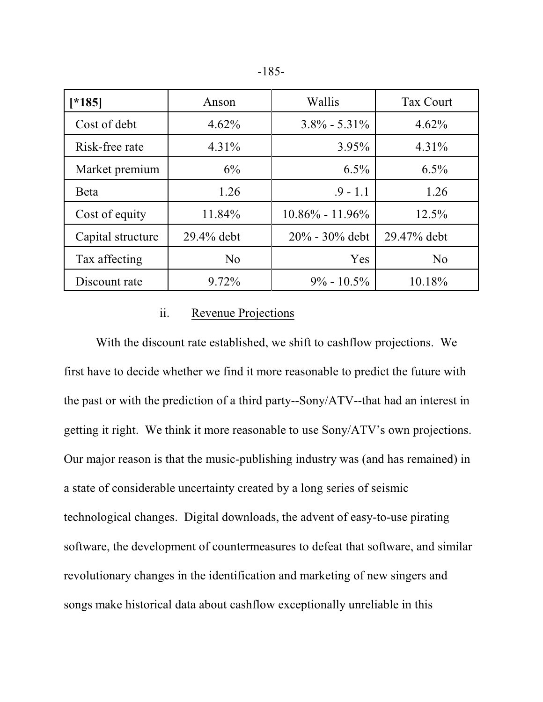|  | ۰.<br>۰,<br>× |  |
|--|---------------|--|
|--|---------------|--|

| $*185$            | Anson      | Wallis              | <b>Tax Court</b> |
|-------------------|------------|---------------------|------------------|
| Cost of debt      | 4.62%      | $3.8\% - 5.31\%$    | 4.62%            |
| Risk-free rate    | $4.31\%$   | $3.95\%$            | $4.31\%$         |
| Market premium    | 6%         | $6.5\%$             | $6.5\%$          |
| <b>B</b> eta      | 1.26       | $.9 - 1.1$          | 1.26             |
| Cost of equity    | 11.84%     | $10.86\% - 11.96\%$ | 12.5%            |
| Capital structure | 29.4% debt | $20\% - 30\%$ debt  | 29.47% debt      |
| Tax affecting     | No         | Yes                 | No               |
| Discount rate     | 9.72%      | $9\% - 10.5\%$      | 10.18%           |

### ii. Revenue Projections

With the discount rate established, we shift to cashflow projections. We first have to decide whether we find it more reasonable to predict the future with the past or with the prediction of a third party--Sony/ATV--that had an interest in getting it right. We think it more reasonable to use Sony/ATV's own projections. Our major reason is that the music-publishing industry was (and has remained) in a state of considerable uncertainty created by a long series of seismic technological changes. Digital downloads, the advent of easy-to-use pirating software, the development of countermeasures to defeat that software, and similar revolutionary changes in the identification and marketing of new singers and songs make historical data about cashflow exceptionally unreliable in this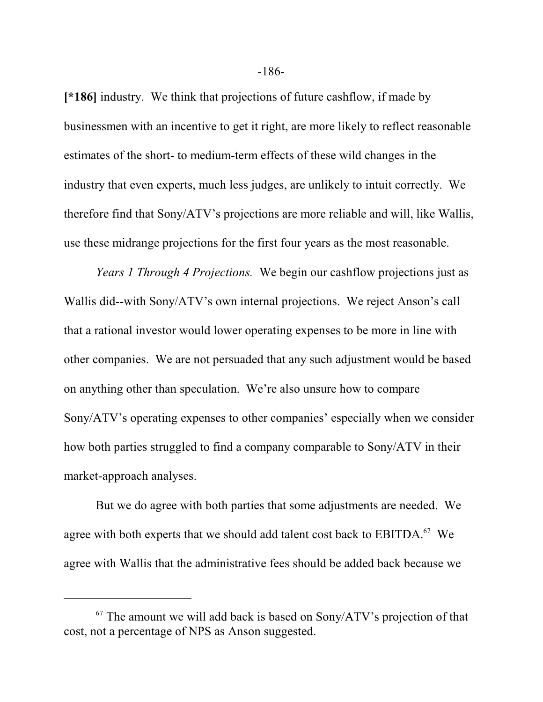**[\*186]** industry. We think that projections of future cashflow, if made by businessmen with an incentive to get it right, are more likely to reflect reasonable estimates of the short- to medium-term effects of these wild changes in the industry that even experts, much less judges, are unlikely to intuit correctly. We therefore find that Sony/ATV's projections are more reliable and will, like Wallis, use these midrange projections for the first four years as the most reasonable.

*Years 1 Through 4 Projections.* We begin our cashflow projections just as Wallis did--with Sony/ATV's own internal projections. We reject Anson's call that a rational investor would lower operating expenses to be more in line with other companies. We are not persuaded that any such adjustment would be based on anything other than speculation. We're also unsure how to compare Sony/ATV's operating expenses to other companies' especially when we consider how both parties struggled to find a company comparable to Sony/ATV in their market-approach analyses.

But we do agree with both parties that some adjustments are needed. We agree with both experts that we should add talent cost back to  $EBITDA.<sup>67</sup>$  We agree with Wallis that the administrative fees should be added back because we

 $67$  The amount we will add back is based on Sony/ATV's projection of that cost, not a percentage of NPS as Anson suggested.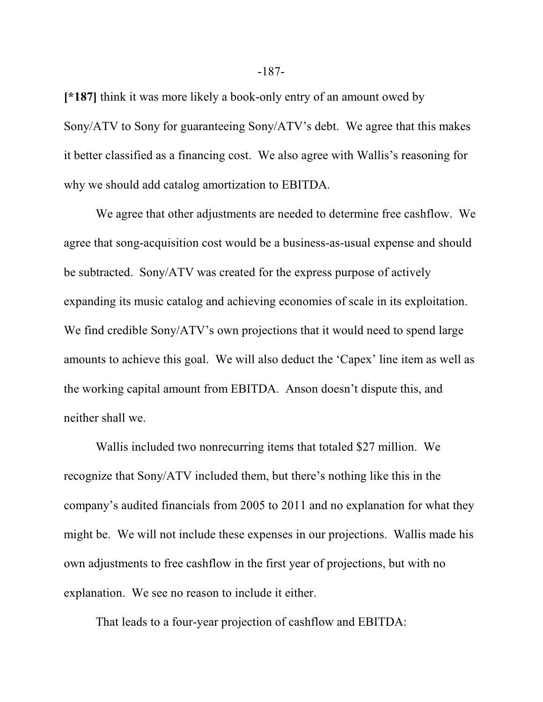**[\*187]** think it was more likely a book-only entry of an amount owed by Sony/ATV to Sony for guaranteeing Sony/ATV's debt. We agree that this makes it better classified as a financing cost. We also agree with Wallis's reasoning for why we should add catalog amortization to EBITDA.

We agree that other adjustments are needed to determine free cashflow. We agree that song-acquisition cost would be a business-as-usual expense and should be subtracted. Sony/ATV was created for the express purpose of actively expanding its music catalog and achieving economies of scale in its exploitation. We find credible Sony/ATV's own projections that it would need to spend large amounts to achieve this goal. We will also deduct the 'Capex' line item as well as the working capital amount from EBITDA. Anson doesn't dispute this, and neither shall we.

Wallis included two nonrecurring items that totaled \$27 million. We recognize that Sony/ATV included them, but there's nothing like this in the company's audited financials from 2005 to 2011 and no explanation for what they might be. We will not include these expenses in our projections. Wallis made his own adjustments to free cashflow in the first year of projections, but with no explanation. We see no reason to include it either.

That leads to a four-year projection of cashflow and EBITDA: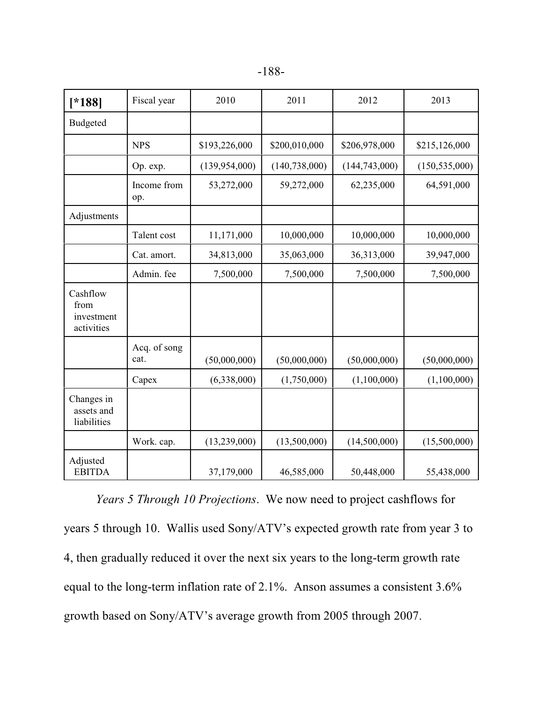| ۰.<br>×<br>I |
|--------------|
|--------------|

| $[*188]$                                     | Fiscal year          | 2010            | 2011            | 2012            | 2013            |
|----------------------------------------------|----------------------|-----------------|-----------------|-----------------|-----------------|
| <b>Budgeted</b>                              |                      |                 |                 |                 |                 |
|                                              | <b>NPS</b>           | \$193,226,000   | \$200,010,000   | \$206,978,000   | \$215,126,000   |
|                                              | Op. exp.             | (139, 954, 000) | (140, 738, 000) | (144, 743, 000) | (150, 535, 000) |
|                                              | Income from<br>op.   | 53,272,000      | 59,272,000      | 62,235,000      | 64,591,000      |
| Adjustments                                  |                      |                 |                 |                 |                 |
|                                              | Talent cost          | 11,171,000      | 10,000,000      | 10,000,000      | 10,000,000      |
|                                              | Cat. amort.          | 34,813,000      | 35,063,000      | 36,313,000      | 39,947,000      |
|                                              | Admin. fee           | 7,500,000       | 7,500,000       | 7,500,000       | 7,500,000       |
| Cashflow<br>from<br>investment<br>activities |                      |                 |                 |                 |                 |
|                                              | Acq. of song<br>cat. | (50,000,000)    | (50,000,000)    | (50,000,000)    | (50,000,000)    |
|                                              | Capex                | (6,338,000)     | (1,750,000)     | (1,100,000)     | (1,100,000)     |
| Changes in<br>assets and<br>liabilities      |                      |                 |                 |                 |                 |
|                                              | Work. cap.           | (13,239,000)    | (13,500,000)    | (14,500,000)    | (15,500,000)    |
| Adjusted<br><b>EBITDA</b>                    |                      | 37,179,000      | 46,585,000      | 50,448,000      | 55,438,000      |

*Years 5 Through 10 Projections*. We now need to project cashflows for years 5 through 10. Wallis used Sony/ATV's expected growth rate from year 3 to 4, then gradually reduced it over the next six years to the long-term growth rate equal to the long-term inflation rate of 2.1%. Anson assumes a consistent 3.6% growth based on Sony/ATV's average growth from 2005 through 2007.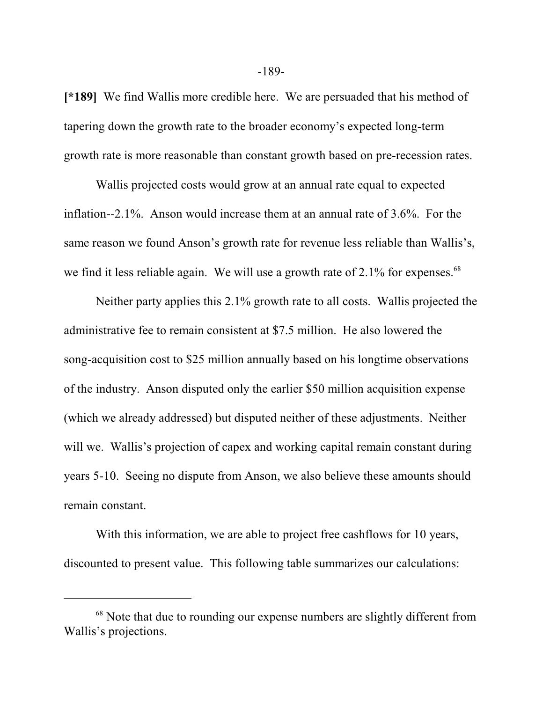**[\*189]** We find Wallis more credible here. We are persuaded that his method of tapering down the growth rate to the broader economy's expected long-term growth rate is more reasonable than constant growth based on pre-recession rates.

Wallis projected costs would grow at an annual rate equal to expected inflation--2.1%. Anson would increase them at an annual rate of 3.6%. For the same reason we found Anson's growth rate for revenue less reliable than Wallis's, we find it less reliable again. We will use a growth rate of 2.1% for expenses.<sup>68</sup>

Neither party applies this 2.1% growth rate to all costs. Wallis projected the administrative fee to remain consistent at \$7.5 million. He also lowered the song-acquisition cost to \$25 million annually based on his longtime observations of the industry. Anson disputed only the earlier \$50 million acquisition expense (which we already addressed) but disputed neither of these adjustments. Neither will we. Wallis's projection of capex and working capital remain constant during years 5-10. Seeing no dispute from Anson, we also believe these amounts should remain constant.

With this information, we are able to project free cashflows for 10 years, discounted to present value. This following table summarizes our calculations:

-189-

<sup>&</sup>lt;sup>68</sup> Note that due to rounding our expense numbers are slightly different from Wallis's projections.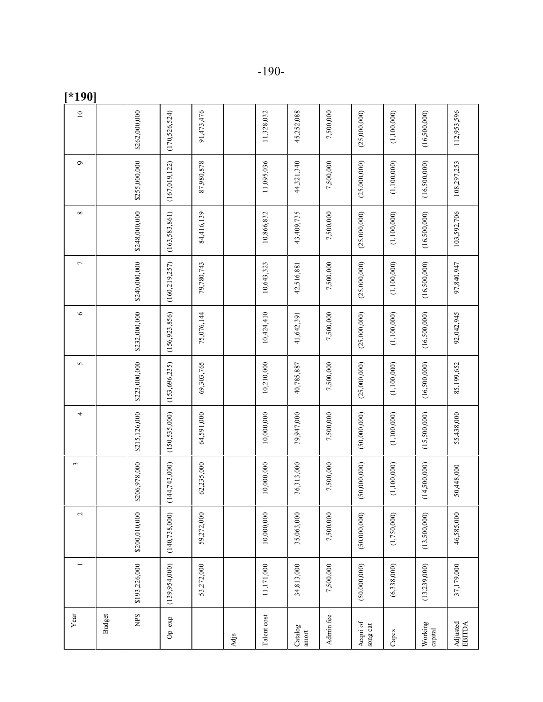| Year                 |                | $\sim$          | $\epsilon$      | 4               | 5               | $\circ$         | $\overline{ }$  | ${}^{\infty}$   | $\sigma$        | $\overline{10}$ |
|----------------------|----------------|-----------------|-----------------|-----------------|-----------------|-----------------|-----------------|-----------------|-----------------|-----------------|
| <b>Budget</b>        |                |                 |                 |                 |                 |                 |                 |                 |                 |                 |
| <b>SdM</b>           | \$193,226,000  | \$200,010,000   | \$206,978,000   | \$215,126,000   | \$223,000,000   | \$232,000,000   | \$240,000,000   | \$248,000,000   | \$255,000,000   | \$262,000,000   |
| Op exp               | (139,954,000)  | (140, 738, 000) | (144, 743, 000) | (150, 535, 000) | (153, 696, 235) | (156, 923, 856) | (160, 219, 257) | (163, 583, 861) | (167, 019, 122) | (170, 526, 524) |
|                      | 53,272,000     | 59,272,000      | 62,235,000      | 64,591,000      | 69,303,765      | 75,076,144      | 79,780,743      | 84,416,139      | 87,980,878      | 91,473,476      |
| Adjs                 |                |                 |                 |                 |                 |                 |                 |                 |                 |                 |
| Talent cost          | 11,171,000     | 10,000,000      | 10,000,000      | 10,000,000      | 10,210,000      | 10,424,410      | 10,643,323      | 10,866,832      | 11,095,036      | 11,328,032      |
| Catalog<br>amort     | 34,813,000     | 35,063,000      | 36,313,000      | 39,947,000      | 40,785,887      | 41,642,391      | 42,516,881      | 43,409,735      | 44,321,340      | 45,252,088      |
| Admin fee            | 7,500,000      | 7,500,000       | 7,500,000       | 7,500,000       | 7,500,000       | 7,500,000       | 7,500,000       | 7,500,000       | 7,500,000       | 7,500,000       |
| Acqui of<br>song cat | (50,000,000)   | (50,000,000)    | (50,000,000)    | (50,000,000)    | (25,000,000)    | (25,000,000)    | (25,000,000)    | (25,000,000)    | (25,000,000)    | (25,000,000)    |
| Capex                | (6,338,000)    | (1,750,000)     | (1,100,000)     | (1,100,000)     | (1,100,000)     | (1,100,000)     | (1,100,000)     | (1, 100, 000)   | (1,100,000)     | (1,100,000)     |
| Working<br>capital   | (13, 239, 000) | (13,500,000)    | (14,500,000)    | (15,500,000)    | (16,500,000)    | (16,500,000)    | (16,500,000)    | (16, 500, 000)  | (16,500,000)    | (16,500,000)    |
| Adjusted<br>EBITDA   | 37,179,000     | 46,585,000      | 50,448,000      | 55,438,000      | 85,199,652      | 92,042,945      | 97,840,947      | 103,592,706     | 108,297,253     | 112,953,596     |

**[\*190]**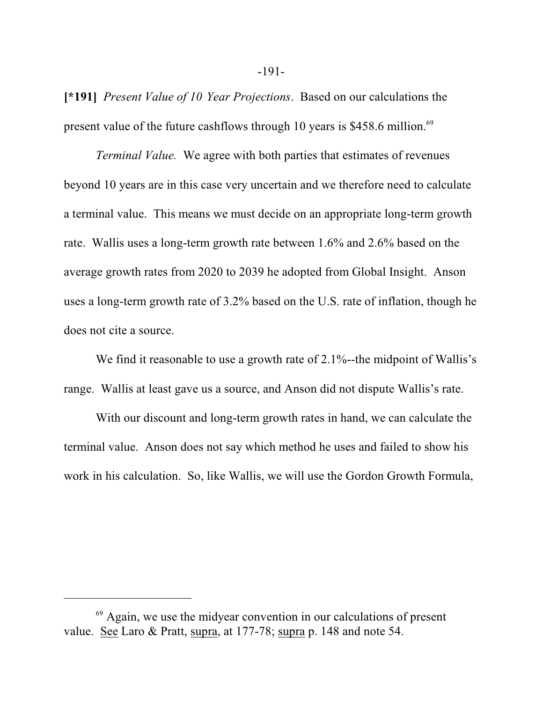**[\*191]** *Present Value of 10 Year Projections*. Based on our calculations the present value of the future cashflows through 10 years is \$458.6 million.<sup>69</sup>

*Terminal Value.* We agree with both parties that estimates of revenues beyond 10 years are in this case very uncertain and we therefore need to calculate a terminal value. This means we must decide on an appropriate long-term growth rate. Wallis uses a long-term growth rate between 1.6% and 2.6% based on the average growth rates from 2020 to 2039 he adopted from Global Insight. Anson uses a long-term growth rate of 3.2% based on the U.S. rate of inflation, though he does not cite a source.

We find it reasonable to use a growth rate of 2.1%--the midpoint of Wallis's range. Wallis at least gave us a source, and Anson did not dispute Wallis's rate.

With our discount and long-term growth rates in hand, we can calculate the terminal value. Anson does not say which method he uses and failed to show his work in his calculation. So, like Wallis, we will use the Gordon Growth Formula,

<sup>&</sup>lt;sup>69</sup> Again, we use the midyear convention in our calculations of present value. See Laro & Pratt, supra, at 177-78; supra p. 148 and note 54.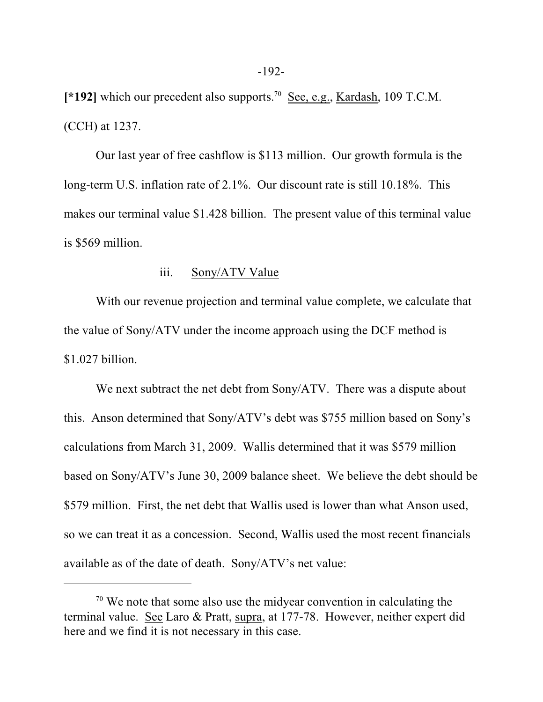[\*192] which our precedent also supports.<sup>70</sup> See, e.g., Kardash, 109 T.C.M. (CCH) at 1237.

Our last year of free cashflow is \$113 million. Our growth formula is the long-term U.S. inflation rate of 2.1%. Our discount rate is still 10.18%. This makes our terminal value \$1.428 billion. The present value of this terminal value is \$569 million.

#### iii. Sony/ATV Value

With our revenue projection and terminal value complete, we calculate that the value of Sony/ATV under the income approach using the DCF method is \$1.027 billion.

We next subtract the net debt from Sony/ATV. There was a dispute about this. Anson determined that Sony/ATV's debt was \$755 million based on Sony's calculations from March 31, 2009. Wallis determined that it was \$579 million based on Sony/ATV's June 30, 2009 balance sheet. We believe the debt should be \$579 million. First, the net debt that Wallis used is lower than what Anson used, so we can treat it as a concession. Second, Wallis used the most recent financials available as of the date of death. Sony/ATV's net value:

<sup>&</sup>lt;sup>70</sup> We note that some also use the midyear convention in calculating the terminal value. See Laro & Pratt, supra, at 177-78. However, neither expert did here and we find it is not necessary in this case.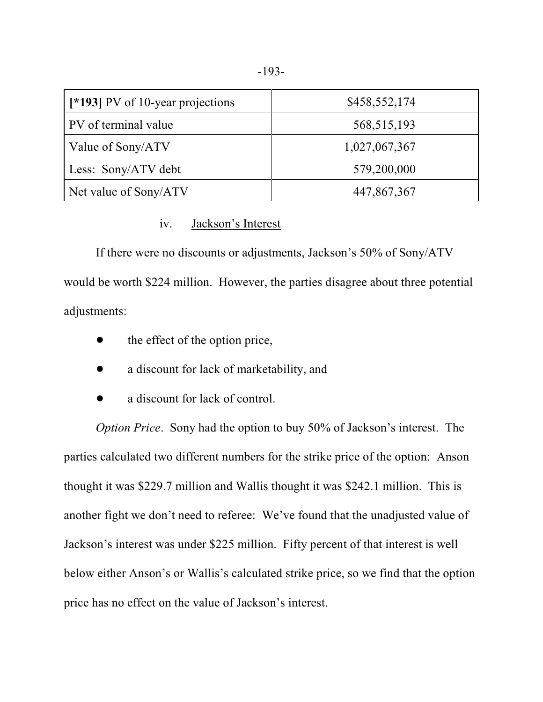| [*193] PV of 10-year projections | \$458,552,174 |
|----------------------------------|---------------|
| PV of terminal value             | 568, 515, 193 |
| Value of Sony/ATV                | 1,027,067,367 |
| Less: Sony/ATV debt              | 579,200,000   |
| Net value of Sony/ATV            | 447,867,367   |

### iv. Jackson's Interest

If there were no discounts or adjustments, Jackson's 50% of Sony/ATV would be worth \$224 million. However, the parties disagree about three potential adjustments:

- the effect of the option price,
- a discount for lack of marketability, and
- a discount for lack of control.

*Option Price*. Sony had the option to buy 50% of Jackson's interest. The parties calculated two different numbers for the strike price of the option: Anson thought it was \$229.7 million and Wallis thought it was \$242.1 million. This is another fight we don't need to referee: We've found that the unadjusted value of Jackson's interest was under \$225 million. Fifty percent of that interest is well below either Anson's or Wallis's calculated strike price, so we find that the option price has no effect on the value of Jackson's interest.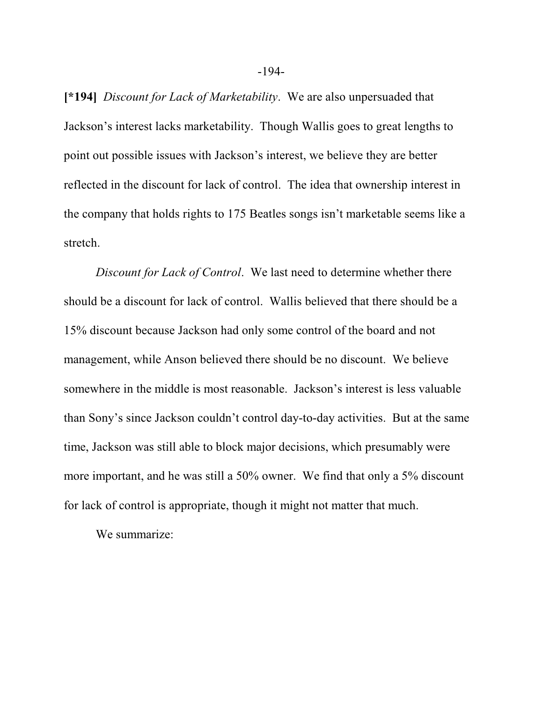**[\*194]** *Discount for Lack of Marketability*. We are also unpersuaded that Jackson's interest lacks marketability. Though Wallis goes to great lengths to point out possible issues with Jackson's interest, we believe they are better reflected in the discount for lack of control. The idea that ownership interest in the company that holds rights to 175 Beatles songs isn't marketable seems like a stretch.

*Discount for Lack of Control*. We last need to determine whether there should be a discount for lack of control. Wallis believed that there should be a 15% discount because Jackson had only some control of the board and not management, while Anson believed there should be no discount. We believe somewhere in the middle is most reasonable. Jackson's interest is less valuable than Sony's since Jackson couldn't control day-to-day activities. But at the same time, Jackson was still able to block major decisions, which presumably were more important, and he was still a 50% owner. We find that only a 5% discount for lack of control is appropriate, though it might not matter that much.

We summarize: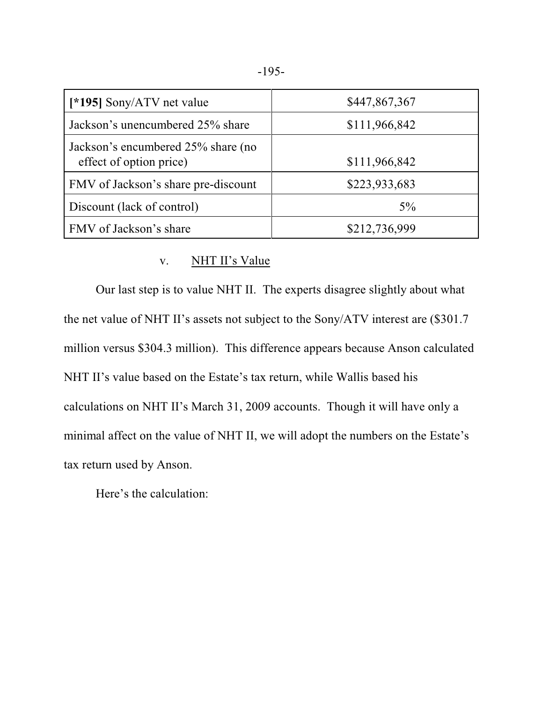| [*195] Sony/ATV net value                                     | \$447,867,367 |
|---------------------------------------------------------------|---------------|
| Jackson's unencumbered 25% share                              | \$111,966,842 |
| Jackson's encumbered 25% share (no<br>effect of option price) | \$111,966,842 |
| FMV of Jackson's share pre-discount                           | \$223,933,683 |
| Discount (lack of control)                                    | $5\%$         |
| FMV of Jackson's share                                        | \$212,736,999 |

### v. NHT II's Value

Our last step is to value NHT II. The experts disagree slightly about what the net value of NHT II's assets not subject to the Sony/ATV interest are (\$301.7 million versus \$304.3 million). This difference appears because Anson calculated NHT II's value based on the Estate's tax return, while Wallis based his calculations on NHT II's March 31, 2009 accounts. Though it will have only a minimal affect on the value of NHT II, we will adopt the numbers on the Estate's tax return used by Anson.

Here's the calculation: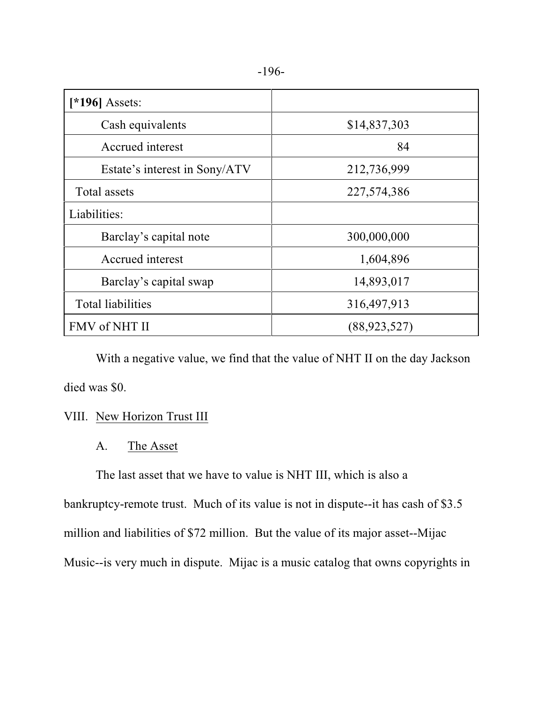|--|--|

| [*196] Assets:                |                |
|-------------------------------|----------------|
| Cash equivalents              | \$14,837,303   |
| Accrued interest              | 84             |
| Estate's interest in Sony/ATV | 212,736,999    |
| Total assets                  | 227,574,386    |
| Liabilities:                  |                |
| Barclay's capital note        | 300,000,000    |
| Accrued interest              | 1,604,896      |
| Barclay's capital swap        | 14,893,017     |
| <b>Total liabilities</b>      | 316,497,913    |
| FMV of NHT II                 | (88, 923, 527) |

With a negative value, we find that the value of NHT II on the day Jackson died was \$0.

# VIII. New Horizon Trust III

# A. The Asset

The last asset that we have to value is NHT III, which is also a

bankruptcy-remote trust. Much of its value is not in dispute--it has cash of \$3.5 million and liabilities of \$72 million. But the value of its major asset--Mijac Music--is very much in dispute. Mijac is a music catalog that owns copyrights in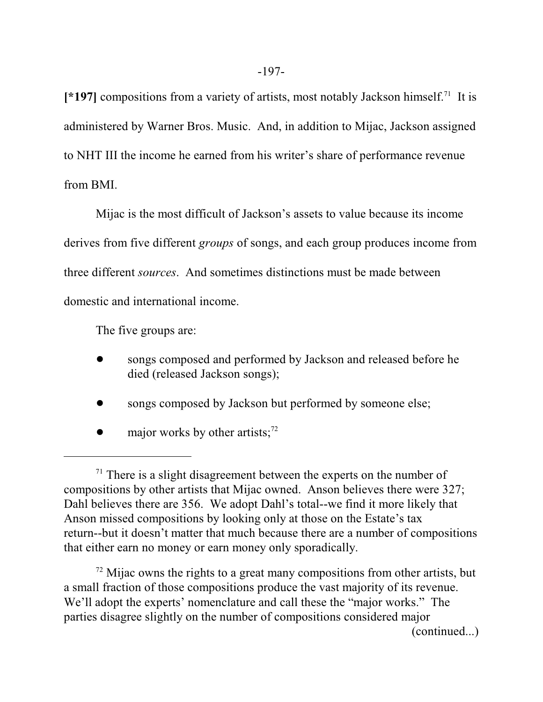[\*197] compositions from a variety of artists, most notably Jackson himself.<sup>71</sup> It is administered by Warner Bros. Music. And, in addition to Mijac, Jackson assigned to NHT III the income he earned from his writer's share of performance revenue from BMI.

Mijac is the most difficult of Jackson's assets to value because its income derives from five different *groups* of songs, and each group produces income from three different *sources*. And sometimes distinctions must be made between domestic and international income.

The five groups are:

- songs composed and performed by Jackson and released before he died (released Jackson songs);
- songs composed by Jackson but performed by someone else;
- $\bullet$  major works by other artists;<sup>72</sup>

 $72$  Mijac owns the rights to a great many compositions from other artists, but a small fraction of those compositions produce the vast majority of its revenue. We'll adopt the experts' nomenclature and call these the "major works." The parties disagree slightly on the number of compositions considered major

(continued...)

 $71$  There is a slight disagreement between the experts on the number of compositions by other artists that Mijac owned. Anson believes there were 327; Dahl believes there are 356. We adopt Dahl's total--we find it more likely that Anson missed compositions by looking only at those on the Estate's tax return--but it doesn't matter that much because there are a number of compositions that either earn no money or earn money only sporadically.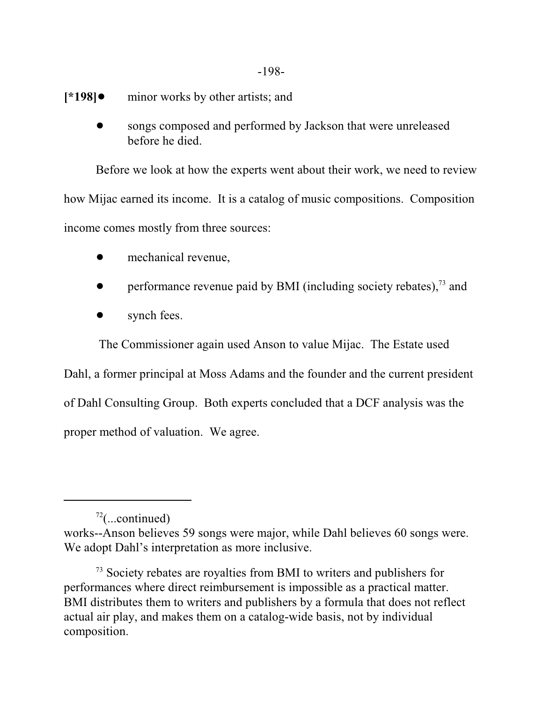-198-

- **[\*198]●** minor works by other artists; and
	- songs composed and performed by Jackson that were unreleased before he died.

Before we look at how the experts went about their work, we need to review how Mijac earned its income. It is a catalog of music compositions. Composition income comes mostly from three sources:

- mechanical revenue,
- $\bullet$  performance revenue paid by BMI (including society rebates),<sup>73</sup> and
- synch fees.

The Commissioner again used Anson to value Mijac. The Estate used

Dahl, a former principal at Moss Adams and the founder and the current president of Dahl Consulting Group. Both experts concluded that a DCF analysis was the proper method of valuation. We agree.

 $72$ (...continued)

works--Anson believes 59 songs were major, while Dahl believes 60 songs were. We adopt Dahl's interpretation as more inclusive.

<sup>&</sup>lt;sup>73</sup> Society rebates are royalties from BMI to writers and publishers for performances where direct reimbursement is impossible as a practical matter. BMI distributes them to writers and publishers by a formula that does not reflect actual air play, and makes them on a catalog-wide basis, not by individual composition.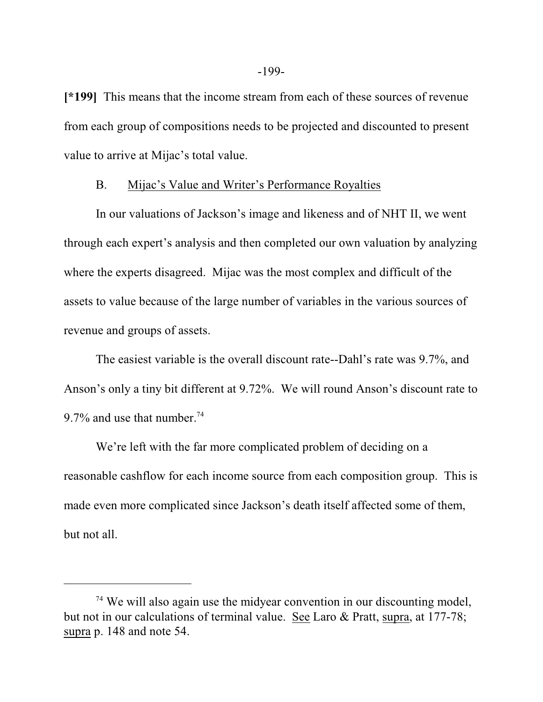**[\*199]** This means that the income stream from each of these sources of revenue from each group of compositions needs to be projected and discounted to present value to arrive at Mijac's total value.

#### B. Mijac's Value and Writer's Performance Royalties

In our valuations of Jackson's image and likeness and of NHT II, we went through each expert's analysis and then completed our own valuation by analyzing where the experts disagreed. Mijac was the most complex and difficult of the assets to value because of the large number of variables in the various sources of revenue and groups of assets.

The easiest variable is the overall discount rate--Dahl's rate was 9.7%, and Anson's only a tiny bit different at 9.72%. We will round Anson's discount rate to 9.7% and use that number.<sup>74</sup>

We're left with the far more complicated problem of deciding on a reasonable cashflow for each income source from each composition group. This is made even more complicated since Jackson's death itself affected some of them, but not all.

<sup>&</sup>lt;sup>74</sup> We will also again use the midyear convention in our discounting model, but not in our calculations of terminal value. See Laro & Pratt, supra, at 177-78; supra p. 148 and note 54.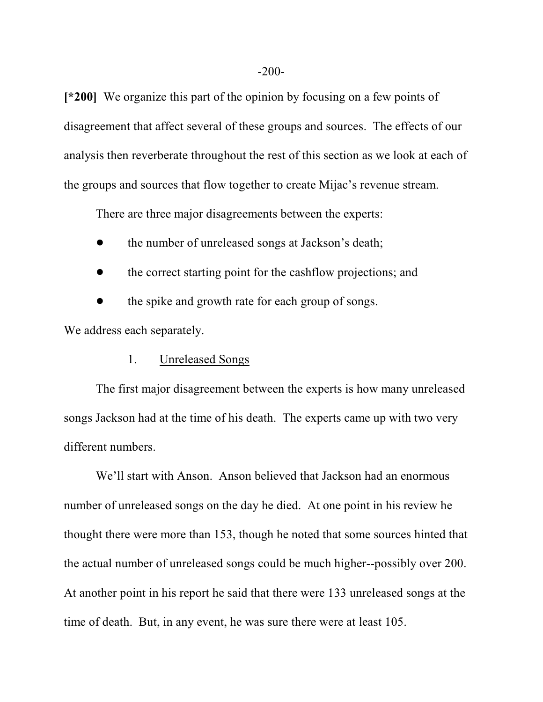**[\*200]** We organize this part of the opinion by focusing on a few points of disagreement that affect several of these groups and sources. The effects of our analysis then reverberate throughout the rest of this section as we look at each of the groups and sources that flow together to create Mijac's revenue stream.

There are three major disagreements between the experts:

the number of unreleased songs at Jackson's death;

• the correct starting point for the cashflow projections; and

the spike and growth rate for each group of songs.

We address each separately.

# 1. Unreleased Songs

The first major disagreement between the experts is how many unreleased songs Jackson had at the time of his death. The experts came up with two very different numbers.

We'll start with Anson. Anson believed that Jackson had an enormous number of unreleased songs on the day he died. At one point in his review he thought there were more than 153, though he noted that some sources hinted that the actual number of unreleased songs could be much higher--possibly over 200. At another point in his report he said that there were 133 unreleased songs at the time of death. But, in any event, he was sure there were at least 105.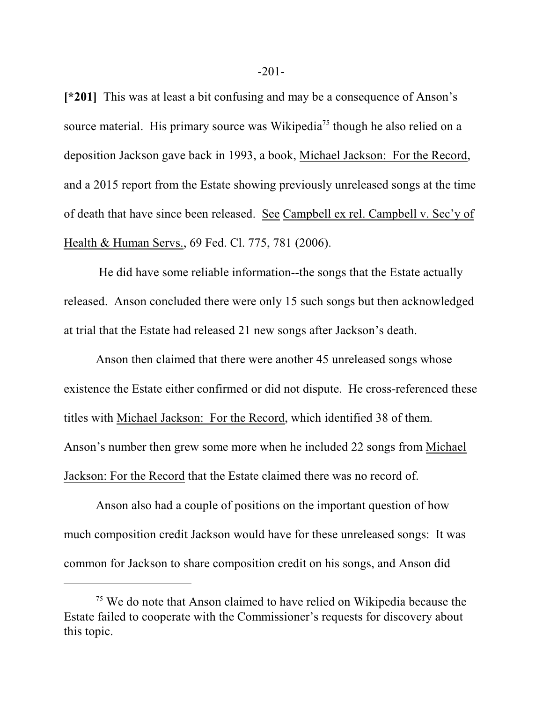**[\*201]** This was at least a bit confusing and may be a consequence of Anson's source material. His primary source was Wikipedia<sup>75</sup> though he also relied on a deposition Jackson gave back in 1993, a book, Michael Jackson: For the Record, and a 2015 report from the Estate showing previously unreleased songs at the time of death that have since been released. See Campbell ex rel. Campbell v. Sec'y of Health & Human Servs., 69 Fed. Cl. 775, 781 (2006).

 He did have some reliable information--the songs that the Estate actually released. Anson concluded there were only 15 such songs but then acknowledged at trial that the Estate had released 21 new songs after Jackson's death.

Anson then claimed that there were another 45 unreleased songs whose existence the Estate either confirmed or did not dispute. He cross-referenced these titles with Michael Jackson: For the Record, which identified 38 of them. Anson's number then grew some more when he included 22 songs from Michael Jackson: For the Record that the Estate claimed there was no record of.

Anson also had a couple of positions on the important question of how much composition credit Jackson would have for these unreleased songs: It was common for Jackson to share composition credit on his songs, and Anson did

<sup>&</sup>lt;sup>75</sup> We do note that Anson claimed to have relied on Wikipedia because the Estate failed to cooperate with the Commissioner's requests for discovery about this topic.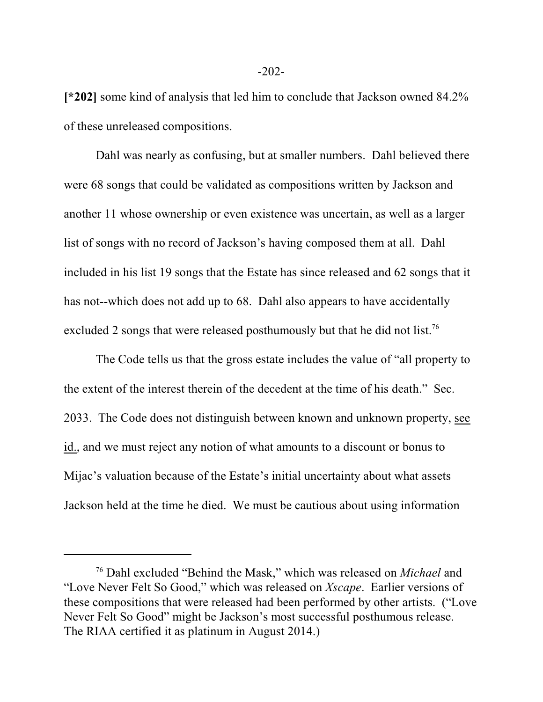**[\*202]** some kind of analysis that led him to conclude that Jackson owned 84.2% of these unreleased compositions.

Dahl was nearly as confusing, but at smaller numbers. Dahl believed there were 68 songs that could be validated as compositions written by Jackson and another 11 whose ownership or even existence was uncertain, as well as a larger list of songs with no record of Jackson's having composed them at all. Dahl included in his list 19 songs that the Estate has since released and 62 songs that it has not--which does not add up to 68. Dahl also appears to have accidentally excluded 2 songs that were released posthumously but that he did not list.<sup>76</sup>

The Code tells us that the gross estate includes the value of "all property to the extent of the interest therein of the decedent at the time of his death." Sec. 2033. The Code does not distinguish between known and unknown property, see id., and we must reject any notion of what amounts to a discount or bonus to Mijac's valuation because of the Estate's initial uncertainty about what assets Jackson held at the time he died. We must be cautious about using information

<sup>76</sup> Dahl excluded "Behind the Mask," which was released on *Michael* and "Love Never Felt So Good," which was released on *Xscape*. Earlier versions of these compositions that were released had been performed by other artists. ("Love Never Felt So Good" might be Jackson's most successful posthumous release. The RIAA certified it as platinum in August 2014.)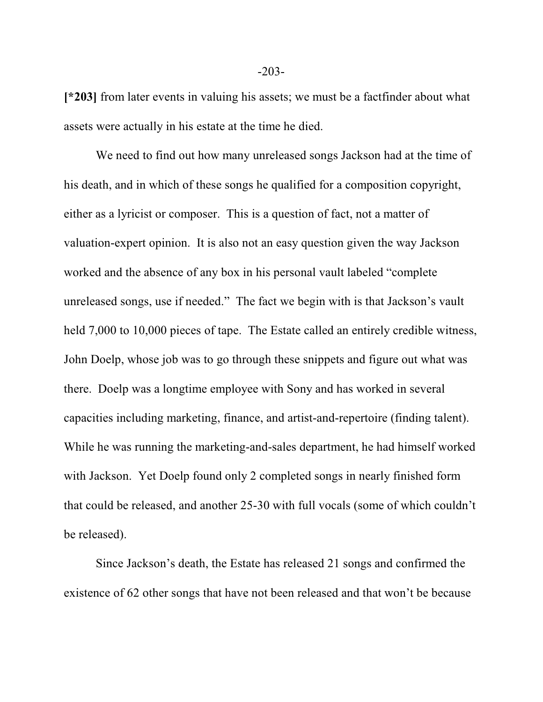**[\*203]** from later events in valuing his assets; we must be a factfinder about what assets were actually in his estate at the time he died.

We need to find out how many unreleased songs Jackson had at the time of his death, and in which of these songs he qualified for a composition copyright, either as a lyricist or composer. This is a question of fact, not a matter of valuation-expert opinion. It is also not an easy question given the way Jackson worked and the absence of any box in his personal vault labeled "complete unreleased songs, use if needed." The fact we begin with is that Jackson's vault held 7,000 to 10,000 pieces of tape. The Estate called an entirely credible witness, John Doelp, whose job was to go through these snippets and figure out what was there. Doelp was a longtime employee with Sony and has worked in several capacities including marketing, finance, and artist-and-repertoire (finding talent). While he was running the marketing-and-sales department, he had himself worked with Jackson. Yet Doelp found only 2 completed songs in nearly finished form that could be released, and another 25-30 with full vocals (some of which couldn't be released).

Since Jackson's death, the Estate has released 21 songs and confirmed the existence of 62 other songs that have not been released and that won't be because

-203-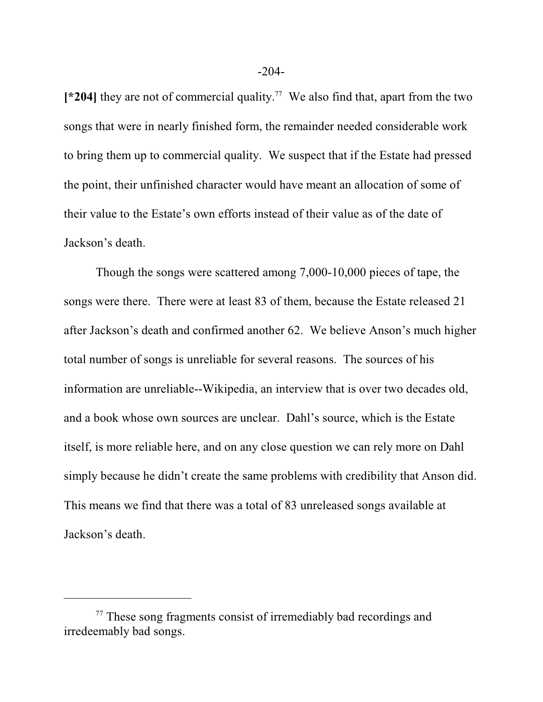**[\*204]** they are not of commercial quality. 77 We also find that, apart from the two songs that were in nearly finished form, the remainder needed considerable work to bring them up to commercial quality. We suspect that if the Estate had pressed the point, their unfinished character would have meant an allocation of some of their value to the Estate's own efforts instead of their value as of the date of Jackson's death.

Though the songs were scattered among 7,000-10,000 pieces of tape, the songs were there. There were at least 83 of them, because the Estate released 21 after Jackson's death and confirmed another 62. We believe Anson's much higher total number of songs is unreliable for several reasons. The sources of his information are unreliable--Wikipedia, an interview that is over two decades old, and a book whose own sources are unclear. Dahl's source, which is the Estate itself, is more reliable here, and on any close question we can rely more on Dahl simply because he didn't create the same problems with credibility that Anson did. This means we find that there was a total of 83 unreleased songs available at Jackson's death.

<sup>&</sup>lt;sup>77</sup> These song fragments consist of irremediably bad recordings and irredeemably bad songs.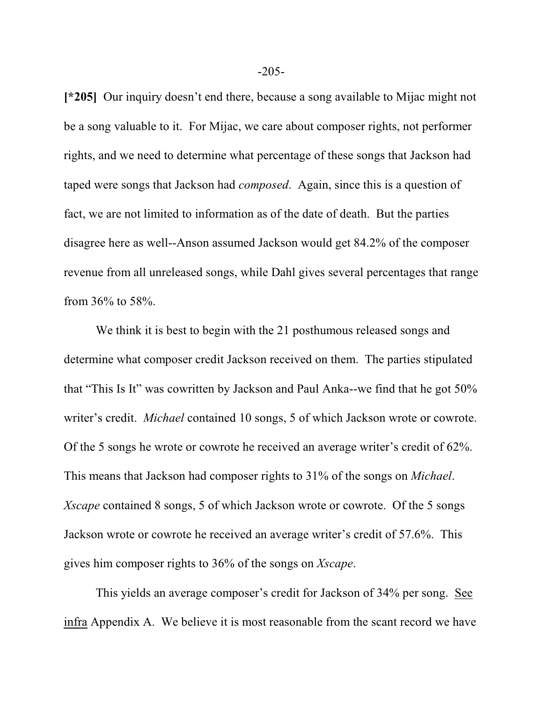**[\*205]** Our inquiry doesn't end there, because a song available to Mijac might not be a song valuable to it. For Mijac, we care about composer rights, not performer rights, and we need to determine what percentage of these songs that Jackson had taped were songs that Jackson had *composed*. Again, since this is a question of fact, we are not limited to information as of the date of death. But the parties disagree here as well--Anson assumed Jackson would get 84.2% of the composer revenue from all unreleased songs, while Dahl gives several percentages that range from 36% to 58%.

We think it is best to begin with the 21 posthumous released songs and determine what composer credit Jackson received on them. The parties stipulated that "This Is It" was cowritten by Jackson and Paul Anka--we find that he got 50% writer's credit. *Michael* contained 10 songs, 5 of which Jackson wrote or cowrote. Of the 5 songs he wrote or cowrote he received an average writer's credit of 62%. This means that Jackson had composer rights to 31% of the songs on *Michael*. *Xscape* contained 8 songs, 5 of which Jackson wrote or cowrote. Of the 5 songs Jackson wrote or cowrote he received an average writer's credit of 57.6%. This gives him composer rights to 36% of the songs on *Xscape*.

This yields an average composer's credit for Jackson of 34% per song. See infra Appendix A. We believe it is most reasonable from the scant record we have

-205-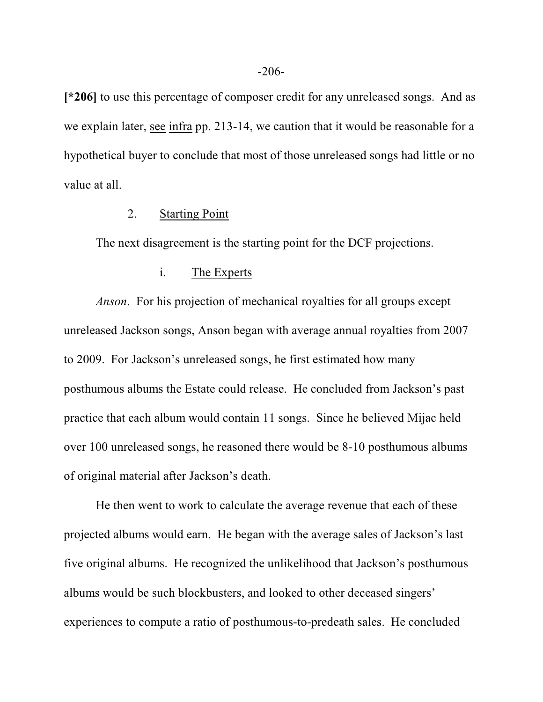**[\*206]** to use this percentage of composer credit for any unreleased songs. And as we explain later, see infra pp. 213-14, we caution that it would be reasonable for a hypothetical buyer to conclude that most of those unreleased songs had little or no value at all.

#### 2. Starting Point

The next disagreement is the starting point for the DCF projections.

## i. The Experts

*Anson*. For his projection of mechanical royalties for all groups except unreleased Jackson songs, Anson began with average annual royalties from 2007 to 2009. For Jackson's unreleased songs, he first estimated how many posthumous albums the Estate could release. He concluded from Jackson's past practice that each album would contain 11 songs. Since he believed Mijac held over 100 unreleased songs, he reasoned there would be 8-10 posthumous albums of original material after Jackson's death.

He then went to work to calculate the average revenue that each of these projected albums would earn. He began with the average sales of Jackson's last five original albums. He recognized the unlikelihood that Jackson's posthumous albums would be such blockbusters, and looked to other deceased singers' experiences to compute a ratio of posthumous-to-predeath sales. He concluded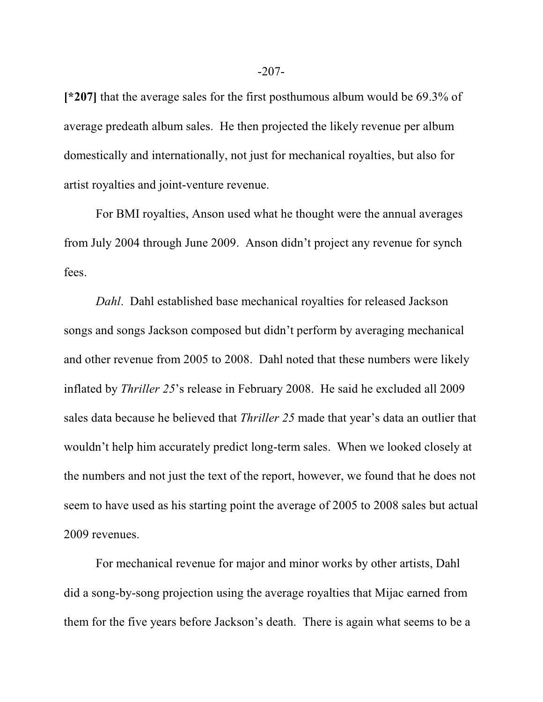**[\*207]** that the average sales for the first posthumous album would be 69.3% of average predeath album sales. He then projected the likely revenue per album domestically and internationally, not just for mechanical royalties, but also for artist royalties and joint-venture revenue.

For BMI royalties, Anson used what he thought were the annual averages from July 2004 through June 2009. Anson didn't project any revenue for synch fees.

*Dahl*. Dahl established base mechanical royalties for released Jackson songs and songs Jackson composed but didn't perform by averaging mechanical and other revenue from 2005 to 2008. Dahl noted that these numbers were likely inflated by *Thriller 25*'s release in February 2008. He said he excluded all 2009 sales data because he believed that *Thriller 25* made that year's data an outlier that wouldn't help him accurately predict long-term sales. When we looked closely at the numbers and not just the text of the report, however, we found that he does not seem to have used as his starting point the average of 2005 to 2008 sales but actual 2009 revenues.

For mechanical revenue for major and minor works by other artists, Dahl did a song-by-song projection using the average royalties that Mijac earned from them for the five years before Jackson's death. There is again what seems to be a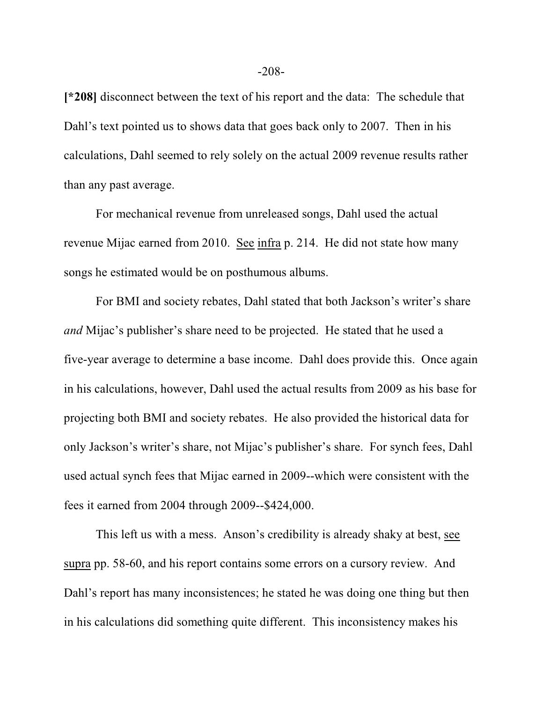**[\*208]** disconnect between the text of his report and the data: The schedule that Dahl's text pointed us to shows data that goes back only to 2007. Then in his calculations, Dahl seemed to rely solely on the actual 2009 revenue results rather than any past average.

For mechanical revenue from unreleased songs, Dahl used the actual revenue Mijac earned from 2010. See infra p. 214. He did not state how many songs he estimated would be on posthumous albums.

For BMI and society rebates, Dahl stated that both Jackson's writer's share *and* Mijac's publisher's share need to be projected. He stated that he used a five-year average to determine a base income. Dahl does provide this. Once again in his calculations, however, Dahl used the actual results from 2009 as his base for projecting both BMI and society rebates. He also provided the historical data for only Jackson's writer's share, not Mijac's publisher's share. For synch fees, Dahl used actual synch fees that Mijac earned in 2009--which were consistent with the fees it earned from 2004 through 2009--\$424,000.

This left us with a mess. Anson's credibility is already shaky at best, see supra pp. 58-60, and his report contains some errors on a cursory review. And Dahl's report has many inconsistences; he stated he was doing one thing but then in his calculations did something quite different. This inconsistency makes his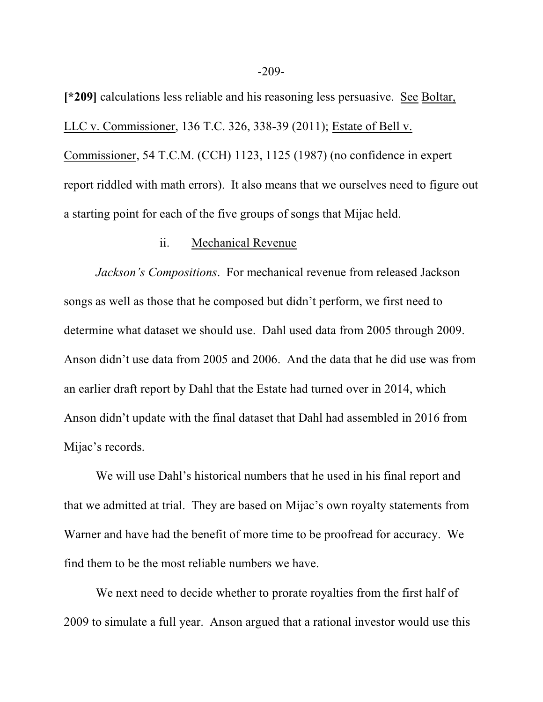**[\*209]** calculations less reliable and his reasoning less persuasive. See Boltar, LLC v. Commissioner, 136 T.C. 326, 338-39 (2011); Estate of Bell v. Commissioner, 54 T.C.M. (CCH) 1123, 1125 (1987) (no confidence in expert report riddled with math errors). It also means that we ourselves need to figure out a starting point for each of the five groups of songs that Mijac held.

#### ii. Mechanical Revenue

*Jackson's Compositions*. For mechanical revenue from released Jackson songs as well as those that he composed but didn't perform, we first need to determine what dataset we should use. Dahl used data from 2005 through 2009. Anson didn't use data from 2005 and 2006. And the data that he did use was from an earlier draft report by Dahl that the Estate had turned over in 2014, which Anson didn't update with the final dataset that Dahl had assembled in 2016 from Mijac's records.

We will use Dahl's historical numbers that he used in his final report and that we admitted at trial. They are based on Mijac's own royalty statements from Warner and have had the benefit of more time to be proofread for accuracy. We find them to be the most reliable numbers we have.

We next need to decide whether to prorate royalties from the first half of 2009 to simulate a full year. Anson argued that a rational investor would use this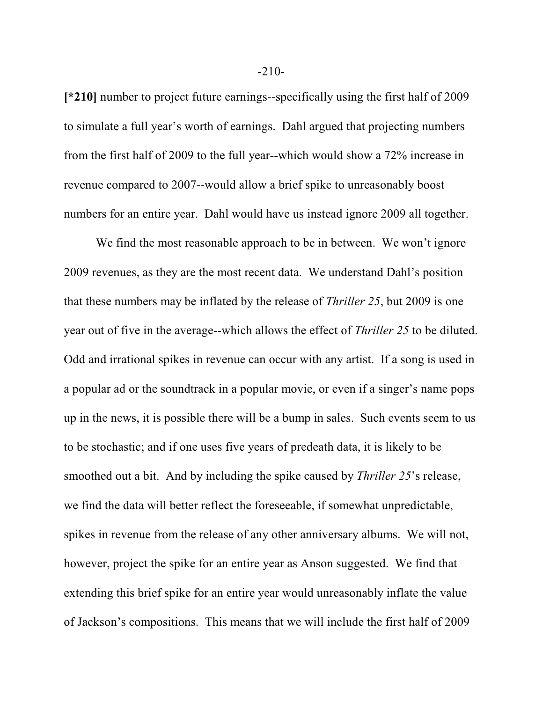**[\*210]** number to project future earnings--specifically using the first half of 2009 to simulate a full year's worth of earnings. Dahl argued that projecting numbers from the first half of 2009 to the full year--which would show a 72% increase in revenue compared to 2007--would allow a brief spike to unreasonably boost numbers for an entire year. Dahl would have us instead ignore 2009 all together.

We find the most reasonable approach to be in between. We won't ignore 2009 revenues, as they are the most recent data. We understand Dahl's position that these numbers may be inflated by the release of *Thriller 25*, but 2009 is one year out of five in the average--which allows the effect of *Thriller 25* to be diluted. Odd and irrational spikes in revenue can occur with any artist. If a song is used in a popular ad or the soundtrack in a popular movie, or even if a singer's name pops up in the news, it is possible there will be a bump in sales. Such events seem to us to be stochastic; and if one uses five years of predeath data, it is likely to be smoothed out a bit. And by including the spike caused by *Thriller 25*'s release, we find the data will better reflect the foreseeable, if somewhat unpredictable, spikes in revenue from the release of any other anniversary albums. We will not, however, project the spike for an entire year as Anson suggested. We find that extending this brief spike for an entire year would unreasonably inflate the value of Jackson's compositions. This means that we will include the first half of 2009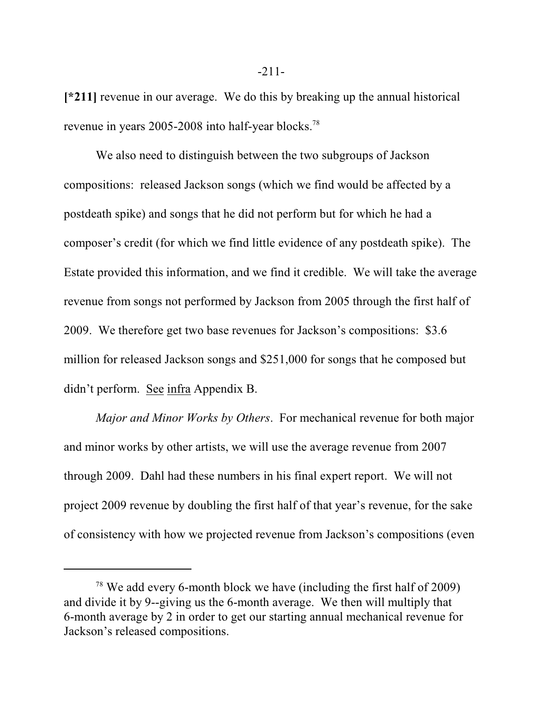**[\*211]** revenue in our average. We do this by breaking up the annual historical revenue in years 2005-2008 into half-year blocks.<sup>78</sup>

We also need to distinguish between the two subgroups of Jackson compositions: released Jackson songs (which we find would be affected by a postdeath spike) and songs that he did not perform but for which he had a composer's credit (for which we find little evidence of any postdeath spike). The Estate provided this information, and we find it credible. We will take the average revenue from songs not performed by Jackson from 2005 through the first half of 2009. We therefore get two base revenues for Jackson's compositions: \$3.6 million for released Jackson songs and \$251,000 for songs that he composed but didn't perform. See infra Appendix B.

*Major and Minor Works by Others*. For mechanical revenue for both major and minor works by other artists, we will use the average revenue from 2007 through 2009. Dahl had these numbers in his final expert report. We will not project 2009 revenue by doubling the first half of that year's revenue, for the sake of consistency with how we projected revenue from Jackson's compositions (even

 $78$  We add every 6-month block we have (including the first half of 2009) and divide it by 9--giving us the 6-month average. We then will multiply that 6-month average by 2 in order to get our starting annual mechanical revenue for Jackson's released compositions.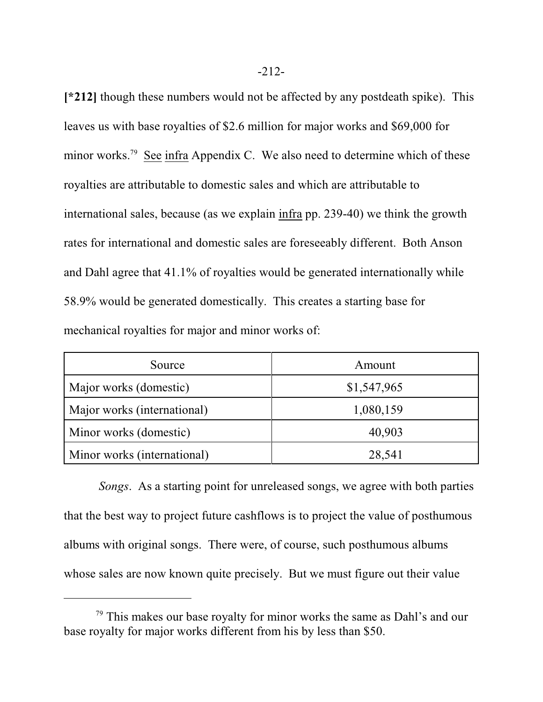**[\*212]** though these numbers would not be affected by any postdeath spike). This leaves us with base royalties of \$2.6 million for major works and \$69,000 for minor works.<sup>79</sup> See infra Appendix C. We also need to determine which of these royalties are attributable to domestic sales and which are attributable to international sales, because (as we explain infra pp. 239-40) we think the growth rates for international and domestic sales are foreseeably different. Both Anson and Dahl agree that 41.1% of royalties would be generated internationally while 58.9% would be generated domestically. This creates a starting base for mechanical royalties for major and minor works of:

| Source                      | Amount      |
|-----------------------------|-------------|
| Major works (domestic)      | \$1,547,965 |
| Major works (international) | 1,080,159   |
| Minor works (domestic)      | 40,903      |
| Minor works (international) | 28,541      |

 *Songs*. As a starting point for unreleased songs, we agree with both parties that the best way to project future cashflows is to project the value of posthumous albums with original songs. There were, of course, such posthumous albums whose sales are now known quite precisely. But we must figure out their value

<sup>&</sup>lt;sup>79</sup> This makes our base royalty for minor works the same as Dahl's and our base royalty for major works different from his by less than \$50.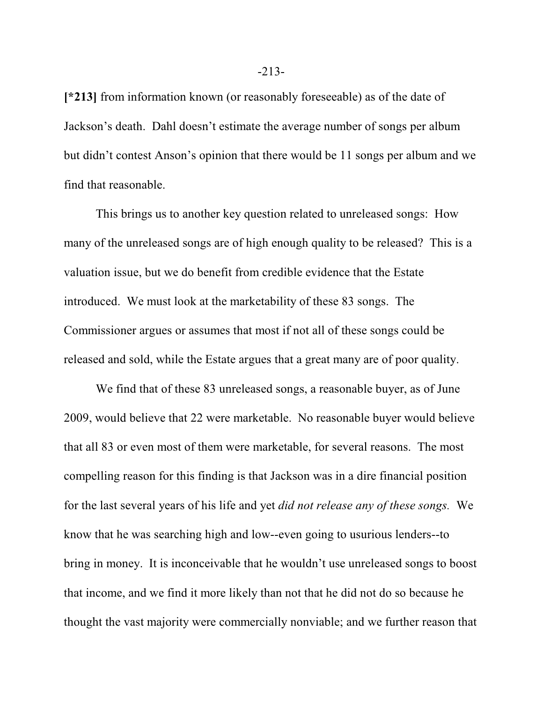**[\*213]** from information known (or reasonably foreseeable) as of the date of Jackson's death. Dahl doesn't estimate the average number of songs per album but didn't contest Anson's opinion that there would be 11 songs per album and we find that reasonable.

This brings us to another key question related to unreleased songs: How many of the unreleased songs are of high enough quality to be released? This is a valuation issue, but we do benefit from credible evidence that the Estate introduced. We must look at the marketability of these 83 songs. The Commissioner argues or assumes that most if not all of these songs could be released and sold, while the Estate argues that a great many are of poor quality.

We find that of these 83 unreleased songs, a reasonable buyer, as of June 2009, would believe that 22 were marketable. No reasonable buyer would believe that all 83 or even most of them were marketable, for several reasons. The most compelling reason for this finding is that Jackson was in a dire financial position for the last several years of his life and yet *did not release any of these songs.* We know that he was searching high and low--even going to usurious lenders--to bring in money. It is inconceivable that he wouldn't use unreleased songs to boost that income, and we find it more likely than not that he did not do so because he thought the vast majority were commercially nonviable; and we further reason that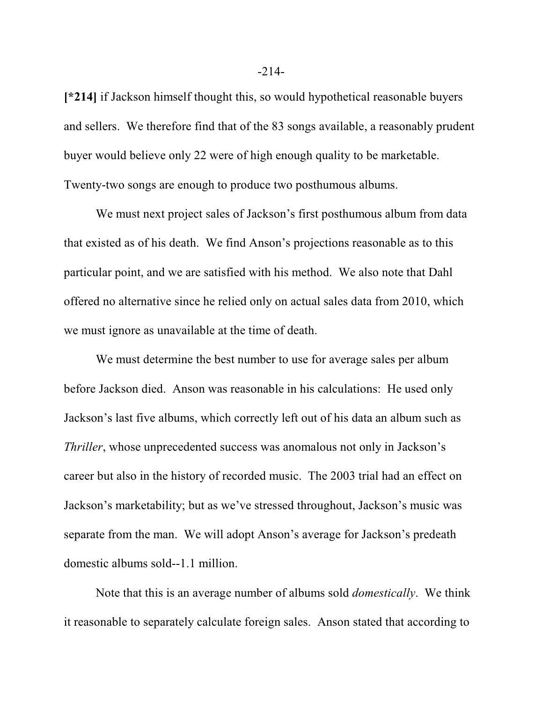**[\*214]** if Jackson himself thought this, so would hypothetical reasonable buyers and sellers. We therefore find that of the 83 songs available, a reasonably prudent buyer would believe only 22 were of high enough quality to be marketable. Twenty-two songs are enough to produce two posthumous albums.

We must next project sales of Jackson's first posthumous album from data that existed as of his death. We find Anson's projections reasonable as to this particular point, and we are satisfied with his method. We also note that Dahl offered no alternative since he relied only on actual sales data from 2010, which we must ignore as unavailable at the time of death.

We must determine the best number to use for average sales per album before Jackson died. Anson was reasonable in his calculations: He used only Jackson's last five albums, which correctly left out of his data an album such as *Thriller*, whose unprecedented success was anomalous not only in Jackson's career but also in the history of recorded music. The 2003 trial had an effect on Jackson's marketability; but as we've stressed throughout, Jackson's music was separate from the man. We will adopt Anson's average for Jackson's predeath domestic albums sold--1.1 million.

Note that this is an average number of albums sold *domestically*. We think it reasonable to separately calculate foreign sales. Anson stated that according to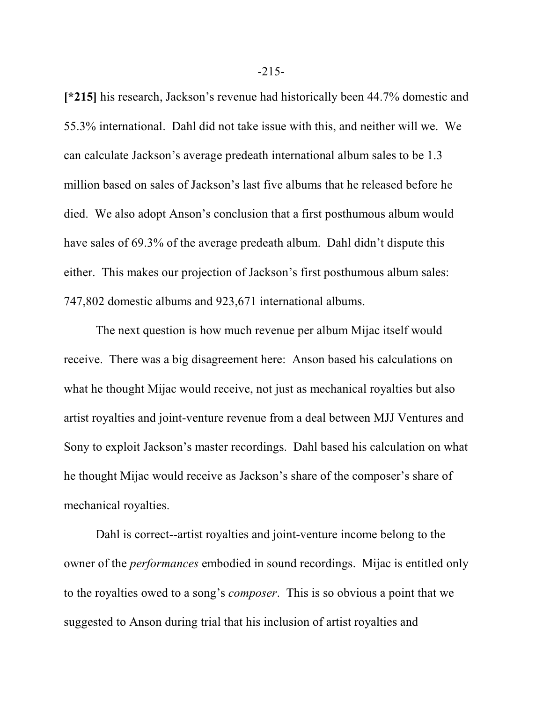**[\*215]** his research, Jackson's revenue had historically been 44.7% domestic and 55.3% international. Dahl did not take issue with this, and neither will we. We can calculate Jackson's average predeath international album sales to be 1.3 million based on sales of Jackson's last five albums that he released before he died. We also adopt Anson's conclusion that a first posthumous album would have sales of 69.3% of the average predeath album. Dahl didn't dispute this either. This makes our projection of Jackson's first posthumous album sales: 747,802 domestic albums and 923,671 international albums.

The next question is how much revenue per album Mijac itself would receive. There was a big disagreement here: Anson based his calculations on what he thought Mijac would receive, not just as mechanical royalties but also artist royalties and joint-venture revenue from a deal between MJJ Ventures and Sony to exploit Jackson's master recordings. Dahl based his calculation on what he thought Mijac would receive as Jackson's share of the composer's share of mechanical royalties.

Dahl is correct--artist royalties and joint-venture income belong to the owner of the *performances* embodied in sound recordings. Mijac is entitled only to the royalties owed to a song's *composer*. This is so obvious a point that we suggested to Anson during trial that his inclusion of artist royalties and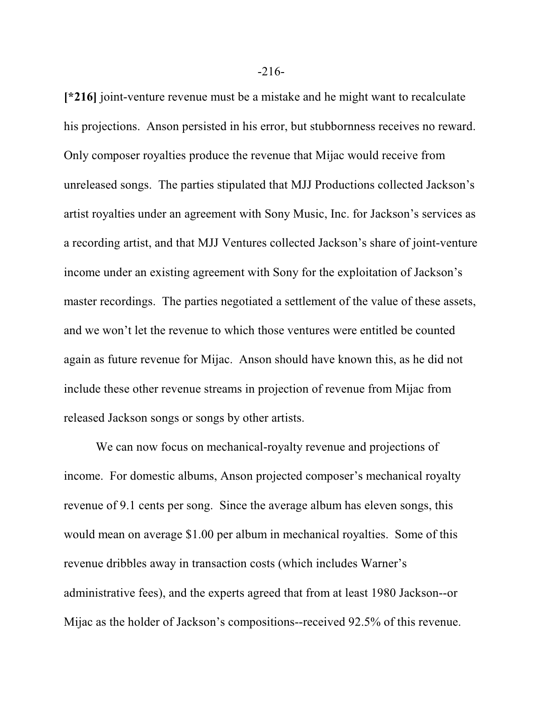**[\*216]** joint-venture revenue must be a mistake and he might want to recalculate his projections. Anson persisted in his error, but stubbornness receives no reward. Only composer royalties produce the revenue that Mijac would receive from unreleased songs. The parties stipulated that MJJ Productions collected Jackson's artist royalties under an agreement with Sony Music, Inc. for Jackson's services as a recording artist, and that MJJ Ventures collected Jackson's share of joint-venture income under an existing agreement with Sony for the exploitation of Jackson's master recordings. The parties negotiated a settlement of the value of these assets, and we won't let the revenue to which those ventures were entitled be counted again as future revenue for Mijac. Anson should have known this, as he did not include these other revenue streams in projection of revenue from Mijac from released Jackson songs or songs by other artists.

We can now focus on mechanical-royalty revenue and projections of income. For domestic albums, Anson projected composer's mechanical royalty revenue of 9.1 cents per song. Since the average album has eleven songs, this would mean on average \$1.00 per album in mechanical royalties. Some of this revenue dribbles away in transaction costs (which includes Warner's administrative fees), and the experts agreed that from at least 1980 Jackson--or Mijac as the holder of Jackson's compositions--received 92.5% of this revenue.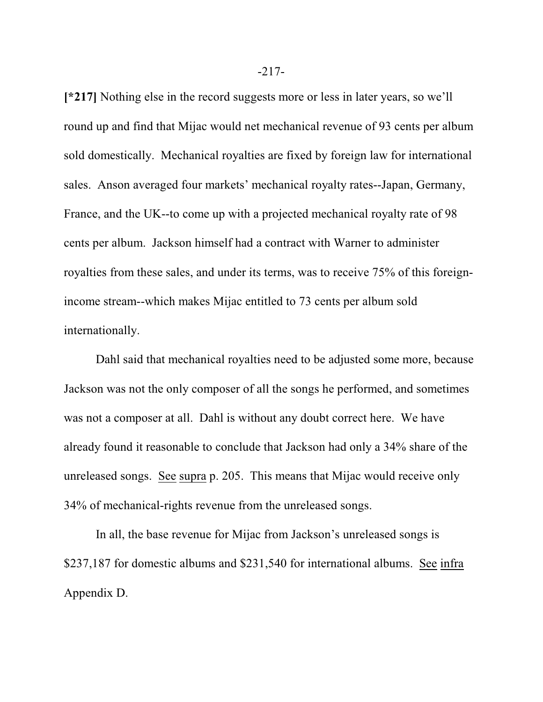**[\*217]** Nothing else in the record suggests more or less in later years, so we'll round up and find that Mijac would net mechanical revenue of 93 cents per album sold domestically. Mechanical royalties are fixed by foreign law for international sales. Anson averaged four markets' mechanical royalty rates--Japan, Germany, France, and the UK--to come up with a projected mechanical royalty rate of 98 cents per album. Jackson himself had a contract with Warner to administer royalties from these sales, and under its terms, was to receive 75% of this foreignincome stream--which makes Mijac entitled to 73 cents per album sold internationally.

Dahl said that mechanical royalties need to be adjusted some more, because Jackson was not the only composer of all the songs he performed, and sometimes was not a composer at all. Dahl is without any doubt correct here. We have already found it reasonable to conclude that Jackson had only a 34% share of the unreleased songs. See supra p. 205. This means that Mijac would receive only 34% of mechanical-rights revenue from the unreleased songs.

In all, the base revenue for Mijac from Jackson's unreleased songs is \$237,187 for domestic albums and \$231,540 for international albums. See infra Appendix D.

-217-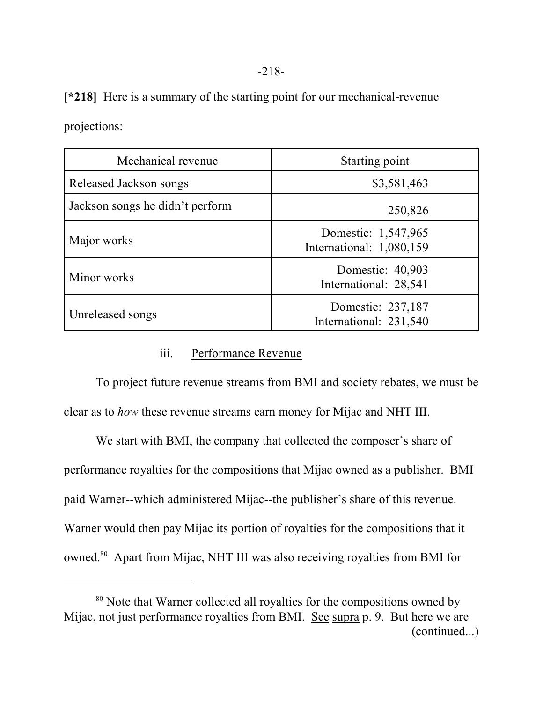| Mechanical revenue              | Starting point                                  |
|---------------------------------|-------------------------------------------------|
| Released Jackson songs          | \$3,581,463                                     |
| Jackson songs he didn't perform | 250,826                                         |
| Major works                     | Domestic: 1,547,965<br>International: 1,080,159 |
| Minor works                     | Domestic: 40,903<br>International: 28,541       |
| Unreleased songs                | Domestic: 237,187<br>International: 231,540     |

**[\*218]** Here is a summary of the starting point for our mechanical-revenue

projections:

# iii. Performance Revenue

To project future revenue streams from BMI and society rebates, we must be clear as to *how* these revenue streams earn money for Mijac and NHT III.

We start with BMI, the company that collected the composer's share of performance royalties for the compositions that Mijac owned as a publisher. BMI paid Warner--which administered Mijac--the publisher's share of this revenue. Warner would then pay Mijac its portion of royalties for the compositions that it owned. 80 Apart from Mijac, NHT III was also receiving royalties from BMI for

<sup>&</sup>lt;sup>80</sup> Note that Warner collected all royalties for the compositions owned by Mijac, not just performance royalties from BMI. See supra p. 9. But here we are (continued...)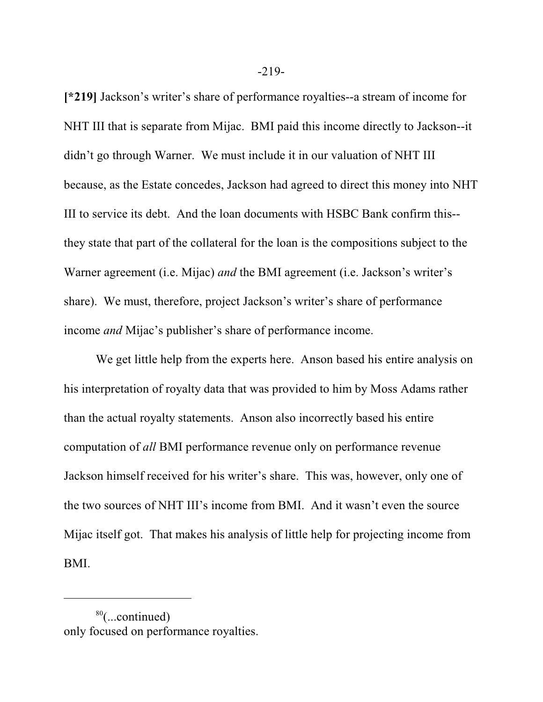**[\*219]** Jackson's writer's share of performance royalties--a stream of income for NHT III that is separate from Mijac. BMI paid this income directly to Jackson--it didn't go through Warner. We must include it in our valuation of NHT III because, as the Estate concedes, Jackson had agreed to direct this money into NHT III to service its debt. And the loan documents with HSBC Bank confirm this- they state that part of the collateral for the loan is the compositions subject to the Warner agreement (i.e. Mijac) *and* the BMI agreement (i.e. Jackson's writer's share). We must, therefore, project Jackson's writer's share of performance income *and* Mijac's publisher's share of performance income.

We get little help from the experts here. Anson based his entire analysis on his interpretation of royalty data that was provided to him by Moss Adams rather than the actual royalty statements. Anson also incorrectly based his entire computation of *all* BMI performance revenue only on performance revenue Jackson himself received for his writer's share. This was, however, only one of the two sources of NHT III's income from BMI. And it wasn't even the source Mijac itself got. That makes his analysis of little help for projecting income from BMI.

<sup>80</sup> (...continued) only focused on performance royalties.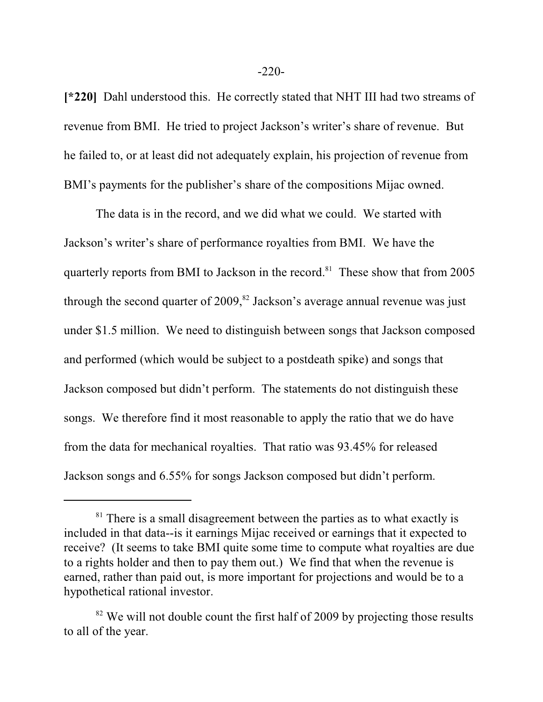**[\*220]** Dahl understood this. He correctly stated that NHT III had two streams of revenue from BMI. He tried to project Jackson's writer's share of revenue. But he failed to, or at least did not adequately explain, his projection of revenue from BMI's payments for the publisher's share of the compositions Mijac owned.

The data is in the record, and we did what we could. We started with Jackson's writer's share of performance royalties from BMI. We have the quarterly reports from BMI to Jackson in the record.<sup>81</sup> These show that from 2005 through the second quarter of 2009,<sup>82</sup> Jackson's average annual revenue was just under \$1.5 million. We need to distinguish between songs that Jackson composed and performed (which would be subject to a postdeath spike) and songs that Jackson composed but didn't perform. The statements do not distinguish these songs. We therefore find it most reasonable to apply the ratio that we do have from the data for mechanical royalties. That ratio was 93.45% for released Jackson songs and 6.55% for songs Jackson composed but didn't perform.

<sup>&</sup>lt;sup>81</sup> There is a small disagreement between the parties as to what exactly is included in that data--is it earnings Mijac received or earnings that it expected to receive? (It seems to take BMI quite some time to compute what royalties are due to a rights holder and then to pay them out.) We find that when the revenue is earned, rather than paid out, is more important for projections and would be to a hypothetical rational investor.

 $82$  We will not double count the first half of 2009 by projecting those results to all of the year.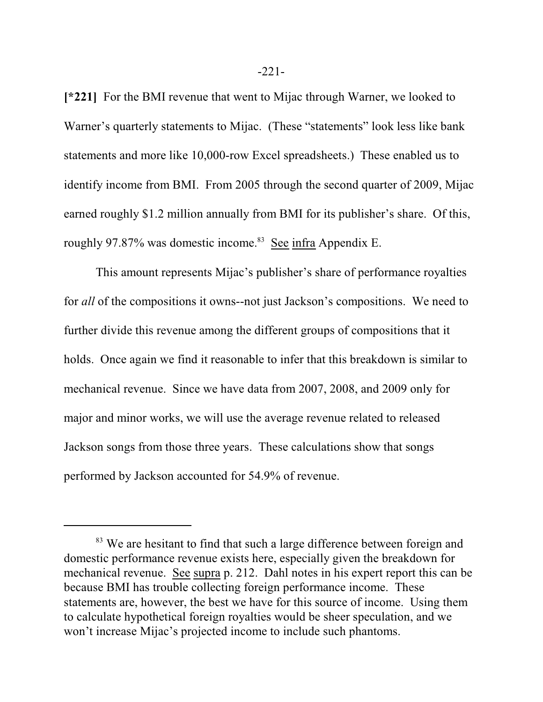**[\*221]** For the BMI revenue that went to Mijac through Warner, we looked to Warner's quarterly statements to Mijac. (These "statements" look less like bank statements and more like 10,000-row Excel spreadsheets.) These enabled us to identify income from BMI. From 2005 through the second quarter of 2009, Mijac earned roughly \$1.2 million annually from BMI for its publisher's share. Of this, roughly 97.87% was domestic income.<sup>83</sup> See infra Appendix E.

This amount represents Mijac's publisher's share of performance royalties for *all* of the compositions it owns--not just Jackson's compositions. We need to further divide this revenue among the different groups of compositions that it holds. Once again we find it reasonable to infer that this breakdown is similar to mechanical revenue. Since we have data from 2007, 2008, and 2009 only for major and minor works, we will use the average revenue related to released Jackson songs from those three years. These calculations show that songs performed by Jackson accounted for 54.9% of revenue.

<sup>&</sup>lt;sup>83</sup> We are hesitant to find that such a large difference between foreign and domestic performance revenue exists here, especially given the breakdown for mechanical revenue. See supra p. 212. Dahl notes in his expert report this can be because BMI has trouble collecting foreign performance income. These statements are, however, the best we have for this source of income. Using them to calculate hypothetical foreign royalties would be sheer speculation, and we won't increase Mijac's projected income to include such phantoms.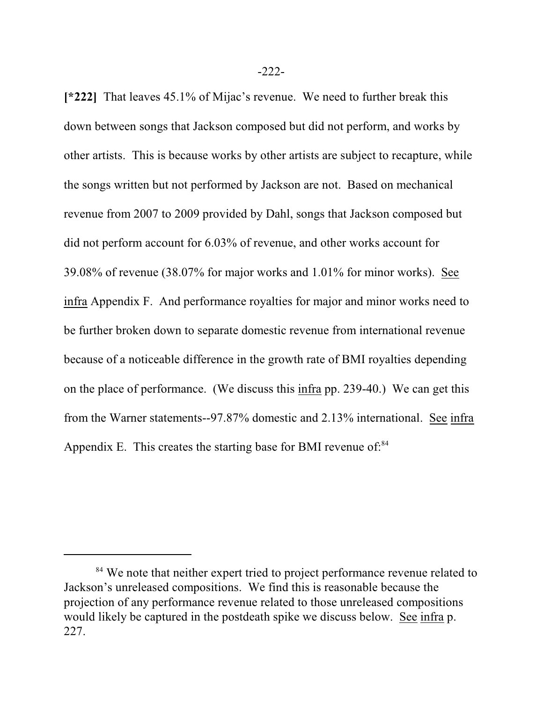**[\*222]** That leaves 45.1% of Mijac's revenue. We need to further break this down between songs that Jackson composed but did not perform, and works by other artists. This is because works by other artists are subject to recapture, while the songs written but not performed by Jackson are not. Based on mechanical revenue from 2007 to 2009 provided by Dahl, songs that Jackson composed but did not perform account for 6.03% of revenue, and other works account for 39.08% of revenue (38.07% for major works and 1.01% for minor works). See infra Appendix F. And performance royalties for major and minor works need to be further broken down to separate domestic revenue from international revenue because of a noticeable difference in the growth rate of BMI royalties depending on the place of performance. (We discuss this infra pp. 239-40.) We can get this from the Warner statements--97.87% domestic and 2.13% international. See infra Appendix E. This creates the starting base for BMI revenue of: $84$ 

<sup>&</sup>lt;sup>84</sup> We note that neither expert tried to project performance revenue related to Jackson's unreleased compositions. We find this is reasonable because the projection of any performance revenue related to those unreleased compositions would likely be captured in the postdeath spike we discuss below. See infra p. 227.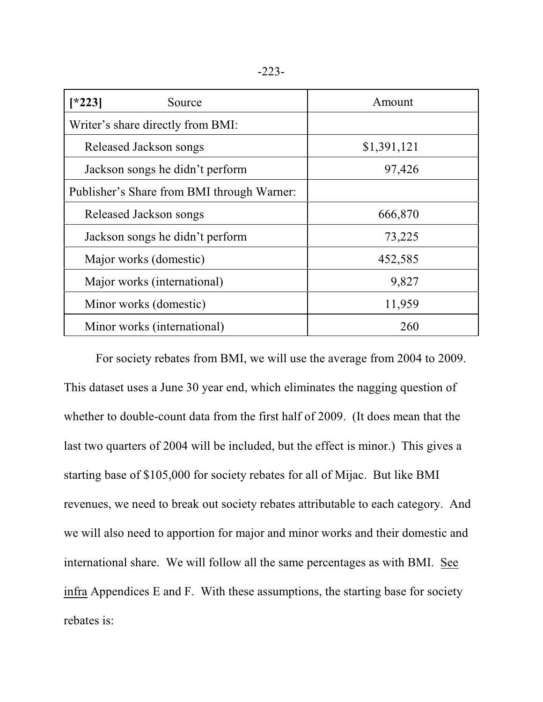| ٠<br>v |  |
|--------|--|
|--------|--|

| $*223$<br>Source                           | Amount      |
|--------------------------------------------|-------------|
| Writer's share directly from BMI:          |             |
| Released Jackson songs                     | \$1,391,121 |
| Jackson songs he didn't perform            | 97,426      |
| Publisher's Share from BMI through Warner: |             |
| Released Jackson songs                     | 666,870     |
| Jackson songs he didn't perform            | 73,225      |
| Major works (domestic)                     | 452,585     |
| Major works (international)                | 9,827       |
| Minor works (domestic)                     | 11,959      |
| Minor works (international)                | 260         |

For society rebates from BMI, we will use the average from 2004 to 2009. This dataset uses a June 30 year end, which eliminates the nagging question of whether to double-count data from the first half of 2009. (It does mean that the last two quarters of 2004 will be included, but the effect is minor.) This gives a starting base of \$105,000 for society rebates for all of Mijac. But like BMI revenues, we need to break out society rebates attributable to each category. And we will also need to apportion for major and minor works and their domestic and international share. We will follow all the same percentages as with BMI. See infra Appendices E and F. With these assumptions, the starting base for society rebates is: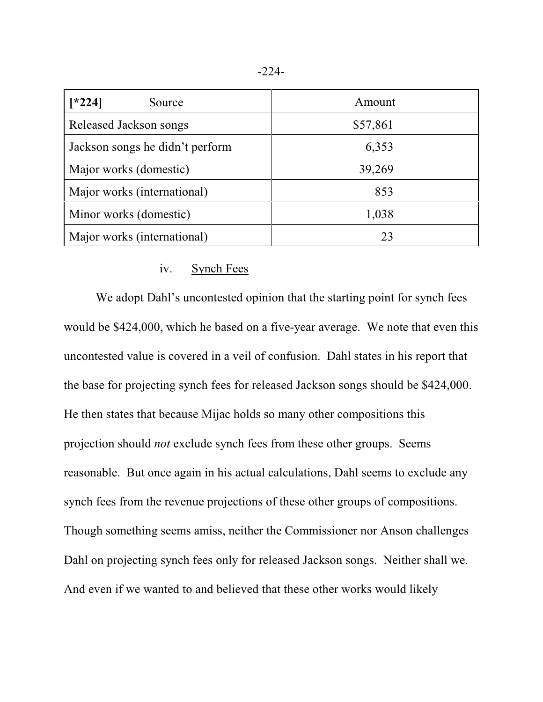| $*224]$<br>Source               | Amount   |
|---------------------------------|----------|
| Released Jackson songs          | \$57,861 |
| Jackson songs he didn't perform | 6,353    |
| Major works (domestic)          | 39,269   |
| Major works (international)     | 853      |
| Minor works (domestic)          | 1,038    |
| Major works (international)     | 23       |

# iv. Synch Fees

We adopt Dahl's uncontested opinion that the starting point for synch fees would be \$424,000, which he based on a five-year average. We note that even this uncontested value is covered in a veil of confusion. Dahl states in his report that the base for projecting synch fees for released Jackson songs should be \$424,000. He then states that because Mijac holds so many other compositions this projection should *not* exclude synch fees from these other groups. Seems reasonable. But once again in his actual calculations, Dahl seems to exclude any synch fees from the revenue projections of these other groups of compositions. Though something seems amiss, neither the Commissioner nor Anson challenges Dahl on projecting synch fees only for released Jackson songs. Neither shall we. And even if we wanted to and believed that these other works would likely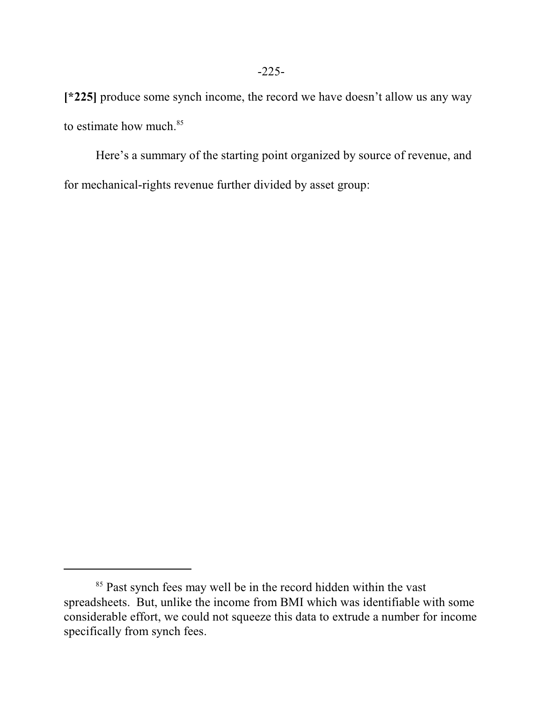**[\*225]** produce some synch income, the record we have doesn't allow us any way to estimate how much. 85

Here's a summary of the starting point organized by source of revenue, and for mechanical-rights revenue further divided by asset group:

<sup>&</sup>lt;sup>85</sup> Past synch fees may well be in the record hidden within the vast spreadsheets. But, unlike the income from BMI which was identifiable with some considerable effort, we could not squeeze this data to extrude a number for income specifically from synch fees.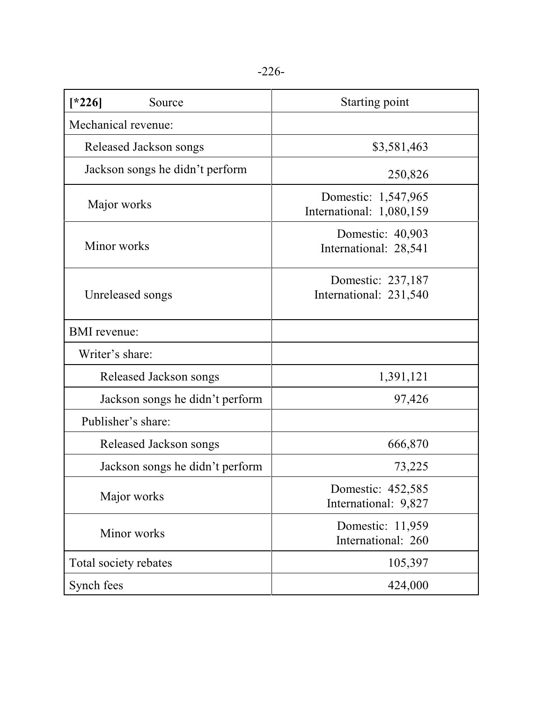| $[*226]$<br>Source              | <b>Starting point</b>                           |
|---------------------------------|-------------------------------------------------|
| Mechanical revenue:             |                                                 |
| Released Jackson songs          | \$3,581,463                                     |
| Jackson songs he didn't perform | 250,826                                         |
| Major works                     | Domestic: 1,547,965<br>International: 1,080,159 |
| Minor works                     | Domestic: 40,903<br>International: 28,541       |
| Unreleased songs                | Domestic: 237,187<br>International: 231,540     |
| <b>BMI</b> revenue:             |                                                 |
| Writer's share:                 |                                                 |
| Released Jackson songs          | 1,391,121                                       |
| Jackson songs he didn't perform | 97,426                                          |
| Publisher's share:              |                                                 |
| Released Jackson songs          | 666,870                                         |
| Jackson songs he didn't perform | 73,225                                          |
| Major works                     | Domestic: 452,585<br>International: 9,827       |
| Minor works                     | Domestic: 11,959<br>International: 260          |
| Total society rebates           | 105,397                                         |
| Synch fees                      | 424,000                                         |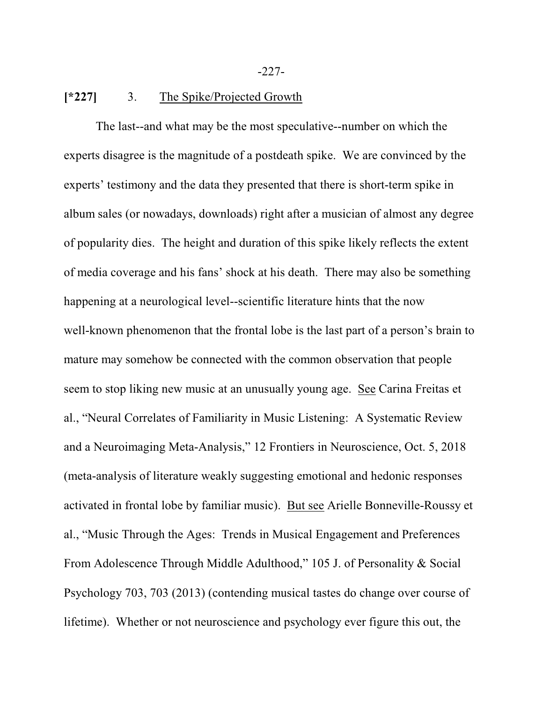-227-

#### **[\*227]** 3. The Spike/Projected Growth

The last--and what may be the most speculative--number on which the experts disagree is the magnitude of a postdeath spike. We are convinced by the experts' testimony and the data they presented that there is short-term spike in album sales (or nowadays, downloads) right after a musician of almost any degree of popularity dies. The height and duration of this spike likely reflects the extent of media coverage and his fans' shock at his death. There may also be something happening at a neurological level--scientific literature hints that the now well-known phenomenon that the frontal lobe is the last part of a person's brain to mature may somehow be connected with the common observation that people seem to stop liking new music at an unusually young age. See Carina Freitas et al., "Neural Correlates of Familiarity in Music Listening: A Systematic Review and a Neuroimaging Meta-Analysis," 12 Frontiers in Neuroscience, Oct. 5, 2018 (meta-analysis of literature weakly suggesting emotional and hedonic responses activated in frontal lobe by familiar music). But see Arielle Bonneville-Roussy et al., "Music Through the Ages: Trends in Musical Engagement and Preferences From Adolescence Through Middle Adulthood," 105 J. of Personality & Social Psychology 703, 703 (2013) (contending musical tastes do change over course of lifetime). Whether or not neuroscience and psychology ever figure this out, the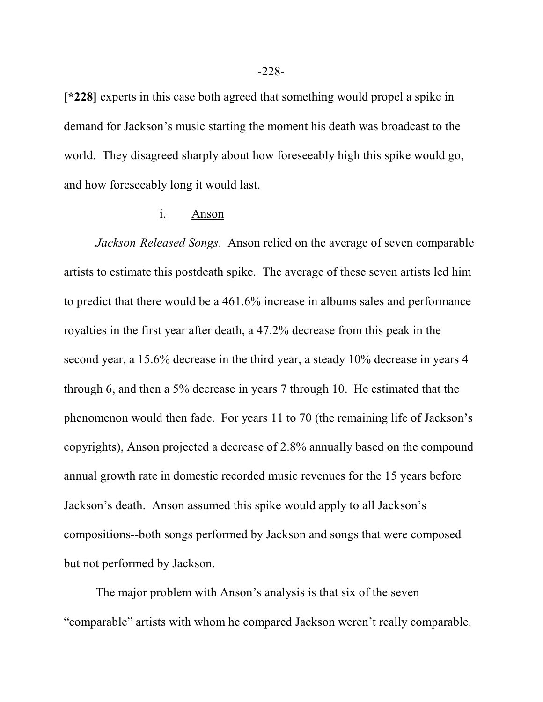**[\*228]** experts in this case both agreed that something would propel a spike in demand for Jackson's music starting the moment his death was broadcast to the world. They disagreed sharply about how foreseeably high this spike would go, and how foreseeably long it would last.

# i. Anson

*Jackson Released Songs*. Anson relied on the average of seven comparable artists to estimate this postdeath spike. The average of these seven artists led him to predict that there would be a 461.6% increase in albums sales and performance royalties in the first year after death, a 47.2% decrease from this peak in the second year, a 15.6% decrease in the third year, a steady 10% decrease in years 4 through 6, and then a 5% decrease in years 7 through 10. He estimated that the phenomenon would then fade. For years 11 to 70 (the remaining life of Jackson's copyrights), Anson projected a decrease of 2.8% annually based on the compound annual growth rate in domestic recorded music revenues for the 15 years before Jackson's death. Anson assumed this spike would apply to all Jackson's compositions--both songs performed by Jackson and songs that were composed but not performed by Jackson.

The major problem with Anson's analysis is that six of the seven "comparable" artists with whom he compared Jackson weren't really comparable.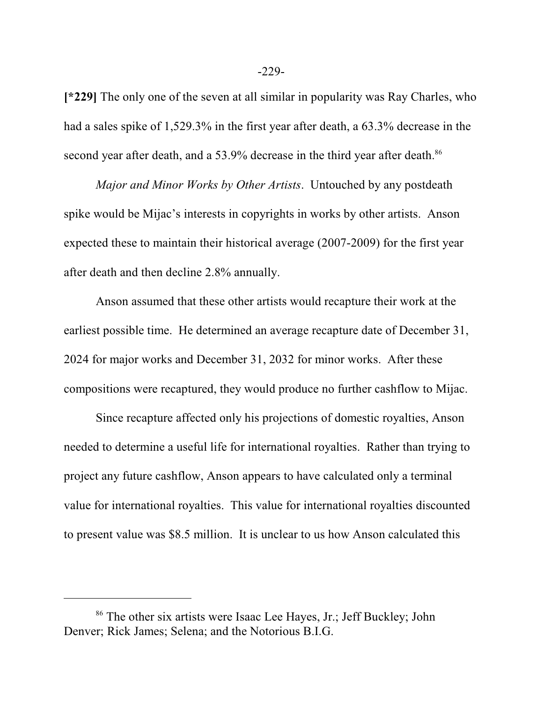**[\*229]** The only one of the seven at all similar in popularity was Ray Charles, who had a sales spike of 1,529.3% in the first year after death, a 63.3% decrease in the second year after death, and a 53.9% decrease in the third year after death.<sup>86</sup>

*Major and Minor Works by Other Artists*. Untouched by any postdeath spike would be Mijac's interests in copyrights in works by other artists. Anson expected these to maintain their historical average (2007-2009) for the first year after death and then decline 2.8% annually.

Anson assumed that these other artists would recapture their work at the earliest possible time. He determined an average recapture date of December 31, 2024 for major works and December 31, 2032 for minor works. After these compositions were recaptured, they would produce no further cashflow to Mijac.

Since recapture affected only his projections of domestic royalties, Anson needed to determine a useful life for international royalties. Rather than trying to project any future cashflow, Anson appears to have calculated only a terminal value for international royalties. This value for international royalties discounted to present value was \$8.5 million. It is unclear to us how Anson calculated this

<sup>&</sup>lt;sup>86</sup> The other six artists were Isaac Lee Hayes, Jr.; Jeff Buckley; John Denver; Rick James; Selena; and the Notorious B.I.G.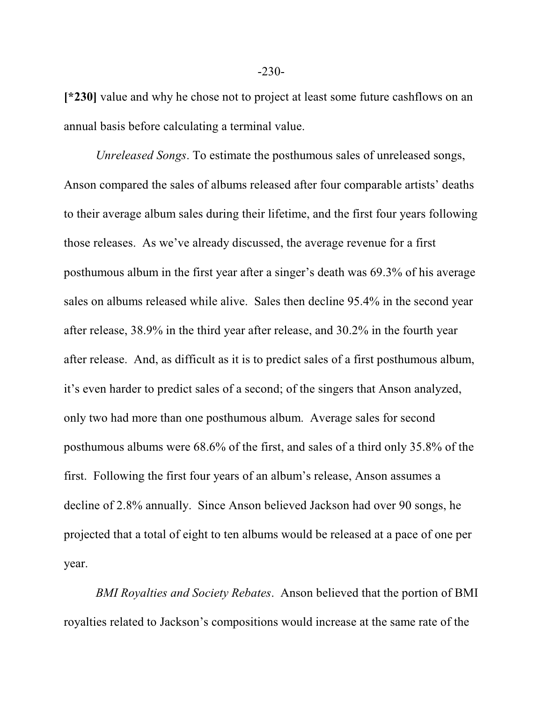**[\*230]** value and why he chose not to project at least some future cashflows on an annual basis before calculating a terminal value.

*Unreleased Songs*. To estimate the posthumous sales of unreleased songs, Anson compared the sales of albums released after four comparable artists' deaths to their average album sales during their lifetime, and the first four years following those releases. As we've already discussed, the average revenue for a first posthumous album in the first year after a singer's death was 69.3% of his average sales on albums released while alive. Sales then decline 95.4% in the second year after release, 38.9% in the third year after release, and 30.2% in the fourth year after release. And, as difficult as it is to predict sales of a first posthumous album, it's even harder to predict sales of a second; of the singers that Anson analyzed, only two had more than one posthumous album. Average sales for second posthumous albums were 68.6% of the first, and sales of a third only 35.8% of the first. Following the first four years of an album's release, Anson assumes a decline of 2.8% annually. Since Anson believed Jackson had over 90 songs, he projected that a total of eight to ten albums would be released at a pace of one per year.

*BMI Royalties and Society Rebates*. Anson believed that the portion of BMI royalties related to Jackson's compositions would increase at the same rate of the

-230-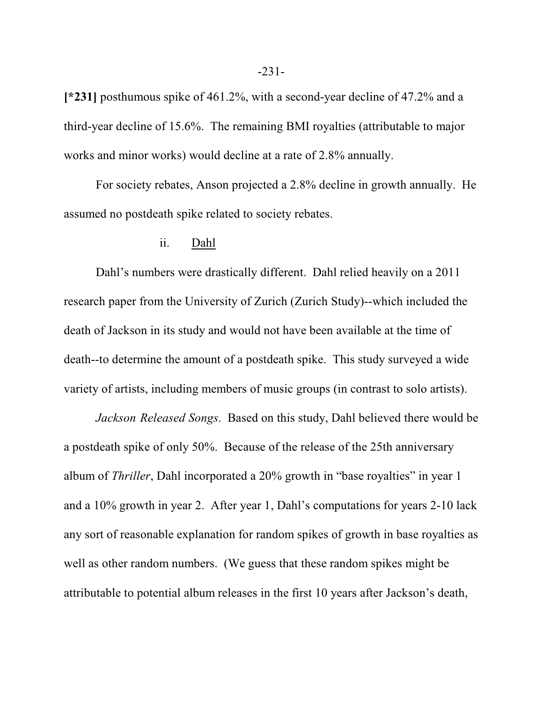**[\*231]** posthumous spike of 461.2%, with a second-year decline of 47.2% and a third-year decline of 15.6%. The remaining BMI royalties (attributable to major works and minor works) would decline at a rate of 2.8% annually.

For society rebates, Anson projected a 2.8% decline in growth annually. He assumed no postdeath spike related to society rebates.

#### ii. Dahl

Dahl's numbers were drastically different. Dahl relied heavily on a 2011 research paper from the University of Zurich (Zurich Study)--which included the death of Jackson in its study and would not have been available at the time of death--to determine the amount of a postdeath spike. This study surveyed a wide variety of artists, including members of music groups (in contrast to solo artists).

*Jackson Released Songs*. Based on this study, Dahl believed there would be a postdeath spike of only 50%. Because of the release of the 25th anniversary album of *Thriller*, Dahl incorporated a 20% growth in "base royalties" in year 1 and a 10% growth in year 2. After year 1, Dahl's computations for years 2-10 lack any sort of reasonable explanation for random spikes of growth in base royalties as well as other random numbers. (We guess that these random spikes might be attributable to potential album releases in the first 10 years after Jackson's death,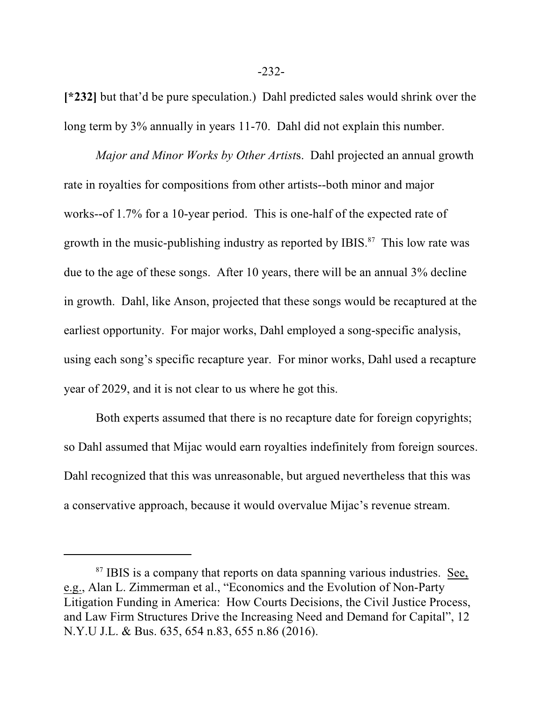**[\*232]** but that'd be pure speculation.) Dahl predicted sales would shrink over the long term by 3% annually in years 11-70. Dahl did not explain this number.

*Major and Minor Works by Other Artist*s. Dahl projected an annual growth rate in royalties for compositions from other artists--both minor and major works--of 1.7% for a 10-year period. This is one-half of the expected rate of growth in the music-publishing industry as reported by IBIS.<sup>87</sup> This low rate was due to the age of these songs. After 10 years, there will be an annual 3% decline in growth. Dahl, like Anson, projected that these songs would be recaptured at the earliest opportunity. For major works, Dahl employed a song-specific analysis, using each song's specific recapture year. For minor works, Dahl used a recapture year of 2029, and it is not clear to us where he got this.

Both experts assumed that there is no recapture date for foreign copyrights; so Dahl assumed that Mijac would earn royalties indefinitely from foreign sources. Dahl recognized that this was unreasonable, but argued nevertheless that this was a conservative approach, because it would overvalue Mijac's revenue stream.

-232-

<sup>&</sup>lt;sup>87</sup> IBIS is a company that reports on data spanning various industries. See, e.g., Alan L. Zimmerman et al., "Economics and the Evolution of Non-Party Litigation Funding in America: How Courts Decisions, the Civil Justice Process, and Law Firm Structures Drive the Increasing Need and Demand for Capital", 12 N.Y.U J.L. & Bus. 635, 654 n.83, 655 n.86 (2016).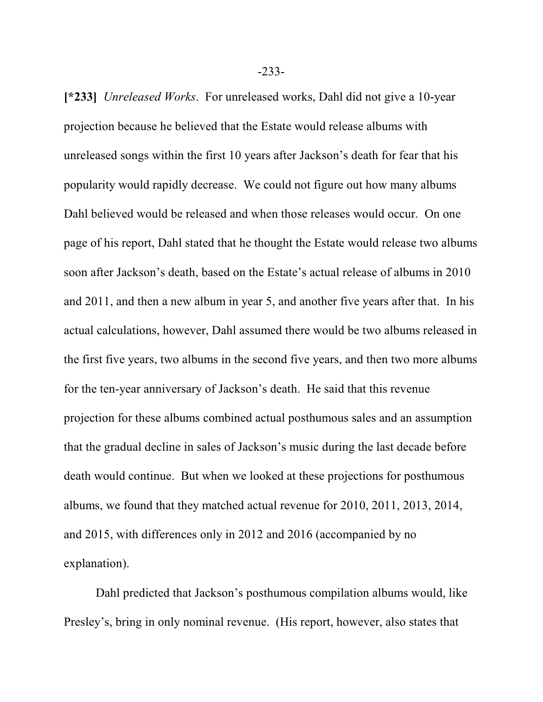**[\*233]** *Unreleased Works*. For unreleased works, Dahl did not give a 10-year projection because he believed that the Estate would release albums with unreleased songs within the first 10 years after Jackson's death for fear that his popularity would rapidly decrease. We could not figure out how many albums Dahl believed would be released and when those releases would occur. On one page of his report, Dahl stated that he thought the Estate would release two albums soon after Jackson's death, based on the Estate's actual release of albums in 2010 and 2011, and then a new album in year 5, and another five years after that. In his actual calculations, however, Dahl assumed there would be two albums released in the first five years, two albums in the second five years, and then two more albums for the ten-year anniversary of Jackson's death. He said that this revenue projection for these albums combined actual posthumous sales and an assumption that the gradual decline in sales of Jackson's music during the last decade before death would continue. But when we looked at these projections for posthumous albums, we found that they matched actual revenue for 2010, 2011, 2013, 2014, and 2015, with differences only in 2012 and 2016 (accompanied by no explanation).

Dahl predicted that Jackson's posthumous compilation albums would, like Presley's, bring in only nominal revenue. (His report, however, also states that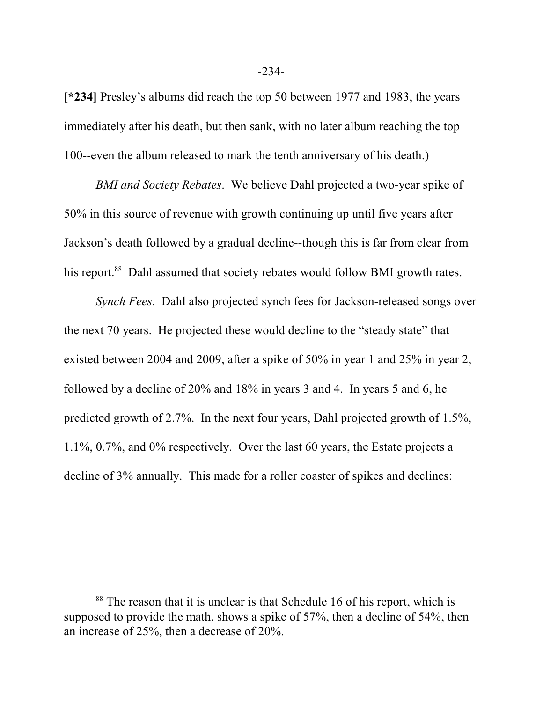**[\*234]** Presley's albums did reach the top 50 between 1977 and 1983, the years immediately after his death, but then sank, with no later album reaching the top 100--even the album released to mark the tenth anniversary of his death.)

*BMI and Society Rebates*. We believe Dahl projected a two-year spike of 50% in this source of revenue with growth continuing up until five years after Jackson's death followed by a gradual decline--though this is far from clear from his report.<sup>88</sup> Dahl assumed that society rebates would follow BMI growth rates.

*Synch Fees*. Dahl also projected synch fees for Jackson-released songs over the next 70 years. He projected these would decline to the "steady state" that existed between 2004 and 2009, after a spike of 50% in year 1 and 25% in year 2, followed by a decline of 20% and 18% in years 3 and 4. In years 5 and 6, he predicted growth of 2.7%. In the next four years, Dahl projected growth of 1.5%, 1.1%, 0.7%, and 0% respectively. Over the last 60 years, the Estate projects a decline of 3% annually. This made for a roller coaster of spikes and declines:

<sup>&</sup>lt;sup>88</sup> The reason that it is unclear is that Schedule 16 of his report, which is supposed to provide the math, shows a spike of 57%, then a decline of 54%, then an increase of 25%, then a decrease of 20%.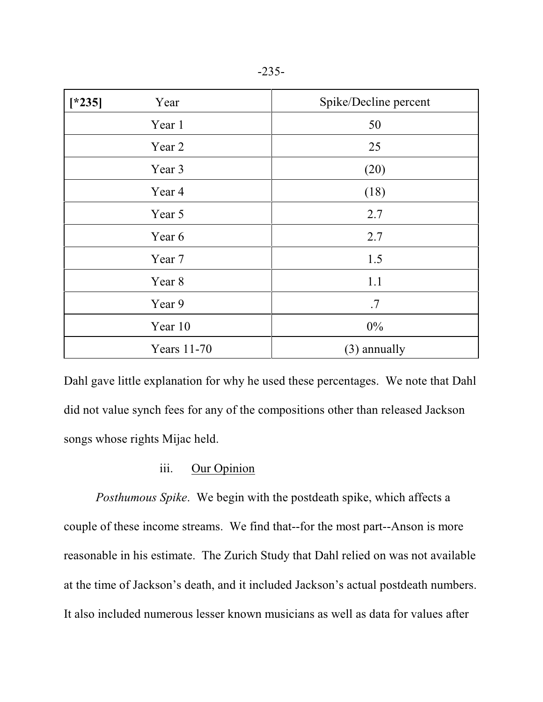| $[*235]$<br>Year | Spike/Decline percent |
|------------------|-----------------------|
| Year 1           | 50                    |
| Year 2           | 25                    |
| Year 3           | (20)                  |
| Year 4           | (18)                  |
| Year 5           | 2.7                   |
| Year 6           | 2.7                   |
| Year 7           | 1.5                   |
| Year 8           | 1.1                   |
| Year 9           | .7                    |
| Year 10          | $0\%$                 |
| Years 11-70      | (3) annually          |

Dahl gave little explanation for why he used these percentages. We note that Dahl did not value synch fees for any of the compositions other than released Jackson songs whose rights Mijac held.

# iii. Our Opinion

*Posthumous Spike*. We begin with the postdeath spike, which affects a couple of these income streams. We find that--for the most part--Anson is more reasonable in his estimate. The Zurich Study that Dahl relied on was not available at the time of Jackson's death, and it included Jackson's actual postdeath numbers. It also included numerous lesser known musicians as well as data for values after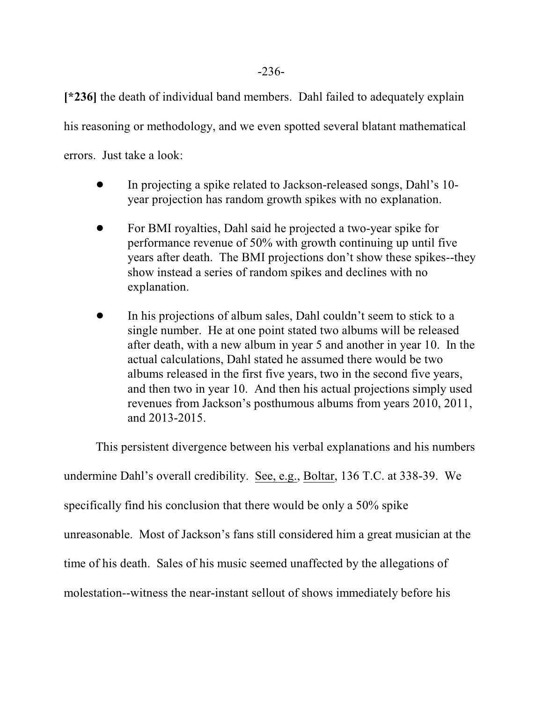**[\*236]** the death of individual band members. Dahl failed to adequately explain his reasoning or methodology, and we even spotted several blatant mathematical errors. Just take a look:

- ! In projecting a spike related to Jackson-released songs, Dahl's 10 year projection has random growth spikes with no explanation.
- ! For BMI royalties, Dahl said he projected a two-year spike for performance revenue of 50% with growth continuing up until five years after death. The BMI projections don't show these spikes--they show instead a series of random spikes and declines with no explanation.
- In his projections of album sales, Dahl couldn't seem to stick to a single number. He at one point stated two albums will be released after death, with a new album in year 5 and another in year 10. In the actual calculations, Dahl stated he assumed there would be two albums released in the first five years, two in the second five years, and then two in year 10. And then his actual projections simply used revenues from Jackson's posthumous albums from years 2010, 2011, and 2013-2015.

This persistent divergence between his verbal explanations and his numbers undermine Dahl's overall credibility. See, e.g., Boltar, 136 T.C. at 338-39. We specifically find his conclusion that there would be only a 50% spike unreasonable. Most of Jackson's fans still considered him a great musician at the time of his death. Sales of his music seemed unaffected by the allegations of molestation--witness the near-instant sellout of shows immediately before his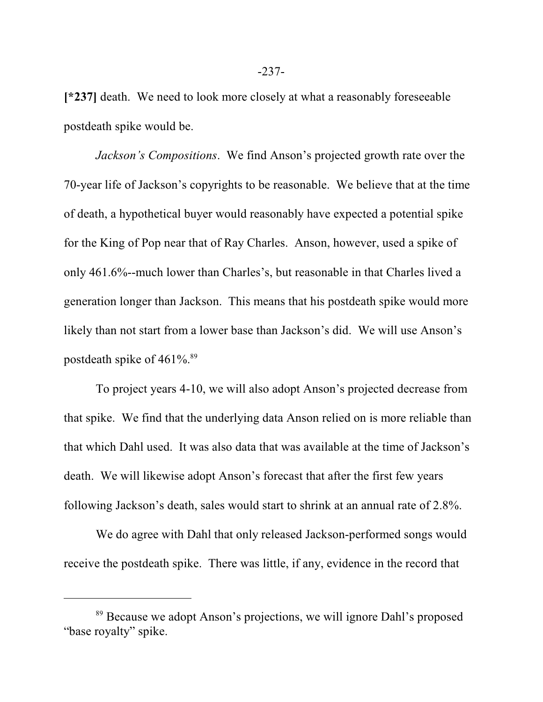**[\*237]** death. We need to look more closely at what a reasonably foreseeable postdeath spike would be.

*Jackson's Compositions*. We find Anson's projected growth rate over the 70-year life of Jackson's copyrights to be reasonable. We believe that at the time of death, a hypothetical buyer would reasonably have expected a potential spike for the King of Pop near that of Ray Charles. Anson, however, used a spike of only 461.6%--much lower than Charles's, but reasonable in that Charles lived a generation longer than Jackson. This means that his postdeath spike would more likely than not start from a lower base than Jackson's did. We will use Anson's postdeath spike of  $461\%$ .<sup>89</sup>

To project years 4-10, we will also adopt Anson's projected decrease from that spike. We find that the underlying data Anson relied on is more reliable than that which Dahl used. It was also data that was available at the time of Jackson's death. We will likewise adopt Anson's forecast that after the first few years following Jackson's death, sales would start to shrink at an annual rate of 2.8%.

We do agree with Dahl that only released Jackson-performed songs would receive the postdeath spike. There was little, if any, evidence in the record that

<sup>&</sup>lt;sup>89</sup> Because we adopt Anson's projections, we will ignore Dahl's proposed "base royalty" spike.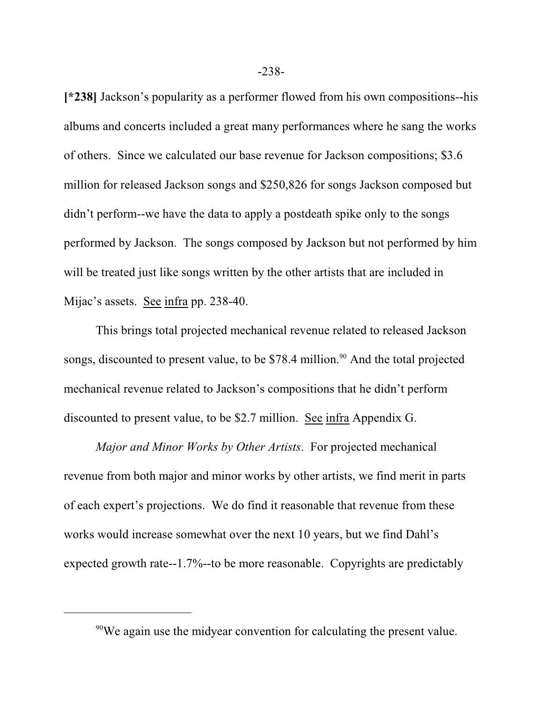**[\*238]** Jackson's popularity as a performer flowed from his own compositions--his albums and concerts included a great many performances where he sang the works of others. Since we calculated our base revenue for Jackson compositions; \$3.6 million for released Jackson songs and \$250,826 for songs Jackson composed but didn't perform--we have the data to apply a postdeath spike only to the songs performed by Jackson. The songs composed by Jackson but not performed by him will be treated just like songs written by the other artists that are included in Mijac's assets. See infra pp. 238-40.

This brings total projected mechanical revenue related to released Jackson songs, discounted to present value, to be \$78.4 million.<sup>90</sup> And the total projected mechanical revenue related to Jackson's compositions that he didn't perform discounted to present value, to be \$2.7 million. See infra Appendix G.

*Major and Minor Works by Other Artists*. For projected mechanical revenue from both major and minor works by other artists, we find merit in parts of each expert's projections. We do find it reasonable that revenue from these works would increase somewhat over the next 10 years, but we find Dahl's expected growth rate--1.7%--to be more reasonable. Copyrights are predictably

-238-

<sup>&</sup>lt;sup>90</sup>We again use the midyear convention for calculating the present value.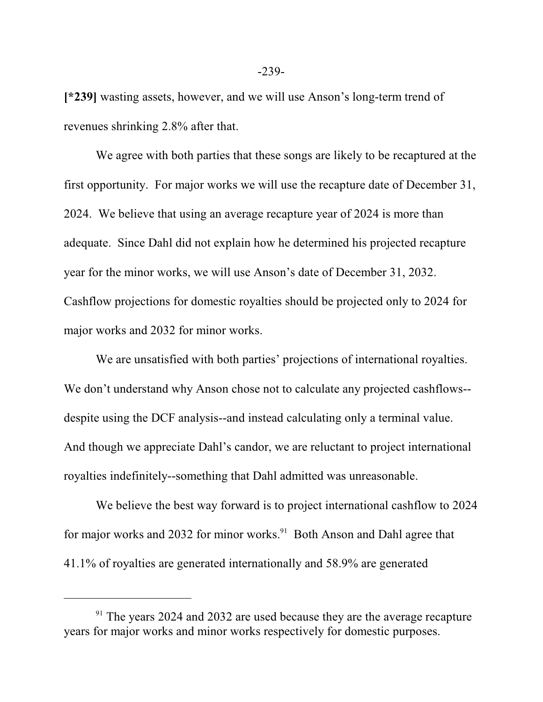**[\*239]** wasting assets, however, and we will use Anson's long-term trend of revenues shrinking 2.8% after that.

We agree with both parties that these songs are likely to be recaptured at the first opportunity. For major works we will use the recapture date of December 31, 2024. We believe that using an average recapture year of 2024 is more than adequate. Since Dahl did not explain how he determined his projected recapture year for the minor works, we will use Anson's date of December 31, 2032. Cashflow projections for domestic royalties should be projected only to 2024 for major works and 2032 for minor works.

We are unsatisfied with both parties' projections of international royalties. We don't understand why Anson chose not to calculate any projected cashflows- despite using the DCF analysis--and instead calculating only a terminal value. And though we appreciate Dahl's candor, we are reluctant to project international royalties indefinitely--something that Dahl admitted was unreasonable.

We believe the best way forward is to project international cashflow to 2024 for major works and 2032 for minor works.<sup>91</sup> Both Anson and Dahl agree that 41.1% of royalties are generated internationally and 58.9% are generated

-239-

<sup>&</sup>lt;sup>91</sup> The years 2024 and 2032 are used because they are the average recapture years for major works and minor works respectively for domestic purposes.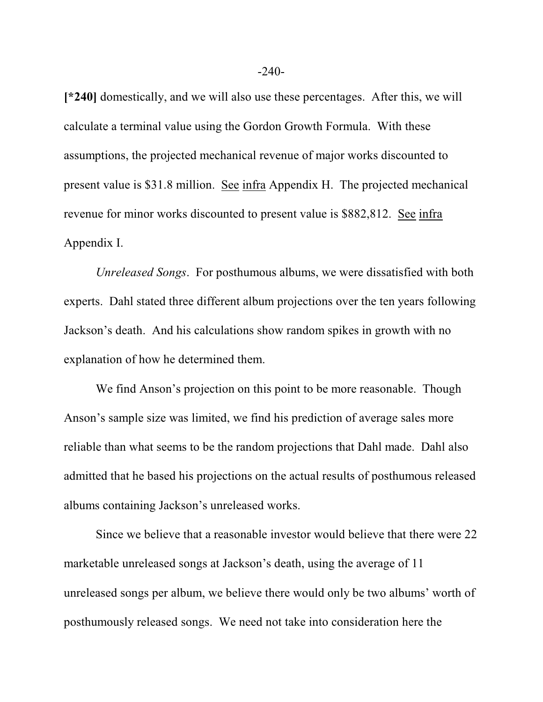**[\*240]** domestically, and we will also use these percentages. After this, we will calculate a terminal value using the Gordon Growth Formula. With these assumptions, the projected mechanical revenue of major works discounted to present value is \$31.8 million. See infra Appendix H. The projected mechanical revenue for minor works discounted to present value is \$882,812. See infra Appendix I.

*Unreleased Songs*. For posthumous albums, we were dissatisfied with both experts. Dahl stated three different album projections over the ten years following Jackson's death. And his calculations show random spikes in growth with no explanation of how he determined them.

We find Anson's projection on this point to be more reasonable. Though Anson's sample size was limited, we find his prediction of average sales more reliable than what seems to be the random projections that Dahl made. Dahl also admitted that he based his projections on the actual results of posthumous released albums containing Jackson's unreleased works.

Since we believe that a reasonable investor would believe that there were 22 marketable unreleased songs at Jackson's death, using the average of 11 unreleased songs per album, we believe there would only be two albums' worth of posthumously released songs. We need not take into consideration here the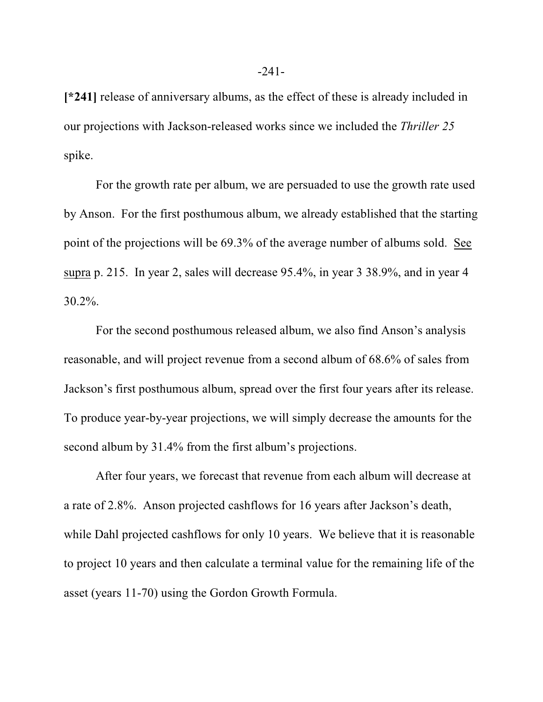**[\*241]** release of anniversary albums, as the effect of these is already included in our projections with Jackson-released works since we included the *Thriller 25* spike.

For the growth rate per album, we are persuaded to use the growth rate used by Anson. For the first posthumous album, we already established that the starting point of the projections will be 69.3% of the average number of albums sold. See supra p. 215. In year 2, sales will decrease 95.4%, in year 3 38.9%, and in year 4 30.2%.

For the second posthumous released album, we also find Anson's analysis reasonable, and will project revenue from a second album of 68.6% of sales from Jackson's first posthumous album, spread over the first four years after its release. To produce year-by-year projections, we will simply decrease the amounts for the second album by 31.4% from the first album's projections.

After four years, we forecast that revenue from each album will decrease at a rate of 2.8%. Anson projected cashflows for 16 years after Jackson's death, while Dahl projected cashflows for only 10 years. We believe that it is reasonable to project 10 years and then calculate a terminal value for the remaining life of the asset (years 11-70) using the Gordon Growth Formula.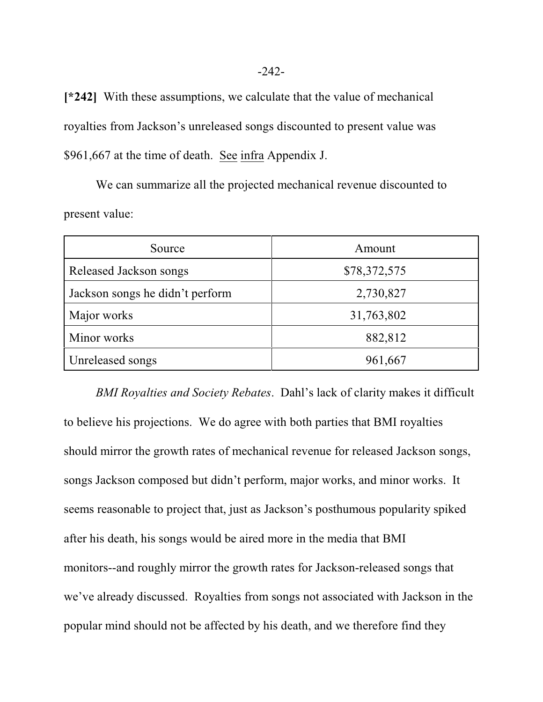**[\*242]** With these assumptions, we calculate that the value of mechanical royalties from Jackson's unreleased songs discounted to present value was \$961,667 at the time of death. See infra Appendix J.

We can summarize all the projected mechanical revenue discounted to present value:

| Source                          | Amount       |
|---------------------------------|--------------|
| Released Jackson songs          | \$78,372,575 |
| Jackson songs he didn't perform | 2,730,827    |
| Major works                     | 31,763,802   |
| Minor works                     | 882,812      |
| Unreleased songs                | 961,667      |

 *BMI Royalties and Society Rebates*. Dahl's lack of clarity makes it difficult to believe his projections. We do agree with both parties that BMI royalties should mirror the growth rates of mechanical revenue for released Jackson songs, songs Jackson composed but didn't perform, major works, and minor works. It seems reasonable to project that, just as Jackson's posthumous popularity spiked after his death, his songs would be aired more in the media that BMI monitors--and roughly mirror the growth rates for Jackson-released songs that we've already discussed. Royalties from songs not associated with Jackson in the popular mind should not be affected by his death, and we therefore find they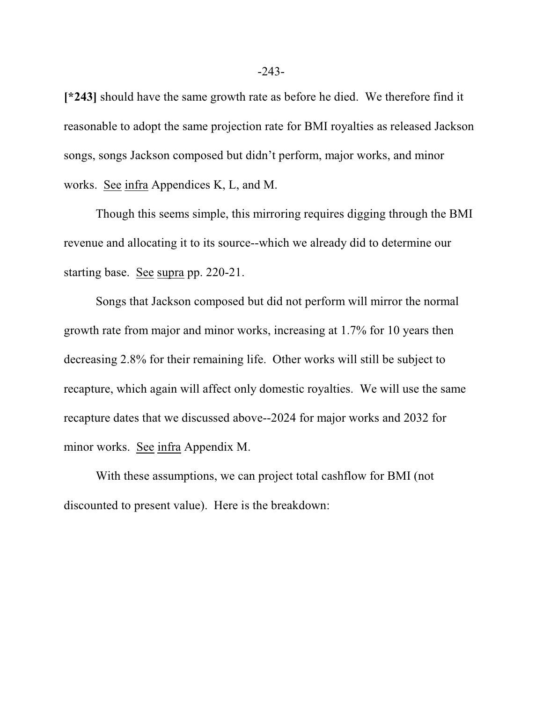**[\*243]** should have the same growth rate as before he died. We therefore find it reasonable to adopt the same projection rate for BMI royalties as released Jackson songs, songs Jackson composed but didn't perform, major works, and minor works. See infra Appendices K, L, and M.

Though this seems simple, this mirroring requires digging through the BMI revenue and allocating it to its source--which we already did to determine our starting base. See supra pp. 220-21.

Songs that Jackson composed but did not perform will mirror the normal growth rate from major and minor works, increasing at 1.7% for 10 years then decreasing 2.8% for their remaining life. Other works will still be subject to recapture, which again will affect only domestic royalties. We will use the same recapture dates that we discussed above--2024 for major works and 2032 for minor works. See infra Appendix M.

With these assumptions, we can project total cashflow for BMI (not discounted to present value). Here is the breakdown: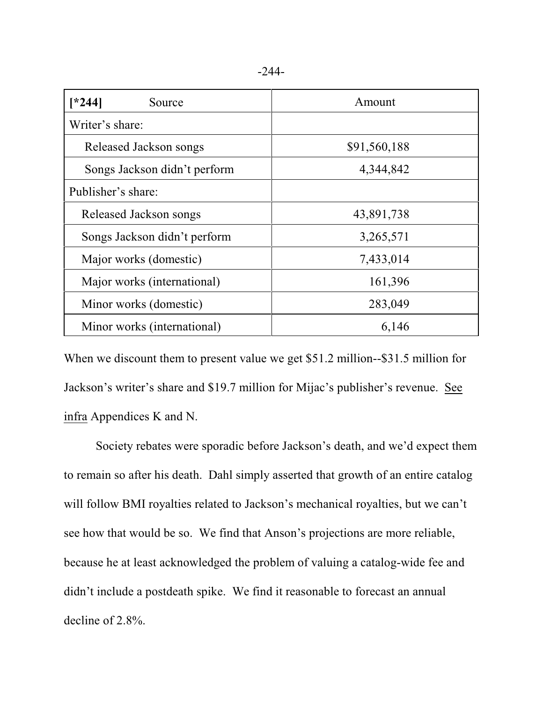|--|--|

| $*244]$<br>Source            | Amount       |
|------------------------------|--------------|
| Writer's share:              |              |
| Released Jackson songs       | \$91,560,188 |
| Songs Jackson didn't perform | 4,344,842    |
| Publisher's share:           |              |
| Released Jackson songs       | 43,891,738   |
| Songs Jackson didn't perform | 3,265,571    |
| Major works (domestic)       | 7,433,014    |
| Major works (international)  | 161,396      |
| Minor works (domestic)       | 283,049      |
| Minor works (international)  | 6,146        |

When we discount them to present value we get \$51.2 million--\$31.5 million for Jackson's writer's share and \$19.7 million for Mijac's publisher's revenue. See infra Appendices K and N.

Society rebates were sporadic before Jackson's death, and we'd expect them to remain so after his death. Dahl simply asserted that growth of an entire catalog will follow BMI royalties related to Jackson's mechanical royalties, but we can't see how that would be so. We find that Anson's projections are more reliable, because he at least acknowledged the problem of valuing a catalog-wide fee and didn't include a postdeath spike. We find it reasonable to forecast an annual decline of 2.8%.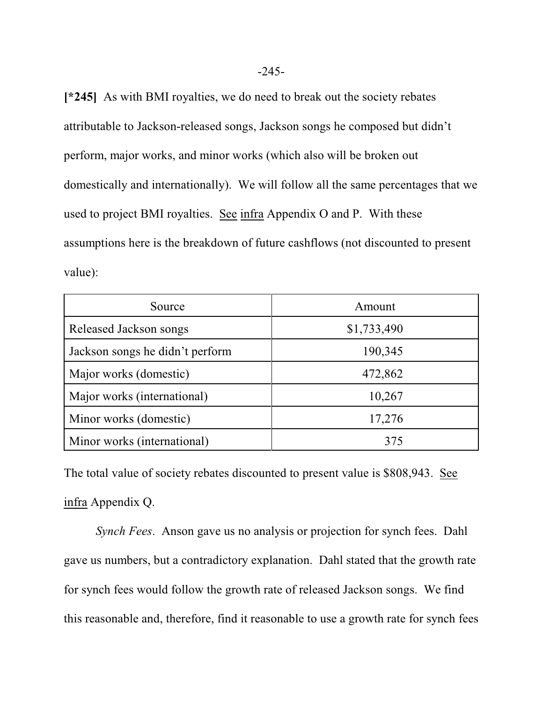**[\*245]** As with BMI royalties, we do need to break out the society rebates attributable to Jackson-released songs, Jackson songs he composed but didn't perform, major works, and minor works (which also will be broken out domestically and internationally). We will follow all the same percentages that we used to project BMI royalties. See infra Appendix O and P. With these assumptions here is the breakdown of future cashflows (not discounted to present value):

| Source                          | Amount      |
|---------------------------------|-------------|
| Released Jackson songs          | \$1,733,490 |
| Jackson songs he didn't perform | 190,345     |
| Major works (domestic)          | 472,862     |
| Major works (international)     | 10,267      |
| Minor works (domestic)          | 17,276      |
| Minor works (international)     | 375         |

The total value of society rebates discounted to present value is \$808,943. See infra Appendix Q.

*Synch Fees*. Anson gave us no analysis or projection for synch fees. Dahl gave us numbers, but a contradictory explanation. Dahl stated that the growth rate for synch fees would follow the growth rate of released Jackson songs. We find this reasonable and, therefore, find it reasonable to use a growth rate for synch fees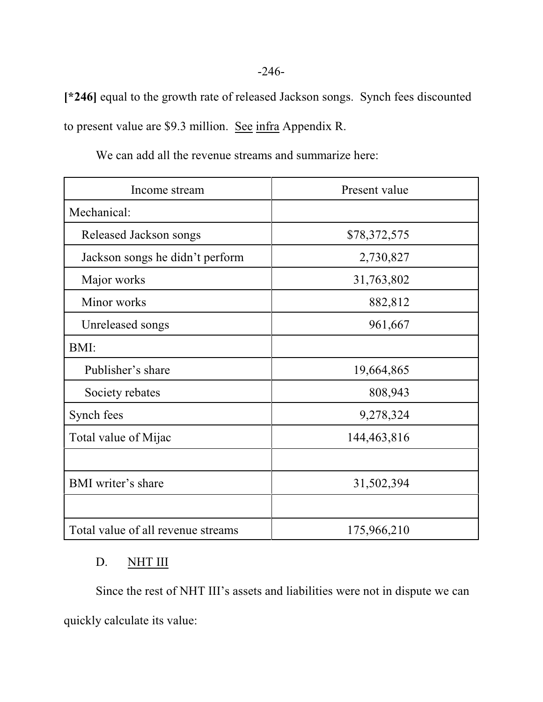**[\*246]** equal to the growth rate of released Jackson songs. Synch fees discounted to present value are \$9.3 million. See infra Appendix R.

| Income stream                      | Present value |
|------------------------------------|---------------|
| Mechanical:                        |               |
| Released Jackson songs             | \$78,372,575  |
| Jackson songs he didn't perform    | 2,730,827     |
| Major works                        | 31,763,802    |
| Minor works                        | 882,812       |
| Unreleased songs                   | 961,667       |
| BMI:                               |               |
| Publisher's share                  | 19,664,865    |
| Society rebates                    | 808,943       |
| Synch fees                         | 9,278,324     |
| Total value of Mijac               | 144, 463, 816 |
|                                    |               |
| <b>BMI</b> writer's share          | 31,502,394    |
|                                    |               |
| Total value of all revenue streams | 175,966,210   |

We can add all the revenue streams and summarize here:

# D. NHT III

Since the rest of NHT III's assets and liabilities were not in dispute we can quickly calculate its value: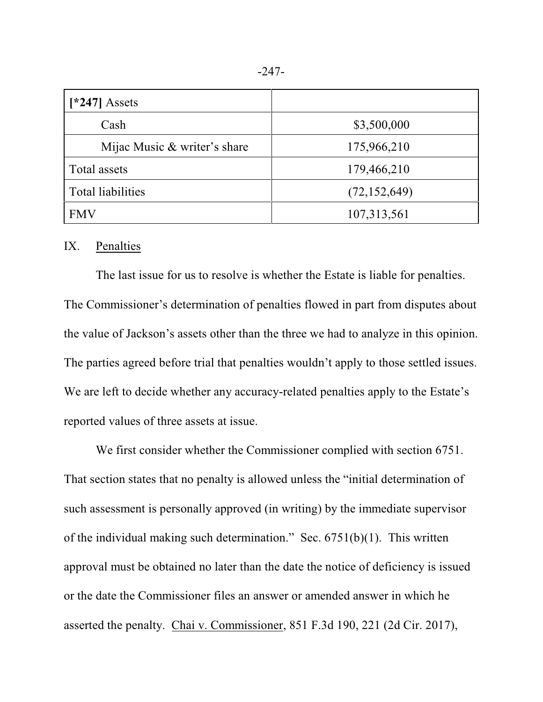| $[*247]$ Assets              |                |
|------------------------------|----------------|
| Cash                         | \$3,500,000    |
| Mijac Music & writer's share | 175,966,210    |
| Total assets                 | 179,466,210    |
| <b>Total liabilities</b>     | (72, 152, 649) |
| <b>FMV</b>                   | 107,313,561    |

# IX. Penalties

The last issue for us to resolve is whether the Estate is liable for penalties. The Commissioner's determination of penalties flowed in part from disputes about the value of Jackson's assets other than the three we had to analyze in this opinion. The parties agreed before trial that penalties wouldn't apply to those settled issues. We are left to decide whether any accuracy-related penalties apply to the Estate's reported values of three assets at issue.

We first consider whether the Commissioner complied with section 6751. That section states that no penalty is allowed unless the "initial determination of such assessment is personally approved (in writing) by the immediate supervisor of the individual making such determination." Sec. 6751(b)(1). This written approval must be obtained no later than the date the notice of deficiency is issued or the date the Commissioner files an answer or amended answer in which he asserted the penalty. Chai v. Commissioner, 851 F.3d 190, 221 (2d Cir. 2017),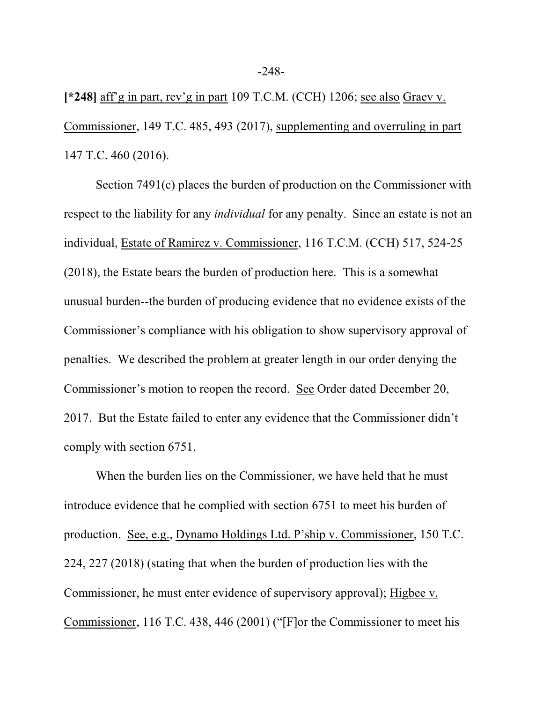**[\*248]** aff'g in part, rev'g in part 109 T.C.M. (CCH) 1206; see also Graev v. Commissioner, 149 T.C. 485, 493 (2017), supplementing and overruling in part 147 T.C. 460 (2016).

Section 7491(c) places the burden of production on the Commissioner with respect to the liability for any *individual* for any penalty. Since an estate is not an individual, Estate of Ramirez v. Commissioner, 116 T.C.M. (CCH) 517, 524-25 (2018), the Estate bears the burden of production here. This is a somewhat unusual burden--the burden of producing evidence that no evidence exists of the Commissioner's compliance with his obligation to show supervisory approval of penalties. We described the problem at greater length in our order denying the Commissioner's motion to reopen the record. See Order dated December 20, 2017. But the Estate failed to enter any evidence that the Commissioner didn't comply with section 6751.

When the burden lies on the Commissioner, we have held that he must introduce evidence that he complied with section 6751 to meet his burden of production. See, e.g., Dynamo Holdings Ltd. P'ship v. Commissioner, 150 T.C. 224, 227 (2018) (stating that when the burden of production lies with the Commissioner, he must enter evidence of supervisory approval); Higbee v. Commissioner, 116 T.C. 438, 446 (2001) ("[F]or the Commissioner to meet his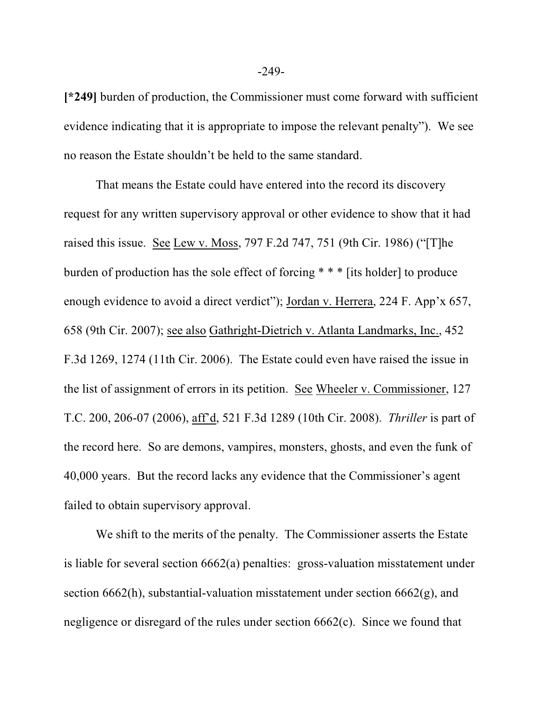**[\*249]** burden of production, the Commissioner must come forward with sufficient evidence indicating that it is appropriate to impose the relevant penalty"). We see no reason the Estate shouldn't be held to the same standard.

That means the Estate could have entered into the record its discovery request for any written supervisory approval or other evidence to show that it had raised this issue. See Lew v. Moss, 797 F.2d 747, 751 (9th Cir. 1986) ("[T]he burden of production has the sole effect of forcing \* \* \* [its holder] to produce enough evidence to avoid a direct verdict"); Jordan v. Herrera, 224 F. App'x 657, 658 (9th Cir. 2007); see also Gathright-Dietrich v. Atlanta Landmarks, Inc., 452 F.3d 1269, 1274 (11th Cir. 2006). The Estate could even have raised the issue in the list of assignment of errors in its petition. See Wheeler v. Commissioner, 127 T.C. 200, 206-07 (2006), aff'd, 521 F.3d 1289 (10th Cir. 2008). *Thriller* is part of the record here. So are demons, vampires, monsters, ghosts, and even the funk of 40,000 years. But the record lacks any evidence that the Commissioner's agent failed to obtain supervisory approval.

We shift to the merits of the penalty. The Commissioner asserts the Estate is liable for several section 6662(a) penalties: gross-valuation misstatement under section  $6662(h)$ , substantial-valuation misstatement under section  $6662(g)$ , and negligence or disregard of the rules under section 6662(c). Since we found that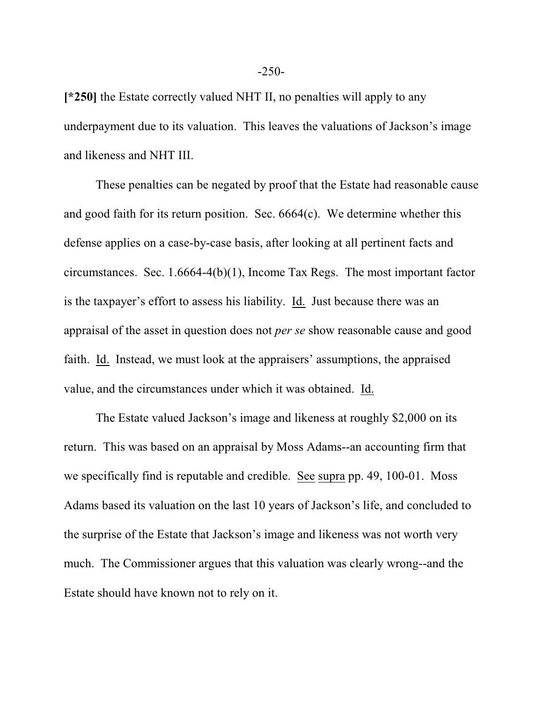**[\*250]** the Estate correctly valued NHT II, no penalties will apply to any underpayment due to its valuation. This leaves the valuations of Jackson's image and likeness and NHT III.

These penalties can be negated by proof that the Estate had reasonable cause and good faith for its return position. Sec. 6664(c). We determine whether this defense applies on a case-by-case basis, after looking at all pertinent facts and circumstances. Sec. 1.6664-4(b)(1), Income Tax Regs. The most important factor is the taxpayer's effort to assess his liability. Id. Just because there was an appraisal of the asset in question does not *per se* show reasonable cause and good faith. Id. Instead, we must look at the appraisers' assumptions, the appraised value, and the circumstances under which it was obtained. Id.

The Estate valued Jackson's image and likeness at roughly \$2,000 on its return. This was based on an appraisal by Moss Adams--an accounting firm that we specifically find is reputable and credible. See supra pp. 49, 100-01. Moss Adams based its valuation on the last 10 years of Jackson's life, and concluded to the surprise of the Estate that Jackson's image and likeness was not worth very much. The Commissioner argues that this valuation was clearly wrong--and the Estate should have known not to rely on it.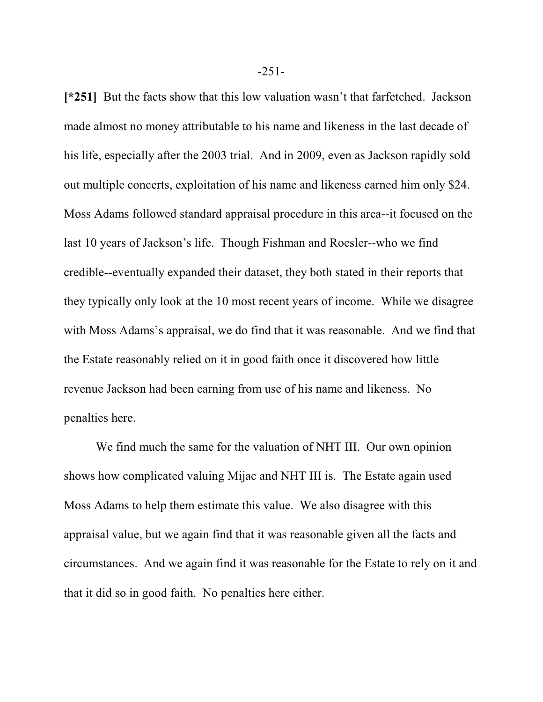**[\*251]** But the facts show that this low valuation wasn't that farfetched. Jackson made almost no money attributable to his name and likeness in the last decade of his life, especially after the 2003 trial. And in 2009, even as Jackson rapidly sold out multiple concerts, exploitation of his name and likeness earned him only \$24. Moss Adams followed standard appraisal procedure in this area--it focused on the last 10 years of Jackson's life. Though Fishman and Roesler--who we find credible--eventually expanded their dataset, they both stated in their reports that they typically only look at the 10 most recent years of income. While we disagree with Moss Adams's appraisal, we do find that it was reasonable. And we find that the Estate reasonably relied on it in good faith once it discovered how little revenue Jackson had been earning from use of his name and likeness. No penalties here.

We find much the same for the valuation of NHT III. Our own opinion shows how complicated valuing Mijac and NHT III is. The Estate again used Moss Adams to help them estimate this value. We also disagree with this appraisal value, but we again find that it was reasonable given all the facts and circumstances. And we again find it was reasonable for the Estate to rely on it and that it did so in good faith. No penalties here either.

-251-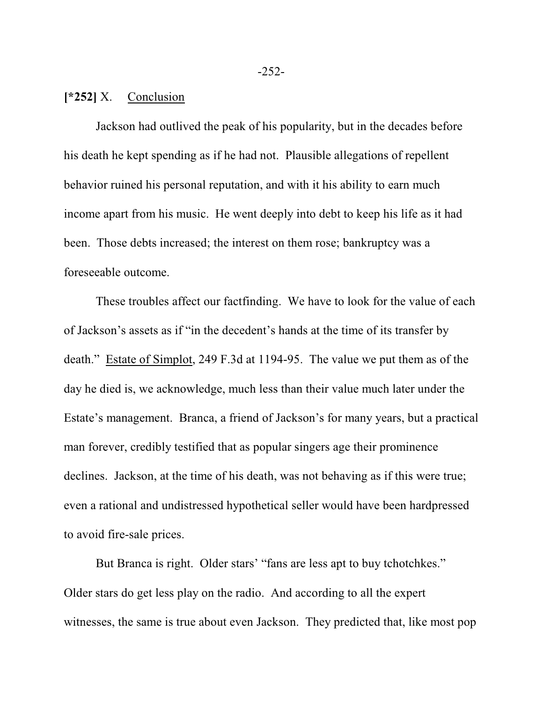### **[\*252]** X. Conclusion

Jackson had outlived the peak of his popularity, but in the decades before his death he kept spending as if he had not. Plausible allegations of repellent behavior ruined his personal reputation, and with it his ability to earn much income apart from his music. He went deeply into debt to keep his life as it had been. Those debts increased; the interest on them rose; bankruptcy was a foreseeable outcome.

These troubles affect our factfinding. We have to look for the value of each of Jackson's assets as if "in the decedent's hands at the time of its transfer by death." Estate of Simplot, 249 F.3d at 1194-95. The value we put them as of the day he died is, we acknowledge, much less than their value much later under the Estate's management. Branca, a friend of Jackson's for many years, but a practical man forever, credibly testified that as popular singers age their prominence declines. Jackson, at the time of his death, was not behaving as if this were true; even a rational and undistressed hypothetical seller would have been hardpressed to avoid fire-sale prices.

But Branca is right. Older stars' "fans are less apt to buy tchotchkes." Older stars do get less play on the radio. And according to all the expert witnesses, the same is true about even Jackson. They predicted that, like most pop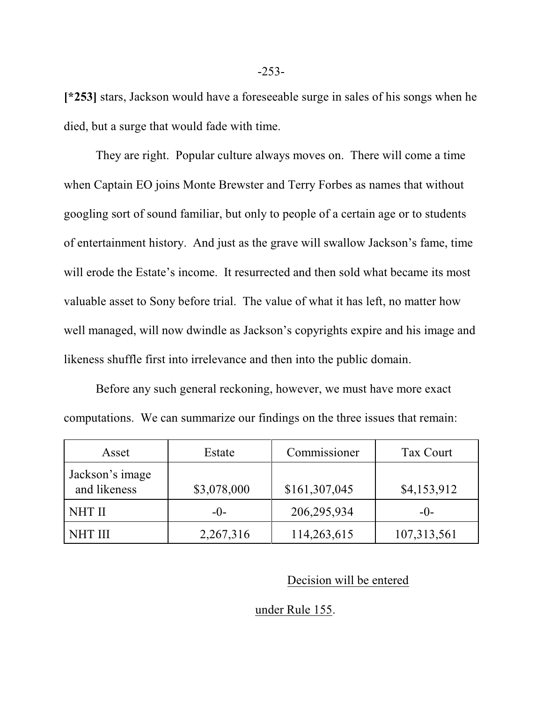**[\*253]** stars, Jackson would have a foreseeable surge in sales of his songs when he died, but a surge that would fade with time.

They are right. Popular culture always moves on. There will come a time when Captain EO joins Monte Brewster and Terry Forbes as names that without googling sort of sound familiar, but only to people of a certain age or to students of entertainment history. And just as the grave will swallow Jackson's fame, time will erode the Estate's income. It resurrected and then sold what became its most valuable asset to Sony before trial. The value of what it has left, no matter how well managed, will now dwindle as Jackson's copyrights expire and his image and likeness shuffle first into irrelevance and then into the public domain.

Before any such general reckoning, however, we must have more exact computations. We can summarize our findings on the three issues that remain:

| Asset                           | Estate      | Commissioner  | Tax Court   |
|---------------------------------|-------------|---------------|-------------|
| Jackson's image<br>and likeness | \$3,078,000 | \$161,307,045 | \$4,153,912 |
| <b>NHT II</b>                   | $-()$       | 206,295,934   | $-()$       |
| <b>NHT III</b>                  | 2,267,316   | 114,263,615   | 107,313,561 |

#### Decision will be entered

#### under Rule 155.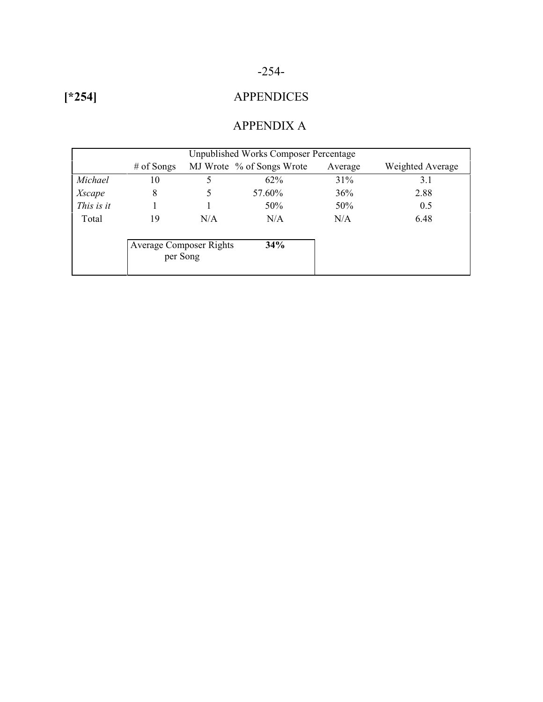### -254-

**[\*254]**

## APPENDICES

### APPENDIX A

| <b>Unpublished Works Composer Percentage</b> |                                |     |                           |         |                  |  |
|----------------------------------------------|--------------------------------|-----|---------------------------|---------|------------------|--|
|                                              | $#$ of Songs                   |     | MJ Wrote % of Songs Wrote | Average | Weighted Average |  |
| Michael                                      | 10                             | 5   | $62\%$                    | 31%     | 3.1              |  |
| Xscape                                       | 8                              |     | 57.60%                    | 36%     | 2.88             |  |
| This is it                                   |                                |     | 50%                       | 50%     | 0.5              |  |
| Total                                        | 19                             | N/A | N/A                       | N/A     | 6.48             |  |
|                                              |                                |     |                           |         |                  |  |
|                                              | <b>Average Composer Rights</b> |     | 34%                       |         |                  |  |
|                                              | per Song                       |     |                           |         |                  |  |
|                                              |                                |     |                           |         |                  |  |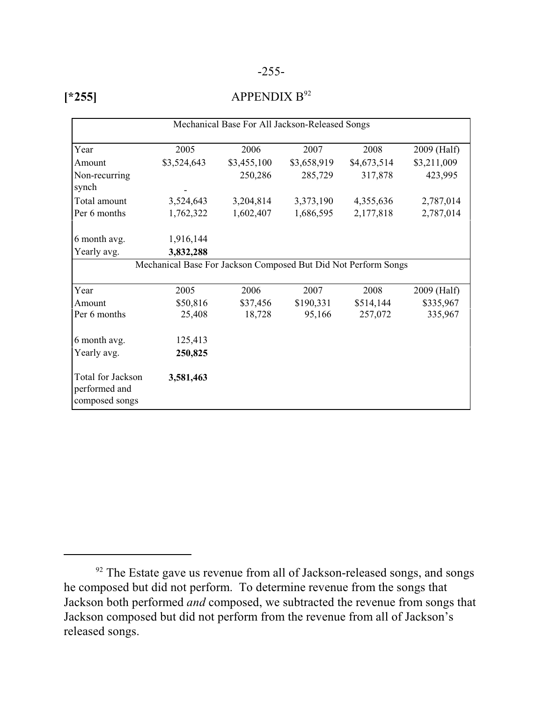#### -255-

| M.<br>٧ |
|---------|
|---------|

#### APPENDIX  $B^{92}$

| Mechanical Base For All Jackson-Released Songs       |                                                                |             |             |             |             |
|------------------------------------------------------|----------------------------------------------------------------|-------------|-------------|-------------|-------------|
| Year                                                 | 2005                                                           | 2006        | 2007        | 2008        | 2009 (Half) |
| Amount                                               | \$3,524,643                                                    | \$3,455,100 | \$3,658,919 | \$4,673,514 | \$3,211,009 |
| Non-recurring<br>synch                               |                                                                | 250,286     | 285,729     | 317,878     | 423,995     |
| Total amount                                         | 3,524,643                                                      | 3,204,814   | 3,373,190   | 4,355,636   | 2,787,014   |
| Per 6 months                                         | 1,762,322                                                      | 1,602,407   | 1,686,595   | 2,177,818   | 2,787,014   |
| 6 month avg.                                         | 1,916,144                                                      |             |             |             |             |
| Yearly avg.                                          | 3,832,288                                                      |             |             |             |             |
|                                                      | Mechanical Base For Jackson Composed But Did Not Perform Songs |             |             |             |             |
| Year                                                 | 2005                                                           | 2006        | 2007        | 2008        | 2009 (Half) |
| Amount                                               | \$50,816                                                       | \$37,456    | \$190,331   | \$514,144   | \$335,967   |
| Per 6 months                                         | 25,408                                                         | 18,728      | 95,166      | 257,072     | 335,967     |
| 6 month avg.                                         | 125,413                                                        |             |             |             |             |
| Yearly avg.                                          | 250,825                                                        |             |             |             |             |
| Total for Jackson<br>performed and<br>composed songs | 3,581,463                                                      |             |             |             |             |

 $92$  The Estate gave us revenue from all of Jackson-released songs, and songs he composed but did not perform. To determine revenue from the songs that Jackson both performed *and* composed, we subtracted the revenue from songs that Jackson composed but did not perform from the revenue from all of Jackson's released songs.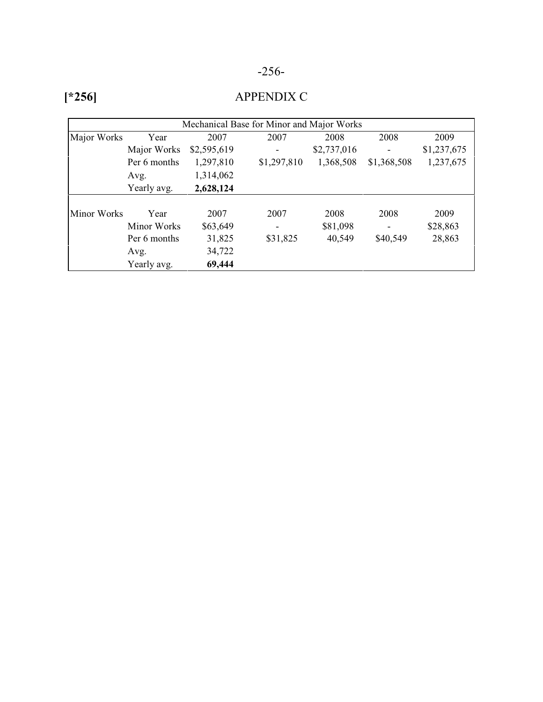## -256-

|             |              |             | Mechanical Base for Minor and Major Works |             |             |             |
|-------------|--------------|-------------|-------------------------------------------|-------------|-------------|-------------|
| Major Works | Year         | 2007        | 2007                                      | 2008        | 2008        | 2009        |
|             | Major Works  | \$2,595,619 |                                           | \$2,737,016 |             | \$1,237,675 |
|             | Per 6 months | 1,297,810   | \$1,297,810                               | 1,368,508   | \$1,368,508 | 1,237,675   |
|             | Avg.         | 1,314,062   |                                           |             |             |             |
|             | Yearly avg.  | 2,628,124   |                                           |             |             |             |
|             |              |             |                                           |             |             |             |
| Minor Works | Year         | 2007        | 2007                                      | 2008        | 2008        | 2009        |
|             | Minor Works  | \$63,649    | $\overline{\phantom{a}}$                  | \$81,098    |             | \$28,863    |
|             | Per 6 months | 31,825      | \$31,825                                  | 40,549      | \$40,549    | 28,863      |
|             | Avg.         | 34,722      |                                           |             |             |             |
|             | Yearly avg.  | 69,444      |                                           |             |             |             |

## **[\*256]**

### APPENDIX C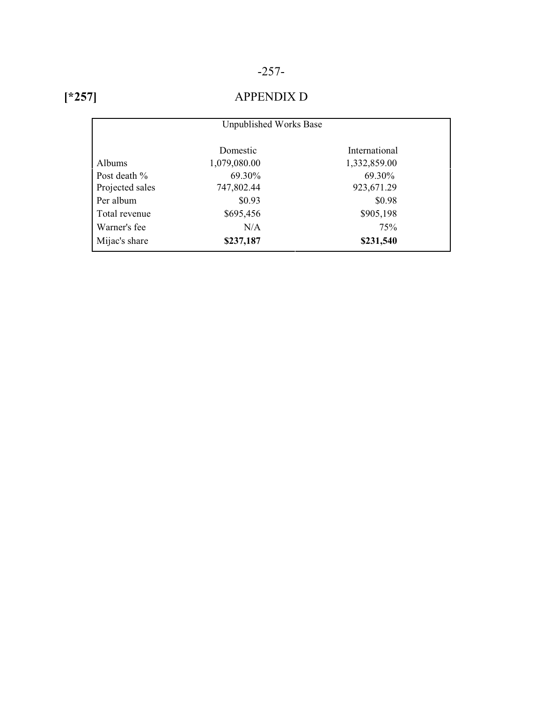## -257-

## **[\*257]**

### APPENDIX D

|                 | Unpublished Works Base |               |
|-----------------|------------------------|---------------|
|                 | Domestic               | International |
| Albums          | 1,079,080.00           | 1,332,859.00  |
| Post death %    | 69.30%                 | 69.30%        |
| Projected sales | 747,802.44             | 923,671.29    |
| Per album       | \$0.93                 | \$0.98        |
| Total revenue   | \$695,456              | \$905,198     |
| Warner's fee    | N/A                    | 75%           |
| Mijac's share   | \$237,187              | \$231,540     |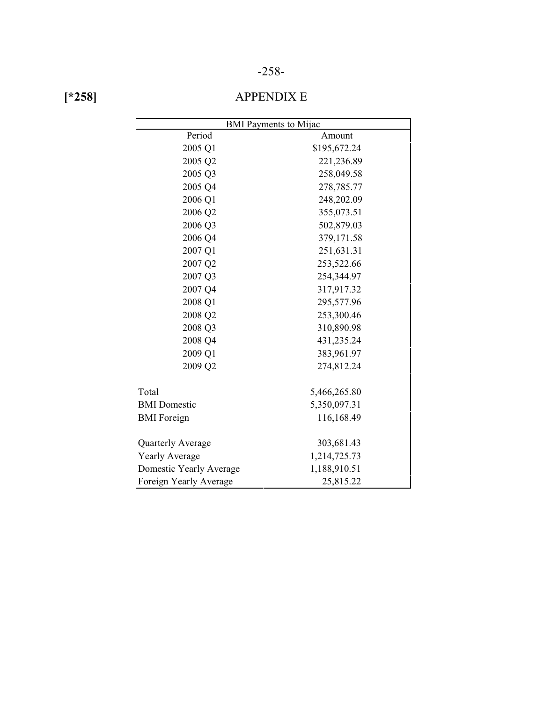#### -258-

|--|

### APPENDIX E

| <b>BMI</b> Payments to Mijac |              |  |  |  |
|------------------------------|--------------|--|--|--|
| Period<br>Amount             |              |  |  |  |
| 2005 Q1                      | \$195,672.24 |  |  |  |
| 2005 Q2                      | 221,236.89   |  |  |  |
| 2005 Q3                      | 258,049.58   |  |  |  |
| 2005 Q4                      | 278,785.77   |  |  |  |
| 2006 Q1                      | 248,202.09   |  |  |  |
| 2006 Q2                      | 355,073.51   |  |  |  |
| 2006 Q3                      | 502,879.03   |  |  |  |
| 2006 Q4                      | 379,171.58   |  |  |  |
| 2007 Q1                      | 251,631.31   |  |  |  |
| 2007 Q2                      | 253,522.66   |  |  |  |
| 2007 Q3                      | 254,344.97   |  |  |  |
| 2007 Q4                      | 317,917.32   |  |  |  |
| 2008 Q1                      | 295,577.96   |  |  |  |
| 2008 Q2                      | 253,300.46   |  |  |  |
| 2008 Q3                      | 310,890.98   |  |  |  |
| 2008 Q4                      | 431,235.24   |  |  |  |
| 2009 Q1                      | 383,961.97   |  |  |  |
| 2009 Q2                      | 274,812.24   |  |  |  |
| Total                        | 5,466,265.80 |  |  |  |
| <b>BMI</b> Domestic          | 5,350,097.31 |  |  |  |
| <b>BMI</b> Foreign           | 116,168.49   |  |  |  |
| Quarterly Average            | 303,681.43   |  |  |  |
| <b>Yearly Average</b>        | 1,214,725.73 |  |  |  |
| Domestic Yearly Average      | 1,188,910.51 |  |  |  |
| Foreign Yearly Average       | 25,815.22    |  |  |  |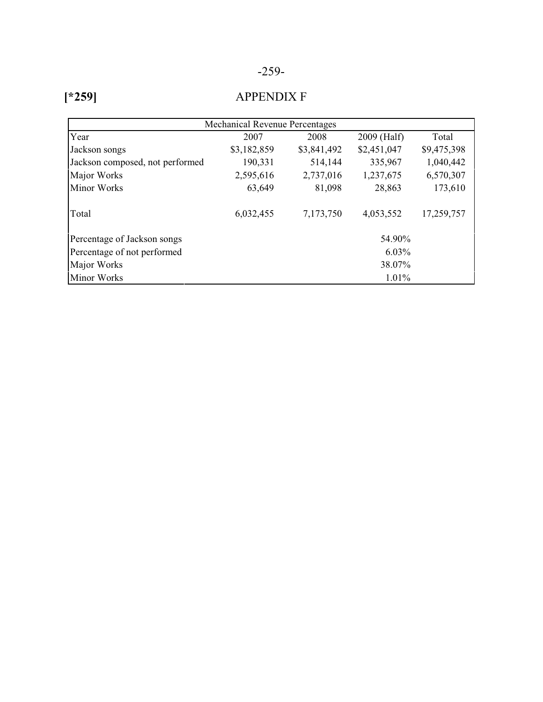| M. |
|----|
|----|

### APPENDIX F

| <b>Mechanical Revenue Percentages</b> |             |             |             |             |  |  |
|---------------------------------------|-------------|-------------|-------------|-------------|--|--|
| Year                                  | 2007        | 2008        | 2009 (Half) | Total       |  |  |
| Jackson songs                         | \$3,182,859 | \$3,841,492 | \$2,451,047 | \$9,475,398 |  |  |
| Jackson composed, not performed       | 190,331     | 514,144     | 335,967     | 1,040,442   |  |  |
| Major Works                           | 2,595,616   | 2,737,016   | 1,237,675   | 6,570,307   |  |  |
| Minor Works                           | 63,649      | 81,098      | 28,863      | 173,610     |  |  |
| Total                                 | 6,032,455   | 7,173,750   | 4,053,552   | 17,259,757  |  |  |
| Percentage of Jackson songs           |             |             | 54.90%      |             |  |  |
| Percentage of not performed           | $6.03\%$    |             |             |             |  |  |
| Major Works<br>38.07%                 |             |             |             |             |  |  |
| Minor Works                           |             | $1.01\%$    |             |             |  |  |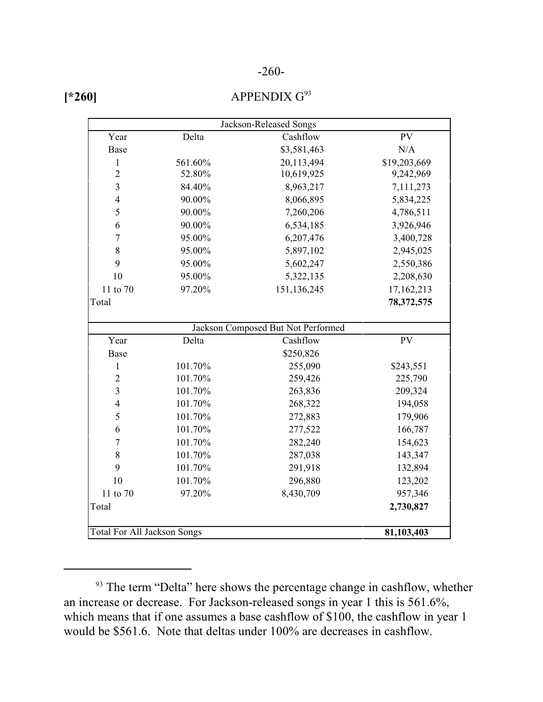#### -260-

| 60 |  |
|----|--|
|----|--|

#### APPENDIX  $G^{93}$

| Jackson-Released Songs             |         |                                    |              |  |  |
|------------------------------------|---------|------------------------------------|--------------|--|--|
| Year                               | Delta   | Cashflow                           | <b>PV</b>    |  |  |
| <b>Base</b>                        |         | \$3,581,463                        | N/A          |  |  |
| $\mathbf{1}$                       | 561.60% | 20,113,494                         | \$19,203,669 |  |  |
| $\overline{2}$                     | 52.80%  | 10,619,925                         | 9,242,969    |  |  |
| 3                                  | 84.40%  | 8,963,217                          | 7,111,273    |  |  |
| $\overline{4}$                     | 90.00%  | 8,066,895                          | 5,834,225    |  |  |
| 5                                  | 90.00%  | 7,260,206                          | 4,786,511    |  |  |
| 6                                  | 90.00%  | 6,534,185                          | 3,926,946    |  |  |
| $\overline{7}$                     | 95.00%  | 6,207,476                          | 3,400,728    |  |  |
| 8                                  | 95.00%  | 5,897,102                          | 2,945,025    |  |  |
| 9                                  | 95.00%  | 5,602,247                          | 2,550,386    |  |  |
| 10                                 | 95.00%  | 5,322,135                          | 2,208,630    |  |  |
| 11 to 70                           | 97.20%  | 151,136,245                        | 17,162,213   |  |  |
| Total                              |         |                                    | 78,372,575   |  |  |
|                                    |         |                                    |              |  |  |
|                                    |         | Jackson Composed But Not Performed |              |  |  |
| Year                               | Delta   | Cashflow                           | <b>PV</b>    |  |  |
| Base                               |         | \$250,826                          |              |  |  |
| $\mathbf{1}$                       | 101.70% | 255,090                            | \$243,551    |  |  |
| $\overline{2}$                     | 101.70% | 259,426                            | 225,790      |  |  |
| 3                                  | 101.70% | 263,836                            | 209,324      |  |  |
| $\overline{4}$                     | 101.70% | 268,322                            | 194,058      |  |  |
| 5                                  | 101.70% | 272,883                            | 179,906      |  |  |
| 6                                  | 101.70% | 277,522                            | 166,787      |  |  |
| $\tau$                             | 101.70% | 282,240                            | 154,623      |  |  |
| $8\,$                              | 101.70% | 287,038                            | 143,347      |  |  |
| 9                                  | 101.70% | 291,918                            | 132,894      |  |  |
| 10                                 | 101.70% | 296,880                            | 123,202      |  |  |
| 11 to 70                           | 97.20%  | 8,430,709                          | 957,346      |  |  |
| Total                              |         |                                    | 2,730,827    |  |  |
|                                    |         |                                    |              |  |  |
| <b>Total For All Jackson Songs</b> |         |                                    | 81,103,403   |  |  |

<sup>&</sup>lt;sup>93</sup> The term "Delta" here shows the percentage change in cashflow, whether an increase or decrease. For Jackson-released songs in year 1 this is 561.6%, which means that if one assumes a base cashflow of \$100, the cashflow in year 1 would be \$561.6. Note that deltas under 100% are decreases in cashflow.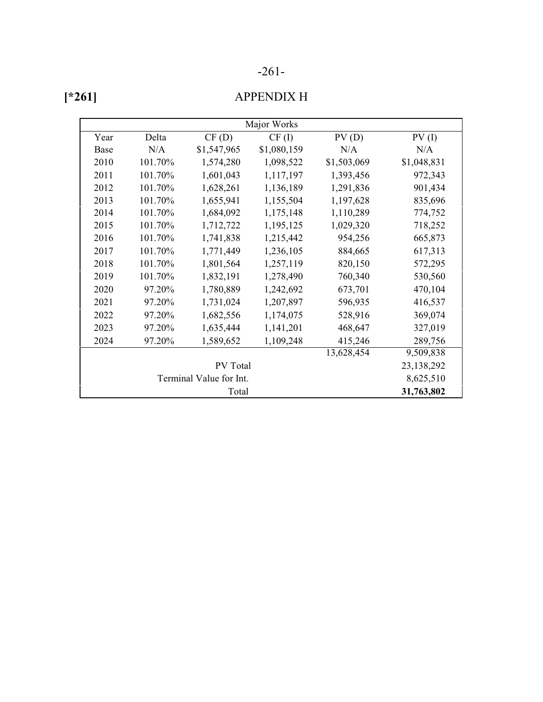### -261-

| ۰ |  |
|---|--|
|---|--|

### APPENDIX H

| Major Works             |         |             |             |             |             |  |  |
|-------------------------|---------|-------------|-------------|-------------|-------------|--|--|
| Year                    | Delta   | CF(D)       | CF(I)       | PV(D)       | PV(1)       |  |  |
| Base                    | N/A     | \$1,547,965 | \$1,080,159 | N/A         | N/A         |  |  |
| 2010                    | 101.70% | 1,574,280   | 1,098,522   | \$1,503,069 | \$1,048,831 |  |  |
| 2011                    | 101.70% | 1,601,043   | 1,117,197   | 1,393,456   | 972,343     |  |  |
| 2012                    | 101.70% | 1,628,261   | 1,136,189   | 1,291,836   | 901,434     |  |  |
| 2013                    | 101.70% | 1,655,941   | 1,155,504   | 1,197,628   | 835,696     |  |  |
| 2014                    | 101.70% | 1,684,092   | 1,175,148   | 1,110,289   | 774,752     |  |  |
| 2015                    | 101.70% | 1,712,722   | 1,195,125   | 1,029,320   | 718,252     |  |  |
| 2016                    | 101.70% | 1,741,838   | 1,215,442   | 954,256     | 665,873     |  |  |
| 2017                    | 101.70% | 1,771,449   | 1,236,105   | 884,665     | 617,313     |  |  |
| 2018                    | 101.70% | 1,801,564   | 1,257,119   | 820,150     | 572,295     |  |  |
| 2019                    | 101.70% | 1,832,191   | 1,278,490   | 760,340     | 530,560     |  |  |
| 2020                    | 97.20%  | 1,780,889   | 1,242,692   | 673,701     | 470,104     |  |  |
| 2021                    | 97.20%  | 1,731,024   | 1,207,897   | 596,935     | 416,537     |  |  |
| 2022                    | 97.20%  | 1,682,556   | 1,174,075   | 528,916     | 369,074     |  |  |
| 2023                    | 97.20%  | 1,635,444   | 1,141,201   | 468,647     | 327,019     |  |  |
| 2024                    | 97.20%  | 1,589,652   | 1,109,248   | 415,246     | 289,756     |  |  |
|                         |         | 13,628,454  | 9,509,838   |             |             |  |  |
| PV Total                |         |             |             |             | 23,138,292  |  |  |
| Terminal Value for Int. |         |             |             |             | 8,625,510   |  |  |
|                         |         | Total       |             |             | 31,763,802  |  |  |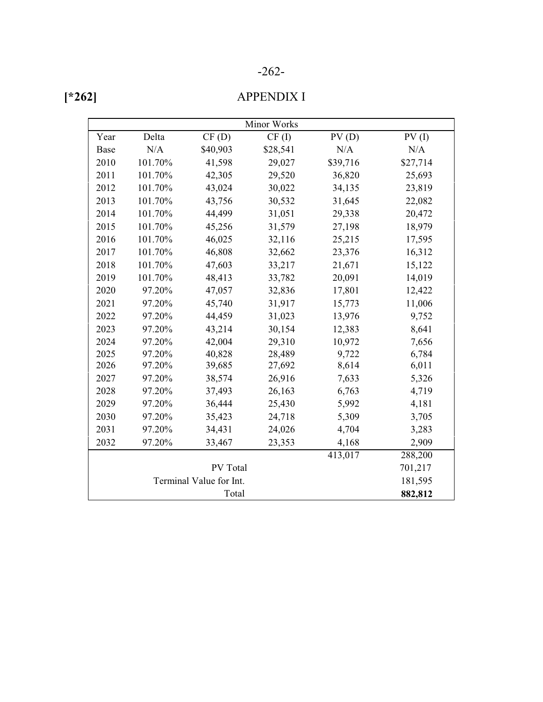| × |
|---|
|---|

### APPENDIX I

|                         |         |          | Minor Works |                      |          |
|-------------------------|---------|----------|-------------|----------------------|----------|
| Year                    | Delta   | CF(D)    | CF(I)       | PV(D)                | PV(1)    |
| Base                    | N/A     | \$40,903 | \$28,541    | N/A                  | N/A      |
| 2010                    | 101.70% | 41,598   | 29,027      | \$39,716             | \$27,714 |
| 2011                    | 101.70% | 42,305   | 29,520      | 36,820               | 25,693   |
| 2012                    | 101.70% | 43,024   | 30,022      | 34,135               | 23,819   |
| 2013                    | 101.70% | 43,756   | 30,532      | 31,645               | 22,082   |
| 2014                    | 101.70% | 44,499   | 31,051      | 29,338               | 20,472   |
| 2015                    | 101.70% | 45,256   | 31,579      | 27,198               | 18,979   |
| 2016                    | 101.70% | 46,025   | 32,116      | 25,215               | 17,595   |
| 2017                    | 101.70% | 46,808   | 32,662      | 23,376               | 16,312   |
| 2018                    | 101.70% | 47,603   | 33,217      | 21,671               | 15,122   |
| 2019                    | 101.70% | 48,413   | 33,782      | 20,091               | 14,019   |
| 2020                    | 97.20%  | 47,057   | 32,836      | 17,801               | 12,422   |
| 2021                    | 97.20%  | 45,740   | 31,917      | 15,773               | 11,006   |
| 2022                    | 97.20%  | 44,459   | 31,023      | 13,976               | 9,752    |
| 2023                    | 97.20%  | 43,214   | 30,154      | 12,383               | 8,641    |
| 2024                    | 97.20%  | 42,004   | 29,310      | 10,972               | 7,656    |
| 2025                    | 97.20%  | 40,828   | 28,489      | 9,722                | 6,784    |
| 2026                    | 97.20%  | 39,685   | 27,692      | 8,614                | 6,011    |
| 2027                    | 97.20%  | 38,574   | 26,916      | 7,633                | 5,326    |
| 2028                    | 97.20%  | 37,493   | 26,163      | 6,763                | 4,719    |
| 2029                    | 97.20%  | 36,444   | 25,430      | 5,992                | 4,181    |
| 2030                    | 97.20%  | 35,423   | 24,718      | 5,309                | 3,705    |
| 2031                    | 97.20%  | 34,431   | 24,026      | 4,704                | 3,283    |
| 2032                    | 97.20%  | 33,467   | 23,353      | 4,168                | 2,909    |
|                         |         |          |             | $\overline{413,017}$ | 288,200  |
| PV Total                |         |          |             |                      | 701,217  |
| Terminal Value for Int. |         |          |             |                      | 181,595  |
|                         |         | Total    |             |                      | 882,812  |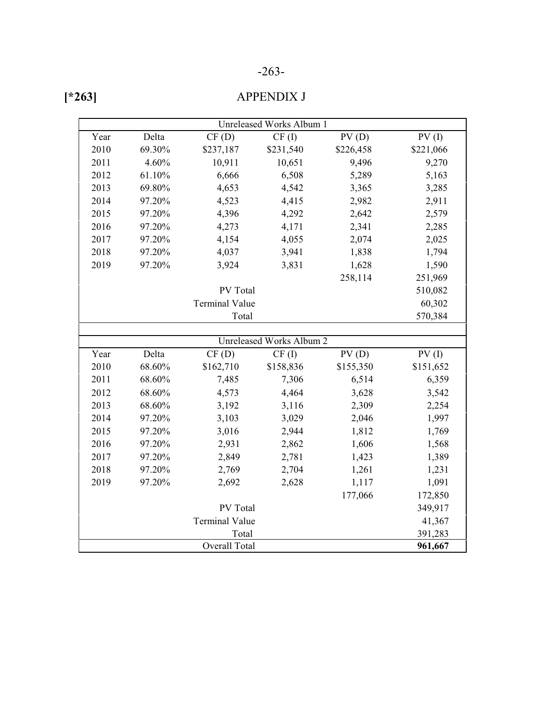### -263-

|--|

### APPENDIX J

|      |        |                       | Unreleased Works Album 1        |           |           |
|------|--------|-----------------------|---------------------------------|-----------|-----------|
| Year | Delta  | CF(D)                 | CF(I)                           | PV(D)     | PV(1)     |
| 2010 | 69.30% | \$237,187             | \$231,540                       | \$226,458 | \$221,066 |
| 2011 | 4.60%  | 10,911                | 10,651                          | 9,496     | 9,270     |
| 2012 | 61.10% | 6,666                 | 6,508                           | 5,289     | 5,163     |
| 2013 | 69.80% | 4,653                 | 4,542                           | 3,365     | 3,285     |
| 2014 | 97.20% | 4,523                 | 4,415                           | 2,982     | 2,911     |
| 2015 | 97.20% | 4,396                 | 4,292                           | 2,642     | 2,579     |
| 2016 | 97.20% | 4,273                 | 4,171                           | 2,341     | 2,285     |
| 2017 | 97.20% | 4,154                 | 4,055                           | 2,074     | 2,025     |
| 2018 | 97.20% | 4,037                 | 3,941                           | 1,838     | 1,794     |
| 2019 | 97.20% | 3,924                 | 3,831                           | 1,628     | 1,590     |
|      |        |                       |                                 | 258,114   | 251,969   |
|      |        | PV Total              |                                 |           | 510,082   |
|      |        | <b>Terminal Value</b> |                                 |           | 60,302    |
|      |        | Total                 |                                 |           | 570,384   |
|      |        |                       |                                 |           |           |
|      |        |                       | <b>Unreleased Works Album 2</b> |           |           |
| Year | Delta  | CF(D)                 | CF(I)                           | PV(D)     | PV(1)     |
| 2010 | 68.60% | \$162,710             | \$158,836                       | \$155,350 | \$151,652 |
| 2011 | 68.60% | 7,485                 | 7,306                           | 6,514     | 6,359     |
| 2012 | 68.60% | 4,573                 | 4,464                           | 3,628     | 3,542     |
| 2013 | 68.60% | 3,192                 | 3,116                           | 2,309     | 2,254     |
| 2014 | 97.20% | 3,103                 | 3,029                           | 2,046     | 1,997     |
| 2015 | 97.20% | 3,016                 | 2,944                           | 1,812     | 1,769     |
| 2016 | 97.20% | 2,931                 | 2,862                           | 1,606     | 1,568     |
| 2017 | 97.20% | 2,849                 | 2,781                           | 1,423     | 1,389     |
| 2018 | 97.20% | 2,769                 | 2,704                           | 1,261     | 1,231     |
| 2019 | 97.20% | 2,692                 | 2,628                           | 1,117     | 1,091     |
|      |        |                       |                                 | 177,066   | 172,850   |
|      |        | PV Total              |                                 |           | 349,917   |
|      |        | <b>Terminal Value</b> |                                 |           | 41,367    |
|      |        | Total                 |                                 |           | 391,283   |
|      |        | <b>Overall Total</b>  |                                 |           | 961,667   |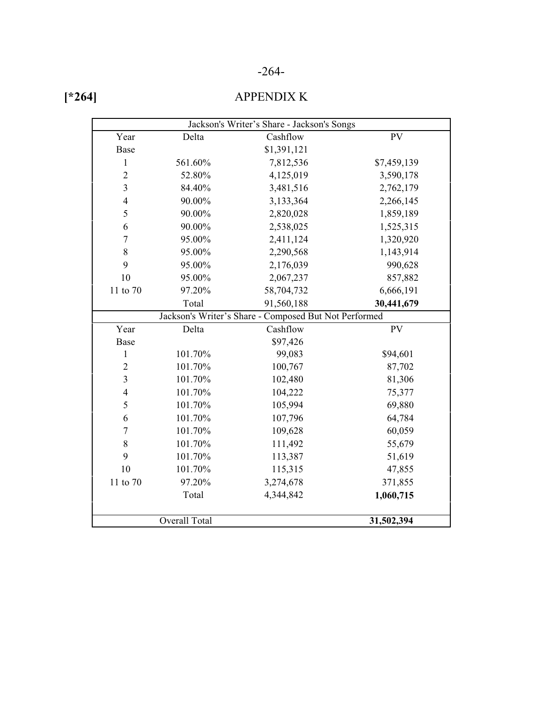### -264-

| г |
|---|
|---|

### APPENDIX K

| Jackson's Writer's Share - Jackson's Songs |                      |                                                       |             |  |  |  |  |
|--------------------------------------------|----------------------|-------------------------------------------------------|-------------|--|--|--|--|
| Year                                       | Delta                | Cashflow                                              | PV          |  |  |  |  |
| <b>Base</b>                                |                      | \$1,391,121                                           |             |  |  |  |  |
| $\mathbf{1}$                               | 561.60%              | 7,812,536                                             | \$7,459,139 |  |  |  |  |
| $\overline{2}$                             | 52.80%               | 4,125,019                                             | 3,590,178   |  |  |  |  |
| $\overline{\mathbf{3}}$                    | 84.40%               | 3,481,516                                             | 2,762,179   |  |  |  |  |
| $\overline{4}$                             | 90.00%               | 3,133,364                                             | 2,266,145   |  |  |  |  |
| 5                                          | 90.00%               | 2,820,028                                             | 1,859,189   |  |  |  |  |
| 6                                          | 90.00%               | 2,538,025                                             | 1,525,315   |  |  |  |  |
| $\overline{7}$                             | 95.00%               | 2,411,124                                             | 1,320,920   |  |  |  |  |
| 8                                          | 95.00%               | 2,290,568                                             | 1,143,914   |  |  |  |  |
| 9                                          | 95.00%               | 2,176,039                                             | 990,628     |  |  |  |  |
| 10                                         | 95.00%               | 2,067,237                                             | 857,882     |  |  |  |  |
| 11 to 70                                   | 97.20%               | 58,704,732                                            | 6,666,191   |  |  |  |  |
|                                            | Total                | 91,560,188                                            | 30,441,679  |  |  |  |  |
|                                            |                      | Jackson's Writer's Share - Composed But Not Performed |             |  |  |  |  |
| Year                                       | Delta                | Cashflow                                              | <b>PV</b>   |  |  |  |  |
| <b>Base</b>                                |                      | \$97,426                                              |             |  |  |  |  |
| 1                                          | 101.70%              | 99,083                                                | \$94,601    |  |  |  |  |
| $\overline{2}$                             | 101.70%              | 100,767                                               | 87,702      |  |  |  |  |
| 3                                          | 101.70%              | 102,480                                               | 81,306      |  |  |  |  |
| $\overline{4}$                             | 101.70%              | 104,222                                               | 75,377      |  |  |  |  |
| 5                                          | 101.70%              | 105,994                                               | 69,880      |  |  |  |  |
| 6                                          | 101.70%              | 107,796                                               | 64,784      |  |  |  |  |
| $\overline{7}$                             | 101.70%              | 109,628                                               | 60,059      |  |  |  |  |
| 8                                          | 101.70%              | 111,492                                               | 55,679      |  |  |  |  |
| 9                                          | 101.70%              | 113,387                                               | 51,619      |  |  |  |  |
| 10                                         | 101.70%              | 115,315                                               | 47,855      |  |  |  |  |
| 11 to 70                                   | 97.20%               | 3,274,678                                             | 371,855     |  |  |  |  |
|                                            | Total                | 4,344,842                                             | 1,060,715   |  |  |  |  |
|                                            |                      |                                                       |             |  |  |  |  |
|                                            | <b>Overall Total</b> |                                                       | 31,502,394  |  |  |  |  |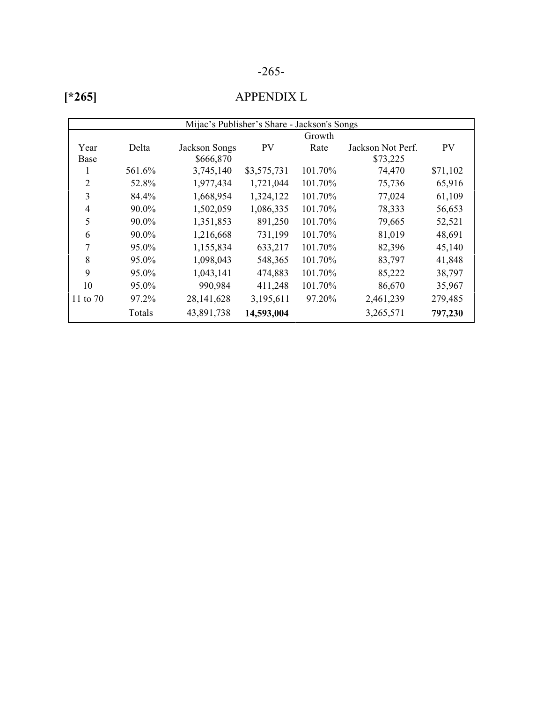### -265-

### APPENDIX L

| Mijac's Publisher's Share - Jackson's Songs |        |                      |             |         |                   |           |  |
|---------------------------------------------|--------|----------------------|-------------|---------|-------------------|-----------|--|
|                                             |        | Growth               |             |         |                   |           |  |
| Year                                        | Delta  | <b>Jackson Songs</b> | <b>PV</b>   | Rate    | Jackson Not Perf. | <b>PV</b> |  |
| Base                                        |        | \$666,870            |             |         | \$73,225          |           |  |
|                                             | 561.6% | 3,745,140            | \$3,575,731 | 101.70% | 74,470            | \$71,102  |  |
| $\overline{2}$                              | 52.8%  | 1,977,434            | 1,721,044   | 101.70% | 75,736            | 65,916    |  |
| 3                                           | 84.4%  | 1,668,954            | 1,324,122   | 101.70% | 77,024            | 61,109    |  |
| $\overline{4}$                              | 90.0%  | 1,502,059            | 1,086,335   | 101.70% | 78,333            | 56,653    |  |
| 5                                           | 90.0%  | 1,351,853            | 891,250     | 101.70% | 79,665            | 52,521    |  |
| 6                                           | 90.0%  | 1,216,668            | 731,199     | 101.70% | 81,019            | 48,691    |  |
| 7                                           | 95.0%  | 1,155,834            | 633,217     | 101.70% | 82,396            | 45,140    |  |
| 8                                           | 95.0%  | 1,098,043            | 548,365     | 101.70% | 83,797            | 41,848    |  |
| 9                                           | 95.0%  | 1,043,141            | 474,883     | 101.70% | 85,222            | 38,797    |  |
| 10                                          | 95.0%  | 990,984              | 411,248     | 101.70% | 86,670            | 35,967    |  |
| 11 to 70                                    | 97.2%  | 28, 141, 628         | 3,195,611   | 97.20%  | 2,461,239         | 279,485   |  |
|                                             | Totals | 43,891,738           | 14,593,004  |         | 3,265,571         | 797,230   |  |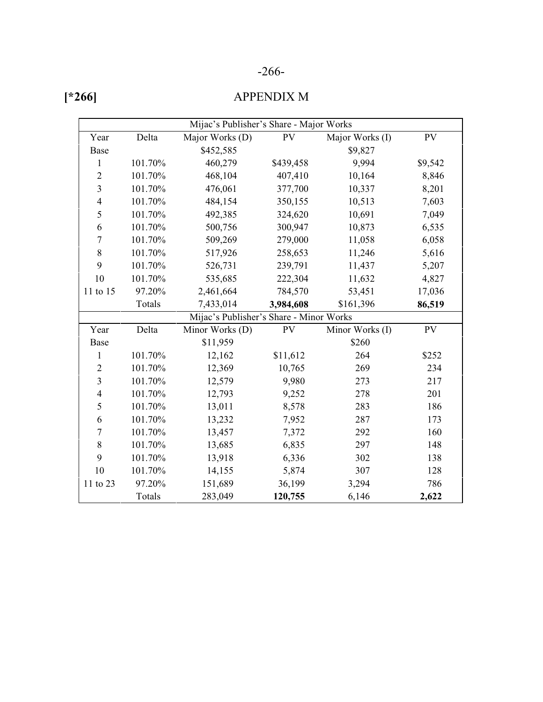### -266-

### APPENDIX M

| Mijac's Publisher's Share - Major Works |         |                                         |           |                 |         |  |  |
|-----------------------------------------|---------|-----------------------------------------|-----------|-----------------|---------|--|--|
| Year                                    | Delta   | Major Works (D)                         | <b>PV</b> | Major Works (I) | PV      |  |  |
| Base                                    |         | \$452,585                               |           | \$9,827         |         |  |  |
| 1                                       | 101.70% | 460,279                                 | \$439,458 | 9,994           | \$9,542 |  |  |
| $\overline{2}$                          | 101.70% | 468,104                                 | 407,410   | 10,164          | 8,846   |  |  |
| $\overline{3}$                          | 101.70% | 476,061                                 | 377,700   | 10,337          | 8,201   |  |  |
| $\overline{4}$                          | 101.70% | 484,154                                 | 350,155   | 10,513          | 7,603   |  |  |
| 5                                       | 101.70% | 492,385                                 | 324,620   | 10,691          | 7,049   |  |  |
| 6                                       | 101.70% | 500,756                                 | 300,947   | 10,873          | 6,535   |  |  |
| $\overline{7}$                          | 101.70% | 509,269                                 | 279,000   | 11,058          | 6,058   |  |  |
| 8                                       | 101.70% | 517,926                                 | 258,653   | 11,246          | 5,616   |  |  |
| 9                                       | 101.70% | 526,731                                 | 239,791   | 11,437          | 5,207   |  |  |
| 10                                      | 101.70% | 535,685                                 | 222,304   | 11,632          | 4,827   |  |  |
| 11 to 15                                | 97.20%  | 2,461,664                               | 784,570   | 53,451          | 17,036  |  |  |
|                                         | Totals  | 7,433,014                               | 3,984,608 | \$161,396       | 86,519  |  |  |
|                                         |         | Mijac's Publisher's Share - Minor Works |           |                 |         |  |  |
| Year                                    | Delta   | Minor Works (D)                         | PV        | Minor Works (I) | PV      |  |  |
| Base                                    |         | \$11,959                                |           | \$260           |         |  |  |
| $\mathbf{1}$                            | 101.70% | 12,162                                  | \$11,612  | 264             | \$252   |  |  |
| $\overline{2}$                          | 101.70% | 12,369                                  | 10,765    | 269             | 234     |  |  |
| $\overline{\mathbf{3}}$                 | 101.70% | 12,579                                  | 9,980     | 273             | 217     |  |  |
| $\overline{\mathcal{L}}$                | 101.70% | 12,793                                  | 9,252     | 278             | 201     |  |  |
| 5                                       | 101.70% | 13,011                                  | 8,578     | 283             | 186     |  |  |
| 6                                       | 101.70% | 13,232                                  | 7,952     | 287             | 173     |  |  |
| $\boldsymbol{7}$                        | 101.70% | 13,457                                  | 7,372     | 292             | 160     |  |  |
| 8                                       | 101.70% | 13,685                                  | 6,835     | 297             | 148     |  |  |
| 9                                       | 101.70% | 13,918                                  | 6,336     | 302             | 138     |  |  |
| 10                                      | 101.70% | 14,155                                  | 5,874     | 307             | 128     |  |  |
| 11 to 23                                | 97.20%  | 151,689                                 | 36,199    | 3,294           | 786     |  |  |
|                                         | Totals  | 283,049                                 | 120,755   | 6,146           | 2,622   |  |  |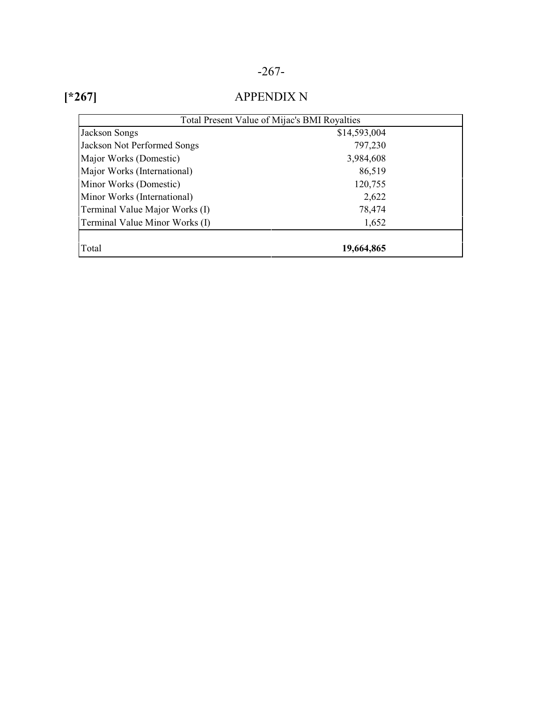### -267-

| × |
|---|
|---|

### APPENDIX N

| Total Present Value of Mijac's BMI Royalties |              |  |
|----------------------------------------------|--------------|--|
| Jackson Songs                                | \$14,593,004 |  |
| Jackson Not Performed Songs                  | 797,230      |  |
| Major Works (Domestic)                       | 3,984,608    |  |
| Major Works (International)                  | 86,519       |  |
| Minor Works (Domestic)                       | 120,755      |  |
| Minor Works (International)                  | 2,622        |  |
| Terminal Value Major Works (I)               | 78,474       |  |
| Terminal Value Minor Works (I)               | 1,652        |  |
|                                              |              |  |
| Total                                        | 19,664,865   |  |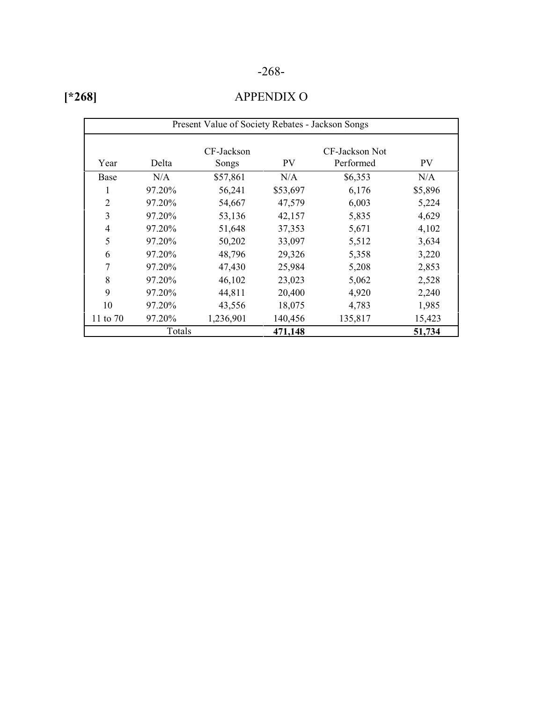### -268-

| u<br>m |
|--------|
|--------|

### APPENDIX O

| Present Value of Society Rebates - Jackson Songs |        |                     |           |                             |         |
|--------------------------------------------------|--------|---------------------|-----------|-----------------------------|---------|
| Year                                             | Delta  | CF-Jackson<br>Songs | <b>PV</b> | CF-Jackson Not<br>Performed | PV      |
| Base                                             | N/A    | \$57,861            | N/A       | \$6,353                     | N/A     |
| 1                                                | 97.20% | 56,241              | \$53,697  | 6,176                       | \$5,896 |
| $\overline{2}$                                   | 97.20% | 54,667              | 47,579    | 6,003                       | 5,224   |
| 3                                                | 97.20% | 53,136              | 42,157    | 5,835                       | 4,629   |
| 4                                                | 97.20% | 51,648              | 37,353    | 5,671                       | 4,102   |
| 5                                                | 97.20% | 50,202              | 33,097    | 5,512                       | 3,634   |
| 6                                                | 97.20% | 48,796              | 29,326    | 5,358                       | 3,220   |
| 7                                                | 97.20% | 47,430              | 25,984    | 5,208                       | 2,853   |
| 8                                                | 97.20% | 46,102              | 23,023    | 5,062                       | 2,528   |
| 9                                                | 97.20% | 44,811              | 20,400    | 4,920                       | 2,240   |
| 10                                               | 97.20% | 43,556              | 18,075    | 4,783                       | 1,985   |
| 11 to 70                                         | 97.20% | 1,236,901           | 140,456   | 135,817                     | 15,423  |
|                                                  | Totals |                     | 471,148   |                             | 51,734  |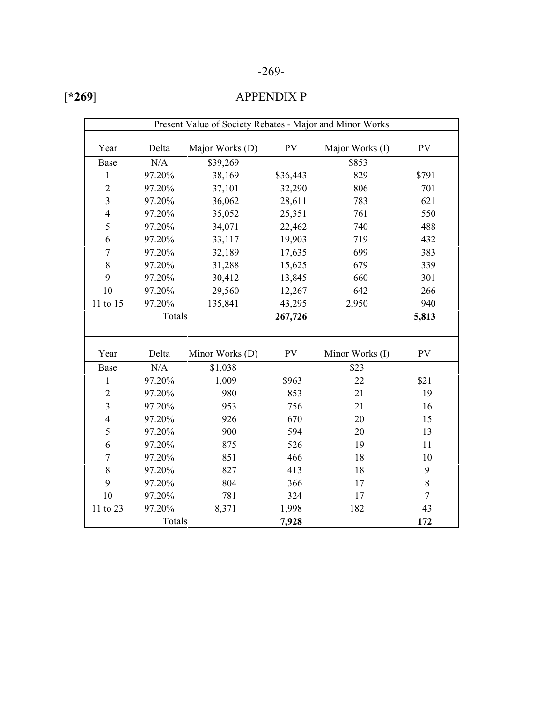### -269-

|--|

### APPENDIX P

| Present Value of Society Rebates - Major and Minor Works |        |                 |            |                 |           |
|----------------------------------------------------------|--------|-----------------|------------|-----------------|-----------|
| Year                                                     | Delta  | Major Works (D) | ${\rm PV}$ | Major Works (I) | <b>PV</b> |
| Base                                                     | N/A    | \$39,269        |            | \$853           |           |
| $\mathbf{1}$                                             | 97.20% | 38,169          | \$36,443   | 829             | \$791     |
| $\overline{2}$                                           | 97.20% | 37,101          | 32,290     | 806             | 701       |
| 3                                                        | 97.20% | 36,062          | 28,611     | 783             | 621       |
| $\overline{\mathcal{L}}$                                 | 97.20% | 35,052          | 25,351     | 761             | 550       |
| 5                                                        | 97.20% | 34,071          | 22,462     | 740             | 488       |
| 6                                                        | 97.20% | 33,117          | 19,903     | 719             | 432       |
| $\overline{7}$                                           | 97.20% | 32,189          | 17,635     | 699             | 383       |
| 8                                                        | 97.20% | 31,288          | 15,625     | 679             | 339       |
| 9                                                        | 97.20% | 30,412          | 13,845     | 660             | 301       |
| 10                                                       | 97.20% | 29,560          | 12,267     | 642             | 266       |
| 11 to 15                                                 | 97.20% | 135,841         | 43,295     | 2,950           | 940       |
| Totals                                                   |        | 267,726         |            | 5,813           |           |
|                                                          |        |                 |            |                 |           |
| Year                                                     | Delta  | Minor Works (D) | PV         | Minor Works (I) | <b>PV</b> |
| Base                                                     | N/A    | \$1,038         |            | \$23            |           |
| $\mathbf{1}$                                             | 97.20% | 1,009           | \$963      | 22              | \$21      |
| $\overline{2}$                                           | 97.20% | 980             | 853        | 21              | 19        |
| 3                                                        | 97.20% | 953             | 756        | 21              | 16        |
| $\overline{4}$                                           | 97.20% | 926             | 670        | 20              | 15        |
| 5                                                        | 97.20% | 900             | 594        | 20              | 13        |
| 6                                                        | 97.20% | 875             | 526        | 19              | 11        |
| $\overline{7}$                                           | 97.20% | 851             | 466        | 18              | 10        |
| 8                                                        | 97.20% | 827             | 413        | 18              | 9         |
| 9                                                        | 97.20% | 804             | 366        | 17              | 8         |
| 10                                                       | 97.20% | 781             | 324        | 17              | $\tau$    |
| 11 to 23                                                 | 97.20% | 8,371           | 1,998      | 182             | 43        |
|                                                          | Totals |                 | 7,928      |                 | 172       |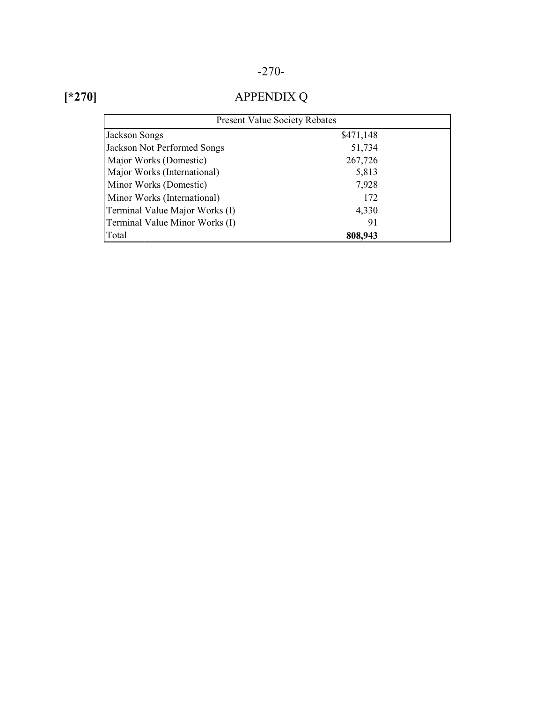## -270-

## **[\*270]**

# APPENDIX Q

| <b>Present Value Society Rebates</b> |           |  |  |
|--------------------------------------|-----------|--|--|
| <b>Jackson Songs</b>                 | \$471,148 |  |  |
| <b>Jackson Not Performed Songs</b>   | 51,734    |  |  |
| Major Works (Domestic)               | 267,726   |  |  |
| Major Works (International)          | 5,813     |  |  |
| Minor Works (Domestic)               | 7,928     |  |  |
| Minor Works (International)          | 172       |  |  |
| Terminal Value Major Works (I)       | 4,330     |  |  |
| Terminal Value Minor Works (I)       | 91        |  |  |
| Total                                | 808,943   |  |  |